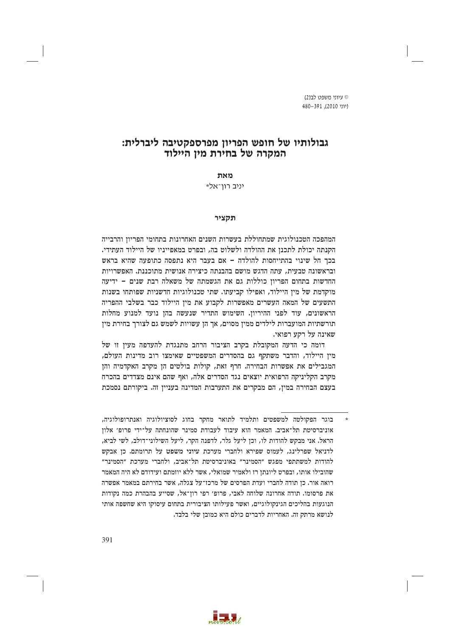ט עיווי משפט לר*וג*) ויוני 2010). 480-391

# גבולותיו של חופש הפריון מפרספקטיבה ליברלית: המקרה של בחירת מין היילוד

מאת

∗יניב רון־אל

#### תקציר

המהפכה הטכנולוגית שמתחוללת בעשרות השנים האחרונות בתחומי הפריון והרבייה הקנתה יכולת לתכנן את ההולדה ולשלוט בה, ובפרט במאפייניו של היילוד העתידי. בכך חל שינוי בהתייחסות להולדה - אם בעבר היא נתפסה כתופעה שהיא בראש ובראשונה טבעית. עתה הדגש מושם בהבנתה כיצירה אנושית מתוכננת. האפשרויות החדשות בתחום הפריון כוללות גם את הגשמתה של משאלה רבת שנים – ידיעה מוקדמת של מין היילוד, ואפילו קביעתו. שתי טכנולוגיות חדשניות שפותחו בשנות התשעים של המאה העשרים מאפשרות לקבוע את מין היילוד כבר בשלבי ההפריה הראשונים, עוד לפני ההיריון. השימוש התדיר שנעשה בהן נועד למנוע מחלות תורשתיות המועברות לילדים ממין מסוים, אך הן עשויות לשמש גם לצורך בחירת מין שאינה על רקע רפואי.

דומה כי הדעה המקובלת בקרב הציבור הרחב מתנגדת להעדפה מעין זו של מין היילוד, והדבר משתקף גם בהסדרים המשפטיים שאימצו רוב מדינות העולם, המגבילים את אפשרות הבחירה. חרף זאת, קולות בולטים הן מקרב האקדמיה והן מקרב הקליניקה הרפואית יוצאים נגד הסדרים אלה, ואף שהם אינם מצדדים בהכרח בעצם הבחירה במין, הם מבקרים את התערבות המדינה בעניין זה. ביקורתם נסמכת



בוגר הפקולטה למשפטים ותלמיד לתואר מחקר בחוג לסוציולוגיה ואנתרופולוגיה, אוניברסיטת תל־אביב. המאמר הוא עיבוד לעבודת סמינר שהונחתה על־ידי פרופ׳ אלון הראל. אני מבקש להודות לו, וכן ליעל גלר, לדפנה הקר, ליעל השילוני־דולב, לשי לביא, לדניאל שפרלינג, לעמוס שפירא ולחברי מערכת עיוני משפט על תרומתם. כן אבקש להודות למשתתפי מפגש ״הסמינר״ באוניברסיטת תל־אביב. ולחברי מערכת ״הסמינר״ שהובילו אותו, ובפרט ליונתן רז ולאמיר שמואלי, אשר ללא יוזמתם ועידודם לא היה המאמר רואה אור. כן תודה לחברי ועדת הפרסים של מרכז־על צגלה, אשר בחירתם במאמר אפשרה את פרסומו. תודה אחרונה שלוחה לאבי, פרופ׳ רפי רוז־אל, שסייע בהבהרת כמה נקודות הנוגעות בהליכים הגינקולוגיים, ואשר פעילותו הציבורית בתחום עיסוקו היא שחשפה אותי לנושא מרתק זה. האחריות לדברים כולם היא כמובן שלי בלבד.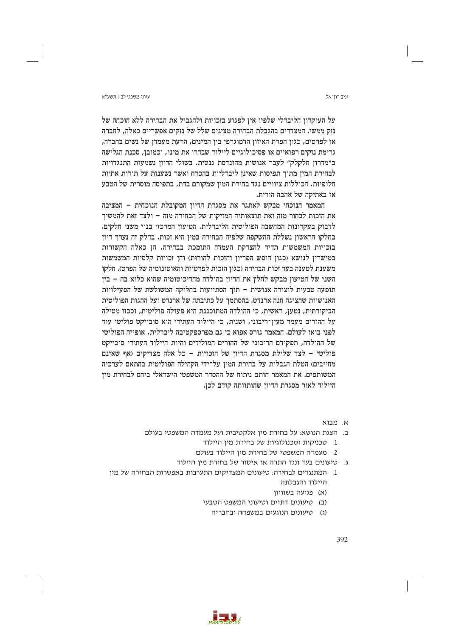#### ∨יווי משפט לר∣ חשע״א

על העיקרון הליברלי שלפיו אין לפגוע בזכויות ולהגביל את הבחירה ללא הוכחה של נזק ממשי. המצדדים בהגבלת הבחירה מציגים שלל של נזקים אפשריים כאלה, לחברה או לפרטים, כגון הפרת האיזון הדמוגרפי בין המינים, הרעת מעמדן של נשים בחברה, גרימת נזקים רפואיים או פסיכולוגיים ליילוד שבחרו את מינו, וכמובן, סכנת הגלישה ב"מדרון חלקלק" לעבר אנושות מהונדסת גנטית. בשולי הדיון נשמעות התנגדויות לבחירת המין מתוך תפיסות שאינן ליברליות בהכרח ואשר נשענות על תורות אתיות חלופיות, הכוללות ציוויים נגד בחירת המין שמקורם בדת, בתפיסה מוסרית של הטבע או באתיקה של אהבה הורית.

המאמר הנוכחי מבקש לאתגר את מסגרת הדיון המקובלת הנוכחית - המציבה את הזכות לבחור מזה ואת תוצאותיה המזיקות של הבחירה מזה - ולצד זאת להמשיך לדבוק בעקרונות המחשבה הפוליטית הליברלית. הטיעון המרכזי בנוי משני חלקים. בחלקו הראשוז נשללת ההשקפה שלפיה הבחירה במיז היא זכות. בחלק זה נערר דיוז בזכויות המשמשות תדיר להצדקת העמדה התומכת בבחירה, הן כאלה הקשורות במישרין לנושא (כגון חופש הפריון והזכות להורוּת) והן זכויות קלסיות המשמשות משענת לטענה בעד זכות הבחירה (כגון הזכות לפרטיות והאוטונומיה של הפרט). חלקו השני של הטיעון מבקש לחלץ את הדיון בהולדה מהדיכוטומיה שהוא כלוא בה – בין תופעה טבעית ליצירה אנושית – תוך הסתייעות בחלוקה המשולשת של הפעילויות האנושיות שהציגה חנה ארנדט. בהסתמך על כתיבתה של ארנדט ועל ההגות הפוליטית הביקורתית, נטען, ראשית, כי ההולדה המתוכננת היא פעולה פוליטית, וככזו מטילה על ההורים מעמד מעין־ריבוני, ושנית, כי היילוד העתידי הוא סובייקט פוליטי עוד לפני בואו לעולם. המאמר גורס אפוא כי גם מפרספקטיבה ליברלית, אופייה הפוליטי של ההולדה, תפקידם הריבוני של ההורים המולידים והיות היילוד העתידי סובייקט פוליטי – לצד שלילת מסגרת הדיון של הזכויות – כל אלה מצדיקים (אף שאינם מחייבים) הטלת הגבלות על בחירת המין על־ידי הקהילה הפוליטית בהתאם לערכיה המשותפים. את המאמר חותם ניתוח של ההסדר המשפטי הישראלי ביחס לבחירת מין היילוד לאור מסגרת הדיון שהותוותה קודם לכן.

- א מרוא
- ב. הצגת הנושא: על בחירת מין אלקטיבית ועל מעמדה המשפטי בעולם
	- 1. טכניקות וטכנולוגיות של בחירת מין היילוד
	- 2. מעמדה המשפטי של בחירת מין היילוד בעולם
	- ג. טיעונים בעד ונגד התרה או איסור של בחירת מין היילוד
- 1. המתנגדים לבחירה: טיעונים המצדיקים התערבות באפשרות הבחירה של מיו היילוד והגבלתה
	- (א) פגיעה בשוויון
	- (ב) טיעונים דתיים וטיעוני המשפט הטבעי
		- (ג) טיעונים הנוגעים במשפחה ובחבריה

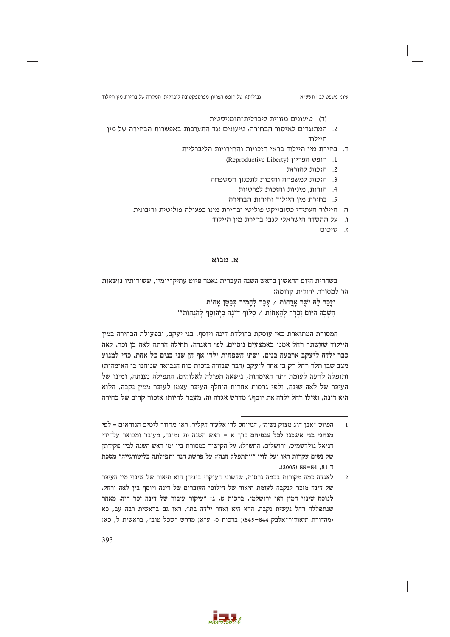(ד) טיעונים מזווית ליברלית־הומניסטית

- 2. המתנגדים לאיסור הבחירה: טיעונים נגד התערבות באפשרות הבחירה של מין היילוד
	- ד. בחירת מין היילוד בראי הזכויות והחירויות הליברליות
		- 1. חופש הפריון (Reproductive Liberty)
			- 2. הזכות להורות
		- 3. הזכות למשפחה והזכות לתכנון המשפחה
			- 4. הורות. מיניות והזכות לפרטיות
			- 5. בחירת מין היילוד וחירות הבחירה
	- ה. היילוד העתידי כסובייקט פוליטי ובחירת מינו כפעולה פוליטית וריבונית
		- ו. על ההסדר הישראלי לגבי בחירת מין היילוד
			- י. סיכום

# א. מבוא

בשחרית היום הראשון בראש השנה העברית נאמר פיוט עתיק־יומין, ששורותיו נושאות הד למסורת יהודית קדומה:

> "זַכַר לַהּ יֹשֶׁר אַרֲחוֹת / עָבַּר לְהַמְיִר בְּבֻטֵן אֲחוֹת חשבה היום זכרה להאחות / סלוף דינה ביהוסף להנחות"

המסורת המתוארת כאן עוסקת בהולדת דינה ויוסף, בני יעקב, ובפעולת הבחירה במין היילוד שעשתה רחל אמנו באמצעים ניסיים. לפי האגדה, תחילה הרתה לאה בן זכר. לאה כבר ילדה ליעקב ארבעה בנים, ושתי השפחות ילדו אף הן שני בנים כל אחת. כדי למנוע מצב שבו תלד רחל רק בז אחד ליעקב (דבר שנחזה בזכות כוח הנבואה שניחנו בו האימהות) ותופלה לרעה לעומת יתר האימהות, נישאה תפילה לאלוהים. התפילה נענתה, ומינו של העובר של לאה שונה, ולפי גרסות אחרות הוחלף העובר עצמו לעובר ממין נקבה, הלוא היא דינה, ואילו רחל ילדה את יוסף.<sup>2</sup> מדרש אגדה זה, מעבר להיותו אזכור קדום של בחירה



הפיוט "אבן חוג מצוק נשיה", המיוחס לר׳ אלעזר הקליר. ראו מחזור לימים הנוראים – לפי  $\overline{1}$ מנהגי בני אשכנז לכל ענפיהם כרך א – ראש השנה 70 (מוגה, מעובר ומבואר על־ידי דניאל גולדשמיט, ירושלים, התש״ל). על הקישור במסורת בין ימי ראש השנה לבין פקידתן של נשים עקרות ראו יעל לוין "'ותתפלל חנה': על פרשת חנה ותפילתה בליטורגייה" מסכת  $(2005)$  88-84, 81 7

לאגדה כמה מקורות בכמה גרסות, שהשוני העיקרי ביניהן הוא תיאור של שינוי מין העובר  $\overline{\phantom{a}}$ של דינה מזכר לנקבה לעומת תיאור של חילופי העוברים של דינה ויוסף בין לאה ורחל. לנוסח שינוי המין ראו ירושלמי, ברכות ט, ג: "עיקור עיבור של דינה זכר היה. מאחר שנתפללה רחל נעשית נקבה. הדא היא ואחר ילדה בת". ראו גם בראשית רבה עב, כא (מהדורת תיאודור־אלבק 844–845); ברכות ס, ע"א; מדרש "שכל טוב", בראשית ל, כא: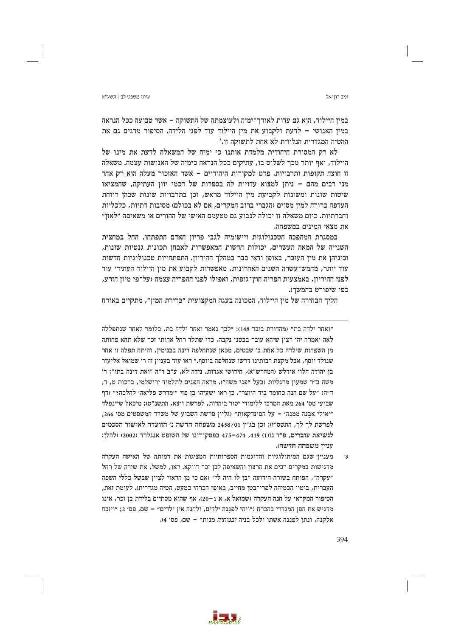### עיווי משפט לר∣ חשע״א

במין היילוד, הוא גם עדות לאורך־ימיה ולעוצמתה של התשוקה – אשר טבועה ככל הנראה במיז האנושי – לדעת ולקבוע את מיז היילוד עוד לפני הלידה. הסיפור מדגים גם את ההטיה המגדרית הנלווית לא אחת לתשוקה זו.<sup>3</sup>

לא רק המסורת היהודית מלמדת אותנו כי ימיה של המשאלה לדעת את מינו של היילוד, ואף יותר מכך לשלוט בו, עתיקים ככל הנראה כימיה של האנושות עצמה. משאלה זו חוצה תקופות ותרבויות. פרט למקורות היהודיים - אשר האזכור מעלה הוא רק אחד מני רבים מהם – ניתן למצוא עדויות לה בספרות של חכמי יוון העתיקה, שהמציאו שיטות שונות ומשונות לקביעת מין היילוד מראש, וכן בתרבויות שונות שבהן רווחת העדפה ברורה למין מסוים (הגברי ברוב המקרים, אם לא בכולם) מסיבות דתיות, כלכליות וחברתיות. כיום משאלה זו יכולה לנבוע גם מטעמם האישי של ההורים או משאיפה "לאזן" את מצאי המינים במשפחה.

במסגרת המהפכה הטכנולוגית ויישומיה לגבי פריון האדם התפתחו, החל במחצית השנייה של המאה העשרים, יכולות חדשות המאפשרות לאבחן תכונות גנטיות שונות, וביניהן את מין העובר, באופן ודאי כבר במהלך ההיריון. התפתחויות טכנולוגיות חדשות עוד יותר, מחמש־עשרה השנים האחרונות, מאפשרות לקבוע את מין היילוד העתידי עוד לפני ההיריון, באמצעות הפריה חוץ־גופית, ואפילו לפני ההפריה עצמה (על־פי מיון הזרע, כפי שיפורט בהמשך).

הליך הבחירה של מין היילוד, המכונה בעגה המקצועית ״ברירת המין״, מתקיים באורח

394

יניב רוו־אל

<sup>&</sup>quot;ואחר ילדה בת״ (מהדורת בובר 148): ״לכד נאמר ואחר ילדה בת, כלומר לאחר שנתפללה לאה ואמרה יהי רצון שיהא עובר בבטני נקבה, כדי שתלד רחל אחותי זכר שלא תהא פחותה מן השפחות שילדה כל אחת ב׳ שבטים, מכאן שנתחלפה דינה בבנימין, והיתה תפלה זו אחר שנולד יוסף, אבל מקצת רבותינו דרשו שנחלפה ביוסף.״ ראו עוד בענייז זה ר׳ שמואל אליעזר בו יהודה הלוי אידלש (המהרש״א), חידושי אגדות, נידה לא, ע״ב ד״ה ״ואת דינה בתו״: ר׳ משה ב״ר שמעון מרגליות (בעל ״פני משה״), מראה הפנים לתלמוד ירושלמי, ברכות ט, ד, ד"ה: "על שם הנה כחומר ביד היוצר". כן ראו ישעיהו בן פזי "'מדרש פליאה' להלכה?" (דף שבועי מס׳ 264 מאת המרכז ללימודי יסוד ביהדות, לפרשת ויצא, התשנ״ט): מיכאל שיינפלד "אולי אבנה ממנה׳ – על הפונדקאות״ (גליון פרשת השבוע של משרד המשפטים מס׳ 266, לפרשת לך לך, התשס"ו); וכן בג"ץ 2458/01 משפחה חדשה נ׳ הוועדה לאישור הסכמים לנשיאת עוברים, פ״ד נז(1) 419, 474–475 בפסק־דינו של השופט אנגלרד (2002) (להלן: ענייו משפחה חדשה).

מעניין שגם המיתולוגיות והדוגמות הספרותיות המציגות את דמותה של האישה העקרה  $\overline{3}$ מדגישות במקרים רבים את הרצון והשאיפה לבן זכר דווקא. ראו, למשל, את שירה של רחל "עקרה", הפותח בשורה הידועה "בן לוּ היה לי" (אם כי מן הראוי לציין שבשל כללי השפה העברית, ביטוי הכמיהה לפרי־בטן מחייב, באופן הכרחי כמעט, הטיה מגדרית). לעומת זאת, הסיפור המקראי על חנה העקרה (שמואל א, א 1−20), אף שהוא מסתיים בלידת בן זכר, אינו מדגיש את הפן המגדרי בהכרח ("ויהי לפננה ילדים, ולחנה אין ילדים" – שם, פס' 2; "ויזבח אלקנה, ונתן לפננה אשתו ולכל בניה *ובנותיה* מנות" – שם, פס׳ 4).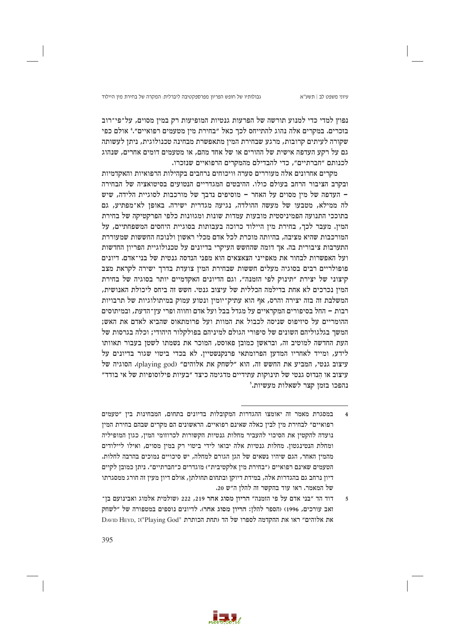גבולותיו של חופש הפריון מפרספקטיבה ליברלית: המקרה של בחירת מין היילוד

עיוני משפט לב | תשע"א

 $\overline{5}$ 

נפוץ למדי כדי למנוע תורשה של הפרעות גנטיות המופיעות רק במין מסוים, על־פי־רוב בזכרים. במקרים אלה נהוג להתייחס לכד כאל ״בחירת מיז מטעמים רפואיים״.ª אולם כפי שקורה לעיתים קרובות, מרגע שבחירת המין מתאפשרת מבחינה טכנולוגית, ניתן לעשותה גם על רקע העדפה אישית של ההורים או של אחד מהם, או מטעמים דומים אחרים, שנהוג לכנותם "חברתיים", כדי להבדילם מהמקרים הרפואיים שנזכרו.

מקרים אחרונים אלה מעוררים סערה וויכוחים נרחבים בקהילות הרפואיות והאקדמיות ובקרב הציבור הרחב בעולם כולו. ההיבטים המגדריים הנטועים בסיטואציה של הבחירה - העדפה של מין מסוים על האחר - מוסיפים נדבך של מורכבות לסוגיית הלידה, שיש לה ממילא, מטבעו של מעשה ההולדה, נגיעה מגדרית ישירה. באופן לא־מפתיע, גם בתוככי התנועה הפמיניסטית מובעות עמדות שונות ומגוונות כלפי הפרקטיקה של בחירת המין. מעבר לכך, בחירת מין היילוד כרוכה בעבותות בסוגיית היחסים המשפחתיים, על המורכבות שהיא מציבה, בהיותה מוכרת לכל אדם מכלי ראשוז ולנוכח החששות שמעוררת התערבות ציבורית בה. אך דומה שהחשש העיקרי בדיונים על טכנולוגיית הפריון החדשות ועל האפשרות לבחור את מאפייני הצאצאים הוא מפני הנדסה גנטית של בני־אדם. דיונים פופולריים רבים בסוגיה מעלים חששות שבחירת המין צועדת בדרך ישירה לקראת מצב קיצוני של יצירת ״תינוק לפי הזמנה״, וגם הדיונים האקדמיים יותר בסוגיה של בחירת המין נכרכים לא אחת בדילמה הכללית של עיצוב גנטי. חשש זה ביחס ליכולת האנושית, המשלבת זה בזה יצירה והרס, אף הוא עתיק־יומין ונטוע עמוק במיתולוגיות של תרבויות רבות – החל בסיפורים המקראיים על מגדל בבל ועל אדם וחווה ופרי עץ־הדעת, ובמיתוסים ההומריים על סיזיפוס שניסה לכבול את המוות ועל פרומתאוס שהביא לאדם את האש; המשר בגלגוליהם השונים של סיפורי הגולם למיניהם בפולקלור היהודי: וכלה בגרסות של העת החדשה למוטיב זה, ובראשן כמובן פאוסט, המוכר את נשמתו לשטן בעבור תאוותו לידע, ומייד לאחריו המדען הפרומתאי פרנקנשטיין. לא בכדי ביטוי שגור בדיונים על עיצוב גנטי, המביע את החשש זה, הוא "לשחק את אלוהים" (playing god). הסוגיה של עיצוב או הנדוס גנטי של תינוקות עתידיים מדגימה כיצד ״בעיות פילוסופיות של אי בודד״ נהפכו בזמן קצר לשאלות מעשיות.5



במסגרת מאמר זה יאומצו ההגדרות המקובלות בדיונים בתחום, המבחינות בין ״טעמים רפואיים״ לבחירת מין לבין כאלה שאינם רפואיים. הראשונים הם מקרים שבהם בחירת המין נועדה להקטין את הסיכוי להעביר מחלות גנטיות הקשורות לכרוזומי המין, כגון המופיליה ומחלת הנטינגטון. מחלות גנטיות אלה יבואו לידי ביטוי רק במין מסוים, ואילו ליילודים מהמין האחר, הגם שיהיו נשאים של הגן הגורם למחלה, יש סיכויים נמוכים בהרבה לחלות. הטעמים שאינם רפואיים (״בחירת מין אלקטיבית״) מוגדרים כ״חברתיים״. ניתן כמובן לקיים דיון נרחב גם בהגדרות אלה, במידת דיוקן ובתחום תחולתן, אולם דיון מעין זה חורג ממסגרתו של המאמר. ראו עוד בהקשר זה להלן ה״ש 20.

דוד הד "בני אדם על פי הומנה" הריון מסוג אחר 219, 222 (שולמית אלמוג ואבינועם בן־ זאב עורכים, 1996) (הספר להלן: הריון מסוג אחר). לדיונים נוספים במטפורה של "לשחק DAVID HEYD, :("Playing God" הבותרת "DAVID HEYD, <t"Playing God"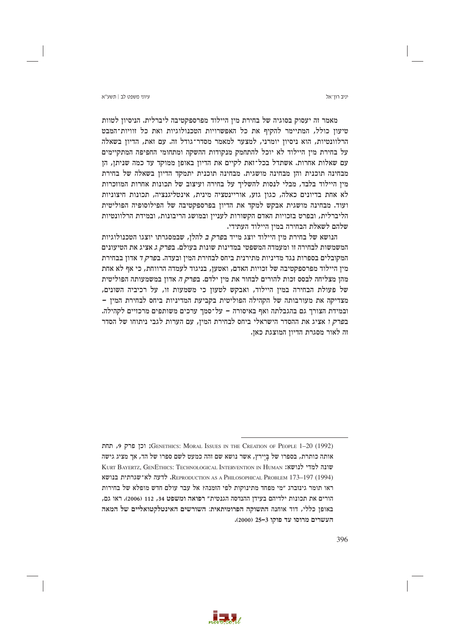עיווי משפט לר∣ חשע״א

יניב רוו־אל

מאמר זה יעסוק בסוגיה של בחירת מין היילוד מפרספקטיבה ליברלית. הניסיון לטוות טיעוז כולל, המתיימר להקיף את כל האפשרויות הטכנולוגיות ואת כל זוויות־המבט הרלוונטיות, הוא ניסיון יומרני, למצער למאמר מסדר־גודל זה. עם זאת, הדיון בשאלה על בחירת מין היילוד לא יוכל להתחמק מנקודות ההשקה ומתחומי החפיפה המתקיימים עם שאלות אחרות. אשתדל בכל־זאת לקיים את הדיון באופן ממוקד עד כמה שניתן, הן מבחינה תוכנית והן מבחינה מושגית. מבחינה תוכנית יתמקד הדיון בשאלה של בחירת מין היילוד בלבד, מבלי לנסות להשליך על בחירה ועיצוב של תכונות אחרות המוזכרות לא אחת בדיונים כאלה, כגון גזע, אוריינטציה מינית, אינטליגנציה, תכונות חיצוניות ועוד. מבחינה מושגית אבקש למקד את הדיון בפרספקטיבה של הפילוסופיה הפוליטית הליברלית, ובפרט בזכויות האדם הקשורות לעניין ובמושג הריבונות, ובמידת הרלוונטיות שלהם לשאלת הבחירה במין היילוד העתידי.

הנושא של בחירת מיז היילוד יוצג מייד ב*פרק ב* להלז, שבמסגרתו יוצגו הטכנולוגיות המשמשות לבחירה זו ומעמדה המשפטי במדינות שונות בעולם. ב*פרק ג* אציג את הטיעונים המקובלים בספרות נגד מדיניות מתירנית ביחס לבחירת המין ובעדה. בפרק ד אדון בבחירת מין היילוד מפרספקטיבה של זכויות האדם, ואטען, בניגוד לעמדה הרווחת, כי אף לא אחת מהן מצליחה לבסס זכות להורים לבחור את מין ילדם. ב*פרק ה* אדון במשמעותה הפוליטית של פעולת הבחירה במין היילוד, ואבקש לטעון כי משמעות זו, על רכיביה השונים, מצדיקה את מעורבותה של הקהילה הפוליטית בקביעת המדיניות ביחס לבחירת המין -ובמידת הצורך גם בהגבלתה ואף באיסורה – על־סמך ערכים משותפים מרכזיים לקהילה. בפרק ו אציג את ההסדר הישראלי ביחס לבחירת המין, עם הערות לגבי ניתוחו של הסדר זה לאור מסגרת הדיוז המוצגת כאז.



<sup>(1992) (</sup>GENETHICS: MORAL ISSUES IN THE CREATION OF PEOPLE 1-20; וכן פרק 9, תחת אותה כותרת, בספרו של בַּיַירץ, אשר נושא שם זהה כמעט לשם ספרו של הד, אך מציג גישה שונה למדי לנושא: KURT BAYERTZ, GENETHICS: TECHNOLOGICAL INTERVENTION IN HUMAN (1994) REPRODUCTION AS A PHILOSOPHICAL PROBLEM 173-197. לדעה לא־שגרתית בנושא ראו תומר גינזברג "מי מפחד מתינוקות לפי הזמנה? אל עבר עולם חדש מופלא של בחירות הורים את תכונות ילדיהם בעידן ההנדסה הגנטית" רפואה ומשפט 34, 112 (2006). ראו גם, באופן כללי, דוד אוחנה התשוקה הפרומיתאית: השורשים האינטלקטואליים של המאה העשרים מרוסו עד פוקו <2000).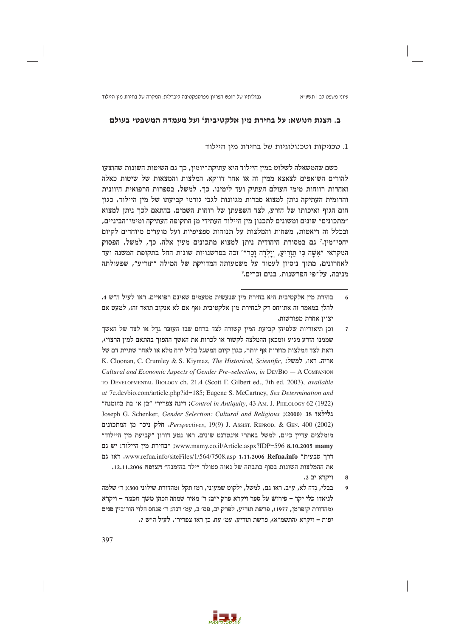# ב. הצגת הנושא: על בחירת מין אלקטיבית' ועל מעמדה המשפטי בעולם

## 1. טכניקות וטכנולוגיות של בחירת מיו היילוד

כשם שהמשאלה לשלוט במין היילוד היא עתיקת־יומין, כך גם השיטות השונות שהוצעו להורים השואפים לצאצא ממיו זה או אחר דווקא. המלצות והמצאות של שיטות כאלה ואחרות רווחות מימי העולם העתיק ועד לימינו. כך, למשל, בספרות הרפואית היוונית והרומית העתיקה ניתן למצוא סברות מגוונות לגבי גורמי קביעתו של מין היילוד, כגון חום הגוף ואיכותו של הזרע, לצד השפעתן של רוחות השמים. בהתאם לכך ניתן למצוא ״מתכונים״ שונים ומשונים לתכנון מין היילוד העתידי מן התקופה העתיקה ומימי־הביניים, ובכלל זה דיאטות, משחות והמלצות על תנוחות ספציפיות ועל מועדים מיוחדים לקיום יחסי־מין.<sup>ז</sup> גם במסורת היהודית ניתן למצוא מתכונים מעין אלה. כך, למשל, הפסוק המקראי "אשה כי תזריע, וילדה זכר"<sup>8</sup> זכה בפרשנויות שונות החל בתקופת המשנה ועד לאחרונים, מתוך ניסיון לעמוד על משמעותה המדויקת של המילה "תזריע", שפעולתה מניבה, על־פי הפרשנות, בנים זכרים.°

- וכז תיאוריות שלפיהז קביעת המיז קשורה לצד ברחם שבו העובר גדל או לצד של האשר  $\overline{7}$ שממנו הזרע מגיע (ומכאז ההמלצה לקשור או לכרות את האשר ההפור בהתאם למיז הרצוי). וזאת לצד המלצות מוזרות אף יותר, כגון קיום המשגל בליל ירח מלא או לאחר שתיית דם של K. Cloonan, C. Crumley & S. Kiymaz, The Historical, Scientific, אריה, ראו, למשל: Cultural and Economic Aspects of Gender Pre-selection, in DEVBIO - A COMPANION TO DEVELOPMENTAL BIOLOGY ch. 21.4 (Scott F. Gilbert ed., 7th ed. 2003), available at 7e.devbio.com/article.php?id=185; Eugene S. McCartney, Sex Determination and "Control in Antiquity, 43 AM, J. PHILOLOGY 62 (1922) ו הוא החומנה ו Control in Antiquity, 43 AM, J. PHILOLOGY 62 Joseph G. Schenker, Gender Selection: Cultural and Religious ;(2000) 38 Perspectives, 19(9) J. Assist. REPROD. & GEN. 400 (2002), חלק ניכר מן המתכונים מומלצים עדיין כיום, למשל באתרי אינטרנט שונים. ראו נטע דורון ״קביעת מין היילוד״ www.mamy.co.il/Article.aspx?IDP=596 8.10.2005 mamy; "בחירת מין היילוד: יש גם דרך טבעית" www.refua.info/siteFiles/1/564/7508.asp 1.11.2006 Refua.info. ראו גם את ההמלצות השונות בסוף כתבתה של נאוה סטולר ״ילד בהזמנה״ הצופה 12.11.2006.  $.2$  יב  $.2$ 
	-
- בבלי, נדה לא, ע״ב. ראו גם, למשל, ילקוט שמעוני, רמז תקל (מהדורת שילוני 300); ר׳ שלמה לניאדו כלי יקר – פירוש על ספר ויקרא פרק י״ב; ר׳ מאיר שמחה הכהן משך חכמה – ויקרא (מהדורת קופרמן, 1977), פרשת תזריע, לפרק יב, פס׳ ב, עמ׳ רנה; ר׳ פנחס הלוי הורוביץ פנים יפות – ויקרא (התשמ״א), פרשת תזריע, עמ׳ עח. כן ראו צפרירי, לעיל ה״ש 7.



בחירת מין אלקטיבית היא בחירת מין שנעשית מטעמים שאינם רפואיים. ראו לעיל ה"ש 4. 6 להלן במאמר זה אתייחס רק לבחירת מין אלקטיבית (אף אם לא אנקוב תואר זה), למעט אם יצויז אחרת מפורשות.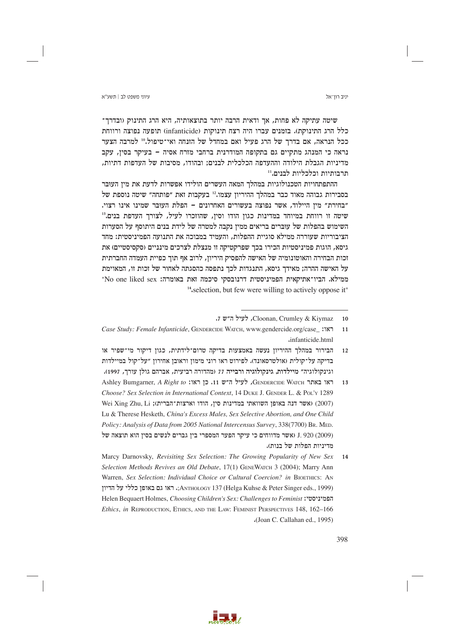יניב רוו־אל

שיטה עתיקה לא פחות, אך ודאית הרבה יותר בתוצאותיה, היא הרג התינוק (ובדרך־ כלל הרג התינוקת). בזמנים עברו היה רצח תינוקות (infanticide) תופעה נפוצה ורווחת ככל הנראה, אם בדרך של הרג פעיל ואם במחדל של הזנחה ואי־טיפול.10 למרבה הצער נראה כי המנהג מתקיים גם בתקופה המודרנית ברחבי מזרח אסיה - בעיקר בסין, עקב מדיניות הגבלת הילודה וההעדפה הכלכלית לבנים; ובהודו, מסיבות של העדפות דתיות, תרבותיות וכלכליות לבנים.''

ההתפתחויות הטכנולוגיות במהלך המאה העשרים הולידו אפשרות לדעת את מין העובר בסבירות גבוהה מאוד כבר במהלך ההיריון עצמו.<sup>12</sup> בעקבות זאת "פותחה" שיטה נוספת של "בחירת" מין היילוד, אשר נפוצה בעשורים האחרונים – הפלת העובר שמינו אינו רצוי. שיטה זו רווחת במיוחד במדינות כגון הודו וסין, שהוזכרו לעיל, לצורך העדפת בנים.<sup>13</sup> השימוש בהפלות של עוברים בריאים ממין נקבה למטרה של לידת בנים היתוסף על הסערות הציבוריות שעוררה ממילא סוגיית ההפלות, והעמיד במבוכה את התנועה הפמיניסטית: מחד גיסא, הוגות פמיניסטיות הכירו בכך שפרקטיקה זו מנצלת לצרכים מינניים (סקסיסטיים) את זכות הבחירה והאוטונומיה של האישה להפסיק היריון, לרוב אף תוך כפיית העמדה החברתית על האישה ההרה; מאידך גיסא, התנגדות לכך נתפסה כהסגתה לאחור של זכות זו, המאוימת ממילא. הביו־אתיקאית הפמיניסטית דרנובסקי סיכמה זאת באומרה: No one liked sex" <sup>14</sup>, selection, but few were willing to actively oppose it"

Ashley Bumgarner, A Right to :ראו ה"ש 11. כן ראו Genpercipe Warch ו-Ashley Bumgarner, A Right to  $13$ Choose? Sex Selection in International Context, 14 DUKE J. GENDER L. & POL'Y 1289 Wei Xing Zhu, Li וארצות־הברית); Wei Xing Zhu, Li אשר דנה באופו השוואתי במדינות סיו, הודו וארצות־הברית) Lu & Therese Hesketh, China's Excess Males, Sex Selective Abortion, and One Child Policy: Analysis of Data from 2005 National Intercensus Survey, 338(7700) Br. MED. J. 920 (2009) נאשר מדווחים כי עיקר הפער המספרי בין גברים לנשים בסין הוא תוצאה של מדיניות הפלות של בנות).

Marcy Darnovsky, Revisiting Sex Selection: The Growing Popularity of New Sex 14 Selection Methods Revives an Old Debate, 17(1) GENEWATCH 3 (2004); Marry Ann Warren, Sex Selection: Individual Choice or Cultural Coercion? in BIOETHICS: AN ;ANTHOLOGY 137 (Helga Kuhse & Peter Singer eds., 1999). ראו גם באופן כללי על הדיון Helen Bequaert Holmes, Choosing Children's Sex: Challenges to Feminist :הפמיניסטי Ethics, in REPRODUCTION, ETHICS, AND THE LAW: FEMINIST PERSPECTIVES 148, 162-166 (Joan C. Callahan ed., 1995)

a sa ba

<sup>,</sup> לעיל ה״ש Cloonan, Crumley & Kiymaz  $10$ 

Case Study: Female Infanticide, GENDERCIDE WATCH, www.gendercide.org/case :187  $11$ .infanticide.html

הבירור במהלך ההיריון נעשה באמצעות בדיקה טרום־לידתית, כגון דיקור מי־שפיר או  $12$ בדיקה על־קולית (אולטרסאונד). לפירוט ראו רוני מימון וראובן אחירון "על־קול במיילדות וגינקולוגיה״ מיילדות. גינקולוגיה ורבייה 77 (מהדורה רביעית, אברהם גולז עורר, 1997).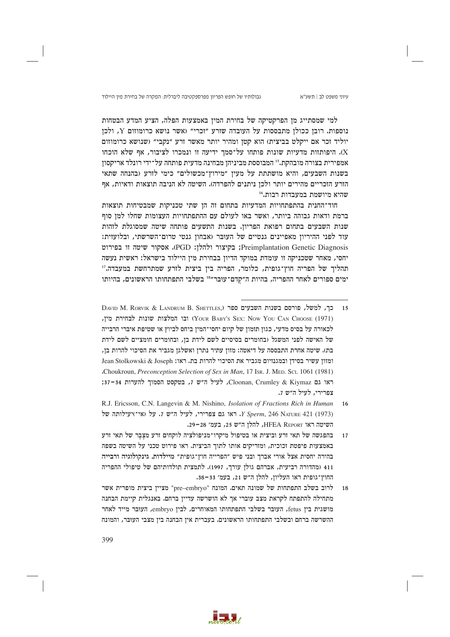גבולותיו של חופש הפריון מפרספקטיבה ליברלית: המקרה של בחירת מין היילוד

למי שמסתייג מן הפרקטיקה של בחירת המין באמצעות הפלה, הציע המדע הבטחות נוספות. רובז ככולז מתבססות על העובדה שזרע "זכרי" (אשר נושא כרומוזום Y, ולכז יוליד זכר אם ייקלט בביצית) הוא קטן ומהיר יותר מאשר זרע "נקבי" (שנושא כרומוזום X). היפותוות מדעיות שונות פותחו על־סמך ידיעה זו ונמכרו לציבור, אף שלא הוכחו אמפירית בצורה מובהקת.יּוּ המבוססת מביניהז מבחינה מדעית פותחה על־ידי רונלד אריקסוז בשנות השבעים, והיא מושתתת על מעין ״מירוץ־מכשולים״ כימי לזרע (בהנחה שתאי הזרע הזכריים מהירים יותר ולכן ניתנים להפרדה). השיטה לא הניבה תוצאות ודאיות, אף שהיא מיושמת במעבדות רבות."

חוד־החנית בהתפתחויות המדעיות בתחום זה הן שתי טכניקות שמבטיחות תוצאות ברמת ודאות גבוהה ביותר, ואשר באו לעולם עם ההתפתחויות העצומות שחלו למן סוף שנות השבעים בתחום רפואת הפריון. בשנות התשעים פותחה שיטה שמסוגלת לזהות עוד לפני ההיריון מאפיינים גנטיים של העובר (אבחון גנטי טרום־השרשתי, ובלועזית: Preimplantation Genetic Diagnosis; בקיצור ולהלן: PGD). אסקור שיטה זו בפירוט יחסי, מאחר שטכניקה זו עומדת במוקד הדיון בבחירת מין היילוד בישראל: ראשית נעשה תהליך של הפריה חוץ־גופית, כלומר, הפריה בין ביצית לזרע שמתרחשת במעבדה.'' ימים ספורים לאחר ההפריה, בהיות ה״קדם־עוּבּר״<sup>18</sup> בשלבי התפתחותו הראשונים, בהיותו



DAVID M. RORVIK & LANDRUM B. SHETTLES.) כך, למשל, פורסם בשנות השבעים ספר  $15$ ובו המלצות שונות לבחירת מין, (Your Baby's Sex: Now You Can Choose (1971) לכאורה על בסיס מדעי, כגון תזמון של קיום יחסי־המין ביחס לביוץ או שטיפת איברי הרבייה של האישה לפני המשגל (בחומרים בסיסיים לשם לידת בן, ובחומרים חומציים לשם לידת בת). שיטה אחרת התבססה על דיאטה: מזון עתיר נתרן ואשלגן מגביר את הסיכוי להרות בן, ומזוז עשיר בסידו ובמגנזיום מגביר את הסיכוי להרות בת. ראו: Jean Stolkowski & Joseph Choukroun, Preconception Selection of Sex in Man, 17 Isr. J. MED, Sci. 1061 (1981) ראו גם Cloonan, Crumley & Kiymaz, לעיל ה"ש 7, בטקסט הסמוך להערות 34-37; צפרירי, לעיל ה״ש 7.

R.J. Ericsson, C.N. Langevin & M. Nishino, *Isolation of Fractions Rich in Human*  $16$ יש: 1973) ו<br/> היש גם צפרירי, לעיל ה״ש ז. על הייש: 1973) האו האו ה<br/>  $\Gamma$  Sperm, 246 NATURE 421 (1973) השיטה ראו HFEA REPORT, להלן ה"ש 25, בעמ' 28-29.

בהפגשה של תאי זרע וביצית או בטיפול מיקרו־מניפולציה לוקחים זרע מצבר של תאי זרע  $17$ באמצעות פיפטת זכוכית, ומזריקים אותו לתוך הביצית. ראו פירוט טכני על השיטה בשפה בהירה יחסית אצל אורי אברך ובני פיש "הפרייה חוץ־גופית" מיילדות, גינקולוגיה ורבייה 411 (מהדורה רביעית, אברהם גולן עורך, 1997). לתמצית תולדותיהם של טיפולי ההפריה החוץ־גופית ראו העליון, להלן ה"ש 21, בעמ' 33-33.

לרוב בשלב התפתחות של שמונה תאים. המונח "pre–embryo" מציין ביצית מופרית אשר מתחילה להתפתח לקראת מצב עוברי אך לא הושרשה עדיין ברחם. באנגלית קיימת הבחנה מושגית בין fetus, העובר בשלבי התפתחותו המאוחרים, לבין embryo, העובר מייד לאחר ההשרשה ברחם ובשלבי התפתחותו הראשונים. בעברית אין הבחנה בין מצבי העוּבּר, והמונח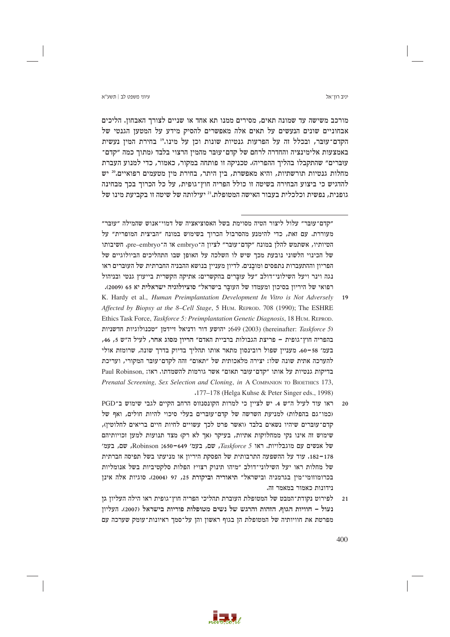### עיווי משפט לר∣ חשע״א

יניב רוו־אל

מורכב משישה עד שמונה תאים, מסירים ממנו תא אחד או שניים לצורך האבחון. הליכים אבחוניים שונים הנעשים על תאים אלה מאפשרים להסיק מידע על המטעז הגנטי של הקדם־עוּבּר, ובכלל זה על הפרעות גנטיות שונות וכן על מינו.19 בחירת המין נעשית באמצעות אלימינציה והחדרה לרחם של קדם־עוּבּר מהמין הרצוי בלבד (מתוך כמה ״קדם־ עוברים" שהתקבלו בהליך ההפריה). טכניקה זו פותחה במקור, כאמור, כדי למנוע העברת מחלות גנטיות תורשתיות, והיא מאפשרת, בין היתר, בחירת מין מטעמים רפואיים.<sup>20</sup> יש להדגיש כי ביצוע הבחירה בשיטה זו כולל הפריה חוץ־גופית, על כל הכרוך בכך מבחינה גופנית, נפשית וכלכלית בעבור האישה המטופלת.<sup>21</sup> יעילותה של שיטה זו בקביעת מינו של

״קדם־עּוּבּר״ עלול ליצור הטיה מסוימת בשל האסוציאציה של דמוי־אנוש שהמילה ״עּוּבּר״ מעוררת. עם זאת, כדי להימנע מהסרבול הכרוך בשימוש במונח "הביצית המופרית" על הטיותיו, אשתמש להלן במונח "קדם־עוּבּר" לציון ה־embryo או ה־pre–embryo, חשיבותו של הכינוי הלשוני נובעת מכר שיש לו השלכה על האופז שבו התהליכים הביולוגיים של הפריוז וההתעברות נתפסים ומובנים. לדיוז מענייז בנושא ההבניה החברתית של העוברים ראו נגה וינר ויעל השילוני־דולב "על עוּבּרים בהקשרים: אתיקה הקשרית בייעוץ גנטי ובניהול רפואי של היריון בסיכון ומעמדו של העובר בישראל" סוציולוגיה ישראלית יא 65 (2009).

- K. Hardy et al., Human Preimplantation Development In Vitro is Not Adversely 19 Affected by Biopsy at the 8–Cell Stage, 5 HUM. REPROD. 708 (1990); The ESHRE Ethics Task Force, Taskforce 5: Preimplantation Genetic Diagnosis, 18 HUM. REPROD. ות (hereinafter: Taskforce 5) והושע דור ודניאל זיידמו "טכנולוגיות חדשניות בהפריה חוץ־גופית – פריצת הגבולות ברביית האדם״ הריון מסוג אחר, לעיל ה״ש 5, 46, בעמ׳ 58–60. מעניין שפול רובינסון מתאר אותו תהליך בדיוק בדרך שונה, שרומזת אולי להערכה אתית שונה שלו: יצירה מלאכותית של ״תאום״ זהה לקדם־עוּבּר המקורי, ועריכת בדיקות גנטיות על אותו "קדם־עובר תאום" אשר גורמות להשמדתו. ראו: .Paul Robinson Prenatal Screening, Sex Selection and Cloning, in A COMPANION TO BIOETHICS 173, .177–178 (Helga Kuhse & Peter Singer eds., 1998)
- ראו עוד לעיל ה"ש 4. יש לצייז כי למרות הקונסנזוס הרחב הקיים לגבי שימוש ב־PGD  $20$ (כמו־גם בהפלות) למניעת השרשה של קדם־עוּבּרים בעלי סיכוי להיות חולים, ואף של קדם־עוּבּרים שיהיו נשאים בלבד (ואשר פרט לכך עשויים לחיות חיים בריאים לחלוטין), שימוש זה אינו נקי ממחלוקות אתיות, בעיקר (אך לא רק) מצד תנועות למען זכויותיהם של אנשים עם מוגבלויות. ראו Taskforce 5, שם, בעמ׳ 649–650; Robinson, שם, בעמ׳ 178–182. עוד על ההשפעה התרבותית של הפסקת היריון או מניעתו בשל תפיסה חברתית של מחלות ראו יעל השילוני־דולב "מיהו תינוק רצוי? הפלות סלקטיביות בשל אנומליות בכרומוזומי־מין בגרמניה ובישראל" תיאוריה וביקורת 25, 97 (2004). סוגיות אלה אינן נידונות כאמור במאמר זה.
- לפירוט נקודת־המבט של המטופלת העוברת תהליכי הפריה חוץ־גופית ראו הילה העליון גן  $21$ נעול – חוויות הגוף, הזהות והרגש של נשים מטופלות פוריות בישראל (2007). העליון מפרטת את חוויותיה של המטופלת הן בגוף ראשון והן על־סמך ראיונות־עומק שערכה עם

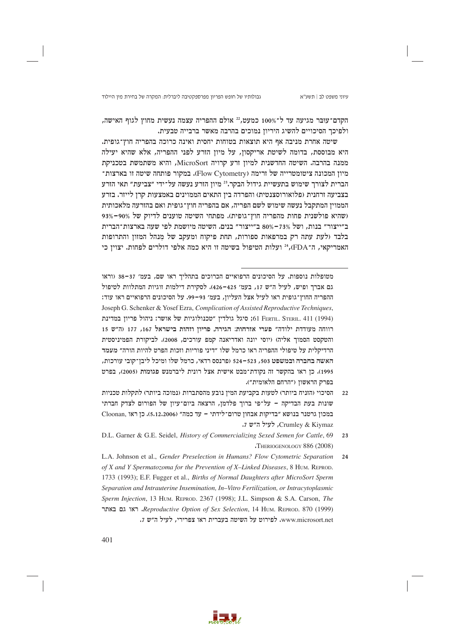הקדם־עוּבּר מגיעה עד ל־100% כמעט, 22 אולם ההפריה עצמה נעשית מחוץ לגוף האישה, ולפיכר הסיכויים להשיג היריוז נמוכים בהרבה מאשר ברבייה טבעית.

שיטה אחרת מניבה אף היא תוצאות בטוחות יחסית ואינה כרוכה בהפריה חוץ־גופית. היא מבוססת, בדומה לשיטת אריקסון, על מיון הזרע לפני ההפריה, אלא שהיא יעילה ממנה בהרבה. השיטה החדשנית למיוז זרע קרויה MicroSort, והיא משתמשת בטכניקת מיון המכונה ציטומטרייה של זרימה (Flow Cytometry). במקור פותחה שיטה זו בארצות־ הברית לצורך שימוש בתעשיית גידול הבקר.<sup>23</sup> מיון הזרע נעשה על־ידי "צביעת" תאי הזרע בצביעה זרחנית (פלואורוסצנטית) והפרדה בין התאים הממוינים באמצעות קרן לייזר. בזרע הממוין המתקבל נעשה שימוש לשם הפריה, אם בהפריה חוץ־גופית ואם בהזרעה מלאכותית (שהיא פולשנית פחות מהפריה חוץ־גופית). מפתחי השיטה טוענים לדיוק של 90%–93% ב"ייצור" בנות, ושל 73%–80% ב"ייצור" בנים. השיטה מיושמת לפי שעה בארצות־הברית בלבד (לעת עתה רק במרפאות ספורות, תחת פיקוח ומעקב של מנהל המזון והתרופות האמריקאי, ה־FDA, 24 (עלות הטיפול בשיטה זו היא כמה אלפי דולרים לפחות. יצוין כי

מטופלות נוספות. על הסיכונים הרפואיים הכרוכים בתהליך ראו שם, בעמ׳ 37–38 (וראו גם אברך ופיש, לעיל ה"ש 17, בעמ' 425-426). לסקירת דילמות זוגיות המתלוות לטיפול ההפריה החוץ־גופית ראו לעיל אצל העליון, בעמ׳ 93–99. על הסיכונים הרפואיים ראו עוד: Joseph G. Schenker & Yosef Ezra, Complication of Assisted Reproductive Techniques, ו-61 Ferru. Steru. 411 (1994) סיגל גולדין "טכנולוגיות של אושר: ניהול פריון במדינת רווחה מעודדת ילודה" פערי אזרחות: הגירה, פריון וזהות בישראל 167, 177 (ה"ש 15 והטקסט הסמוך אליה) (יוסי יונה ואדריאנה קמפ עורכים, 2008). לביקורת הפמיניסטית הרדיקלית על טיפולי ההפריה ראו כרמל שלו ״דיני פוריות וזכות הפרט להיות הורה״ מעמד האשה בחברה ובמשפט 503, 523–524 (פרנסס רדאי, כרמל שלו ומיכל ליבז־קובי עורכות, 1995). כז ראו בהקשר זה נקודת־מבט אישית אצל רונית ליברמנש פגומות (2005), בפרט בפרק הראשון ("הרחם הלאומית").

- הסיכוי (הזניח ביותר) לטעות בקביעת המין נובע מהסתברות (נמוכה ביותר) לתקלות טכניות  $22$ שונות בעת הבדיקה – על־פי ברור פלדמז, הרצאה ביום־עיוז של הפורום לצדק חברתי במכון גרטנר בנושא "בדיקות אבחון טרום־לידתי - עד כמה" (5,12,2006). כן ראו Crumley & Kiymaz, לעיל ה״ש 7.
- D.L. Garner & G.E. Seidel, History of Commercializing Sexed Semen for Cattle, 69  $2<sub>3</sub>$  $\cdot$ THERIOGENOLOGY 886 (2008)

L.A. Johnson et al., Gender Preselection in Humans? Flow Cytometric Separation 24 of X and Y Spermatozoma for the Prevention of X-Linked Diseases, 8 HUM. REPROD. 1733 (1993); E.F. Fugger et al., Births of Normal Daughters after MicroSort Sperm Separation and Intrauterine Insemination, In-Vitro Fertilization, or Intracytoplasmic Sperm Injection, 13 HUM. REPROD. 2367 (1998); J.L. Simpson & S.A. Carson, The ראו גם באתר Reproductive Option of Sex Selection, 14 HUM. REPROD. 870 (1999). www.microsort.net. לפירוט על השיטה בעברית ראו צפרירי, לעיל ה"ש 7.

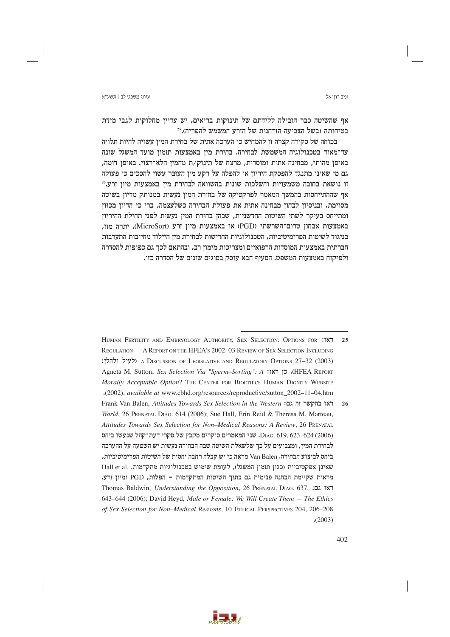יניב רון־אל

אף שהשיטה כבר הובילה ללידתם של תינוקות בריאים, יש עדיין מחלוקות לגבי מידת בטיחותה (בשל הצביעה הזרחנית של הזרע המשמש להפריה).25

בכוחה של סקירה קצרה זו להמחיש כי הערכה אתית של בחירת המין עשויה להיות תלויה עד־מאוד בטכנולוגיה המשמשת לבחירה. בחירת מין באמצעות תזמון מועד המשגל שונה באופן מהותי, מבחינה אתית ומוסרית, מרצח של תינוק/ת מהמין הלא־רצוי. באופן דומה, גם מי שאינו מתנגד להפסקת היריון או להפלה על רקע מין העובר עשוי להסכים כי פעולה  $^{26}$ זו נושאת בחובה משמעויות והשלכות שונות בהשוואה לבחירת מין באמצעות מיון זרע אף שההתייחסות בהמשך המאמר לפרקטיקה של בחירת המין נעשית במנותק מדיון בשיטה מסוימת, ובניסיון לבחון מבחינה אתית את פעולת הבחירה כשלעצמה, ברי כי הדיון מכוון ומתייחס בעיקר לשתי השיטות החדשניות, שבהן בחירת המין נעשית לפני תחילת ההיריון יתרה מזו, (MicroSort) או באמצעות מיון זרע (MicroSort). הכחון מאבחון היה היות היו בניגוד לשיטות הפרימיטיביות, הטכנולוגיות החדישות לבחירת מין היילוד מחייבות התערבות חברתית באמצעות המוסדות הרפואיים ומצריכות מימון רב, ובהתאם לכך גם כפופות להסדרה ולפיקוח באמצעות המשפט. הסעיף הבא עוסק בסוגים שונים של הסדרה כזו.



HUMAN FERTILITY AND EMBRYOLOGY AUTHORITY, SEX SELECTION: OPTIONS FOR :187 REGULATION - A REPORT ON THE HFEA'S 2002-03 REVIEW OF SEX SELECTION INCLUDING ולעיל ולהלו: A DISCUSSION OF LEGISLATIVE AND REGULATORY OPTIONS 27–32 (2003) Agneta M. Sutton, Sex Selection Via "Sperm-Sorting": A לו: Agneta M. Sutton, Sex Selection Via "Sperm-Sorting Morally Acceptable Option? THE CENTER FOR BIOETHICS HUMAN DIGNITY WEBSITE .(2002), available at www.cbhd.org/resources/reproductive/sutton 2002-11-04.htm Frank Van Balen, Attitudes Towards Sex Selection in the Western האו בהקשר זה גם:  $26$ World, 26 PRENATAL DIAG. 614 (2006); Sue Hall, Erin Reid & Theresa M. Marteau. Attitudes Towards Sex Selection for Non-Medical Reasons: A Review, 26 PRENATAL DIAG. 619, 623–624 (2006). שני המאמרים סוקרים מקבץ של סקרי דעת־קהל שנעשו ביחס לבחירת המין, ומצביעים על כך שלשאלת השיטה שבה הבחירה נעשית יש השפעה על ההערכה ביחס לביצוע הבחירה. Van Balen מראה כי יש קבלה רחבה יחסית של השיטות הפרימיטיביות, שאינן אפקטיביות (כגון תזמון המשגל), לעומת שימוש בטכנולוגיות מתקדמות. .Hall et al מראות שקיימת הבחנה פנימית גם בתוך השיטות המתקדמות - הפלות, PGD ומיון זרע. Thomas Baldwin, *Understanding the Opposition*, 26 PRENATAL DIAG. 637, **EDIA** 643-644 (2006); David Heyd, Male or Female: We Will Create Them - The Ethics of Sex Selection for Non-Medical Reasons, 10 ETHICAL PERSPECTIVES 204, 206-208  $(2003)$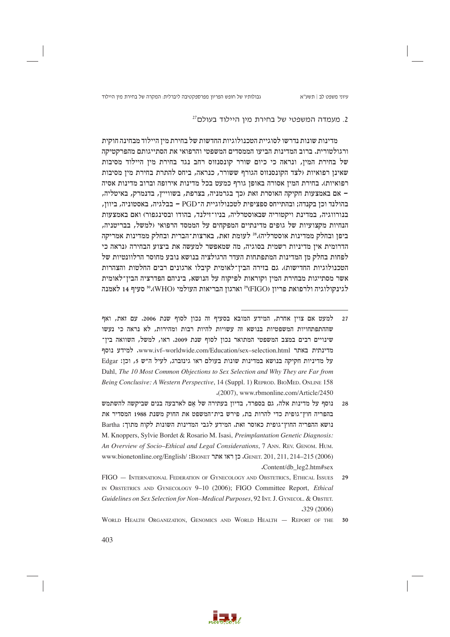גבולותיו של חופש הפריון מפרספקטיבה ליברלית: המקרה של בחירת מין היילוד

### 2. מעמדה המשפטי של בחירת מין היילוד בעולם<sup>27</sup>

מדינות שונות נדרשו לסוגיית הטכנולוגיות החדשות של בחירת מיו היילוד מבחינה חוקית ורגולטורית. ברוב המדינות הביעו הממסדים המשפטי והרפואי את הסתייגותם מהפרקטיקה של בחירת המין, ונראה כי כיום שורר קונסנזוס רחב נגד בחירת מין היילוד מסיבות שאינן רפואיות (לצד הקונסנזוס הגורף ששורר, כנראה, ביחס להתרת בחירת מין מסיבות רפואיות). בחירת המין אסורה באופן גורף כמעט בכל מדינות אירופה וברוב מדינות אסיה – אם באמצעות חקיקה האוסרת זאת (כך בגרמניה, בצרפת, בשווייץ, בדנמרק, באיטליה, בהולנד וכן בקנדה; ובהתייחס ספציפית לטכנולוגיית ה־PGD – בבלגיה, באסטוניה, ביוון, בנורווגיה, במדינת ויקטוריה שבאוסטרליה, בניו־זילנד, בהודו ובסינגפור) ואם באמצעות הנחיות מקצועיות של גופים מדינתיים המפקחים על הממסד הרפואי (למשל, בבריטניה, ביפן ובחלק ממדינות אוסטרליה).<sup>28</sup> לעומת זאת, בארצות־הברית ובחלק ממדינות אמריקה הדרומית אין מדיניות רשמית בסוגיה, מה שמאפשר למעשה את ביצוע הבחירה (נראה כי לפחות בחלק מן המדינות המתפתחות העדר הרגולציה בנושא נובע מחוסר הרלוונטיות של הטכנולוגיות החדישות). גם בזירה הבין־לאומית קיבלו ארגונים רבים החלטות והצהרות אשר מסתייגות מבחירת המין וקוראות לפיקוח על הנושא, ביניהם הפדרציה הבין־לאומית לגינקולוגיה ולרפואת פריון (FIGO) 29° וארגון הבריאות העולמי (WHO).<sup>30</sup> סעיף 14 לאמנה



למעט אם צוין אחרת, המידע המובא בסעיף זה נכון לסוף שנת 2006. עם זאת, ואף שההתפתחויות המשפטיות בנושא זה עשויות להיות רבות ומהירות, לא נראה כי נעשו שינויים רבים במצב המשפטי המתואר נכון לסוף שנת 2009. ראו, למשל, השוואה בין־ מדינתית באתר www.ivf-worldwide.com/Education/sex-selection.html. למידע נוסף על מדיניות חקיקה בנושא במדינות שונות בעולם ראו גינזברג, לעיל ה"ש 5, וכן: Edgar Dahl, The 10 Most Common Objections to Sex Selection and Why They are Far from Being Conclusive: A Western Perspective, 14 (Suppl. 1) REPROD. BIOMED. ONLINE 158 .(2007), www.rbmonline.com/Article/2450

נוסף על מדינות אלה, גם בספרד, בדיוז בעתירה של אם לארבעה בנים שביקשה להשתמש  $28$ בהפריה חוץ־גופית כדי להרות בת, פירש בית־המשפט את החוק משנת 1988 המסדיר את נושא ההפריה החוץ־גופית כאוסר זאת. המידע לגבי המדינות השונות לקוח מתוך: Bartha M. Knoppers, Sylvie Bordet & Rosario M. Isasi, Preimplantation Genetic Diagnosis: An Overview of Socio-Ethical and Legal Considerations, 7 ANN. REV. GENOM. HUM. www.bionetonline.org/English/ :BIONET ו-GENET. 201, 211, 214-215 (2006) Content/db leg2.htm#sex

FIGO - INTERNATIONAL FEDERATION OF GYNECOLOGY AND OBSTETRICS, ETHICAL ISSUES  $29$ IN OBSTETRICS AND GYNECOLOGY 9-10 (2006); FIGO Committee Report, *Ethical* Guidelines on Sex Selection for Non-Medical Purposes, 92 INT. J. GYNECOL. & OBSTET.  $.329(2006)$ 

WORLD HEALTH ORGANIZATION, GENOMICS AND WORLD HEALTH - REPORT OF THE  $30$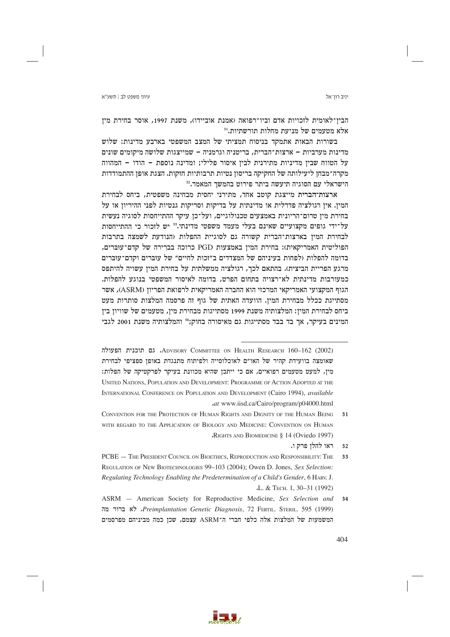הבין־לאומית לזכויות אדם וביו־רפואה (אמנת אוביידו), משנת 1997, אוסר בחירת מין אלא מטעמים של מניעת מחלות תורשתיות.<sup>31</sup>

בשורות הבאות אתמקד בניסוח תמציתי של המצב המשפטי בארבע מדינות: שלוש מדינות מערביות – ארצות־הברית, בריטניה וגרמניה – שמייצגות שלושה מיקומים שונים על הטווח שבין מדיניות מתירנית לבין איסור פלילי; ומדינה נוספת – הודו – המהווה מקרה־מבחן ליעילותה של החקיקה בריסון נטיות תרבותיות חזקות. הצגת אופן ההתמודדות הישראלי עם הסוגיה תיעשה ביתר פירוט בהמשך המאמר.<sup>32</sup>

ארצות־הברית מייצגת קוטב אחד, מתירני יחסית מבחינה משפטית, ביחס לבחירת המין. אין רגולציה פדרלית או מדינתית על בדיקות וסריקות גנטיות לפני ההיריון או על בחירת מין טרום־הריונית באמצעים טכנולוגיים, ועל־כן עיקר ההתייחסות לסוגיה נעשית על־ידי גופים מקצועיים שאינם בעלי מעמד משפטי מדינתי.<sup>33</sup> יש לזכור כי ההתייחסות לבחירת המין בארצות־הברית קשורה גם לסוגיית ההפלות (הנודעת לשמצה בתרבות הפוליטית האמריקאית): בחירת המין באמצעות PGD כרוכה בברירה של קדם־עוּבּרים, בדומה להפלות ולפחות בעיניהם של המצדדים ב"זכות לחיים" של עוברים וקדם־עוברים מרגע הפריית הביצית). בהתאם לכך, רגולציה ממשלתית על בחירת המין עשויה להיתפס כמעורבות מדינתית לא־רצויה בתחום הפרט, בדומה לאיסור המשפטי בנוגע להפלות. הגוף המקצועי האמריקאי המרכזי הוא החברה האמריקאית לרפואת הפריון (ASRM), אשר מסתייגת ככלל מבחירת המין. הוועדה האתית של גוף זה פרסמה המלצות סותרות מעט ביחס לבחירת המין: המלצותיה משנת 1999 מסתייגות מבחירת מין, מטעמים של שוויון בין המינים בעיקר, אך בד בבד מסתייגות גם מאיסורה בחוק; 34 והמלצותיה משנת 2001 לגבי



ADVISORY COMMITTEE ON HEALTH RESEARCH 160-162 (2002). גם תוכנית הפעולה שאומצה בוועידת קהיר של האו״ם לאוכלוסייה ולפיתוח מתנגדת באופז ספציפי לבחירת מיז, למעט מטעמים רפואיים, אם כי ייתכז שהיא מכוונת בעיקר לפרקטיקה של הפלות: UNITED NATIONS, POPULATION AND DEVELOPMENT: PROGRAMME OF ACTION ADOPTED AT THE INTERNATIONAL CONFERENCE ON POPULATION AND DEVELOPMENT (Cairo 1994), available .at www.iisd.ca/Cairo/program/p04000.html

CONVENTION FOR THE PROTECTION OF HUMAN RIGHTS AND DIGNITY OF THE HUMAN BEING  $31$ WITH REGARD TO THE APPLICATION OF BIOLOGY AND MEDICINE: CONVENTION ON HUMAN RIGHTS AND BIOMEDICINE § 14 (Oviedo 1997)

ראו להלן פרק ו.  $32$ 

PCBE - THE PRESIDENT COUNCIL ON BIOETHICS, REPRODUCTION AND RESPONSIBILITY: THE REGULATION OF NEW BIOTECHNOLOGIES 99-103 (2004); Owen D. Jones, Sex Selection: Regulating Technology Enabling the Predetermination of a Child's Gender, 6 HARV. J. .L. & TECH. 1, 30-31 (1992)

ASRM - American Society for Reproductive Medicine, Sex Selection and 34 Preimplantation Genetic Diagnosis, 72 FERTIL. STERIL. 595 (1999), לא ברור מה המשמעות של המלצות אלה כלפי חברי ה־ASRM עצמם, שכן כמה מביניהם מפרסמים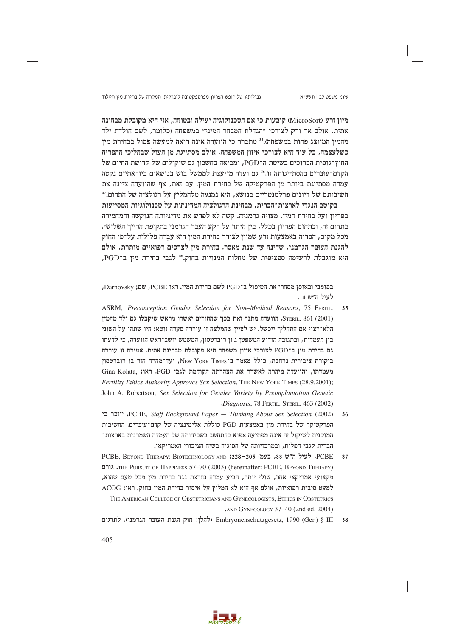גבולותיו של חופש הפריון מפרספקטיבה ליברלית: המקרה של בחירת מין היילוד

מיון זרע (MicroSort) קובעות כי אם הטכנולוגיה יעילה ובטוחה, אזי היא מקובלת מבחינה אתית, אולם אד ורק לצורכי ״הגדלת המבחר המיני״ במשפחה (כלומר, לשם הולדת ילד מהמין המיוצג פחות במשפחה).35 מתברר כי הוועדה אינה רואה למעשה פסול בבחירת מין כשלעצמה, כל עוד היא לצורכי איזון המשפחה, אולם מסתייגת מן העול שבהליכי ההפריה החוץ־גופית הכרוכים בשיטת ה־PGD, ומביאה בחשבון גם שיקולים של קדושת החיים של הקדם־עוּבּרים בהסתייגותה זו.<sup>36</sup> גם ועדה מייעצת לממשל בוש בנושאים ביו־אתיים נקטה עמדה מסתייגת ביותר מן הפרקטיקה של בחירת המין. עם זאת, אף שהוועדה ציינה את חשיבותם של דיונים פרלמנטריים בנושא, היא נמנעה מלהמליץ על רגולציה של התחום.<sup>37</sup>

בקוטב הנגדי לארצות־הברית, מבחינת הרגולציה המדינתית על טכנולוגיות המסייעות בפריון ועל בחירת המין, מצויה גרמניה. קשה לא לפרש את מדיניותה הנוקשה והמחמירה בתחום זה, ובתחום הפריון בכלל, בין היתר על רקע העבר הגרמני בתקופת הרייך השלישי. מכל מקום, הפריה באמצעות זרע שמוין לצורך בחירת המין היא עברה פלילית על־פי החוק להגנת העובר הגרמני, שדינה עד שנת מאסר. בחירת מין לצרכים רפואיים מותרת, אולם היא מוגבלת לרשימה ספציפית של מחלות המנויות בחוק.<sup>38</sup> לגבי בחירת מין ב־PGD,

בפומבי ובאופן מסחרי את הטיפול ב־PGD לשם בחירת המין. ראו PCBE, שם; Darnovsky, לעיל ה״ש 14.

ASRM, Preconception Gender Selection for Non-Medical Reasons, 75 FERTIL. 35 STERIL. 861 (2001). הוועדה מתנה זאת בכך שההורים יאשרו מראש שיקבלו גם ילד מהמין הלא־רצוי אם התהליד ייכשל. יש לצייז שהמלצה זו עוררה סערה זוטא: היו שתהו על השוני בין העמדות, ובתגובה הודיע המשפטן ג׳ון רוברטסון, המשמש יושב־ראש הוועדה, כי לדעתו גם בחירת מין ב־PGD לצורכי איזון משפחה היא מקובלת מבחינה אתית. אמירה זו עוררה ביקורת ציבורית נרחבת, כולל מאמר ב־New York Times, ועד־מהרה חזר בו רוברטסוז מעמדתו, והוועדה מיהרה לאשרר את הצהרתה הקודמת לגבי PGD. ראו: Gina Kolata, Fertility Ethics Authority Approves Sex Selection, THE NEW YORK TIMES (28.9.2001); John A. Robertson, Sex Selection for Gender Variety by Preimplantation Genetic Diagnosis, 78 FERTIL, STERIL, 463 (2002)

יוזכר כי PCBE, Staff Background Paper - Thinking About Sex Selection (2002) 36 הפרקטיקה של בחירת מין באמצעות PGD כוללת אלימינציה של קדם־עוּבּרים. החשיבות המוקנית לשיקול זה אינה מפתיעה אפוא בהתחשב בשכיחותה של העמדה השמרנית בארצות־ הברית לגבי הפלות, ובמרכזיותה של הסוגיה בשיח הציבורי האמריקאי.

PCBE, לעיל ה״ש 33, בעמ׳ 225-205; AND וPCBE, Beyon THERAPY: BIOTECHNOLOGY AND 37 THE PURSUIT OF HAPPINESS 57-70 (2003) (hereinafter: PCBE, BEYOND THERAPY) מקצועי אמריקאי אחר, שולי יותר, הביע עמדה נחרצת נגד בחירת מין מכל טעם שהוא, למעט סיבות רפואיות, אולם אף הוא לא המליץ על איסור בחירת המין בחוק. ראו: ACOG - THE AMERICAN COLLEGE OF OBSTETRICIANS AND GYNECOLOGISTS, ETHICS IN OBSTETRICS AND GYNECOLOGY 37-40 (2nd ed. 2004)

Embryonenschutzgesetz, 1990 (Ger.) § III (להלן: חוק הגנת העובר הגרמני). לתרגום

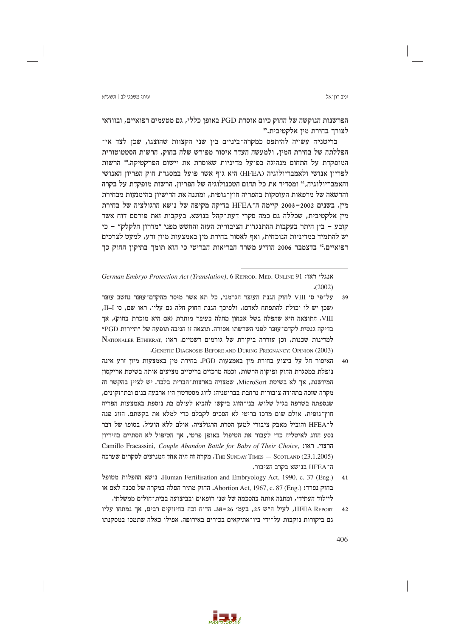הפרשנות הנוקשה של החוק כיום אוסרת PGD באופן כללי, גם מטעמים רפואיים, ובוודאי לצורך בחירת מין אלקטיבית.<sup>39</sup>

בריטניה עשויה להיתפס כמקרה־ביניים בין שני הקצוות שהוצגו, שכן לצד אי־ הפללתה של בחירת המין, ולמעשה העדר איסור מפורש שלה בחוק, הרשות הסטטוטורית המופקדת על התחום מנהיגה בפועל מדיניות שאוסרת את יישום הפרקטיקה.60 הרשות לפריון אנושי ולאמבריולוגיה (HFEA) היא גוף אשר פועל במסגרת חוק הפריון האנושי והאמבריולוגיה,<sup>41</sup> ומסדיר את כל תחום הטכנולוגיה של הפריון. הרשות מופקדת על בקרה והרשאה של מרפאות העוסקות בהפריה חוץ־גופית, ומתנה את הרישיון בהימנעות מבחירת מין. בשנים 2002–2003 קיימה ה־HFEA בדיקה מקיפה של נושא הרגולציה של בחירת מין אלקטיבית, שכללה גם כמה סקרי דעת־קהל בנושא. בעקבות זאת פורסם דוח אשר קובע – בין היתר בעקבות ההתנגדות הציבורית העזה והחשש מפני ״מדרון חלקלק״ – כי יש להתמיד במדיניות הנוכחית, ואף לאסור בחירת מין באמצעות מיון זרע, למעט לצרכים רפואיים.<sup>42</sup> בדצמבר 2006 הודיע משרד הבריאות הבריטי כי הוא תומך בתיקון החוק כך

German Embryo Protection Act (Translation), 6 REPROD. MED. ONLINE 91 אנגלי ראו:  $(2002)$ 

- על־פי ס׳ VIII לחוק הגנת העובר הגרמני, כל תא אשר מוסר מהקדם־עובר נחשב עובר 39 (שכן יש לו יכולת להתפתח לאדם), ולפיכך הגנת החוק חלה גם עליו. ראו שם, ס׳ II-I, VIII. התוצאה היא שהפלה בשל אבחון מחלה בעובר מותרת (אם היא מוכרת בחוק), אך בדיקה גנטית לקדם־עוּבּר לפני השרשתו אסורה. תוצאה זו הניבה תופעה של ״תיירות PGD״ למדינות שכנות, וכן עוררה ביקורת של גורמים רשמיים. ראו: NATIONALER ETHIKRAT, **GENETIC DIAGNOSIS BEFORE AND DURING PREGNANCY: OPINION (2003)**
- האיסור חל על ביצוע בחירת מיז באמצעות PGD. בחירת מיז באמצעות מיוז זרע אינה  $40$ נופלת במסגרת החוק ופיקוח הרשות, וכמה מרכזים בריטיים מציעים אותה בשיטת אריקסוז המיושנת, אך לא בשיטת MicroSort, שמצויה בארצות־הברית בלבד. יש לציין בהקשר זה מקרה שזכה בתהודה ציבורית נרחבת בבריטניה; לזוג מסטרטון היו ארבעה בנים ובת־זקונים, שנספתה בשרפה בגיל שלוש. בני־הזוג ביקשו להביא לעולם בת נוספת באמצעות הפריה חוץ־גופית, אולם שום מרכז בריטי לא הסכים לקבלם כדי למלא את בקשתם. הזוג פנה ל־HFEA והוביל מאבק ציבורי למען הסרת הרגולציה, אולם ללא הועיל. בסופו של דבר נסע הזוג לאיטליה כדי לעבור את הטיפול באופן פרטי, אך הטיפול לא הסתיים בהיריון Camillo Fracassini, Couple Abandon Battle for Baby of Their Choice, הרצוי, ראו: THE SUNDAY TIMES - SCOTLAND (23.1.2005). מקרה זה היה אחד המניעים לסקרים שערכה ה־HFEA בנושא בקרב הציבור.
- Human Fertilisation and Embryology Act, 1990, c. 37 (Eng.) נושא ההפלות מטופל  $41$ בחוק נפרד: Abortion Act, 1967, c. 87 (Eng.). החוק מתיר הפלה במקרה של סכנה לאם או ליילוד העתידי, ומתנה אותה בהסכמה של שני רופאים ובביצועה בבית־חולים ממשלתי.
- HFEA REPORT, לעיל ה"ש 25, בעמ' 26-38. הדוח זכה בחיזוקים רבים, אך נמתחו עליו  $42$ גם ביקורות נוקבות על־ידי ביו־אתיקאים בכירים באירופה. אפילו כאלה שתמכו במסקנתו

406

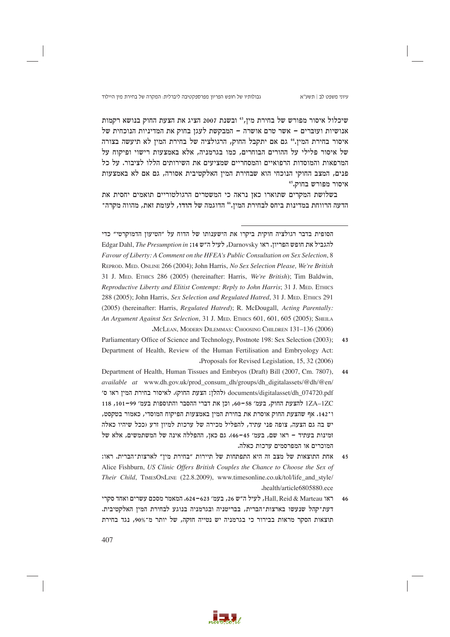שיכלול איסור מפורש של בחירת מין,<sup>43</sup> ובשנת 2007 הציג את הצעת החוק בנושא רקמות אנושיות ועוברים – אשר טרם אושרה – המבקשת לעגז בחוק את המדיניות הנוכחית של איסור בחירת המין.<sup>44</sup> גם אם יתקבל החוק, הרגולציה של בחירת המין לא תיעשה בצורה של איסור פלילי על ההורים הבוחרים, כמו בגרמניה, אלא באמצעות רישוי ופיקוח על המרפאות והמוסדות הרפואיים והמסחריים שמציעים את השירותים הללו לציבור. על כל פנים, המצב החוקי הנוכחי הוא שבחירת המין האלקטיבית אסורה, גם אם לא באמצעות איסור מפורש בחוק.45

בשלושת המקרים שתוארו כאן נראה כי המשטרים הרגולטוריים תואמים יחסית את הדעה הרווחת במדינות ביחס לבחירת המין.4ª הדוגמה של הודו, לעומת זאת, מהווה מקרה־

- Parliamentary Office of Science and Technology, Postnote 198: Sex Selection (2003);  $43$ Department of Health, Review of the Human Fertilisation and Embryology Act: Proposals for Revised Legislation, 15, 32 (2006)
- Department of Health, Human Tissues and Embryos (Draft) Bill (2007, Cm. 7807).  $44$ available at www.dh.gov.uk/prod consum dh/groups/dh digitalassets/@dh/@en/ documents/digitalasset/dh 074720.pdf (להלן: הצעת החוק). לאיסור בחירת המין ראו ס׳ 17A-1ZC להצעת החוק, בעמ' 58-60, וכן את דברי ההסבר והתוספות בעמ' 99-101, 118 ו־142. אף שהצעת החוק אוסרת את בחירת המין באמצעות הפיקוח המוסדי, כאמור בטקסט, יש בה גם הצעה, צופה פני עתיד, להפליל מכירה של ערכות למיון זרע (ככל שיהיו כאלה זמינות בעתיד – ראו שם, בעמ׳ 45–46). גם כאן, ההפללה אינה של המשתמשים, אלא של המוכרים או המפרסמים ערכות כאלה.
- אחת התוצאות של מצב זה היא התפתחות של תיירות "בחירת מין" לארצות־הברית. ראו:  $4.5$ Alice Fishburn, US Clinic Offers British Couples the Chance to Choose the Sex of Their Child, TIMESONLINE (22.8.2009), www.timesonline.co.uk/tol/life\_and\_style/ .health/article6805880.ece
- ראו Hall, Reid & Marteau, לעיל ה״ש 26, בעמ׳ 623–624. המאמר מסכם עשרים ואחד סקרי  $46$ דעת־קהל שנעשו בארצות־הברית, בבריטניה ובגרמניה בנוגע לבחירת המין האלקטיבית. תוצאות הסקר מראות בבירור כי בגרמניה יש נטייה חזקה, של יותר מ־90%, נגד בחירת



הסופית בדבר רגולציה חוקית ביקרו את הישענותו של הדוח על ״הטיעון הדמוקרטי״ כדי Edgar Dahl, The Presumption in ; 14 שעיל ה"ש Darnovsky, לעונביל את חופש הפריון. ראו Favour of Liberty: A Comment on the HFEA's Public Consultation on Sex Selection, 8 REPROD. MED. ONLINE 266 (2004); John Harris, No Sex Selection Please, We're British 31 J. MED. ETHICS 286 (2005) (hereinafter: Harris, We're British); Tim Baldwin, Reproductive Liberty and Elitist Contempt: Reply to John Harris; 31 J. MED. ETHICS 288 (2005); John Harris, Sex Selection and Regulated Hatred, 31 J. MED. ETHICS 291 (2005) (hereinafter: Harris, Regulated Hatred); R. McDougall, Acting Parentally: An Argument Against Sex Selection, 31 J. MED. ETHICS 601, 601, 605 (2005); SHEILA MCLEAN, MODERN DILEMMAS: CHOOSING CHILDREN 131-136 (2006)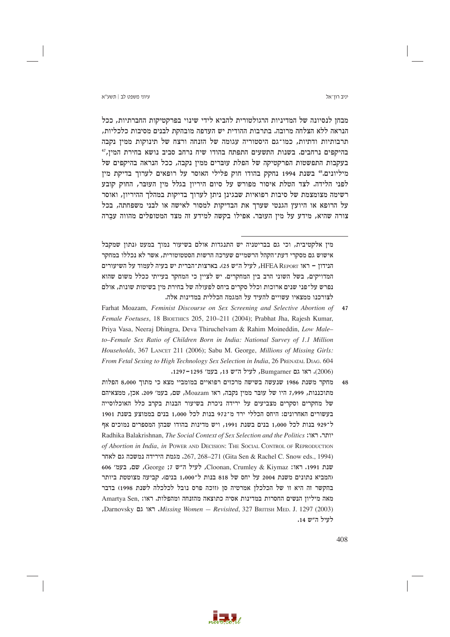### עיווי משפט לר∣ חשע״א

יניב רוו־אל

מבחן לנסיונה של המדיניות הרגולטורית להביא לידי שינוי בפרקטיקות החברתיות, ככל הנראה ללא הצלחה מרובה. בתרבות ההודית יש העדפה מובהקת לבנים מסיבות כלכליות. תרבותיות ודתיות, כמו־גם היסטוריה עגומה של הזנחה ורצח של תינוקות ממין נקבה בהיקפים נרחבים. בשנות התשעים התפתח בהודו שיח נרחב סביב נושא בחירת המין, 24 בעקבות התפשטות הפרקטיקה של הפלת עוברים ממין נקבה, ככל הנראה בהיקפים של מיליונים.<sup>48</sup> בשנת 1994 נחקק בהודו חוק פלילי האוסר על רופאים לערוך בדיקת מין לפני הלידה. לצד הטלת איסור מפורש על סיום היריון בגלל מין העובר, החוק קובע רשימה מצומצמת של סיבות רפואיות שבגינן ניתן לערוך בדיקות במהלך ההיריון, ואוסר על הרופא או היועץ הגנטי שערך את הבדיקות למסור לאישה או לבני משפחתה, בכל צורה שהיא, מידע על מין העובר. אפילו בקשה למידע זה מצד המטופלים מהווה עברה

מין אלקטיבית, וכי גם בבריטניה יש התנגדות אולם בשיעור נמוך במעט (נתון שמקבל אישוש גם מסקרי דעת־הקהל הרשמיים שערכה הרשות הסטטוטורית. אשר לא נכללו במחקר הנידון – ראו HFEA REPORT, לעיל ה״ש 25). בארצות־הברית יש בעיה לעמוד על השיעורים המדויקים, בשל השוני הרב בין המחקרים. יש לציין כי המחקר בעייתי ככלל משום שהוא נפרש על־פני שנים ארוכות וכלל סקרים ביחס לפעולה של בחירת מין בשיטות שונות, אולם לצורכנו ממצאיו עשויים להעיד על המגמה הכללית במדינות אלה.

- Farhat Moazam, Feminist Discourse on Sex Screening and Selective Abortion of 47 Female Foetuses, 18 BIOETHICS 205, 210-211 (2004); Prabhat Jha, Rajesh Kumar, Priya Vasa, Neeraj Dhingra, Deva Thiruchelvam & Rahim Moineddin, Low Maleto-Female Sex Ratio of Children Born in India: National Survey of 1.1 Million Households, 367 LANCET 211 (2006); Sabu M. George, Millions of Missing Girls: From Fetal Sexing to High Technology Sex Selection in India, 26 PRENATAL DIAG. 604 (2006). ראו גם Bumgarner, לעיל ה"ש 13, בעמ' 1295–1297.
- מחקר משנת 1986 שנעשה בשישה מרכזים רפואיים במומביי מצא כי מתוך 8,000 הפלות 48 מתוכננות, 7,999 היו של עובר ממין נקבה, ראו Moazam, שם, בעמ׳ 209. אכן, ממצאיהם של מחקרים וסקרים מצביעים על ירידה ניכרת בשיעור הבנות בקרב כלל האוכלוסייה בעשורים האחרונים: היחס הכללי ירד מ־972 בנות לכל 1,000 בנים בממוצע בשנת 1901 ל־929 בנות לכל 1,000 בנים בשנת 1991, ויש מדינות בהודו שבהן המספרים נמוכים אף Radhika Balakrishnan, The Social Context of Sex Selection and the Politics :יתר, ראו of Abortion in India, in POWER AND DECISION: THE SOCIAL CONTROL OF REPRODUCTION לאחר 267, 268–271 (Gita Sen & Rachel C. Snow eds., 1994) ו-267, 268–267. הגמת הירידה נמשכה גם לאחר שנת 1991. ראו: Cloonan, Crumley & Kiymaz, לעיל ה"ש 5; George; שם, בעמ' 606 (המביא נתונים משנת 2004 על יחס של 818 בנות ל־1,000 בנים). קביעה מצוטטת ביותר בהקשר זה היא זו של הכלכלן אמרטיה סן (זוכה פרס נובל לכלכלה לשנת 1998) בדבר מאה מיליון הנשים החסרות במדינות אסיה כתוצאה מהזנחה ומהפלות. ראו: Amartya Sen, , Darnovsky יאו גם, Missing Women - Revisited, 327 BRITISH MED. J. 1297 (2003) לעיל ה״ש 14.

Take a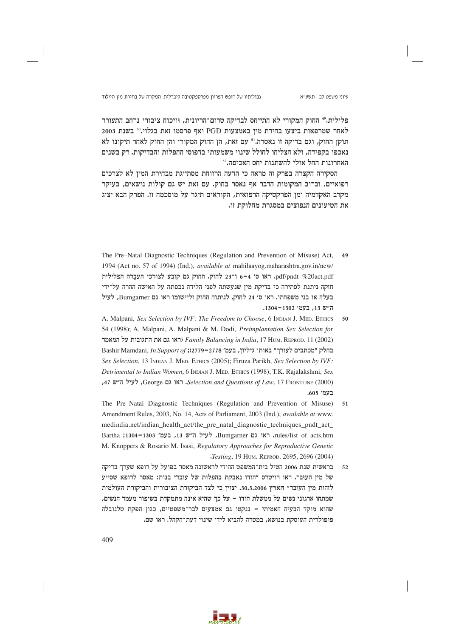פלילית.49 החוק המקורי לא התייחס לבדיקה טרום־הריונית, וויכוח ציבורי נרחב התעורר לאחר שמרפאות ביצעו בחירת מיז באמצעות PGD ואף פרסמו זאת בגלוי.<sup>50</sup> בשנת 2003 תוקן החוק, וגם בדיקה זו נאסרה.<sup>51</sup> עם זאת, הן החוק המקורי והן החוק לאחר תיקונו לא נאכפו בקפידה, ולא הצליחו לחולל שינוי משמעותי בדפוסי ההפלות והבדיקות. רק בשנים האחרונות החל אולי להשתנות יחס האכיפה.<sup>52</sup>

הסקירה הקצרה בפרק זה מראה כי הדעה הרווחת מסתייגת מבחירת המין לא לצרכים רפואיים, וברוב המקומות הדבר אף נאסר בחוק. עם זאת יש גם קולות נישאים, בעיקר מקרב האקדמיה ומן הפרקטיקה הרפואית, הקוראים תיגר על מוסכמה זו. הפרק הבא יציג את הטיעונים הנפוצים במסגרת מחלוקת זו.

- The Pre-Natal Diagnostic Techniques (Regulation and Prevention of Misuse) Act, 1994 (Act no. 57 of 1994) (Ind.), *available at* mahilaayog.maharashtra.gov.in/new/ pdf/pndt-%20act.pdf. ראו ס׳ 4-6 ו־23 לחוק. החוק גם קובע לצורכי העברה הפלילית חזקה ניתנת לסתירה כי בדיקת מין שנעשתה לפני הלידה נכפתה על האישה ההרה על־ידי בעלה או בני משפחתו. ראו ס׳ 24 לחוק. לניתוח החוק וליישומו ראו גם Bumgarner, לעיל ה"ש 13, בעמ' 1302-1304.
- A. Malpani, Sex Selection by IVF: The Freedom to Choose, 6 INDIAN J. MED. ETHICS 50 54 (1998); A. Malpani, A. Malpani & M. Dodi, Preimplantation Sex Selection for ראו גם את התגובות על המאמר Family Balancing in India, 17 Hum. REPROD. 11 (2002) Eashir Mamdani, In Support of ;(2779-2778 'בחלק "מכתבים לעורך" באותו גיליון, בעמ' 19 Sex Selection, 13 INDIAN J. MED. ETHICS (2005); Firuza Parikh, Sex Selection by IVF: Detrimental to Indian Women, 6 INDIAN J. MED, ETHICS (1998); T.K. Rajalakshmi, Sex ,47 לעיל ה"ש Selection and Questions of Law, 17 FRONTLINE (2000), לעיל ה"ש 47  $.605$  'בעמ
- The Pre–Natal Diagnostic Techniques (Regulation and Prevention of Misuse)  $51$ Amendment Rules, 2003, No. 14, Acts of Parliament, 2003 (Ind.), *available at* www. medindia.net/indian health act/the pre natal diagnostic techniques pndt act rules/list-of-acts.htm. ראו גם Bumgarner, לעיל ה"ש 13, בעמ' 1303-1304; Bartha M. Knoppers & Rosario M. Isasi, Regulatory Approaches for Reproductive Genetic Jesting, 19 HUM. REPROD. 2695, 2696 (2004)
- בראשית שנת 2006 הטיל בית־המשפט ההודי לראשונה מאסר בפועל על רופא שערך בדיקה  $52$ של מין העובר. ראו רויטרס "הודו נאבקת בהפלות של עוברי בנות: מאסר לרופא שסייע לזהות מין העובר״ הארץ 30.3.2006, יצוין כי לצד הביקורת הציבורית והביקורת העולמית שמתחו ארגוני נשים על ממשלת הודו – על כך שהיא אינה מתמקדת בשיפור מעמד הנשים, שהוא מוקד הבעיה האמיתי – ננקטו גם אמצעים לבר־משפטיים, כגון הפקת טלנובלה פופולרית העוסקת בנושא, במטרה להביא לידי שינוי דעת־הקהל. ראו שם.

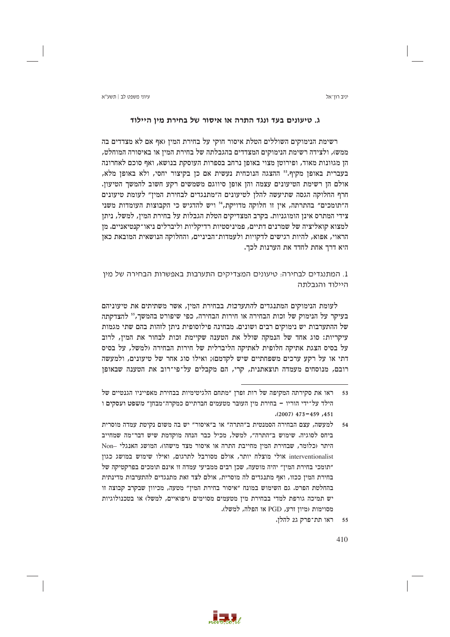∨יווי משפט לר∣ חשע״א

יניב רון־אל

# ג. טיעונים בעד ונגד התרה או איסור של בחירת מין היילוד

רשימת הנימוקים השוללים הטלת איסור חוקי על בחירת המין (אף אם לא מצדדים בה ממש), ולצידה רשימת הנימוקים המצדדים בהגבלתה של בחירת המין או באיסורה המוחלט, הן מגוונות מאוד, ופירוטן מצוי באופן נרחב בספרות העוסקת בנושא, ואף סוכם לאחרונה בעברית באופן מקיף.<sup>53</sup> ההצגה הנוכחית נעשית אם כן בקיצור יחסי, ולא באופן מלא, אולם הן רשימת הטיעונים עצמה והן אופן סיווגם משמשים רקע חשוב להמשך הטיעון. חרף החלוקה הגסה שתיעשה להלן לטיעונים ה״מתנגדים לבחירת המין״ לעומת טיעונים ה"תומכים" בהתרתה, אין זו חלוקה מדויקת,<sup>54</sup> ויש להדגיש כי הקבוצות העומדות משני צידי המתרס אינן הומוגניות. בקרב המצדיקים הטלת הגבלות על בחירת המין, למשל, ניתן למצוא קואליציה של שמרנים דתיים, פמיניסטיות רדיקליות וליברלים ניאו־קנטיאניים. מן הראוי, אפוא, להיות רגישים לדקויות ולעמדות־הביניים, והחלוקה הנושאית המובאת כאן היא דרך אחת לחדד את הערנות לכך.

1. המתנגדים לבחירה: טיעונים המצדיקים התערבות באפשרות הבחירה של מין היילוד והגרלחה

לעומת הנימוקים המתנגדים ל*התערבות* בבחירת המין, אשר משתיתים את טיעוניהם בעיקר על הנימוק של זכות הבחירה או חירות הבחירה, כפי שיפורט בהמשך," להצדקתה של ההתערבות יש נימוקים רבים ושונים. מבחינה פילוסופית ניתן לזהות בהם שתי מגמות עיקריות: סוג אחד של הנמקה שולל את הטענה שקיימת זכות לבחור את המין, לרוב על בסיס הצגת אתיקה חלופית לאתיקה הליברלית של חירות הבחירה (למשל, על בסיס דתי או על רקע ערכים משפחתיים שיש לקדמם); ואילו סוג אחר של טיעונים, ולמעשה רובם, מנוסחים מעמדה תוצאתנית, קרי, הם מקבלים על־פי־רוב את הטענה שבאופז

ראו תת־פרק ג2 להלן.  $55$ 



ראו את סקירתה המקיפה של רות זפרן "מתחם הלגיטימיות בבחירת מאפייניו הגנטיים של 53 הילד על־ידי הוריו – בחירת מיז העובר מטעמים חברתיים כמקרה־מבחז״ משפט ועסקים ו  $(2007)$  473-459, 451

למעשה, עצם הבחירה הסמנטית ב״התרה״ או ב״איסור״ יש בה משום נקיטת עמדה מוסרית  $.54$ ביחס לסוגיה. שימוש ב"התרה", למשל, מכיל כבר הנחה מוקדמת שיש דבר־מה שמחייב היתר (כלומר, שבחירת המין מחייבת התרה או איסור מצד מישהו). המושג האנגלי -Non interventionalist אולי מוצלח יותר, אולם מסורבל לתרגום, ואילו שימוש במושג כגון ״תומכי בחירת המין״ יהיה מוטעה, שכן רבים ממביעי עמדה זו אינם תומכים בפרקטיקה של בחירת המין ככזו, ואף מתנגדים לה מוסרית, אולם לצד זאת מתנגדים להתערבות מדינתית בהחלטת הפרט. גם השימוש במונח "איסור בחירת המין" מטעה, מכיוון שבקרב קבוצה זו יש תמיכה גורפת למדי בבחירת מין מטעמים מסוימים (רפואיים, למשל) או בטכנולוגיות מסוימות (מיון זרע, PGD או הפלה, למשל).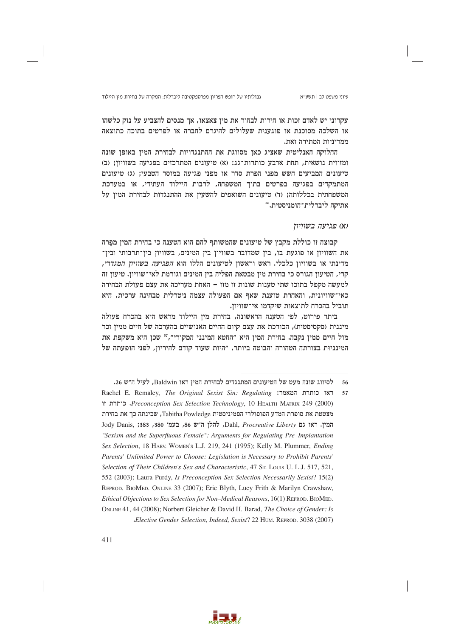גבולותיו של חופש הפריון מפרספקטיבה ליברלית: המקרה של בחירת מין היילוד

עיוני משפט לב | תשע"א

עקרוני יש לאדם זכות או חירות לבחור את מין צאצאו, אך מנסים להצביע על נזק כלשהו או השלכה מסוכנת או פוגענית שעלולים להיגרם לחברה או לפרטים בתוכה כתוצאה ממדיניות המתירה זאת.

החלוקה האנליטית שאציג כאן מסווגת את ההתנגדויות לבחירת המין באופן שונה ומזווית נושאית, תחת ארבע כותרות־גג: (א) טיעונים המתרכזים בפגיעה בשוויון; (ב) טיעונים המביעים חשש מפני הפרת סדר או מפני פגיעה במוסר הטבעי; (ג) טיעונים המתמקדים בפגיעה בפרטים בתוך המשפחה, לרבות היילוד העתידי, או במערכת המשפחתית בכללותה; וד) טיעונים השואפים להשעין את ההתנגדות לבחירת המין על אתיקה ליברלית־הומניסטית.56

### (א) פגיעה בשוויון

קבוצה זו כוללת מקבץ של טיעונים שהמשותף להם הוא הטענה כי בחירת המין מפרה את השוויון או פוגעת בו, בין שמדובר בשוויון בין המינים, בשוויון בין־תרבותי ובין־ מדינתי או בשוויון כלכלי. ראש וראשון לטיעונים הללו הוא *הפגיעה בשוויון המגדרי*, קרי, הטיעון הגורס כי בחירת מין מבטאת הפליה בין המינים וגורמת לאי־שוויון. טיעון זה למעשה מקפל בתוכו שתי טענות שונות זו מזו – האחת מעריכה את עצם פעולת הבחירה כאי־שוויונית, והאחרת טוענת שאף אם הפעולה עצמה ניטרלית מבחינה ערכית, היא תוביל בהכרח לתוצאות שיקדמו אי־שוויון.

ביתר פירוט, לפי הטענה הראשונה, בחירת מין היילוד מראש היא בהכרח פעולה מיננית (סקסיסטית), הכורכת את עצם קיום החיים האנושיים בהערכה של חיים ממין זכר מול חיים ממין נקבה. בחירת המין היא "החטא המינני המקורי",<sup>57</sup> שכן היא משקפת את המינגיות בצורתה הטהורה והבוטה ביותר, "היות שעוד קודם להיריון, לפגי הופעתה של



לסיווג שונה מעט של הטיעונים המתנגדים לבחירת המין ראו Baldwin, לעיל ה"ש 26. 56

Rachel E. Remaley, The Original Sexist Sin: Regulating ודאו כותרת המאמר: 57 ון Preconception Sex Selection Technology, 10 HEALTH MATRIX 249 (2000) מצטטת את סופרת המדע הפופולרי הפמיניסטית Tabitha Powledge, שכינתה כך את בחירת Jody Danis, ;383, 380, 27 בעמ׳ 86, 201, להלן ה״ש 86, 201, 383, 383, Jody Danis, "Sexism and the Superfluous Female": Arguments for Regulating Pre-Implantation Sex Selection, 18 HARV. WOMEN'S L.J. 219, 241 (1995); Kelly M. Plummer, Ending Parents' Unlimited Power to Choose: Legislation is Necessary to Prohibit Parents' Selection of Their Children's Sex and Characteristic, 47 St. Louis U. L.J. 517, 521, 552 (2003); Laura Purdy, Is Preconception Sex Selection Necessarily Sexist? 15(2) REPROD. BIOMED. ONLINE 33 (2007); Eric Blyth, Lucy Frith & Marilyn Crawshaw, Ethical Objections to Sex Selection for Non-Medical Reasons, 16(1) REPROD. BIOMED. ONLINE 41, 44 (2008); Norbert Gleicher & David H. Barad, The Choice of Gender: Is "Elective Gender Selection, Indeed, Sexist? 22 HUM. REPROD. 3038 (2007)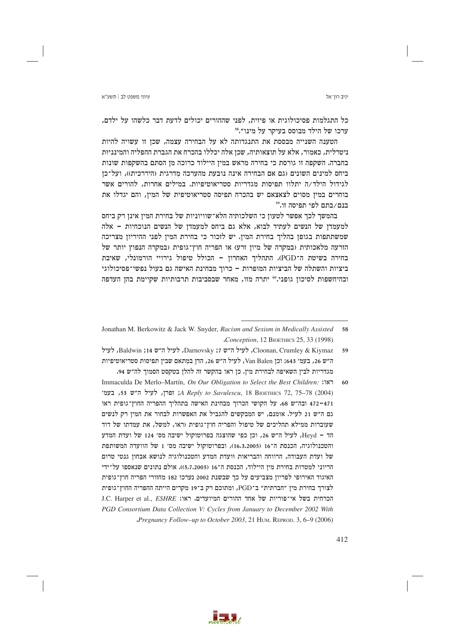כל התגלמות פסיכולוגית או פיזית, לפני שההורים יכולים לדעת דבר כלשהו על ילדם, <sup>58</sup>. ערכו של הילד מבוסס בעיקר על מינו״

הטענה השנייה מבססת את התנגדותה לא על הבחירה עצמה, שכן זו עשויה להיות ניטרלית, כאמור, אלא על תוצאותיה, שכן אלה יכללו בהכרח את הגברת ההפליה והמינניות בחברה. השקפה זו גורסת כי בחירה מראש במין היילוד כרוכה מן הסתם בהשקפות שונות ביחס למינים השונים (גם אם הבחירה אינה נובעת מהערכה מדרגית (היררכית)), ועל־כן לגידול הילד/ה יתלוו תפיסות מגדריות סטריאוטיפיות. במילים אחרות, להורים אשר בוחרים במין מסוים לצאצאם יש בהכרח תפיסה סטריאוטיפית של המין, והם יגדלו את בנם/בתם לפי תפיסה זו.59

בהמשך לכך אפשר לטעון כי השלכותיה הלא־שוויוניות של בחירת המין אינן רק ביחס למעמדן של הנשים לעתיד לבוא, אלא גם ביחס למעמדן של הנשים הנוכחיות – אלה שמשתתפות בגופן בהליך בחירת המין. יש לזכור כי בחירת המין לפני ההיריון מצריכה הזרעה מלאכותית (במקרה של מיון זרע) או הפריה חוץ־גופית (במקרה הנפוץ יותר של בחירה בשיטת ה־PGD). התהליך האחרון - הכולל טיפול גירויי הורמונלי, שאיבת ביציות והשתלה של הביציות המופרות – כרוך מבחינת האישה גם בעול נפשי־פסיכולוגי ובהיחשפות לסיכון גופני.<sup>6</sup>0 יתרה מזו, מאחר שבסביבות תרבותיות שקיימת בהן העדפה



Jonathan M. Berkowitz & Jack W. Snyder, Racism and Sexism in Medically Assisted 58 Conception, 12 BIOETHICS 25, 33 (1998)

Cloonan, Crumley & Kiymaz, לעיל ה״ש Darnovsky ;7, לעיל ה״ש Baldwin ;14, לעיל 59 ה"ש 26, בעמ' 643: וכז Van Balen, לעיל ה"ש 26, הדו במתאם שביו תפיסות סטריאוטיפיות מגדריות לביז השאיפה לבחירת מיז. כז ראו בהקשר זה להלז בטקסט הסמור לה״ש 94.

Immaculda De Merlo-Martín, On Our Obligation to Select the Best Children: ו־או 60 48 (2004) 34, ופרן, לעיל ה״ש 53, בעמ׳ A Reply to Savulescu, 18 BIOETHICS 72, 75-78; 471–472 ובה״ש 68. על הקושי הכרור מבחינת האישה בתהליר ההפריה החוץ־גופית ראו גם ה״ש 21 לעיל. אומנם, יש המבקשים להגביל את האפשרות לבחור את המין רק לנשים שעוברות ממילא תהליכים של טיפול והפריה חוץ־גופית (ראו, למשל, את עמדתו של דוד הד – Heyd, לעיל ה"ש 26, וכן כפי שהוצגה בפרוטוקול ישיבה מס׳ 124 של ועדת המדע והטכנולוגיה, הכנסת ה־16 (16.3.2005), ובפרוטוקול ישיבה מס׳ 1 של הוועדה המשותפת של ועדת העבודה, הרווחה והבריאות וועדת המדע והטכנולוגיה לנושא אבחון גנטי טרום הריוני למטרות בחירת מין היילוד, הכנסת ה־16 (5.7.2005). אולם נתונים שנאספו על־ידי האיגוד האירופי לפריון מצביעים על כך שבשנת 2002 נערכו 182 מחזורי הפריה חוץ־גופית לצורך בחירת מין "חברתית" ב־PGD, ומתוכם רק ב־19 מקרים הייתה ההפריה החוץ־גופית J.C. Harper et al., *ESHRE* :הכרחית בשל אי־פוריות של אחד ההורים המיועדים. ראו: PGD Consortium Data Collection V: Cycles from January to December 2002 With Pregnancy Follow-up to October 2003, 21 HUM. REPROD. 3, 6-9 (2006).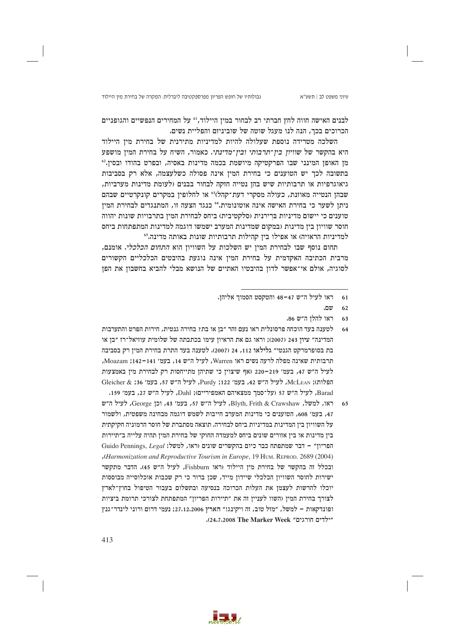גבולותיו של חופש הפריון מפרספקטיבה ליברלית: המקרה של בחירת מין היילוד

לבנים האישה חווה לחץ חברתי רב לבחור במין היילוד,<sup>61</sup> על המחירים הנפשיים והגופניים הכרוכים בכר. הנה לנו מעגל שוטה של שוביניזם והפליית נשים.

השלכה מטרידה נוספת שעלולה להיות למדיניות מתירנית של בחירת מין היילוד היא בהקשר של שוויו*ן בין־תרבותי ובין־מדינתי*. כאמור, השיח על בחירת המין מושפע מו האופו המינני שבו הפרקטיקה מיושמת בכמה מדינות באסיה, ובפרט בהודו ובסיו.84 בתשובה לכך יש הטוענים כי בחירת המין אינה פסולה כשלעצמה, אלא רק בסביבות גיאוגרפיות או תרבותיות שיש בהן נטייה חזקה לבחור בבנים (לעומת מדינות מערביות, שבהן הנטייה מאוזנת, כעולה מסקרי דעת־קהלז<sup>63</sup> או לחלופין במקרים קונקרטיים שבהם ניתן לשער כי בחירת האישה אינה אוטונומית. 40 כנגד הצעה זו, המתנגדים לבחירת המין טוענים כי יישום מדיניות ברירנית (סלקטיבית) ביחס לבחירת המין בתרבויות שונות יהווה חוסר שוויון בין מדינות (במקום שמדינות המערב ישמשו דוגמה למדינות המתפתחות ביחס למדיניות הראויה) או אפילו בין קהילות תרבותיות שונות באותה מדינה.55

תחום נוסף שבו לבחירת המין יש השלכות על השוויון הוא *התחום הכלכלי*. אומנם, מרבית הכתיבה האקדמית על בחירת המין אינה נוגעת בהיבטים הכלכליים הקשורים לסוגיה, אולם אי־אפשר לדון בהיבטיו האתיים של הנושא מבלי להביא בחשבון את הפן

- לטענה בעד הוכחה פרסונלית ראו נעם זהר ״בז או בת? בחירה גנטית. חירות הפרט והתערבות המדינה״ עיוז 243 (2007): וראו גם את הראיוז עימו בכתבתה של שלומית עוזיאל־רז ״בז או בת בסופרמרקט הגנטי״ גלילאו 112, 24 (2007). לטענה בעד התרת בחירת המין רק בסביבה תרבותית שאינה מפלה לרעה נשים ראו Warren, לעיל ה״ש 14, בעמ׳ 141–142: Moazam, לעיל ה״ש 47, בעמ׳ 219–220 (אף שיצויז כי שתיהז מתייחסות רק לבחירת מיז באמצעות הפלות); McLEAN, לעיל ה"ש 42, בעמ' 122; Purdy, לעיל ה"ש 57, בעמ' 36; & Gleicher Barad, לעיל ה״ש 57 (על־סמך ממצאיהם האמפיריים); Dahl, לעיל ה״ש 27, בעמ׳ 159.
- ראו, למשל, Blyth, Frith & Crawshaw, לעיל ה"ש 57, בעמ׳ 43, וכן George, לעיל ה"ש 65 47, בעמ׳ 608, הטוענים כי מדינות המערב חייבות לשמש דוגמה מבחינה משפטית, ולשמור על השוויון בין המדינות במדיניות ביחס לבחירה. תוצאה מסתברת של חוסר הרמוניה חקיקתית בין מדינות או בין אזורים שונים ביחס למעמדה החוקי של בחירת המין תהיה עלייה ב״תיירות Guido Pennings, Legal : הפריון שמתפתח כבר כיום בהקשרים שונים וראו, למשל: Guido Pennings, Legal (Harmonization and Reproductive Tourism in Europe, 19 HUM. REPROD. 2689 (2004), ובכלל זה בהקשר של בחירת מיז היילוד (ראו Fishburn, לעיל ה"ש 45). הדבר מתקשר ישירות לחוסר השוויון הכלכלי שיידון מייד, שכן ברור כי רק שכבות אוכלוסייה מבוססות יוכלו להרשות לעצמן את העלות הכרוכה בנסיעה ובתשלום בעבור הטיפול בחוץ־לארץ לצורך בחירת המין (השוו לעניין זה את "תיירות הפריון" המתפתחת לצורכי תרומת ביציות ופונדקאות – למשל, "מזל טוב, זה ויקינג!" הארץ 27.12.2006; נעמי דרום ורוני לינדר־גנץ "ילדים חורגים" 24,7,2008 The Marker Week).



ראו לעיל ה״ש 47–48 והטקסט הסמוך אליהן. 61

שם. 62

ראו להלן ה״ש 86. 63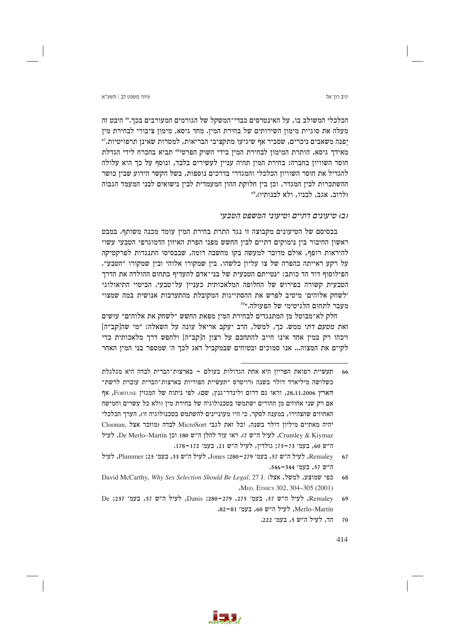עיווי משפט לר∣ חשע״א

הכלכלי המשולב בו, על האינטרסים כבדי־המשקל של הגורמים המעורבים בכך.66 היבט זה מעלה את סוגיית מימוז השירותים של בחירת המיז. מחד גיסא, מימוז ציבורי לבחירת מיז יפנה משאבים ניכרים, שסביר אף שיגיעו מתקציבי הבריאות, למטרות שאינן תרפויטיות.<sup>67</sup> מאידך גיסא, הותרת המימון לבחירת המין בידי השוק הפרטי<sup>66</sup> תביא בהכרח לידי הגדלת חוסר השוויון בחברה: בחירת המין תהיה עניין לעשירים בלבד, ונוסף על כך היא עלולה להגדיל את חוסר השוויון הכלכלי והמגדרי בדרכים נוספות, בשל הקשר הידוע שבין כושר ההשתכרות לבין המגדר, וכן בין חלוקת ההון המעמדית לבין נישואים לבני המעמד הגבוה (לרוב, אגב, לבניו, ולא לבנותיו)."

# וב) טיעונים דתיים וטיעוני המשפט הטבעי

בבסיסם של הטיעונים מקבוצה זו נגד התרת בחירת המין עומד מכנה משותף. במבט ראשון החיבור בין נימוקים דתיים לבין החשש מפני הפרת האיזון הדמוגרפי הטבעי עשוי להיראות רופף, אולם מדובר למעשה בקו מחשבה דומה, שבבסיסו התנגדות לפרקטיקה על רקע ראייתה כהפרה של צו עליון כלשהו, בין שמקורו אלוהי ובין שמקורו "הטבע". הפילוסוף דוד הד כותב: ״נטייתם הטבעית של בני־אדם להעדיף בתחום ההולדה את הדרך הטבעית קשורה בפירוש של החלופה המלאכותית כענייו על־טבעי. הביטוי התיאולוגי ילשחק אלוהים׳ מיטיב לפרש את ההסתייגות המקובלת מהתערבות אנושית במה שמצוי מעבר לתחום הלגיטימי של הפעולה.״"

חלק לא־מבוטל מן המתנגדים לבחירת המין מפאת החשש ״לשחק את אלוהים״ עושים ואת מטעם דתי ממש. כך, למשל, הרב יעקב אריאל עונה על השאלה: "מי שה[קב"ה] זיכהו רק במין אחד אינו חייב להתחכם על רצון ה[קב״ה] ולחפש דרך מלאכותית כדי לקיים את המצוה... אנו סמוכים ובטוחים שבמקביל דאג לכר ה׳ שמספר בני המיז האחר

הד, לעיל ה״ש 5, בעמ׳ 222.  $70$ 



תעשיית רפואת הפריוז היא אחת הגדולות בעולם – בארצות־הברית לבדה היא מגלגלת כשלושה מיליארד דולר בשנה (רויטרס "תעשיית הפוריות בארצות־הברית עוברת לרשת" הארץ 28,11,2006, וראו גם דרום ולינדר־גנץ, שם). לפי ניתוח של המגזין FORTUNE, אף אם רק שני אחוזים מז ההורים ישתמשו בטכנולוגיה של בחירת מיז (ולא כל עשרים וחמישה האחוזים שהצהירו, במענה לסקר, כי היו מעוניינים להשתמש בטכנולוגיה זו), הערך הכלכלי יהיה מאתיים מיליון דולר בשנה, וכל זאת לגבי MicroSort לבדה (מוזכר אצל Cloonan, Crumley & Kiymaz, לעיל ה"ש ז). ראו עוד להלן ה"ש 180 וכן De Merlo-Martín, לעיל ה"ש 60, בעמ' 73–75; גולדין, לעיל ה"ש 21, בעמ' 172–178.

Remaley, לעיל ה״ש 57, בעמ׳ 279–280; Jones, לעיל ה״ש 33, בעמ׳ 25; Plummer, לעיל 67 ה"ש 57, בעמ' 544–546.

David McCarthy, Why Sex Selection Should Be Legal, 27 J. למשל, אצל: .1 David McCarthy, Why Sex Selection Should Be Legal, 27 68 MED. ETHICS 302, 304-305 (2001)

Remaley, לעיל ה״ש 57, בעמ׳ 275, 279–280; Danis , לעיל ה״ש 57, בעמ׳ 237; De Merlo-Martín, לעיל ה"ש 60, בעמ' 81-82.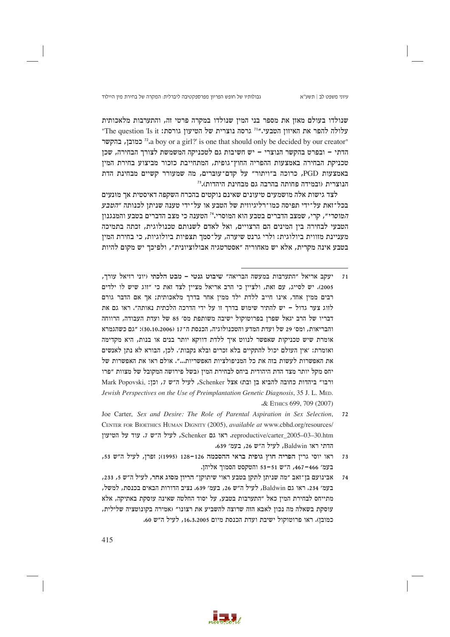גבולותיו של חופש הפריון מפרספקטיבה ליברלית: המקרה של בחירת מין היילוד

שנולדו בעולם מאזן את מספר בני המין שנולדו במקרה פרטי זה, והתערבות מלאכותית עלולה להפר את האיזוז הטבעי."<sup>ז</sup> גרסה נוצרית של הטיעוז גורסת: The question 'Is it" "za boy or a girl?' is one that should only be decided by our creator" הדתי – ובפרט בהקשר הנוצרי – יש חשיבות גם לטכניקה המשמשת לצורך הבחירה, שכן טכניקת הבחירה באמצעות ההפריה החוץ־גופית, המתחייבת כזכור מביצוע בחירת המין באמצעות PGD, כרוכה ב"ויתור" על קדם־עוּבּרים, מה שמעורר קשיים מבחינת הדת הנוצרית (ובמידה פחותה בהרבה גם מבחינת היהדות).<sup>73</sup>

לצד גישות אלה מושמעים טיעונים שאינם נוקטים בהכרח השקפה דאיסטית אך מוּנעים בכל־זאת על־ידי תפיסה כמו־רליגיוזית של הטבע או על־ידי טענה שניתן לכנותה "*הטבע* המוסרי", קרי, שמצב הדברים בטבע הוא המוסרי.<sup>14</sup> הטענה כי מצב הדברים בטבע והמנגנון הטבעי לבחירה בין המינים הם הרצויים, ואל לאדם לשנותם טכנולוגית, זכתה בתמיכה מעניינת מזווית ביולוגית: ולרי גרנט שיערה, על־סמך תצפיות ביולוגיות, כי בחירת המין בטבע אינה מקרית, אלא יש מאחוריה "אסטרטגיה אבולוציונית", ולפיכך יש מקום להיות

- יעקב אריאל "התערבות במעשה הבריאה" שיבוט גנטי מבט הלכתי (יוני רזיאל עורך, 2005). יש לסייג, עם זאת, ולצייז כי הרב אריאל מצייז לצד זאת כי ״זוג שיש לו ילדים רבים ממין אחד, אינו חייב ללדת ילד ממין אחר בדרך מלאכותית; אך אם הדבר גורם לזוג צער גדול – יש להתיר שימוש בדרך זו על ידי הדרכה הלכתית נאותה". ראו גם את דבריו של הרב יגאל שפרן בפרוטוקול ישיבה משותפת מס׳ 85 של ועדת העבודה, הרווחה והבריאות, ומס׳ 29 של ועדת המדע והטכנולוגיה, הכנסת ה־17 (30.10.2006): "גם כשהגמרא אומרת שיש טכניקות שאפשר לנווט איר ללדת דווקא יותר בנים או בנות, היא מקדימה ואומרת: ׳אין העולם יכול להתקיים בלא זכרים ובלא נקבות׳. לכן, הבורא לא נתן לאנשים את האפשרות לעשות בזה את כל המניפולציות האפשריות...״. אולם ראו את האפשרות של יחס מקל יותר מצד הדת היהודית ביחס לבחירת המיז (בשל פירושה המקובל של מצוות ״פרו ורבו" ביהדות כחובה להביא בן ובת) אצל Schenker, לעיל ה"ש 7, וכן: .Mark Popovski Jewish Perspectives on the Use of Preimplantation Genetic Diagnosis, 35 J. L. MED. & ETHICS 699, 709 (2007)
- Joe Carter, Sex and Desire: The Role of Parental Aspiration in Sex Selection,  $72$ CENTER FOR BIOETHICS HUMAN DIGNITY (2005), available at www.cbhd.org/resources/ reproductive/carter 2005-03-30.htm. ראו גם Schenker, לעיל ה״ש ז. עוד על הטיעון הדתי ראו Baldwin, לעיל ה״ש 26, בעמ׳ 639.
- ראו יוסי גרין הפריה חוץ גופית בראי ההסכמה 126–128 (1995); זפרן, לעיל ה״ש 53, 73 בעמ׳ 466–467, ה"ש 51–53 והטקסט הסמוך אליהן.
- אבינועם בן־זאב "מה שניתן לתקן בטבע ראוי שיתוקן" הריון מסוג אחר, לעיל ה"ש 5, 233, 74 בעמ׳ 234. ראו גם Baldwin, לעיל ה״ש 26, בעמ׳ 639. נציב הדורות הבאים בכנסת, למשל, מתייחס לבחירת המין כאל "התערבות בטבע, על יסוד החלטה שאינה עוסקת באתיקה, אלא עוסקת בשאלה מה נכון לאבא הזה שרוצה להשביע את רצונו" (אמירה בקונוטציה שלילית, כמובן). ראו פרוטוקול ישיבת ועדת הכנסת מיום 16.3.2005, לעיל ה״ש 60.

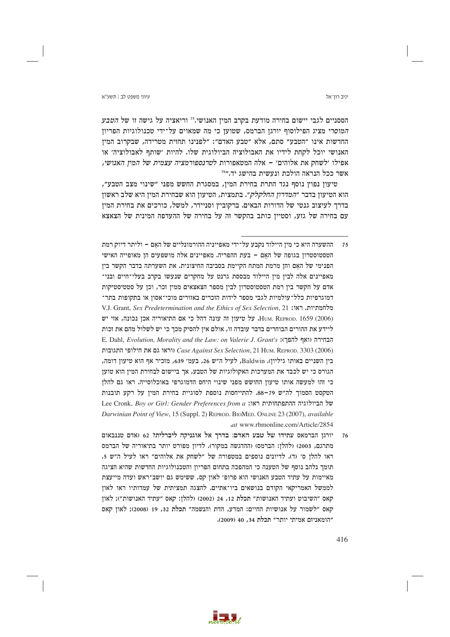עיווי משפט לר∣ חשע״א

הססניים לגבי יישום בחירה מודעת בקרב המין האנושי.15 וריאציה על גישה זו של *הטבע* המוסדי מציג הפילוסוף יורגז הברמס, שטועז כי מה שמאוים על־ידי טכנולוגיות הפריוז החדשות אינו "הטבע" סתם, אלא "טבע האדם": "לפנינו תחזית מטרידה, שבקרוב המין האנושי יוכל לקחת לידיו את האבולוציה הביולוגית שלו. להיות ׳שותף לאבולוציה׳ או אפילו ׳לשחק את אלוהים׳ – אלה המטאפורות לט*רנספורמציה עצמית של המיז האנושי.* אשר ככל הנראה הולכת ונעשית בהישג יד."<sup>76</sup>

טיעון נפוץ נוסף נגד התרת בחירת המין, במסגרת החשש מפני "שינוי מצב הטבע", הוא הטיעון בדבר "*המדרון החלקלק"*. בתמצית, הטיעון הוא שבחירת המין היא שלב ראשון בדרך לעיצוב גנטי של הדורות הבאים. ברקוביץ וסניידר, למשל, כורכים את בחירת המין עם בחירה של גזע, וסטיין כותב בהקשר זה על בחירה של ההעדפה המינית של הצאצא

- ההשערה היא כי מין היילוד נקבע על־ידי מאפייניה ההורמונליים של האם וליתר דיוק רמת  $75$ הטסטוסטרוז בגופה של האם – בעת ההפריה. מאפיינים אלה מושפעים הז מאופייה האישי הפנימי של האם והז מרמת המתח הקיימת בסביבה החיצונית. את השערתה בדבר הקשר ביז מאפיינים אלה לבין מין היילוד מבססת גרנט על מחקרים שנעשו בקרב בעלי־חיים ובני־ אדם על הקשר ביז רמת הטסטוסטרוז לביז מספר הצאצאים ממיז זכר. וכז על סטטיסטיקות דמוגרפיות כלל־עולמיות לגבי מספר לידות הזכרים באזורים מוכי־אסוז או בתקופות בתר־ V.J. Grant, Sex Predetermination and the Ethics of Sex Selection, 21 ווי: V.J. Grant, Sex Predetermination and the Ethics of Sex Selection, 21 HUM. REPROD. 1659 (2006). על טיעון זה עונה דהל כי אם התיאוריה אכן נכונה, אזי יש ליידע את ההורים הבוחרים בדבר עובדה זו, אולם איז להסיק מכר כי יש לשלול מהם את זכות E. Dahl, Evolution, Morality and the Law: on Valerie J. Grant's :הבחירה (ואף להפך) וראו גם את חילופי התגובות Case Against Sex Selection, 21 HUM. REPROD. 3303 (2006) ביז השניים באותו גיליוז). Baldwin, לעיל ה״ש 26, בעמ׳ 639, מזכיר אף הוא טיעוז דומה, הגורס כי יש לכבד את המערכות האקולוגיות של הטבע, אר ביישום לבחירת המיז הוא טועז כי זהו למעשה אותו טיעון החושש מפני שינוי היחס הדמוגרפי באוכלוסייה. ראו גם להלן הטקסט הסמוך לה"ש 79–88. להתייחסות נוספת לסוגיית בחירת המין על רקע תובנות Lee Cronk, Boy or Girl: Gender Preferences from a :של הביולוגיה ההתפתחותית ראו: Darwinian Point of View, 15 (Suppl. 2) REPROD. BIOMED. ONLINE 23 (2007), available .at www.rbmonline.com/Article/2854
- יורגן הברמאס עתידו של טבע האדם: בדרך אל אוגניקה ליברלית? 62 (אדם טננבאום 76 מתרגם, 2003) (להלן: הברמס) (ההדגשה במקור). לדיון מפורט יותר בתיאוריה של הברמס ראו להלן ס׳ (ד). לדיונים נוספים במטפורה של "לשחק את אלוהים" ראו לעיל ה"ש 5. תומך נלהב נוסף של הטענה כי המהפכה בתחום הפריון והטכנולוגיות החדשות שהיא הציגה מאיימות על עתיד הטבע האנושי הוא פרופ׳ לאון קס, ששימש גם יושב־ראש ועדה מייעצת לממשל האמריקאי הקודם בנושאים ביו־אתיים. להצגה תמציתית של עמדותיו ראו לאון קאס "השיבוט ועתיד האנושות" תכלת 12, 24 (2002) (להלן: קאס "עתיד האנושות"); לאון קאס "לשמור על אנושיות החיים: המדע, הדת והנשמה" תכלת 32, 19 (2008); לאון קאס "הומאניזם אמיתי יותר" תכלת 34, 40 (2009).

יניב רוו־אל

416

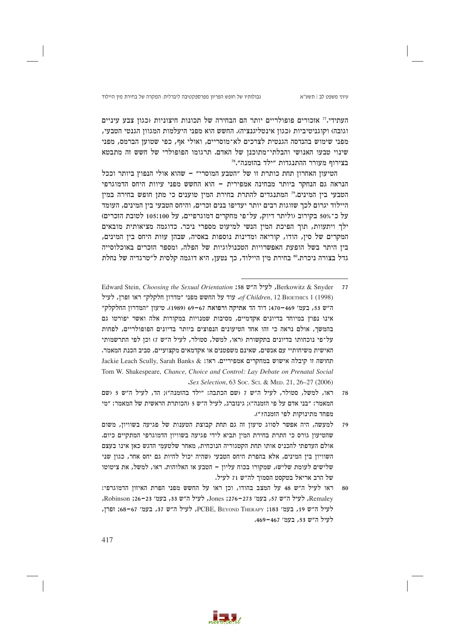גבולותיו של חופש הפריון מפרספקטיבה ליברלית: המקרה של בחירת מין היילוד

העתידי.<sup>17</sup> אוכורים פופולריים יותר הם הבחירה של תכונות חיצוניות (כגון צבע עיניים וגובה) וקוגניטיביות (כגוז אינטליגנציה). החשש הוא מפני היעלמות המגווז הגנטי הטבעי, מפני שימוש בהנדסה הגנטית לצרכים לא־מוסריים, ואולי אף, כפי שטוען הברמס, מפני שינוי טבעו האנושי והבלתי־מתוכנן של האדם. תרגומו הפופולרי של חשש זה מתבטא בצירוף מעורר ההתנגדות "ילד בהזמנה".<sup>78</sup>

הטיעון האחרון תחת כותרת זו של "הטבע המוסרי" - שהוא אולי הנפוץ ביותר וככל הנראה גם הנחקר ביותר מבחינה אמפירית – הוא החשש מפני עיוות היחס הדמוגרפי הטבעי בין המינים." המתנגדים להתרת בחירת המין טוענים כי מתן חופש בחירה במין היילוד יגרום לכך שזוגות רבים יותר יעדיפו בנים זכרים, והיחס הטבעי בין המינים, העומד על כ־50% בקירוב (וליתר דיוק, על־פי מחקרים דמוגרפיים, על 105:100 לטובת הזכרים) ילך ויתעוות, תוך הפיכת המין הנשי למיעוט מספרי ניכר. כדוגמה מציאותית מובאים המקרים של סין, הודו, קוריאה ומדינות נוספות באסיה, שבהן עוּות היחס בין המינים, בין היתר בשל הופעת האפשרויות הטכנולוגיות של הפלה, ומספר הזכרים באוכלוסייה גדל בצורה ניכרת.<sup>80</sup> בחירת מין היילוד, כך נטען, היא דוגמה קלסית ל"טרגדיה של נחלת

- Berkowitz & Snyder . לעיל ה"ש 158 Edward Stein, *Choosing the Sexual Orientation* 77 לעיל החשש מפני "מדרון חלקלק" ראו זפרן, לעיל .of Children, 12 BIOETHICS 1 (1998) ה"ש 53, בעמ' 469–470; דוד הד אתיקה ורפואה 67–69 (1989). טיעון "המדרון החלקלק" אינו נפוץ במיוחד בדיונים אקדמיים, מסיבות שמנויות במקורות אלה ואשר יפורטו גם בהמשר, אולם נראה כי זהו אחד הטיעונים הנפוצים ביותר בדיונים הפופולריים, לפחות על־פי נוכחותו בדיונים בתקשורת (ראו, למשל, סטולר, לעיל ה"ש 7) וכן לפי התרשמותי האישית משיחותיי עם אנשים, שאינם משפטנים או אקדמאים מקצועיים, סביב הכנת המאמר. Jackie Leach Scully, Sarah Banks & ותחושה זו קיבלה אישוש במחקרים אמפיריים. ראו: Tom W. Shakespeare, Chance, Choice and Control: Lay Debate on Prenatal Social Sex Selection, 63 Soc. Sci. & MED. 21, 26-27 (2006)
- ראו, למשל, סטולר, לעיל ה"ש ז ושם הכתבה: "ילד בהזמנה"); הד, לעיל ה"ש 5 ושם המאמר: "בני אדם על פי הזמנה"): גינזברג. לעיל ה"ש 5 (הכותרת הראשית של המאמר: "מי מפחד מתינוקות לפי הזמנה?").
- למעשה, היה אפשר לסווג טיעון זה גם תחת קבוצת הטענות של פגיעה בשוויון, משום 79 שהטיעון גורס כי התרת בחירת המין תביא לידי פגיעה בשוויון הדמוגרפי המתקיים כיום. אולם העדפתי להכניס אותו תחת הקטגוריה הנוכחית, מאחר שלטעמי הדגש כאן אינו בעצם השוויון בין המינים, אלא בהפרת היחס הטבעי (שהיה יכול להיות גם יחס אחר, כגון שני שלישים לעומת שליש), שמקורו בכוח עליון – הטבע או האלוהות. ראו, למשל, את ציטוטו של הרב אריאל בטקסט הסמוך לה״ש 71 לעיל.
- ראו לעיל ה״ש 48 על המצב בהודו, וכן ראו על החשש מפני הפרת האיזון הדמוגרפי: 80 Remaley, לעיל ה״ש 57, בעמ׳ 273–276; Jones, לעיל ה״ש 33, בעמ׳ 23–26; Robinson, לעיל ה"ש 19, בעמ' 183; PCBE, BEYOND THERAPY, לעיל ה"ש 37, בעמ' 67-68; ופרן, לעיל ה״ש 53, בעמ׳ 467–469.

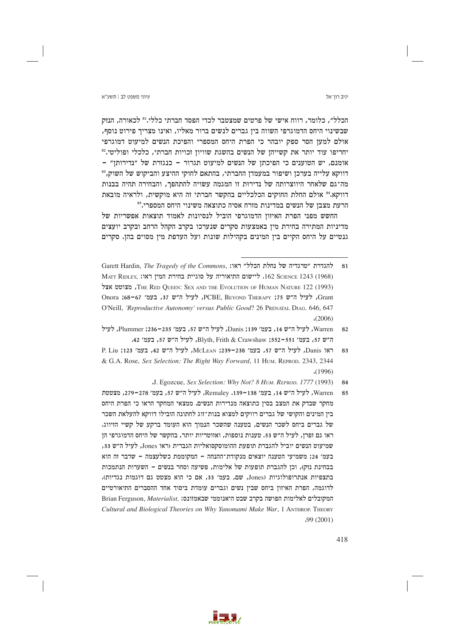### עיווי משפט לר∣ חשע״א

הכלל״, כלומר, רווח אישי של פרטים שמצטבר לכדי הפסד חברתי כללי.<sup>81</sup> לכאורה, הנזק שבשינוי היחס הדמוגרפי השווה ביז גברים לנשים ברור מאליו, ואינו מצריר פירוט נוסף, אולם למען הסר ספק יובהר כי הפרת היחס המספרי והפיכת הנשים למיעוט דמוגרפי יחריפו עוד יותר את קשייהן של הנשים בהשגת שוויון זכויות חברתי, כלכלי ופוליטי.82 אומנם, יש הטוענים כי הפיכתו של הנשים למיעוט תגרור – כנגזרת של ״נדירותו״ – דווקא עלייה בערכן ושיפור במעמדן החברתי, בהתאם לחוקי ההיצע והביקוש של השוק,<sup>83</sup> מה־גם שלאחר היווצרותה של נדירות זו המגמה עשויה להתהפך, והבחירה תהיה בבנות דווקא.<sup>24</sup> אולם החלת החוקים הכלכליים בהקשר חברתי זה היא מוקשית, ולראיה מובאת הרעת מצבז של הנשים במדינות מזרח אסיה כתוצאה משינוי היחס המספרי.<sup>85</sup>

החשש מפני הפרת האיזון הדמוגרפי הוביל לנסיונות לאמוד תוצאות אפשריות של מדיניות המתירה בחירת מין באמצעות סקרים שנערכו בקרב הקהל הרחב ובקרב יועצים גנטיים על היחס הקיים בין המינים בקהילות שונות ועל העדפת מין מסוים בהן. סקרים

- Warren , לעיל ה״ש 14, בעמ׳ 139: Danis, לעיל ה״ש 57, בעמ׳ 235–236: Plummer, לעיל  $82$ ה"ש 57, בעמ' 551–552; Blyth, Frith & Crawshaw, לעיל ה"ש 57, בעמ' 42.
- P. Liu ;123 יא בעמ׳ 42 -239 ו.McLEAN ;239-238 ו-McLEAN ו-P. Liu 83 & G.A. Rose, Sex Selection: The Right Way Forward, 11 HUM. REPROD, 2343, 2344  $(1996)$ 
	- J. Egozcue, Sex Selection: Why Not? 8 HUM. REPROD. 1777 (1993). 84
- Warren, לעיל ה״ש 14, בעמ׳ 138-139. Remaley, לעיל ה״ש 57, בעמ׳ 278-279, מצטטת 85 מחקר שבדק את המצב בסיו כתוצאה מנדירות הנשים. ממצאי המחקר הראו כי הפרת היחס בין המינים והקושי של גברים רווקים למצוא בנות־זוג לחתונה הובילו דווקא להעלאת השכר של גברים ביחס לשכר הנשים, בטענה שהשכר הנמוך הוא העומד ברקע של קשיי הזיווג. ראו גם זפרן, לעיל ה״ש 53. טענות נוספות, ואזוטריות יותר, בהקשר של היחס הדמוגרפי הן שמיעוט הנשים יוביל להגברת תופעת ההומוסקסואליות הגברית (ראו Jones, לעיל ה"ש 33, בעמ׳ 24; משמיעי הטענה יוצאים מנקודת־ההנחה - המקוממת כשלעצמה - שדבר זה הוא בבחינת נזק), וכז להגברת תופעות של אלימות, פשיעה וסחר בנשים – השערות הנתמכות בתצפיות אנתרופולוגיות (Jones, שם, בעמ׳ 33, אם כי הוא מצטט גם דוגמות נגדיות). לדוגמה, הפרת האיזון ביחס שבין נשים וגברים עומדת ביסוד אחד ההסברים התיאורטיים Brian Ferguson, Materialist, ומקובלים לאלימות הפושה בקרב שבט היאנוממי שבאמזונס: Cultural and Biological Theories on Why Yanomami Make War, 1 ANTHROP. THEORY  $.99(2001)$



Garett Hardin, The Tragedy of the Commons, יהגדרת "טרגדיה של נחלת הכלל" ראו: 81 MATT RIDLEY, 1243 (1968). ליישום התיאוריה על סוגיית בחירת המין ראו: MATT RIDLEY, THE RED OUEEN: SEX AND THE EVOLUTION OF HUMAN NATURE 122 (1993) Grant, לעיל ה"ש 75: PCBE, BEYOND THERAPY, לעיל ה"ש 37, בעמ' 67-68: Onora O'Neill, 'Reproductive Autonomy' versus Public Good? 26 PRENATAL DIAG. 646, 647  $(2006)$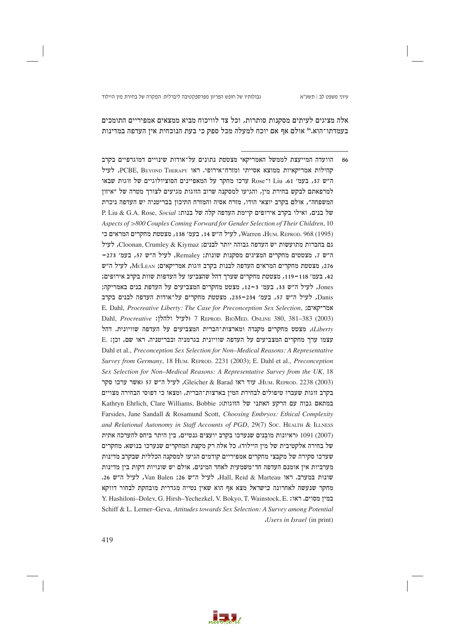גבולותיו של חופש הפריון מפרספקטיבה ליברלית: המקרה של בחירת מין היילוד

אלה מציגים לעיתים מסקנות סותרות, וכל צד לוויכוח מביא ממצאים אמפיריים התומכים בעמדתו־הוא.<sup>86</sup> אולם אף אם יוכח למעלה מכל ספק כי בעת הנוכחית איז העדפה במדינות



הוועדה המייעצת לממשל האמריקאי מצטטת נתונים על־אודות שינויים דמוגרפיים בקרב 86 קהילות אמריקאיות ממוצא אסייתי ומזרח־אירופי. ראו PCBE, BEYOND THERAPY, לעיל ה"ש 37, בעמ' Liu ו־Rose ערכו מחקר על המאפיינים הסוציולוגיים של זוגות שבאו למרפאתם לבקש בחירת מין, והגיעו למסקנה שרוב הזוגות מגיעים לצורך מטרה של "איזון המשפחה", אולם בקרב יוצאי הודו, מזרח אסיה והמזרח התיכון בבריטניה יש העדפה ניכרת P. Liu & G.A. Rose, Social :של בנות: P. Liu & G.A. Rose, Social Aspects of >800 Couples Coming Forward for Gender Selection of Their Children, 10 (1995) Warren .Hum. REPROD. 968 (1995), לעיל ה"ש 14, בעמ' 138, מצטטת מחקרים המראים כי גם בחברות מתועשות יש העדפה גבוהה יותר לבנים; Cloonan, Crumley & Kiymaz, לעיל ה"ש 7, מצטטים מחקרים המציגים מסקנות שונות; Remaley, לעיל ה"ש 57, בעמ' 273-276, מצטטת מחקרים המראים העדפה לבנות בקרב זוגות אמריקאים; McLEAN, לעיל ה"ש 42, בעמ׳ 118–119, מצטטת מחקרים שערך דהל שהצביעו על העדפות שוות בקרב אירופים; Jones, לעיל ה"ש 33, בעמ' 3-12, מצטט מחקרים המצביעים על העדפת בנים באמריקה; Danis, לעיל ה"ש 57, בעמ' 234–235, מצטטת מחקרים על־אודות העדפה לבנים בקרב E. Dahl, Procreative Liberty: The Case for Preconception Sex Selection, אמריקאים Dahl, Procreative (לעיל ולהלן: 7 REPROD. BIOMED. ONLINE 380, 381-383 (2003) Liberty), מצטט מחקרים מקנדה ומארצות־הברית המצביעים על העדפה שוויונית. דהל E. נכן: E. נכן: E. נכן: און המצביעים על העדפה שוויונית בגרמניה ובבריטניה. ראו שם, וכן Dahl et al., Preconception Sex Selection for Non-Medical Reasons: A Representative Survey from Germany, 18 HUM, REPROD, 2231 (2003); E. Dahl et al., Preconception Sex Selection for Non-Medical Reasons: A Representative Survey from the UK, 18 HUM. REPROD. 2238 (2003), עוד ראו Gleicher & Barad, לעיל ה"ש 57 (אשר ערכו סקר בקרב זוגות שעברו טיפולים לבחירת המין בארצות־הברית, ומצאו כי דפוסי הבחירה מצויים במתאם גבוה עם הרקע האתני של הזוגות): Kathryn Ehrlich, Clare Williams, Bobbie Farsides, Jane Sandall & Rosamund Scott, Choosing Embryos: Ethical Complexity and Relational Autonomy in Staff Accounts of PGD, 29(7) Soc. HEALTH & ILLNESS (2007) 1091 (ראיונות מובנים שנערכו בקרב יועצים גנטיים, בין היתר ביחס להערכה אתית של בחירה אלקטיבית של מין היילוד). כל אלה רק מקצת המחקרים שנערכו בנושא. מחקרים שערכו סקירה של מקבצי מחקרים אמפיריים קודמים הגיעו למסקנה הכללית שבקרב מדינות מערביות אין אומנם העדפה חד־משמעית לאחד המינים, אולם יש שונויות דקות בין מדינות שונות במערב. ראו Hall, Reid & Marteau, לעיל ה"ש 26; Van Balen, לעיל ה"ש 26. מחקר שנעשה לאחרונה *בישראל* מצא אף הוא שאין נטייה מגדרית מובהקת לבחור דווקא Y. Hashiloni-Dolev, G. Hirsh-Yechezkel, V. Bokyo, T. Wainstock, E. נמים. ראו: Schiff & L. Lerner-Geva, Attitudes towards Sex Selection: A Survey among Potential .Users in Israel (in print)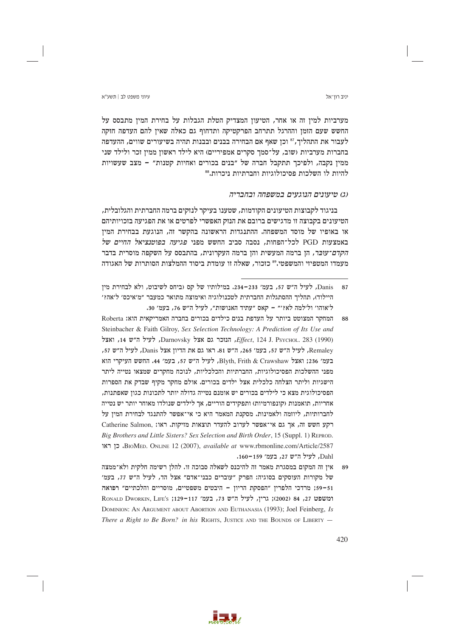עיווי משפט לר∣ חשע״א

מערביות למין זה או אחר, הטיעון המצדיק הטלת הגבלות על בחירת המין מתבסס על החשש שעם הזמז וההרגל תתרחב הפרקטיקה ותדחוף גם כאלה שאיז להם העדפה חזקה לעבור את התהליך,<sup>8</sup>' וכן שאף אם הבחירה בבנים ובבנות תהיה בשיעורים שווים, ההעדפה בחברות מערביות (שוב, על־סמך סקרים אמפיריים) היא לילד ראשון ממין זכר ולילד שני ממין נקבה, ולפיכך תתקבל חברה של "בנים בכורים ואחיות קטנות" - מצב שעשויות להיות לו השלכות פסיכולוגיות וחברתיות ניכרות.88

# (ג) טיעונים הנוגעים במשפחה ובחבריה

בניגוד לקבוצות הטיעונים הקודמות, שטענו בעיקר לנזקים ברמה החברתית והגלובלית, הטיעונים בקבוצה זו מדגישים ברובם את הנזק האפשרי לפרטים או את הפגיעה בזכויותיהם או באופיו של מוסד המשפחה. ההתנגדות הראשונה בהקשר זה, הנוגעת בבחירת המין באמצעות PGD לכל־הפחות, נסבה סביב החשש מפני *פגיעה בפוטנציאל החיים של הקדם־עוּבּר,* הן ברמה המעשית והן ברמה העקרונית, בהתבסס על השקפה מוסרית בדבר מעמדו המטפיזי והמשפטי.°° כזכור. שאלה זו עומדת ביסוד ההמלצות הסותרות של האגודה

- המחקר המצוטט ביותר על העדפת בנים כילדים בכורים בחברה האמריקאית הוא: Roberta 88 Steinbacher & Faith Gilroy, Sex Selection Technology: A Prediction of Its Use and , Lettect, 124 J. Psychol. 283 (1990), הנוכר גם אצל Darnovsky, לעיל ה״ש 14, ואצל Remaley, לעיל ה״ש 57, בעמ׳ 265, ה״ש 81. ראו גם את הדיון אצל Danis, לעיל ה״ש 57, בעמ' 236: ואצל Blyth, Frith & Crawshaw, לעיל ה"ש 57, בעמ' 44. החשש העיקרי הוא מפני ההשלכות הפסיכולוגיות, החברתיות והכלכליות, לנוכח מחקרים שמצאו נטייה ליתר הישגיות וליתר הצלחה כלכלית אצל ילדים בכורים. אולם מחקר מקיף שבדק את הספרות הפסיכולוגית מצא כי לילדים בכורים יש אומנם נטייה גדולה יותר לתכונות כגון שאפתנות, אחריות, תואמנות (קונפורמיות) ותפקידים הוריים, אך לילדים שנולדו מאוחר יותר יש נטייה לחברותיות, ליוזמה ולאמינות. מסקנת המאמר היא כי אי־אפשר להתנגד לבחירת המין על רקע חשש זה, אך גם אי־אפשר לערוב להעדר תוצאות מזיקות. ראו: Catherine Salmon, Big Brothers and Little Sisters? Sex Selection and Birth Order, 15 (Suppl. 1) REPROD. EIOMED. ONLINE 12 (2007), available at www.rbmonline.com/Article/2587 Dahl, לעיל ה"ש 27, בעמ׳ 159-160.
- אין זה המקום במסגרת מאמר זה להיכנס לשאלה סבוכה זו. להלן רשימה חלקית ולא־ממצה 89 של מקורות העוסקים בסוגיה: הפרק "עוברים כבני־אדם" אצל הד, לעיל ה"ש 77, בעמ' 59-51; מרדכי הלפרין "הפסקת הריון - היבטים משפטיים, מוסריים והלכתיים" רפואה RONALD DWORKIN, LIFE's ;129-117 73 73, בעמ׳ 119-117; RONALD DWORKIN, LIFE's DOMINION: AN ARGUMENT ABOUT ABORTION AND EUTHANASIA (1993); Joel Feinberg, Is There a Right to Be Born? in his RIGHTS, JUSTICE AND THE BOUNDS OF LIBERTY  $-$



Danis. לעיל ה"ש 57. בעמ' 233–234. במילותיו של קס (ביחס לשיבוט, ולא לבחירת מיז  $87$ היילוד), תהליר ההסתגלות החברתית לטכנולוגיה ואימוצה מתואר כמעבר ״מ׳איכס׳ ל׳אה?׳ ל'אוהו' ול'למה לא?'" - קאס "עתיד האנושות", לעיל ה"ש 76, בעמ' 30.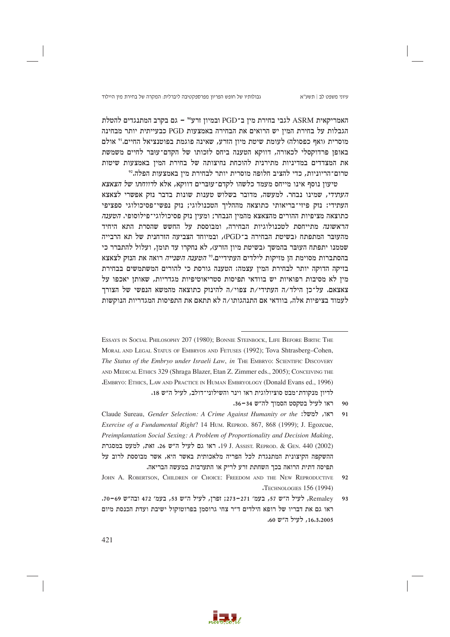גבולותיו של חופש הפריון מפרספקטיבה ליברלית: המקרה של בחירת מין היילוד

האמריקאית ASRM לגבי בחירת מין ב־PGD ובמיון זרע<sup>06</sup> – גם בקרב המתנגדים להטלת הגבלות על בחירת המיז יש הרואים את הבחירה באמצעות PGD כבעייתית יותר מבחינה מוסרית (ואף כפסולה) לעומת שיטת מיון הזרע, שאינה פוגמת בפוטנציאל החיים.<sup>וי</sup> אולם באופן פרדוקסלי לכאורה, דווקא הטענה ביחס לזכותו של הקדם־עוּבּר לחיים משמשת את המצדדים במדיניות מתירנית להוכחת נחיצותה של בחירת המין באמצעות שיטות טרום־הריוניות, כדי להציב חלופה מוסרית יותר לבחירת מין באמצעות הפלה.<sup>92</sup>

טיעון נוסף אינו מייחס מעמד כלשהו לקדם־עוּבּרים דווקא, אלא לדווחתו של הצאצא העתידי, שמינו נבחר. למעשה, מדובר בשלוש טענות שונות בדבר נזק אפשרי לצאצא העתידי: נזק פיזי־בריאותי כתוצאה מההליך הטכנולוגי; נזק נפשי־פסיכולוגי ספציפי כתוצאה מציפיות ההורים מהצאצא מהמין הנבחר; ומעין נזק פסיכולוגי־פילוסופי. *הטענה* הראשונה מתייחסת לטכנולוגיות הבחירה, ומבוססת על החשש שהסרת התא היחיד מהעובר המתפתח (בשיטת הבחירה ב־PGD), ובמיוחד הצביעה הזרחנית של תא הרבייה שממנו יתפתח העובר בהמשך (בשיטת מיון הזרע), לא נחקרו עד תומן, ועלול להתברר כי בהסתברות מסוימת הן מזיקות לילדים העתידיים.<sup>39</sup> *הטענה השנייה* רואה את הנזק לצאצא בזיקה הדוקה יותר לבחירת המין עצמה: הטענה גורסת כי להורים המשתמשים בבחירת מין לא מסיבות רפואיות יש בוודאי תפיסות סטריאוטיפיות מגדריות, שאותן יאכפו על צאצאם. על־כן הילד/ה העתידי/ת צפוי/ה להינזק כתוצאה מהמשא הנפשי של הצורך לעמוד בציפיות אלה, בוודאי אם התנהגותו/ה לא תתאם את התפיסות המגדריות הנוקשות.

ESSAYS IN SOCIAL PHILOSOPHY 207 (1980); BONNIE STEINBOCK, LIFE BEFORE BIRTH: THE MORAL AND LEGAL STATUS OF EMBRYOS AND FETUSES (1992); Tova Shtrasberg-Cohen, The Status of the Embryo under Israeli Law, in THE EMBRYO: SCIENTIFIC DISCOVERY AND MEDICAL ETHICS 329 (Shraga Blazer, Etan Z. Zimmer eds., 2005); CONCEIVING THE "EMBRYO: ETHICS, LAW AND PRACTICE IN HUMAN EMBRYOLOGY (Donald Evans ed., 1996) לדיון מנקודת־מבט סוציולוגית ראו וינר והשילוני־דולב, לעיל ה"ש 18.

- ראו לעיל בטקסט הסמור לה״ש 34–36.  $90$
- Claude Sureau, Gender Selection: A Crime Against Humanity or the :ראו, למשל:  $91$ Exercise of a Fundamental Right? 14 HUM. REPROD. 867, 868 (1999); J. Egozcue, Preimplantation Social Sexing: A Problem of Proportionality and Decision Making, J. Assist. REPROD. & GEN. 440 (2002) ו-19 J. Assist. REPROD. & GEN. 440. ההשקפה הקיצונית המתנגדת לכל הפריה מלאכותית באשר היא, אשר מבוססת לרוב על תפיסה דתית הרואה בכך השחתת זרע לריק או התערבות במעשה הבריאה.



JOHN A. ROBERTSON, CHILDREN OF CHOICE: FREEDOM AND THE NEW REPRODUCTIVE  $92$ **TECHNOLOGIES 156 (1994)** 

Remaley, לעיל ה"ש 57, בעמ' 271-273; זפרן, לעיל ה"ש 53, בעמ' 472 ובה"ש 69-70.  $Q<sub>3</sub>$ ראו גם את דבריו של רופא הילדים ד״ר צחי גרוסמן בפרוטוקול ישיבת ועדת הכנסת מיום 16.3.2005, לעיל ה״ש 60.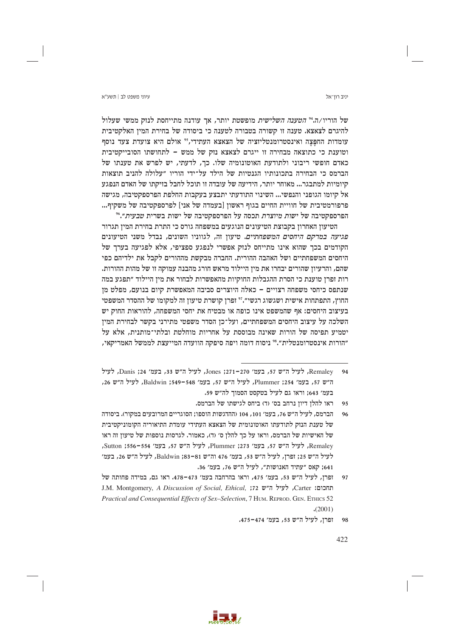### עיווי משפט לר∣ חשע״א

יניב רוו־אל

של הוריו/ה.<sup>24</sup> הטענה השלישית מופשטת יותר, אך עודנה מתייחסת לנזק ממשי שעלול להיגרם לצאצא. טענה זו קשורה בטבורה לטענה כי ביסודה של בחירת המיז האלקטיבית עומדות החפצה ואינסטרומנטליזציה של הצאצא העתידי, 25 אולם היא צועדת צעד נוסף וטוענת כי כתוצאה מבחירה זו ייגרם לצאצא נזק של ממש – לתחושתו הסובייקטיבית כאדם חופשי ריבוני ולתודעת האוטונומיה שלו. כך, לדעתי, יש לפרש את טענתו של הברמס כי הבחירה בתכונותיו הגנטיות של הילד על־ידי הוריו "עלולה להניב תוצאות קיומיות למתבגר... מאוחר יותר, הידיעה של עובדה זו תוכל לחבל בזיקתו של האדם הנפגע אל קיומו הגופני והנפשי... השינוי התודעתי יתבצע בעקבות החלפת הפרספקטיבה, מגישה פרפורמטיבית של חוויית החיים בגוף ראשון [בעמדה של אני] לפרספקטיבה של משקיף... הפרספקטיבה של ישות מיוצרת תכסה על הפרספקטיבה של ישות בשרית ט*בעית*״.6°

הטיעון האחרון בקבוצת הטיעונים הנוגעים במשפחה גורס כי התרת בחירת המין תגרור פגיעה במרקם היחסים המשפחתיים. טיעון זה, לגווניו השונים, נבדל משני הטיעונים הקודמים בכך שהוא אינו מתייחס לנזק אפשרי לנפגע ספציפי, אלא לפגיעה בערך של היחסים המשפחתיים ושל האהבה ההורית. החברה מבקשת מההורים לקבל את ילדיהם כפי שהם, והרעיון שהורים יבחרו את מין היילוד מראש חורג מהבנה עמוקה זו של מהות ההורות. רות זפרן טוענת כי הסרת ההגבלות החוקיות מהאפשרות לבחור את מין היילוד ״תפגע במה שנתפס כיחסי משפחה רצויים – כאלה היוצרים סביבה המאפשרת קיום בנועם, מפלט מן החוץ, התפתחות אישית ושגשוג רגשי״.<sup>זי</sup> זפרן קושרת טיעון זה למקומו של ההסדר המשפטי בעיצוב היחסים: אף שהמשפט אינו כופה או מבטיח את יחסי המשפחה, להוראות החוק יש השלכה על עיצוב היחסים המשפחתיים, ועל־כן הסדר משפטי מתירני בקשר לבחירת המין יטמיע תפיסה של הורות שאינה מבוססת על אחריות מוחלטת ובלתי־מותנית, אלא על "הורות אינסטרומנטלית".<sup>38</sup> ניסוח דומה ויפה סיפקה הוועדה המייעצת לממשל האמריקאי,



Remalev, לעיל ה״ש 57, בעמ׳ 270–271; Jones, לעיל ה״ש 33, בעמ׳ 24; Danis, לעיל  $94$ ה"ש 57, בעמ' 254; Plummer, לעיל ה"ש 57, בעמ' 548-549; Baldwin, לעיל ה"ש 26, בעמ׳ 643; וראו גם לעיל בטקסט הסמוך לה״ש 59.

ראו להלו דיוז נרחב בס׳ (ד) ביחס לגישתו של הברמס.  $Q<sub>5</sub>$ 

הברמס, לעיל ה״ש 76, בעמ׳ 101, 104 (ההדגשות הוספו; הסוגריים המרובעים במקור). ביסודה של טענת הנזק לתודעתו האוטונומית של הצאצא העתידי עומדת התיאוריה הקומוניקטיבית של האישיות של הברמס, וראו על כך להלן ס׳ (ד), כאמור. לגרסות נוספות של טיעון זה ראו Remaley, לעיל ה"ש 57, בעמ' 273; Plummer, לעיל ה"ש 57, בעמ' 554–556; Sutton, לעיל ה״ש 25; זפרן, לעיל ה״ש 53, בעמ׳ 476 וה״ש 81–83; Baldwin, לעיל ה״ש 26, בעמ׳ 641; קאס "עתיד האנושות", לעיל ה"ש 76, בעמ' 36.

זפרן, לעיל ה״ש 53, בעמ׳ 475, וראו בהרחבה בעמ׳ 473-478. ראו גם, במידה פחותה של  $97$ J.M. Montgomery, A Discussion of Social, Ethical, ;72 החכום: J.M. Montgomery, A Discussion of Social, Ethical, Practical and Consequential Effects of Sex-Selection, 7 HUM. REPROD. GEN. ETHICS 52  $(2001)$ 

ופרן, לעיל ה״ש 53, בעמ׳ 474–475. 98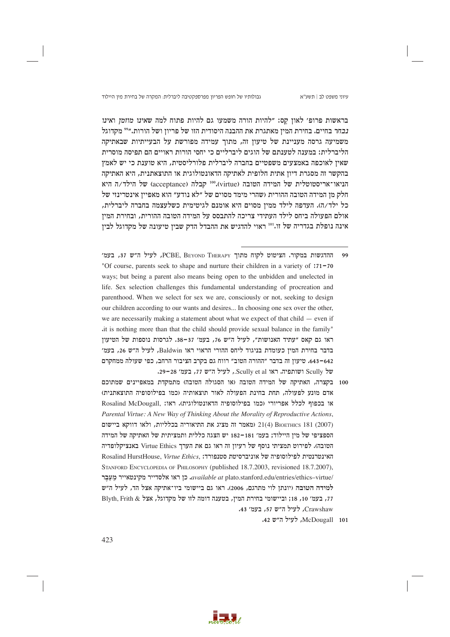גבולותיו של חופש הפריון מפרספקטיבה ליברלית: המקרה של בחירת מין היילוד

בראשות פרופ׳ לאון קס: "להיות הורה משמעו גם להיות פתוח למה שאינו מוזמן ואינו *נבחר בחיים. בחירת המיו מאת*גרת את ההבנה היסודית הזו של פריוז ושל הורות.״°° מקדוגל משמיעה גרסה מעניינת של טיעון זה, מתוך עמידה מפורשת על הבעייתיות שבאתיקה הליברלית: במענה לטענתם של הוגים ליברליים כי יחסי הורות ראויים הם תפיסה מוסרית שאיז לאוכפה באמצעים משפטיים בחברה ליברלית פלורליסטית, היא טוענת כי יש לאמץ בהקשר זה מסגרת דיון אתית חלופית לאתיקה הדאונטולוגית או התוצאתנית, היא האתיקה הניאו־אריסטוטלית של המידה הטובה (virtue).010 קבלה (acceptance) של הילד/ה היא חלק מן המידה הטובה ההורית (שהרי מימד מסוים של "לא נודע" הוא מאפיין אינטרינזי של כל ילד/ה). העדפה לילד ממין מסוים היא אומנם לגיטימית כשלעצמה בחברה ליברלית, אולם הפעולה ביחס לילד העתידי צריכה להתבסס על המידה הטובה ההורית, ובחירת המין אינה נופלת בגדריה של זו.<sup>101</sup> ראוי להדגיש את ההבדל הדק שבין טיעונה של מקדוגל לבין

- ההדגשות במקור. הציטוט לקוח מתוך PCBE, BEYOND THERAPY, לעיל ה"ש 37, בעמ'  $\overline{a}$ "Of course, parents seek to shape and nurture their children in a variety of :71-70 ways; but being a parent also means being open to the unbidden and unelected in life. Sex selection challenges this fundamental understanding of procreation and parenthood. When we select for sex we are, consciously or not, seeking to design our children according to our wants and desires... In choosing one sex over the other, we are necessarily making a statement about what we expect of that child  $-$  even if it is nothing more than that the child should provide sexual balance in the family" ראו גם קאס "עתיד האנושות", לעיל ה"ש 76, בעמ' 37-38. לגרסות נוספות של הטיעון בדבר בחירת המין כעומדת בניגוד ליחס ההורי הראוי ראו Baldwin, לעיל ה"ש 26, בעמ' 642–643. טיעון זה בדבר "ההורה הטוב" רווח גם בקרב הציבור הרחב, כפי שעולה ממחקרם של Scully ושותפיה. ראו Scully et al., לעיל ה"ש 77, בעמ' 28–29.
- 100 בקצרה, האתיקה של המידה הטובה (או הסגולה הטובה) מתמקדת במאפיינים שמתוכם אדם מוּנע לפעולה, תחת בחינת הפעולה לאור תוצאותיה וכמו בפילוסופיה התוצאתנית) או בכפוף לכלל אפריורי (כמו בפילוסופיה הדאונטולוגית). ראו: .Rosalind McDougall Parental Virtue: A New Way of Thinking About the Morality of Reproductive Actions, (2007) 21(4) BIOETHICS 281 (מאמר זה מציג את התיאוריה בכלליות, ולאו דווקא ביישום הספציפי של מין היילוד; בעמ׳ 181–182 יש הצגה כללית ותמציתית של האתיקה של המידה הטובה). לפירוט תמציתי נוסף של רעיון זה ראו גם את הערך Virtue Ethics באנציקלופדיה Rosalind HurstHouse, Virtue Ethics, האינטרנטית לפילוסופיה של אוניברסיטת סטנפורד: STANFORD ENCYCLOPEDIA OF PHILOSOPHY (published 18.7.2003, revisioned 18.7.2007), available at plato.stanford.edu/entries/ethics-virtue/<br/>movallable at plato.stanford.edu/entries/ethics-virtue/ למידה הטובה (יונתן לוי מתרגם, 2006). ראו גם ביישומי ביו־אתיקה אצל הד, לעיל ה״ש 77, בעמ׳ 10, 18; וביישומי בחירת המין, בטענה דומה לזו של מקדוגל, אצל & Blyth, Frith Crawshaw, לעיל ה"ש 57, בעמ' 43.

a bat ba

101 McDougall, לעיל ה״ש 42.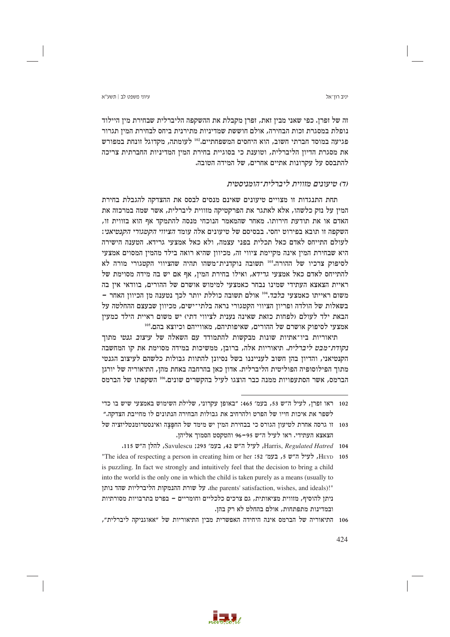עיווי משפט לר∣ חשע״א

זה של זפרן. כפי שאני מבין זאת, זפרן מקבלת את ההשקפה הליברלית שבחירת מין היילוד נופלת במסגרת זכות הבחירה, אולם חוששת שמדיניות מתירנית ביחס לבחירת המיז תגרור פגיעה במוסד חברתי חשוב, הוא היחסים המשפחתיים.202 לעומתה, מקדוגל זונחת במפורש את מסגרת הדיון הליברלית, וטוענת כי בסוגיית בחירת המין המדיניות החברתית צריכה להתבסס על עקרונות אתיים אחרים, של המידה הטובה.

# ור) טיעונים מזווית ליברלית־הומניסטית

תחת התנגדות זו מצויים טיעונים שאינם מנסים לבסס את ההצדקה להגבלת בחירת המין על נזק כלשהו, אלא לאתגר את הפרקטיקה מזווית ליברלית, אשר שמה במרכזה את האדם או את תודעת חירותו. מאחר שהמאמר הנוכחי מנסה להתמקד אף הוא בזווית זו, השקפה זו תובא בפירוט יחסי. בבסיסם של טיעונים אלה עומד הציווי הקטגורי הקנטיאני: לעולם התייחס לאדם כאל תכלית בפני עצמה, ולא כאל אמצעי גרידא. הטענה הישירה היא שבחירת המין אינה מקיימת ציווי זה, מכיוון שהיא רואה בילד מהמין המסוים אמצעי לסיפוק צרכיו של ההורה.<sup>103</sup> תשובה נוקדנית־משהו תהיה שהציווי הקטגורי מורה לא להתייחס לאדם כאל אמצעי ג*רידא*, ואילו בחירת המין, אף אם יש בה מידה מסוימת של ראיית הצאצא העתידי שמינו נבחר כאמצעי למימוש אושרם של ההורים, בוודאי אין בה משום ראייתו כאמצעי *בלבד*.104 אולם תשובה כוללת יותר לכד נטענה מז הכיווז האחר – בשאלות של הולדה ופריון הציווי הקטגורי נראה בלתי־ישים, מכיוון שבעצם ההחלטה על הבאת ילד לעולם (לפחות כזאת שאינה נענית לציווי דתי) יש משום ראיית הילד כמעיז אמצעי לסיפוק אושרם של ההורים, שאיפותיהם, מאווייהם וכיוצא בהם.105

תיאוריות ביו־אתיות שונות מבקשות להתמודד עם השאלה של *עיצוב גנטי* מתוד *נקודת־מבט ליברלית*. תיאוריות אלה, ברובז, ממשיכות במידה מסוימת את קו המחשבה הקנטיאני, והדיון בהן חשוב לענייננו בשל נסיונן להתוות גבולות כלשהם לעיצוב הגנטי מתוך הפילוסופיה הפוליטית הליברלית. אדון כאן בהרחבה באחת מהן, התיאוריה של יורגן הברמס, אשר הסתעפויות ממנה כבר הוצגו לעיל בהקשרים שונים.106 השקפתו של הברמס



<sup>102 –</sup> ראו זפרז, לעיל ה״ש 53, בעמ׳ 1465: ״באופז עקרוני, שלילת השימוש באמצעי שיש בו כדי לשפר את איכות חייו של הפרט ולהרחיב את גבולות הבחירה הנתונים לו מחייבת הצדקה.״

<sup>103 -</sup> זו גרסה אחרת לטיעון הגורס כי בבחירת המין יש מימד של החפצה ואינסטרומנטליזציה של הצאצא העתידי. ראו לעיל ה"ש 95–96 והטקסט הסמוך אליהן.

Harris, Regulated Hatred 104, לעיל ה"ש 42, בעמ' 293; Savulescu, להלן ה"ש 115.

<sup>&</sup>quot;The idea of respecting a person in creating him or her :52 , בעמ' 52 ,HEYD , HEYD , לעיל ה״ש is puzzling. In fact we strongly and intuitively feel that the decision to bring a child into the world is the only one in which the child is taken purely as a means (usually to "the parents' satisfaction, wishes, and ideals). על שורת ההנמקות הליברליות שהד נותן ניתן להוסיף, מזווית מציאותית, גם צרכים כלכליים וחומריים – בפרט בתרבויות מסורתיות ובמדינות מתפתחות, אולם בהחלט לא רק בהן.

<sup>106</sup> התיאוריה של הברמס אינה היחידה האפשרית מבין התיאוריות של "אאוגניקה ליברלית",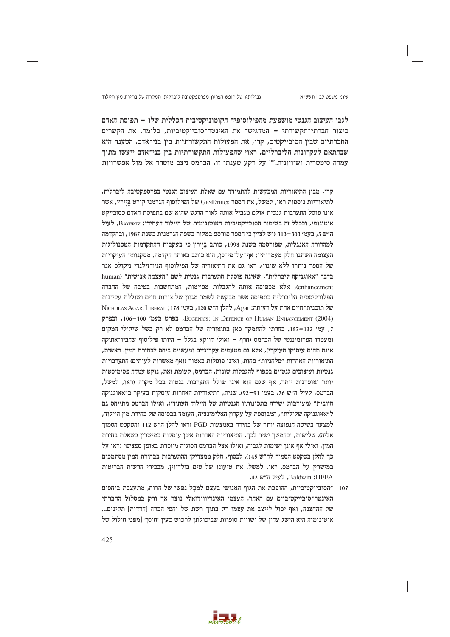

לגבי העיצוב הגנטי מושפעת מהפילוסופיה הקומוניקטיבית הכללית שלו – תפיסת האדם כיצור חברתי־תקשורתי – המדגישה את האינטר־סובייקטיביות, כלומר, את הקשרים החברתיים שבין הסובייקטים, קרי, את הפעולות התקשורתיות בין בני־אדם. הטענה היא שבהתאם לעקרונות הליברליים, ראוי שהפעולות התקשורתיות בין בני־אדם ייעשו מתוך עמדה סימטרית ושוויונית."י על רקע טענתו זו, הברמס ניצב מוטרד אל מול אפשרויות

107 "הסובייקטיביות, ההופכת את הגוף האנושי בעצם למכל נפשי של הרוח, מתעצבת ביחסים האינטר־סובייקטיביים עם האחר. העצמי האינדיווידואלי נוצר אך ורק במסלול החברתי של ההחצנה, ואף יכול לייצב את עצמו רק בתוך רשת של יחסי הכרה [הדדית] תקינים... אוטונומיה היא הישג עדין של ישויות סופיות שביכולתן לרכוש כעין 'חוסן' [מפני חילול של

a mata

425

קרי, מבין התיאוריות המבקשות להתמודד עם שאלת העיצוב הגנטי בפרספקטיבה ליברלית. לתיאוריות נוספות ראו, למשל, את הספר GENETHICS של הפילוסוף הגרמני קורט ביירץ, אשר אינו פוסל התערבות גנטית אולם מגביל אותה לאור הדגש שהוא שם בתפיסת האדם כסובייקט אוטונומי, ובכלל זה בשימור הסובייקטיביות האוטונומית של היילוד העתידי: BAYERTZ, לעיל ה"ש 5, בעמ' 303–313 (יש לציין כי הספר פורסם במקור בשפה הגרמנית בשנת 1987, ובהקדמה למהדורה האנגלית, שפורסמה בשנת 1993, כותב ביירץ כי בעקבות ההתקדמות הטכנולוגית העצומה השתנו חלק מעמדותיו; אף־על־פי־כן, הוא כותב באותה הקדמה, מסקנותיו העיקריות של הספר נותרו ללא שינוי). ראו גם את התיאוריה של הפילוסוף הניו־זילנדי ניקולס אגר בדבר "אאוגניקה ליברלית", שאינה פוסלת התערבות גנטית לשם "העצמה אנושית" (human enhancement), אלא מכפיפה אותה להגבלות מסוימות, המתחשבות בטיבה של החברה הפלורליסטית הליברלית כתפיסה אשר מבקשת לשמר מגווז של צורות חיים ושוללת עליונות של תוכנית־חיים אחת על רעותה: Agar, להלן ה"ש 120, בעמ' 178; NICHOLAS AGAR, LIBERAL , EUGENICS: IN DEFENCE OF HUMAN ENHANCEMENT (2004), ובפרק 7, עמ׳ 132–157. בחרתי להתמקד כאז בתיאוריה של הברמס לא רק בשל שיקולי המקום ומעמדו הפרומיננטי של הברמס (חרף - ואולי דווקא בגלל - היותו פילוסוף שהביו־אתיקה אינה תחום עיסוקו העיקרי), אלא גם מטעמים עקרוניים ומעשיים ביחס לבחירת המין. ראשית, התיאוריות האחרות ״סלחניות״ פחות, ואינז פוסלות כאמור (ואף מאשרות לעיתים) התערבויות גנטיות ועיצובים גנטיים בכפוף להגבלות שונות. הברמס, לעומת זאת, נוקט עמדה פסימיסטית יותר ואוסרנית יותר, אף שגם הוא אינו שולל התערבות גנטית בכל מקרה (ראו, למשל, הברמס, לעיל ה״ש 76, בעמ׳ 91–92). שנית, התיאוריות האחרות עוסקות בעיקר ב״אאוגניקה חיובית״ (מעורבות ישירה בתכונותיו הגנטיות של היילוד העתידי), ואילו הברמס מתייחס גם ל״אאוגניקה שלילית״, המבוססת על עקרון האלימינציה, העומד בבסיסה של בחירת מין היילוד, למצער בשיטה הנפוצה יותר של בחירה באמצעות PGD (ראו להלן ה"ש 112 והטקסט הסמוך אליה). שלישית, ובהמשך ישיר לכך, התיאוריות האחרות אינן עוסקות במישרין בשאלת בחירת המין, ואולי אף אינן ישימות לגביה, ואילו אצל הברמס הסוגיה מוזכרת באופן ספציפי (ראו על כך להלן בטקסט הסמוך לה״ש 145). לבסוף, חלק ממצדיקי ההתערבות בבחירת המין מסתמכים במישריו על הברמס. ראו, למשל, את טיעונו של טים בולדוויז, מבכירי הרשות הבריטית Baldwin:HFEA. לעיל ה״ש 42.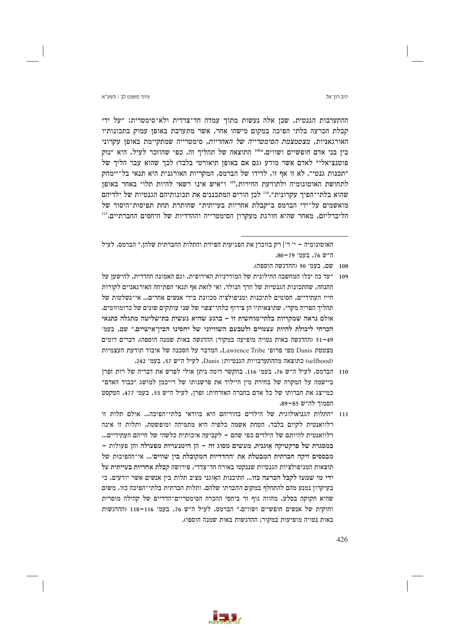עיווי משפט לר∣ חשע״א

ההתערבות הגנטית, שכן אלה נעשות מתוך עמדה חד־צדדית ולא־סימטרית: "על ידי קבלת הכרעה בלתי הפיכה במקום מישהו אחר, אשר מתערבת באופז עמוק בתכונותיו האורגאניות, *מצטמצמת הסימטרייה של האחריות*, סימטרייה שמתקיימת באופן עקרוני בין בני אדם חופשיים ושווים."108 התוצאה של תהליך זה, כפי שהוזכר לעיל, היא "נזק פוטנציאלי" לאדם אשר מודע (גם אם באופן תיאורטי בלבד) לכך שהוא עבר הליך של "תכנות גנטי". לא זו אף זו, לדידו של הברמס, המקריות האורגנית היא תנאי בל־יימחק לתחושת האוטונומיה ולתודעת החירות,"" ו"איש אינו רשאי להיות תלוי באחר באופן שהוא בלתי־הפיך עקרונית".<sup>110</sup> לכן הורים המתכננים את תכונותיהם הגנטיות של ילדיהם מואשמים על־ידי הברמס ב"קבלת אחריות בעייתית" שחותרת תחת תפיסות־היסוד של הליברליזם, מאחר שהיא חורגת מעקרון הסימטרייה וההדדיות של היחסים החברתיים.'''

האוטונומיה – י׳ ר׳] רק בזוכרן את הפגיעות הפיזית והתלות החברתית שלהן.״ הברמס, לעיל ה"ש 76, בעמ' 79–80.

- 108 שם, בעמ׳ 50 (ההדגשה הוספה).
- 109 ״עד כה יכלו המחשבה החילונית של המודרניות האירופית, וגם האמונה ההדדית, להישעו על ההנחה. שהתכונות הגנטיות של הרד הנולד, ואי לזאת אף תנאי הפתיחה האורגאניים לקורות חייו העתידיים, חסומים לתיכנות ומניפולציה מכוונת בידי אנשים אחרים... אי־נשלטות של תהליך הפריה מקרי, שתוצאותיו הן צירוף *בלתי־צפוי* של שני עותקים שונים של כרומוזומים. אולם נראה שמקריות בלתי־מוחשית זו – ברגע שהיא נעשית בת־שליטה מתגלה כתנאי הכרחי ליכולת להיות עצמיים ולטבעם השוויוני של יחסינו הביז־אישיים.״ שם. בעמ׳ 51–49 (ההדגשה באות נטויה מופיעה במקור: ההדגשה באות שמנה הוספה). דברים דומים מצטטת Danis מפי פרופ׳ Lawrence Tribe, המדבר על הסכנה של איבוד תודעת העצמיות (selfhood) כתוצאה מההתערבויות הגנטיות: Danis, לעיל ה"ש 57, בעמ' 242.
- 110 הברמס, לעיל ה״ש 76, בעמ׳ 116. בהקשר דומה ניתו אולי לפרש את דבריה של רות ופרז ביישמה על המקרה של בחירת מין היילוד את פרשנותו של רייכמן למושג ״כבוד האדם״ כמייצג את חברותו של כל אדם בחברה האזרחית: זפרן, לעיל ה״ש 53, בעמ׳ 477, הטקסט הסמוד לה״ש 85–89.
- 111 "התלות *הגניאולוגית* של הילדים בהוריהם היא בוודאי בלתי־הפיכה... אולם תלות זו רלוואנטית לקיום בלבד, הטחת אשמה כלפיה היא מתמיהה ומופשטת, ותלות זו אינה רלוואנטית להיותם של הילדים כפי שהם – לקביעה איכותית כלשהי של חייהם העתידיים... במסגרת של פרקטיקה אוּגנית, מעשים מסוג זה – הן הימנעויות מפעולה והן פעולות – מבססים זיקה חברתית המבטלת את ׳ההדדיות המקובלת בין שווים׳... אי־ההפיכות של תוצאות המניפולציות הגנטיות שננקטו באורח חד־צדדי, פירושה קבלת אחריות בעייתית על ידי מי שמעז לקבל הכרעה כזו... התיכנות האוּגני מציב תלות בין אנשים אשר יודעים, כי בעיקרון נמנע מהם להתחלף במקום *החברתי* שלהם. ותלות חברתית בלתי־הפיכה כזו, משום שהיא חקוקה בסלע, מהווה גוף זר ביחסי ההכרה הסימטריים־הדדיים של קהילה מוסרית וחוקית של אנשים חופשיים ושווים." הברמס, לעיל ה"ש 76, בעמ' 116-116 (ההדגשות באות נטויה מופיעות במקור; ההדגשות באות שמנה הוספו).

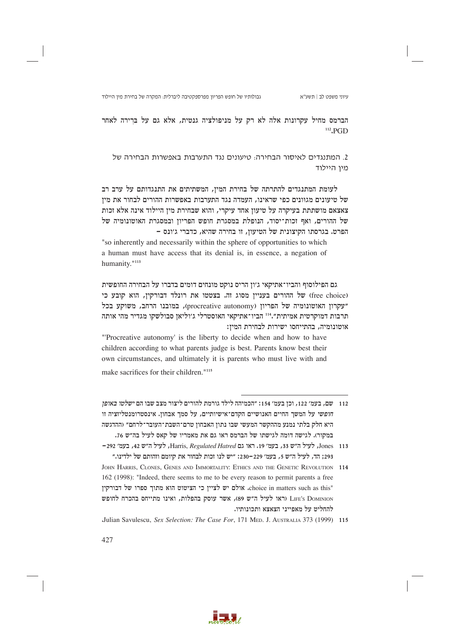הברמס מחיל עקרונות אלה לא רק על מניפולציה גנטית, אלא גם על ברירה לאחר  $112$  PGD

2. המתנגדים לאיסור הבחירה: טיעונים נגד התערבות באפשרות הבחירה של מיו היילוד

לעומת המתנגדים להתרתה של בחירת המין, המשתיתים את התנגדותם על ערב רב של טיעונים מגוונים כפי שראינו, העמדה נגד התערבות באפשרות ההורים לבחור את מין צאצאם מושתתת בעיקרה על טיעון אחד עיקרי, והוא שבחירת מין היילוד אינה אלא זכות של ההורים, ואף זכות־יסוד, הנופלת במסגרת חופש הפריון ובמסגרת האוטונומיה של הפרט. בגרסתו הקיצונית של הטיעון, זו בחירה שהיא, כדברי ג׳ונס –

"so inherently and necessarily within the sphere of opportunities to which a human must have access that its denial is, in essence, a negation of humanity."113

גם הפילוסוף והביו־אתיקאי ג׳ון הריס נוקט מונחים דומים בדברו על הבחירה החופשית (free choice) של ההורים בעניין מסוג זה. בצטטו את רונלד דבורקין, הוא קובע כי "עקרון האוטונומיה של הפריון (procreative autonomy), במובנו הרחב, משוקע בכל תרבות דמוקרטית אמיתית״.<sup>114</sup> הביו־אתיקאי האוסטרלי ג׳וליאן סבולשקו מגדיר מהי אותה אוטונומיה, בהתייחסו ישירות לבחירת המין:

"Procreative autonomy' is the liberty to decide when and how to have children according to what parents judge is best. Parents know best their own circumstances, and ultimately it is parents who must live with and make sacrifices for their children."<sup>115</sup>

- 112 שם. בעמ׳ 122, וכז בעמ׳ 154: ״הכמיהה לילד גורמת להורים ליצור מצב שבו הם *ישלטו באופז* חופשי על המשך החיים האנושיים הקדם־אישיותיים, על סמך אבחון. אינסטרומנטליזציה זו היא חלק בלתי נמנע מההקשר המעשי שבו נתון האבחון טרם־השבת־העובר־לרחם״ וההדגשה במקור). לגישה דומה לגישתו של הברמס ראו גם את מאמריו של קאס לעיל בה״ש 76.
- Jones 113, לעיל ה"ש 13, בעמ' 19. ראו גם Harris, Regulated Hatred, לעיל ה"ש 42, בעמ' 292-293; הד, לעיל ה״ש 5, בעמ׳ 229−230: ״יש לנו זכות לבחור את קיומם וזהותם של ילדינו.״
- JOHN HARRIS, CLONES, GENES AND IMMORTALITY: ETHICS AND THE GENETIC REVOLUTION 114 162 (1998): "Indeed, there seems to me to be every reason to permit parents a free "choice in matters such as this. אולם יש לציין כי הציטוט הוא מתוך ספרו של דבורקין LIFE'S DOMINION (ראו לעיל ה"ש 89), אשר עוסק בהפלות, ואינו מתייחס בהכרח לחופש להחליט על מאפייני הצאצא ותכונותיו.
- Julian Savulescu, Sex Selection: The Case For, 171 MED. J. AUSTRALIA 373 (1999) 115

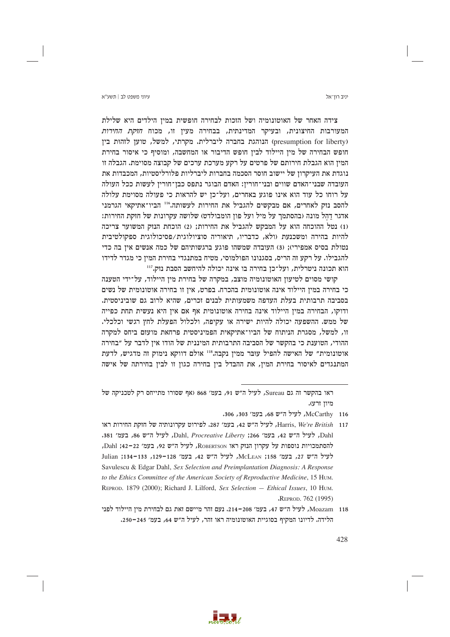יניב רוו־אל

צידה האחר של האוטונומיה ושל הזכות לבחירה חופשית במין הילדים היא שלילת המעורבות החיצונית, ובעיקר המדינתית, בבחירה מעיז זו, מכוח *חזקת החירות* (presumption for liberty) הנוהגת בחברה ליברלית. מקרתי, למשל, טוען לזהות בין חופש הבחירה של מין היילוד לבין חופש הדיבור או המחשבה, ומוסיף כי איסור בחירת המין הוא הגבלת חירותם של פרטים על רקע מערכת ערכים של קבוצה מסוימת. הגבלה זו נוגדת את העיקרון של יישוב חוסר הסכמה בחברות ליברליות פלורליסטיות, המכבדות את העובדה שבני־האדם שווים ובני־חורין: האדם הבוגר נתפס כבן־חורין לעשות ככל העולה על רוחו כל עוד הוא אינו פוגע באחרים, ועל־כן יש להראות כי פעולה מסוימת עלולה להסב נזק לאחרים, אם מבקשים להגביל את החירות לעשותה.116 הביו־אתיקאי הגרמני אדגר דהל מונה (בהסתמך על מיל ועל פון הומבולדט) שלושה עקרונות של חזקת החירות: (1) נטל ההוכחה הוא על המבקש להגביל את החירות; (2) הוכחת הנזק המשוער צריכה להיות בהירה ומשכנעת (ולא, כדבריו, תיאוריה סוציולוגית/פסיכולוגית ספקולטיבית נטולת בסיס אמפירי); (3) העובדה שמשהו פוגע ברגשותיהם של כמה אנשים אין בה כדי להגבילו. על רקע זה הריס, בסגנונו הפולמוסי, מטיח במתנגדי בחירת המין כי מגדר לדידו הוא תכונה ניטרלית, ועל־כן בחירה בו אינה יכולה להיחשב הסבת נזק.117

קושי מסוים לטיעון האוטונומיה מוצב, במקרה של בחירת מין היילוד, על־ידי הטענה כי בחירה במין היילוד אינה אוטונומית בהכרח. בפרט, אין זו בחירה אוטונומית של נשים בסביבה תרבותית בעלת העדפה משמעותית לבנים זכרים, שהיא לרוב גם שוביניסטית. ודוקו, הבחירה במין היילוד אינה בחירה אוטונומית אף אם אין היא נעשית תחת כפייה של ממש. ההשפעה יכולה להיות ישירה או עקיפה, ולכלול הפעלת לחץ רגשי וכלכלי. זו, למשל, מסגרת הניתוח של הביו־אתיקאית הפמיניסטית פרחאת מועזם ביחס למקרה ההודי, הטוענת כי בהקשר של הסביבה התרבותית המיננית של הודו אין לדבר על ״בחירה אוטונומית" של האישה להפיל עובר ממין נקבה.118 אולם דווקא נימוק זה מדגיש, לדעת המתנגדים לאיסור בחירת המין, את ההבדל בין בחירה כגון זו לבין בחירתה של אישה



ראו בהקשר זה גם Sureau, לעיל ה"ש 91, בעמ' 868 (אף שסורו מתייחס רק לטכניקה של מיוז זרע).

McCarthy 116, לעיל ה"ש 68, בעמ' 303, 306.

Harris, We're British 117, לעיל ה"ש 42, בעמ' 287. לפירוט עקרונותיה של חזקת החירות ראו Dahl, Procreative Liberty ; 266 '294', 270' a81', לעיל ה"ש 86, בעמ' 381. להסתמכויות נוספות על עקרון הנזק ראו RoBERTSON, לעיל ה"ש 92, בעמ׳ 22-22; Dahl, לעיל ה"ש 27, בעמ' 158; McLEAN, לעיל ה"ש 42, בעמ' 128-134, 133-134; Julian Savulescu & Edgar Dahl, Sex Selection and Preimplantation Diagnosis: A Response to the Ethics Committee of the American Society of Reproductive Medicine, 15 HUM. REPROD. 1879 (2000); Richard J. Lilford, Sex Selection - Ethical Issues, 10 HUM. "REPROD. 762 (1995)

Moazam 118, לעיל ה"ש 47, בעמ' 208–214. נעם זהר מיישם זאת גם לבחירת מין היילוד לפני הלידה. לדיונו המקיף בסוגיית האוטונומיה ראו זהר, לעיל ה"ש 64, בעמ' 245-250.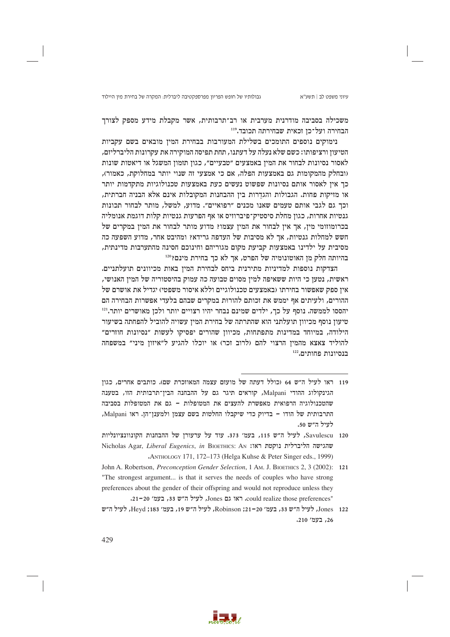גבולותיו של חופש הפריון מפרספקטיבה ליברלית: המקרה של בחירת מין היילוד

משכילה בסביבה מודרנית מערבית או רב־תרבותית, אשר מקבלת מידע מספק לצורך הבחירה ועל־כז זכאית שבחירתה תכובד.119

נימוקים נוספים התומכים בשלילת המעורבות בבחירת המין מובאים בשם עקביות הטיעון ורציפותו: כשם שלא נעלה על דעתנו, תחת תפיסה המוקירה את עקרונות הליברליזם, לאסור נסיונות לבחור את המין באמצעים "טבעיים", כגון תזמון המשגל או דיאטות שונות (ובחלק מהמקומות גם באמצעות הפלה, אם כי אמצעי זה שנוי יותר במחלוקת, כאמור), כך אין לאסור אותם נסיונות שפשוט נעשים כעת באמצעות טכנולוגיות מתקדמות יותר או מזיקות פחות. הגבולות והגדֵרות בין ההבחנות המקובלות אינם אלא הבניה חברתית, וכך גם לגבי אותם טעמים שאנו מכנים "רפואיים". מדוע, למשל, מותר לבחור תכונות גנטיות אחרות, כגון מחלת סיסטיק־פיברוזיס או אף הפרעות גנטיות קלות דוגמת אנומליה בכרומוזומי מין, אך אין לבחור את המין עצמו? מדוע מותר לבחור את המין במקרים של חשש למחלות גנטיות, אר לא מסיבות של העדפה גרידא? ומהיבט אחר, מדוע השפעה כה מסיבית על ילדינו באמצעות קביעת מקום מגוריהם וחינוכם חסינה מהתערבות מדינתית, בהיותה חלק מן האוטונומיה של הפרט, אך לא כך בחירת מינם?<sup>120</sup>

הצדקות נוספות למדיניות מתירנית ביחס לבחירת המין באות מכיוונים תועלתניים. ראשית, נטען כי היות ששאיפה למין מסוים טבועה כה עמוק בהיסטוריה של המין האנושי, אין ספק שאפשור בחירתו (באמצעים טכנולוגיים וללא איסור משפטי) יגדיל את אושרם של ההורים, ולעיתים אף יממש את זכותם להורות במקרים שבהם בלעדי אפשרות הבחירה הם יהססו לממשה. נוסף על כך, ילדים שמינם נבחר יהיו רצויים יותר ולכן מאושרים יותר.<sup>121</sup> טיעון נוסף מכיוון תועלתני הוא שהתרתה של בחירת המין עשויה להוביל להפחתה בשיעור הילודה, במיוחד במדינות מתפתחות, מכיוון שהורים יפסיקו לעשות ״נסיונות חוזרים״ להוליד צאצא מהמין הרצוי להם (לרוב זכר) או יוכלו להגיע ל״איזון מיני״ במשפחה בנסיונות פחותים.122

- 119 ראו לעיל ה"ש 64 (כולל דעתה של מועזם עצמה המאוזכרת שם). כותבים אחרים, כגון הגינקולוג ההודי Malpani, קוראים תיגר גם על ההבחנה הבין־תרבותית הזו, בטענה שהטכנולוגיה הרפואית מאפשרת להעצים את המטופלות – גם את המטופלות בסביבה התרבותית של הודו – בדיוק כדי שיקבלו החלטות בשם עצמן ולמענן־הן. ראו Malpani, לעיל ה״ש 50.
- Savulescu 120, לעיל ה"ש 115, בעמ' 373. עוד על ערעורן של ההבחנות הקונוונציונליות Nicholas Agar, Liberal Eugenics, in BIOETHICS: AN מהגישה הליברלית נוקטת ראו: ANTHOLOGY 171, 172–173 (Helga Kuhse & Peter Singer eds., 1999)
- John A. Robertson, Preconception Gender Selection, 1 Am. J. BIOETHICS 2, 3 (2002): 121 "The strongest argument... is that it serves the needs of couples who have strong preferences about the gender of their offspring and would not reproduce unless they :could realize those preferences, ראו גם Jones, לעיל ה״ש 33, בעמ׳ 20-21.
- Jones 122, לעיל ה״ש 33, בעמ׳ 20–21; Robinson, לעיל ה״ש 19, בעמ׳ 183; Heyd, לעיל ה״ש 26, בעמ' 210.

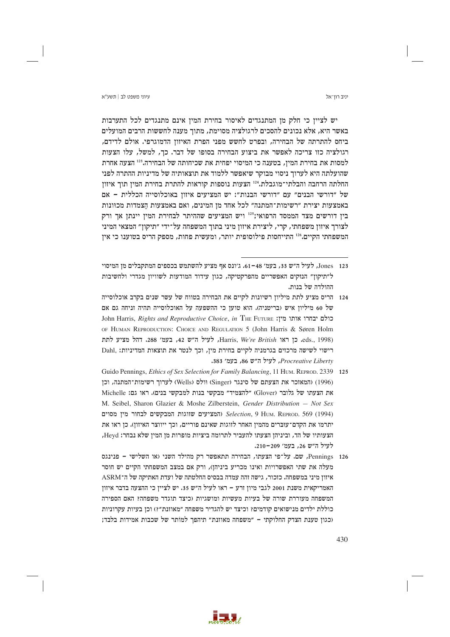יניב רון־אל

יש לציין כי חלק מן המתנגדים לאיסור בחירת המין אינם מתנגדים לכל התערבות באשר היא, אלא נכונים להסכים לרגולציה מסוימת, מתור מענה לחששות הרבים המועלים ביחס להתרתה של הבחירה, ובפרט לחשש מפני הפרת האיזון הדמוגרפי. אולם לדידם, רגולציה כזו צריכה לאפשר את ביצוע הבחירה בסופו של דבר. כך, למשל, עלו הצעות למסות את בחירת המיז, בטענה כי המיסוי יפחית את שכיחותה של הבחירה.<sup>123</sup> הצעה אחרת שהועלתה היא לערוך ניסוי מבוקר שיאפשר ללמוד את תוצאותיה של מדיניות ההתרה לפני החלתה הרחבה והבלתי־מוגבלת.<sup>124</sup> הצעות נוספות קוראות להתרת בחירת המין תוך איזון של "דורשי הבנים" עם "דורשי הבנות": יש המציעים איזון באוכלוסייה הכללית - אם באמצעות יצירת "רשימות־המתנה" לכל אחד מן המינים, ואם באמצעות הצמדות מכוונות בין דורשים מצד הממסד הרפואי;<sup>125</sup> ויש המציעים שההיתר לבחירת המין יינתן אך ורק לצורך איזון משפחתי, קרי, ליצירת איזון מיני בתוך המשפחה על־ידי "תיקון" המצאי המיני המשפחתי הקיים.126 התייחסות פילוסופית יותר, ומעשית פחות, מספק הריס בטוענו כי אין

- Guido Pennings, *Ethics of Sex Selection for Family Balancing*, 11 HUM. REPROD. 2339 125 (1996) (המאזכר את הצעתם של סינגר (Singer) וולס (Wells) לערוך רשימות־המתנה, וכן את הצעתו של גלובר (Glover) "להצמיד" מבקשי בנות למבקשי בנים). ראו גם: Michelle M. Seibel, Sharon Glazier & Moshe Zilberstein, Gender Distribution - Not Sex המציעים שווגות המבקשים לבחור מין מסוים Selection, 9 Hum. REPROD. 569 (1994) יתרמו את הקדם־עוּבּרים מהמין האחר לזוגות שאינם פוריים, וכך ייווצר האיזון). כן ראו את הצעותיו של הד, וביניהן הצעתו להעביר לתרומה ביציות מופרות מן המין שלא נבחר: Heyd, לעיל ה״ש 26, בעמ׳ 209-210.
- Pennings, שם. על־פי הצעתו, הבחירה תתאפשר רק מהילד השני (או השלישי פנינגס  $126$ מעלה את שתי האפשרויות ואינו מכריע ביניהן), ורק אם במצב המשפחתי הקיים יש חוסר איזון מיני במשפחה. כזכור, גישה זהה עמדה בבסיס החלטתה של ועדת האתיקה של ה־ASRM האמריקאית משנת 2001 לגבי מיון זרע – ראו לעיל ה"ש 35. יש לציין כי ההצעה בדבר איזון המשפחה מעוררת שורה של בעיות מעשיות ומושגיות (כיצד תוגדר משפחה? האם הספירה כוללת ילדים מנישואים קודמים? וכיצד יש להגדיר משפחה "מאוזנת"?) וכן בעיות עקרוניות וכגון טענת הצדק החלוקתי – "משפחה מאוזנת" תיהפך למותר של שכבות אמידות בלבד;



Jones 123, לעיל ה"ש 33, בעמ' 48–61. ג'ונס אף מציע להשתמש בכספים המתקבלים מן המיסוי ל״תיקון״ הנזקים האפשריים מהפרקטיקה, כגון עידוד המודעות לשוויון מגדרי ולחשיבות ההולדה של בנות.

<sup>124 –</sup> הריס מציע לתת מיליוז רשיונות לקיים את הבחירה בטווח של עשר שנים בקרב אוכלוסייה של 60 מיליון איש (בריטניה). הוא טוען כי ההשפעה על האוכלוסייה תהיה וניחה גם אם John Harris, Rights and Reproductive Choice, in THE FUTURE נולם יבחרו אותו מין: OF HUMAN REPRODUCTION: CHOICE AND REGULATION 5 (John Harris & Søren Holm eds., 1998). כן ראו Harris, We're British, לעיל ה"ש 42, בעמ' 288. דהל מציע לתת רישוי לשישה מרכזים בגרמניה לקיים בחירת מין, וכך לנטר את תוצאות המדיניות: .Dahl Procreative Liberty, לעיל ה"ש 86, בעמ' 383.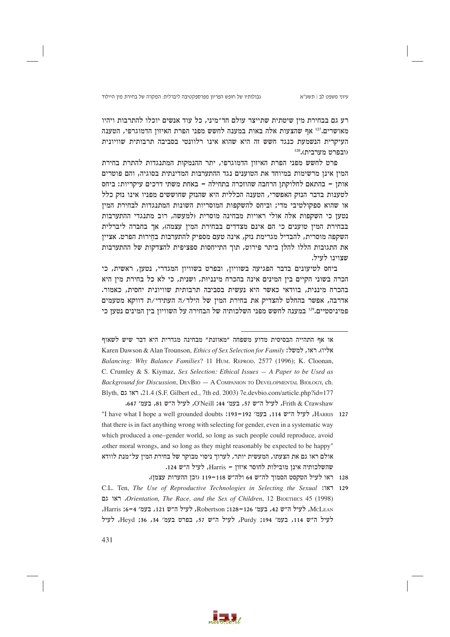רע גם בבחירת מין שיטתית שתייצר עולם חד־מיני, כל עוד אנשים יוכלו להתרבות ויהיו מאושרים.<sup>127</sup> אף שהצעות אלה באות במענה לחשש מפני הפרת האיזוז הדמוגרפי, הטענה העיקרית הנשמעת כנגד חשש זה היא שהוא אינו רלוונטי בסביבה תרבותית שוויונית (ובפרט מערבית).<sup>128</sup>

פרט לחשש מפני הפרת האיזוז הדמוגרפי, יתר ההנמקות המתנגדות להתרת בחירת המין אינן מרשימות במיוחד את הטוענים נגד ההתערבות המדינתית בסוגיה, והם פוטרים אותן – בהתאם לחלוקתן הרחבה שהוזכרה בתחילה – באחת משתי דרכים עיקריות: ביחס לטענות בדבר הנזק האפשרי, הטענה הכללית היא שהנזק שחוששים מפניו אינו נזק כלל או שהוא ספקולטיבי מדי; וביחס להשקפות המוסריות השונות המתנגדות לבחירת המין נטען כי השקפות אלה אולי ראויות מבחינה מוסרית (למעשה, רוב מתנגדי ההתערבות בבחירת המין טוענים כי הם אינם מצדדים בבחירת המין עצמה), אך בחברה ליברלית השקפה מוסרית, להבדיל מגרימת נזק, אינה טעם מספיק להתערבות בחירות הפרט. אציין את התגובות הללו להלן ביתר פירוט, תוך התייחסות ספציפית להצדקות של ההתערבות שצוינו לעיל.

ביחס לטיעונים בדבר הפגיעה בשוויון, ובפרט בשוויון המגדרי, נטען, ראשית, כי הכרה בשוני הקיים בין המינים אינה בהכרח מינניות, ושנית, כי לא כל בחירת מין היא בהכרח מיננית, בוודאי כאשר היא נעשית בסביבה תרבותית שוויונית יחסית, כאמור. אדרבה, אפשר בהחלט להצדיק את בחירת המין של הילד/ה העתידי/ת דווקא מטעמים פמיניסטיים."<sup>12</sup> במענה לחשש מפני השלכותיה של הבחירה על השוויון בין המינים נטען כי

או אף התהייה הבסיסית מדוע משפחה "מאוזנת" מבחינה מגדרית היא דבר שיש לשאוף Karen Dawson & Alan Trounson, Ethics of Sex Selection for Family :ליו). ראו, למשל: Balancing: Why Balance Families? 11 HUM, REPROD, 2577 (1996); K. Cloonan, C. Crumley & S. Kiymaz, Sex Selection: Ethical Issues  $- A$  Paper to be Used as Background for Discussion,  $DeyBIO - A COMPANION TO DEVELOPMENTIAL BIOLOGY, ch.$ Blyth, ראו גם 21.4 (S.F. Gilbert ed., 7th ed. 2003) 7e.devbio.com/article.php?id=177 Frith & Crawshaw , לעיל ה"ש 57, בעמ' 44: O'Neill. לעיל ה"ש 81, בעמ' 647.

- HARRIS 127, לעיל ה״ש 114, בעמ׳ 192–193: J137 ו-193) Have what I hope a well grounded doubts" that there is in fact anything wrong with selecting for gender, even in a systematic way which produced a one-gender world, so long as such people could reproduce, avoid other moral wrongs, and so long as they might reasonably be expected to be happy" אולם ראו גם את הצעתו, המעשית יותר, לערוך ניסוי מבוקר של בחירת המין על־מנת לוודא שהשלכותיה אינן מובילות לחוסר איזון - Harris, לעיל ה"ש 124.
	- 128 ראו לעיל הטקסט הסמוך לה"ש 64 ולה"ש 119-118 (וכן ההערות עצמן).
- C.L. Ten, The Use of Reproductive Technologies in Selecting the Sexual :111 129 ראו גם. Orientation, The Race, and the Sex of Children, 12 BIOETHICS 45 (1998). McLEAN, לעיל ה"ש 42, בעמ' 126–128; Robertson, לעיל ה"ש 121, בעמ' 4–16; Harris, לעיל ה"ש 114, בעמ' 194; Purdy, לעיל ה"ש 57, בפרט בעמ' 34, 36; Heyd, לעיל

431

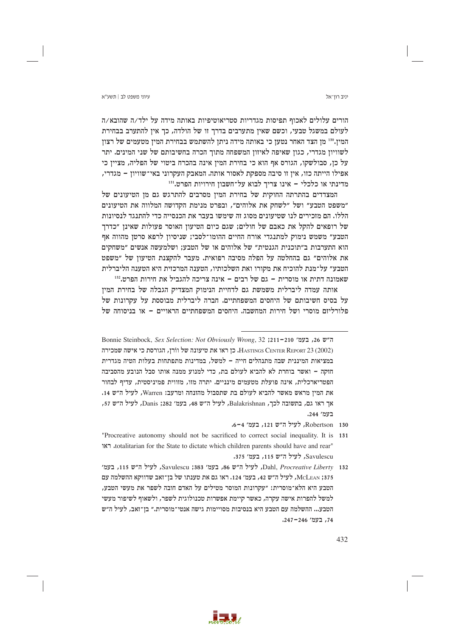יניב רוו־אל

## עיווי משפט לר∣ חשע״א

הורים עלולים לאכוף תפיסות מגדריות סטריאוטיפיות באותה מידה על ילד/ה שהובא/ה לעולם במשגל טבעי, וכשם שאיז מתערבים בדרך זו של הולדה, כך איז להתערב בבחירת המין.130 מן הצד האחר נטען כי באותה מידה ניתן להשתמש בבחירת המין מטעמים של רצון לשוויון מגדרי, כגון שאיפה לאיזון המשפחה מתוך הכרה בחשיבותם של שני המינים. יתר על כן, סבולשקו, הגורס אף הוא כי בחירת המין אינה בהכרח ביטוי של הפליה, מציין כי אפילו הייתה כזו, אין זו סיבה מספקת לאסור אותה. המאבק העקרוני באי־שוויון – מגדרי, מדינתי או כלכלי - אינו צריך לבוא על־חשבון חירויות הפרט.<sup>131</sup>

המצדדים בהתרתה החוקית של בחירת המין מסרבים להתרגש גם מן הטיעונים של ״משפט הטבע״ ושל ״לשחק את אלוהים״, ובפרט מנימת הקדושה המלווה את הטיעונים הללו. הם מזכירים לנו שטיעונים מסוג זה שימשו בעבר את הכנסייה כדי להתנגד לנסיונות של רופאים להקל את כאבם של חולים; שגם כיום הטיעון האוסר פעולות שאינן "כדרך הטבע״ משמש נימוק למתנגדי אורח החיים ההומו־לסבי; שניסיון לרפא סרטן מהווה אף הוא התערבות ב״תוכנית הגנטית״ של אלוהים או של הטבע; ושלמעשה אנשים ״משחקים את אלוהים" גם בהחלטה על הפלה מסיבה רפואית. מעבר להקצנת הטיעון של "משפט הטבע״ על־מנת להוכיח את מקורו ואת השלכותיו, הטענה המרכזית היא הטענה הליברלית שאמונה דתית או מוסרית – גם של רבים – אינה צריכה להגביל את חירות הפרט.132

אותה עמדה ליברלית משמשת גם לדחיית הנימוק המצדיק הגבלה של בחירת המין על בסיס חשיבותם של היחסים המשפחתיים. חברה ליברלית מבוססת על עקרונות של פלורליזם מוסרי ושל חירות המחשבה. היחסים המשפחתיים הראויים – או בניסוחה של

- Robertson 130, לעיל ה"ש 121, בעמ' 4-6.
- "Procreative autonomy should not be sacrificed to correct social inequality. It is 131 rotalitarian for the State to dictate which children parents should have and rear" Savulescu, לעיל ה״ש 115, בעמ׳ 375.
- Dahl, Procreative Liberty 132, לעיל ה״ש 86, בעמ׳ 383; Savulescu, לעיל ה״ש 115, בעמ׳ 375; McLEAN, לעיל ה"ש 42, בעמ׳ 124. ראו גם את טענתו של בן־זאב שדווקא ההשלמה עם הטבע היא הלא־מוסרית: ״עקרונות המוסר מטילים על האדם חובה לשפר את מעשי הטבע, למשל להפרות אישה עקרה, כאשר קיימת אפשרות טכנולוגית לשפר, ולשאוף לשיפור מעשי הטבע... ההשלמה עם הטבע היא בנסיבות מסויימות גישה אנטי־מוסרית." בן־זאב, לעיל ה"ש 74, בעמ' 246–247.



Bonnie Steinbock, Sex Selection: Not Obviously Wrong, 32 ;211-210 ,26 ה"ש 86. HASTINGS CENTER REPORT 23 (2002). כן ראו את טיעונה של וורן, הגורסת כי אישה שמכירה במציאות המיננית שבה מתנהלים חייה – למשל, במדינות מתפתחות בעלות הטיה מגדרית חזקה – ואשר בוחרת לא להביא לעולם בת, כדי למנוע ממנה אותו סבל הנובע מהסביבה הפטריארכלית, אינה פועלת מטעמים מינניים. יתרה מזו, מזווית פמיניסטית, עדיף לבחור את המין מראש מאשר להביא לעולם בת שתסבול מהזנחה ומרעב: Warren, לעיל ה"ש 14. אך ראו גם, בתשובה לכר, Balakrishnan, לעיל ה"ש 48, בעמ׳ 1282; Danis, לעיל ה"ש 57, בעמ' 244.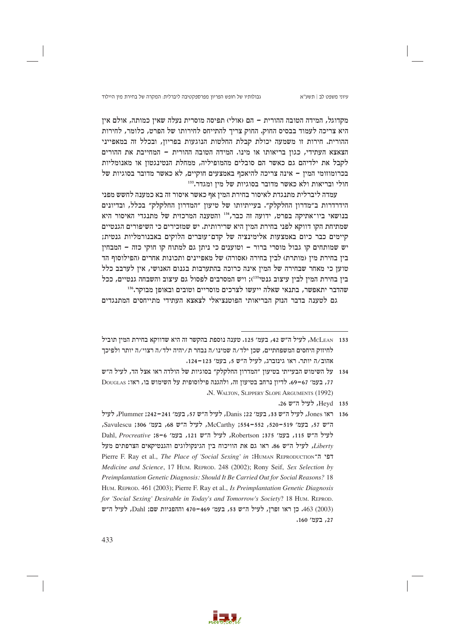גבולותיו של חופש הפריון מפרספקטיבה ליברלית: המקרה של בחירת מין היילוד

מקדוגל, המידה הטובה ההורית – הם (אולי) תפיסה מוסרית נעלה שאין כמותה, אולם אין היא צריכה לעמוד בבסיס החוק. החוק צריך להתייחס לחירותו של הפרט, כלומר, לחירות ההורית. חירות זו משמעה יכולת קבלת החלטות הנוגעות בפריון, ובכלל זה במאפייני הצאצא העתידי, כגון בריאותו או מינו. המידה הטובה ההורית – המחייבת את ההורים לקבל את ילדיהם גם כאשר הם סובלים מהמופיליה, ממחלת הנטינגטוז או מאנומליות בכרומוזומי המין – אינה צריכה להיאכף באמצעים חוקיים, לא כאשר מדובר בסוגיות של חולי ובריאות ולא כאשר מדובר בסוגיות של מין ומגדר. 133

עמדה ליברלית מתנגדת לאיסור בחירת המין אף כאשר איסור זה בא כמענה לחשש מפני הידרדרות ב״מדרון החלקלק״. בעייתיותו של טיעון ״המדרון החלקלק״ בכלל, ובדיונים בנושאי ביו־אתיקה בפרט, ידועה זה כבר, 134 והטענה המרכזית של מתנגדי האיסור היא שמתיחת הקו דווקא לפני בחירת המין היא שרירותית. יש שמזכירים כי השיפורים הגנטיים קיימים כבר כיום באמצעות אלימינציה של קדם־עוּבּרים הלוקים באבנורמליות גנטית; יש שמותחים קו גבול מוסרי ברור – וטוענים כי ניתן גם למתוח קו חוקי כזה – המבחין בין בחירת מין (מותרת) לבין בחירה (אסורה) של מאפיינים ותכונות אחרים (הפילוסוף הד טוען כי מאחר שבחירה של המין אינה כרוכה בהתערבות בגנום האנושי, אין לערבב כלל בין בחירת המין לבין עיצוב גנטי<sup>135</sup>); ויש המסרבים לפסול גם עיצוב והשבחה גנטיים, ככל שהדבר יתאפשר, בתנאי שאלה ייעשו לצרכים מוסריים וטובים ובאופן מבוקר.136

גם לטענה בדבר הנזק הבריאותי הפוטנציאלי לצאצא העתידי מתייחסים המתנגדים



McLEAN 133, לעיל ה״ש 42, בעמ׳ 125. טענה נוספת בהקשר זה היא שדווקא בחירת המין תוביל לחיזוק היחסים המשפחתיים, שכן ילד/ה שמינו/ה נבחר ת/יהיה ילד/ה רצוי/ה יותר ולפיכך אהוב/ה יותר. ראו גינזברג, לעיל ה״ש 5, בעמ׳ 123–124.

<sup>134 -</sup> על השימוש הבעייתי בטיעוז ״המדרוז החלקלק״ בסוגיות של הולדה ראו אצל הד. לעיל ה״ש 17, בעמ׳ 67-69. לדיון נרחב בטיעון זה, ולהגנה פילוסופית על השימוש בו, ראו: DougLas .N. WALTON, SLIPPERY SLOPE ARGUMENTS (1992)

Hevd 135. לעיל ה"ש 26.

<sup>136 –</sup> ראו Jones, לעיל ה״ש 33, בעמ׳ 22; Danis, לעיל ה״ש 57, בעמ׳ 241–242; Plummer, לעיל ה"ש 57, בעמ' 519–520, 552–552, McCarthy, לעיל ה"ש 68, בעמ' 306; Savulescu Dahl, Procreative ;8-6 271, לעיל ה"ש 121, בעמ' 6-8; Dahl, Procreative ;8-6 Liberty, לעיל ה"ש 86. ראו גם את הוויכוח בין הגינקולוגים והגנטיקאים הצרפתים מעל Pierre F. Ray et al., The Place of 'Social Sexing' in :HUMAN REPRODUCTION" Medicine and Science, 17 HUM. REPROD. 248 (2002); Rony Seif, Sex Selection by Preimplantation Genetic Diagnosis: Should It Be Carried Out for Social Reasons? 18 HUM. REPROD. 461 (2003); Pierre F. Ray et al., Is Preimplantation Genetic Diagnosis for 'Social Sexing' Desirable in Today's and Tomorrow's Society? 18 HUM. REPROD. (2003) 463, כן ראו זפרן, לעיל ה"ש 53, בעמ' 469–470 וההפניות שם; Dahl, לעיל ה"ש 27, בעמ' 160.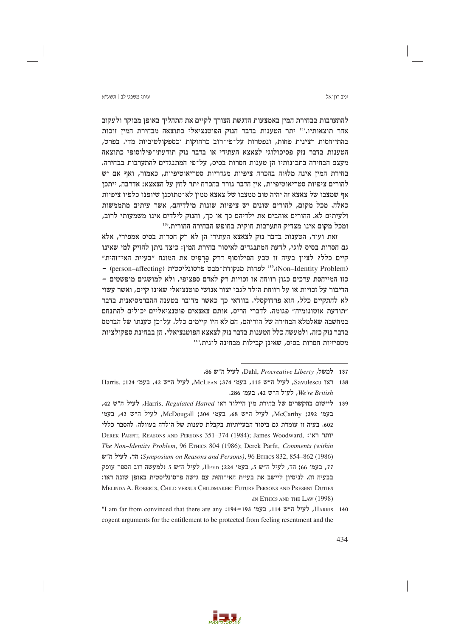יניב רוו־אל

להתערבות בבחירת המין באמצעות הדגשת הצורך לקיים את התהליך באופן מבוקר ולעקוב אחר תוצאותיו.<sup>137</sup> יתר הטענות בדבר הנזק הפוטנציאלי כתוצאה מבחירת המיז זוכות בהתייחסות רצינית פחות, ונפטרות על־פי־רוב כרחוקות וכספקולטיביות מדי. בפרט, הטענות בדבר נזק פסיכולוגי לצאצא העתידי או בדבר נזק תודעתי־פילוסופי כתוצאה מעצם הבחירה בתכונותיו הן טענות חסרות בסיס, על־פי המתנגדים להתערבות בבחירה. בחירת המין אינה מלווה בהכרח ציפיות מגדריות סטריאוטיפיות, כאמור, ואף אם יש להורים ציפיות סטריאוטיפיות, אין הדבר גורר בהכרח יתר לחץ על הצאצא; אדרבה, ייתכן אף שמצבו של צאצא זה יהיה טוב ממצבו של צאצא ממין לא־מתוכנן שיופנו כלפיו ציפיות כאלה. מכל מקום, להורים שונים יש ציפיות שונות מילדיהם, אשר עיתים מתממשות ולעיתים לא. ההורים אוהבים את ילדיהם כך או כך, והנזק לילדים אינו משמעותי לרוב, ומכל מקום אינו מצדיק התערבות חוקית בחופש הבחירה ההורית.138

זאת ועוד, הטענות בדבר נזק לצאצא העתידי הן לא רק חסרות בסיס אמפירי, אלא גם חסרות בסיס לוגי, לדעת המתנגדים לאיסור בחירת המין: כיצד ניתן להזיק למי שאינו קיים כלל? לציון בעיה זו טבע הפילוסוף דרק פַּרְפִיט את המונח ״בעיית האי־זהוּת״ - (person-affecting) ו-139 לפחות מנקודת־מבט פרסונליסטית (Non-Identity Problem) כזו המייחסת ערכים כגון רווחה או זכויות רק לאדם ספציפי, ולא למושגים מופשטים -הדיבור על זכויות או על רווחת הילד לגבי יצור אנושי פוטנציאלי שאינו קיים, ואשר עשוי לא להתקיים כלל, הוא פרדוקסלי. בוודאי כך כאשר מדובר בטענה ההברמסיאנית בדבר ״תודעת אוטונומיה״ פגומה. לדברי הריס, אותם צאצאים פוטנציאליים יכולים להתנחם במחשבה שאלמלא הבחירה של הוריהם, הם לא היו קיימים כלל. על־כן טענתו של הברמס בדבר נזק כזה, ולמעשה כלל הטענות בדבר נזק לצאצא הפוטנציאלי, הן בבחינת ספקולציות מטפיזיות חסרות בסיס, שאינן קבילות מבחינה לוגית.140



<sup>137</sup> למשל, Dahl, Procreative Liberty, לעיל ה"ש 86.

<sup>138</sup> ראו Savulescu, לעיל ה״ש 115, בעמ׳ 374; McLEAN, לעיל ה״ש 42, בעמ׳ 124; Harris, We're British, לעיל ה"ש 42, בעמ' 286.

<sup>139</sup> ליישום בהקשרים של בחירת מיו היילוד ראו Harris, Regulated Hatred, לעיל ה"ש 42, בעמ׳ 1292; McCarthy, לעיל ה״ש 68, בעמ׳ 304; McDougall, לעיל ה״ש 42, בעמ׳ 602. בעיה זו עומדת גם ביסוד הבעייתיות בקבלת טענות של הולדה בעוולה. להסבר כללי DEREK PARFIT, REASONS AND PERSONS 351-374 (1984); James Woodward, יותר ראו: The Non-Identity Problem, 96 ETHICS 804 (1986); Derek Parfit, Comments (within (1986) Symposium on Reasons and Persons), 96 ETHICS 832, 854–862; הד, לעיל ה"ש 77, בעמ׳ 66; הד, לעיל ה"ש 5, בעמ׳ 224; HEYD, לעיל ה"ש 5 (למעשה רוב הספר עוסק בבעיה זו). לניסיון ליישב את בעיית האי־זהות עם גישה פרסונליסטית באופן שונה ראו: MELINDA A. ROBERTS, CHILD VERSUS CHILDMAKER: FUTURE PERSONS AND PRESENT DUTIES IN ETHICS AND THE LAW (1998)

<sup>&</sup>quot;I am far from convinced that there are any :194-193 יעיל ה"ש 114, בעמ' 194-193 140 cogent arguments for the entitlement to be protected from feeling resentment and the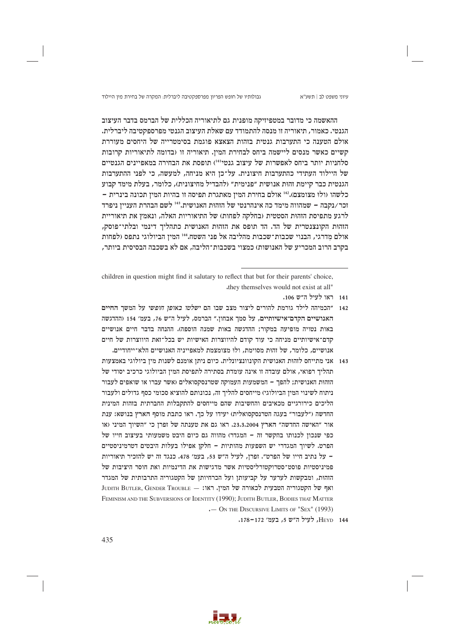גבולותיו של חופש הפריון מפרספקטיבה ליברלית: המקרה של בחירת מין היילוד

ההאשמה כי מדובר במטפיזיקה מופנית גם לתיאוריה הכללית של הברמס בדבר העיצוב הגנטי. כאמור, תיאוריה זו מנסה להתמודד עם שאלת העיצוב הגנטי מפרספקטיבה ליברלית. אולם הטענה כי התערבות גנטית בזהות הצאצא פוגמת בסימטרייה של היחסים מעוררת קשיים כאשר מנסים ליישמה ביחס לבחירת המין. תיאוריה זו (בדומה לתיאוריות קרובות סלחניות יותר ביחס לאפשרות של עיצוב גנטי<sup>141</sup>) תופסת את הבחירה במאפיינים הגנטיים של היילוד העתידי כהתערבות חיצונית. על־כן היא מניחה, למעשה, כי לפני ההתערבות הגנטית כבר קיימת זהות אנושית "פנימית" (להבדיל מחיצונית), כלומר, בעלת מימד קבוע כלשהו (ולו מצומצם).112 אולם בחירת המין מאתגרת תפיסה זו בהיות המין תכונה בינרית -זכר/נקבה – שמהווה מימד כה אינהרנטי של הזהוּת האנושית.<sup>143</sup> לשם הבהרת העניין ניפרד לרגע מתפיסת הזהות הסטטית (בחלקה לפחות) של התיאוריות האלה, ונאמץ את תיאוריית הזהות הקונצנטרית של הד. הד תופס את הזהות האנושית כתהליך דינמי ובלתי־פוסק, אולם מדרגי, הבנוי שכבות־שכבות מהליבה אל פני השטח.414 המין הביולוגי נתפס (לפחות בקרב הרוב המכריע של האנושות) כמצוי בשכבות־הליבה, אם לא בשכבה הבסיסית ביותר,

children in question might find it salutary to reflect that but for their parents' choice, they themselves would not exist at all"

- 141 ראו לעיל ה"ש 106.
- 142 "הכמיהה לילד גורמת להורים ליצור מצב שבו הם *ישלטו באופן חופשי* על המשך החיים האנושיים הקדם־אישיותיים, על סמך אבחון.״ הברמס, לעיל ה״ש 76, בעמ׳ 154 (ההדגשה באות נטויה מופיעה במקור: ההדגשה באות שמנה הוספה). ההנחה בדבר חיים אנושיים קדם־אישיותיים מניחה כי עוד קודם להיווצרות האישיות יש בכל־זאת היווצרות של חיים אנושיים, כלומר, של זהות מסוימת, ולוּ מצומצמת למאפייניה האנושיים הלא־ייחודיים.
- 143 אני מתייחס לזהות האנושית הקונוונציונלית. כיום ניתז אומנם לשנות מיז ביולוגי באמצעות תהליר רפואי, אולם עובדה זו אינה עומדת בסתירה לתפיסת המיז הביולוגי כרכיב יסודי של הזהות האנושית; להפך – המשמעות העמוקה שטרנסקסואלים (אשר עברו או שואפים לעבור ניתוח לשינוי המין הביולוגי) מייחסים להליך זה, נכונותם להוציא סכומי כסף גדולים ולעבור הליכים כירורגיים מכאיבים והחשיבות שהם מייחסים להתקבלות החברתית בזהות המינית החדשה (״לעבור״ בעגה הטרנסקסואלית) יעידו על כך. ראו כתבת מוסף הארץ בנושא: ענת אור "האישה החדשה" הארץ 23.3.2004. ראו גם את טענתה של זפרן כי "השיוך המיני (או כפי שנכון לכנותו בהקשר זה – המגדר) מהווה גם כיום היבט משמעותי בעיצוב חייו של הפרט. לשיוך המגדרי יש השפעות מהותיות – חלקן אפילו בעלות היבטים דטרמיניסטיים – על נתיב חייו של הפרט". זפרן, לעיל ה"ש 53, בעמ' 478. כנגד זה יש להזכיר תיאוריות פמיניסטיות פוסט־סטרוקטורליסטיות אשר מדגישות את הדינמיות ואת חוסר היציבות של הזהות, ומבקשות לערער על קביעותן ועל הכרחיותן של הקטגוריה התרבותית של המגדר JUDITH BUTLER, GENDER TROUBLE - ממין. ראו: JUDITH BUTLER, GENDER TROUBLE - ואף של הקטגוריה הטבעית לכאורה של ה FEMINISM AND THE SUBVERSIONS OF IDENTITY (1990); JUDITH BUTLER, BODIES THAT MATTER . - ON THE DISCURSIVE LIMITS OF "SEX" (1993)
	- HEYD 144. לעיל ה"ש 5, בעמ' 172-178.

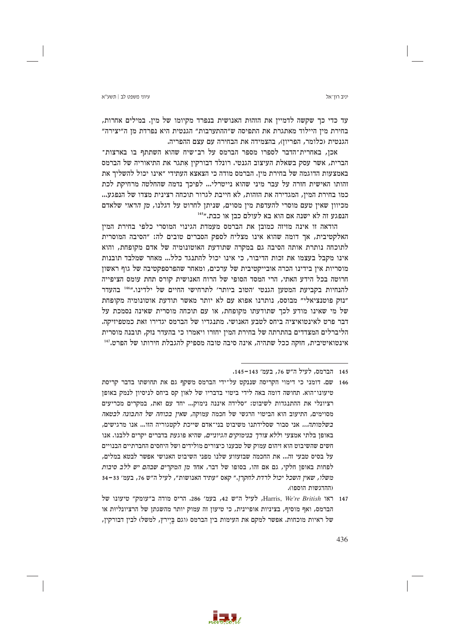יניב רוו־אל

עד כדי כך שקשה לדמיין את הזהות האנושית בנפרד מקיומו של מין. במילים אחרות, בחירת מיז היילוד מאתגרת את התפיסה ש״ההתערבות״ הגנטית היא נפרדת מז ה״יצירה״ הגנטית (כלומר, הפריון), בהצמידה את הבחירה עם עצם ההפריה.

אכן, באחרית־הדבר לספרו מספר הברמס על רב־שיח שהוא השתתף בו בארצות־ הברית, אשר עסק בשאלת העיצוב הגנטי. רונלד דבורקין אתגר את התיאוריה של הברמס באמצעות הדוגמה של בחירת מין. הברמס מודה כי הצאצא העתידי "אינו יכול להשליך את זהותו האישית חזרה על עבר מיני שהוא נייטרלי... לפיכך נדמה שהחלטה מרחיקת לכת כמו בחירת המין, המגדירה את הזהות, לא חייבת לגרור תוכחה רצינית מצדו של הנפגע... מכיוון שאין טעם מוסרי להעדפת מין מסוים, שניתן לחרוט על דגלנו, *מן הראוי* שלאדם הנפגע זה לא ישנה אם הוא בא לעולם כבן או כבת."<sup>145</sup>

הודאה זו אינה מזיזה כמובן את הברמס מעמדת הגינוי המוסרי כלפי בחירת המין האלקטיבית, אך דומה שהוא אינו מצליח לספק הסברים טובים לה: "הסיבה המוסרית לתוכחה נותרת אותה הסיבה גם במקרה שתודעת האוטונומיה של אדם מקופחת, והוא אינו מקבל בעצמו את זכות הדיבור, כי אינו יכול להתנגד כלל... מאחר שמלבד תובנות מוסריות אין בידינו הכרה אובייקטיבית של ערכים, ומאחר שהפרספקטיבה של גוף ראשון חרוטה בכל הידע האתי, הרי המסד הסופי של הרוח האנושית קורס תחת עומס הציפייה להנחיות בקביעת המטען הגנטי ׳הטוב ביותר׳ לתרחישי החיים של ילדינו."<sup>146</sup> בהעדר "נוק פוטנציאלי" מבוסס, נותרנו אפוא עם לא יותר מאשר תודעת אוטונומיה מקופחת של מי שאינו מודע לכך שתודעתו מקופחת, או עם תוכחה מוסרית שאינה נסמכת על דבר פרט לאינטואיציה ביחס לטבע האנושי. מתנגדיו של הברמס יגדירו זאת כמטפיזיקה. הליברלים המצדדים בהתרתה של בחירת המין יחזרו ויאמרו כי בהעדר נזק, תובנה מוסרית אינטואיטיבית, חזקה ככל שתהיה, אינה סיבה טובה מספיק להגבלת חירותו של הפרט.<sup>147</sup>



<sup>145 –</sup> הברמס, לעיל ה״ש 76, בעמ׳ 143−145.

<sup>146 |</sup> שם. דומני כי דימוי הקריסה שננקט על־ידי הברמס משקף גם את תחושתו בדבר קריסת טיעונו־הוא. תחושה דומה באה לידי ביטוי בדבריו של לאון קס ביחס לניסיון לנמק באופן רציונלי את ההתנגדות לשיבוט: ״סלידה איננה נימוק... יחד עם זאת, במקרים מכריעים מסוימים, התיעוב הוא הביטוי הרגשי של חכמה עמוקה, שאין בכוחה של התבונה לבטאה בשלמותה... אני סבור שסלידתנו משיבוט בני־אדם שייכת לקטגוריה הזו... אנו מרגישים, באופן בלתי אמצעי ו*ללא צורך בנימוקים הגיוניים,* שהיא פוגעת בדברים יקרים ללבנו. אנו חשים שהשיבוט הוא זיהום עמוק של טבענו כיצורים מולידים ושל היחסים החברתיים הבנויים על בסיס טבעי זה... את החכמה שבזעזוע שלנו מפני השיבוט האנושי אפשר לבטא במלים, לפחות באופן חלקי, גם אם זהו, בסופו של דבר, אחד מ*ן המקרים שבהם יש ללב סיבות* משלו, שאין השכל יכול לרדת לחקרן." קאס "עתיד האנושות", לעיל ה"ש 76, בעמ' 33–34 (ההדגשות הוספו).

<sup>147</sup> ראו Harris, We're British, לעיל ה"ש 42, בעמ' 286. הריס מודה ב"עומק" טיעונו של הברמס, ואף מוסיף, בציניות אופיינית, כי טיעון זה עמוק יותר מהשגתן של הרציונליות או של ראיות מוכחות. אפשר למקם את העימות בין הברמס (וגם בֵּיֵירץ, למשל) לבין דבורקין,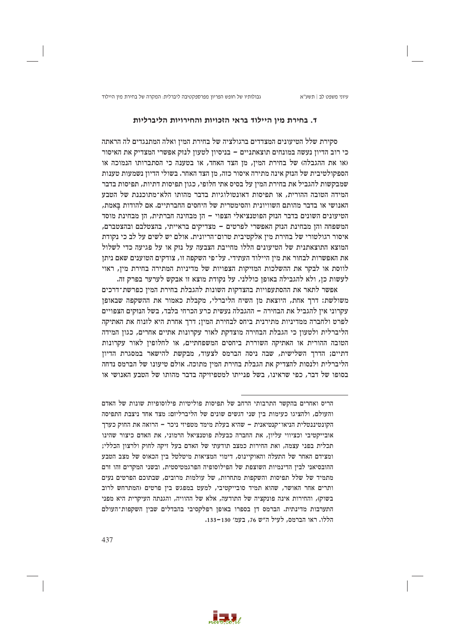גבולותיו של חופש הפריון מפרספקטיבה ליברלית: המקרה של בחירת מין היילוד

## ד. בחירת מין היילוד בראי הזכויות והחירויות הליברליות

סקירת שלל הטיעונים המצדדים ברגולציה של בחירת המין ואלה המתנגדים לה הראתה כי רוב הדיון נעשה במונחים תוצאתניים – בניסיון לטעון לנזק אפשרי המצדיק את האיסור (או את ההגבלה) של בחירת המין, מן הצד האחד, או בטענה כי הסתברותו הנמוכה או הספקולטיבית של הנזק אינה מתירה איסור כזה, מן הצד האחר. בשולי הדיון נשמעות טענות שמבקשות להגביל את בחירת המין על בסיס אתי חלופי, כגון תפיסות דתיות, תפיסות בדבר המידה הטובה ההורית, או תפיסות דאונטולוגיות בדבר מהותו הלא־מתוכננת של הטבע האנושי או בדבר מהותם השוויונית והסימטרית של היחסים החברתיים. אם להודות באמת, הטיעונים השונים בדבר הנזק הפוטנציאלי הצפוי – הן מבחינה חברתית, הן מבחינת מוסד המשפחה והן מבחינת הנזק האפשרי לפרטים – מצדיקים בראייתי, בהצטלבם ובהצטברם, איסור רגולטורי של בחירת מין אלקטיבית טרום־הריונית. אולם יש לשים על לב כי נקודת המוצא התוצאתנית של הטיעונים הללו מחייבת הצבעה על נזק או על פגיעה כדי לשלול את האפשרות לבחור את מין היילוד העתידי. על־פי השקפה זו, צודקים הטוענים שאם ניתן לווסת או לבקר את ההשלכות המזיקות הצפויות של מדיניות המתירה בחירת מין, ראוי לעשות כן, ולא להגבילה באופן כוללני. על נקודת מוצא זו אבקש לערער בפרק זה.

אפשר לתאר את ההסתעפויות בהצדקות השונות להגבלת בחירת המין כפרשת־דרכים משולשת: דרך אחת, היוצאת מן השיח הליברלי, מקבלת כאמור את ההשקפה שבאופן עקרוני אין להגביל את הבחירה – ההגבלה נעשית כרע הכרחי בלבד, בשל הנזקים הצפויים לפרט ולחברה ממדיניות מתירנית ביחס לבחירת המין; דרך אחרת היא לזנוח את האתיקה הליברלית ולטעון כי הגבלת הבחירה מוצדקת לאור עקרונות אתיים אחרים, כגון המידה הטובה ההורית או האתיקה השוררת ביחסים המשפחתיים, או לחלופין לאור עקרונות דתיים; הדרך השלישית, שבה ניסה הברמס לצעוד, מבקשת להישאר במסגרת הדיון הליברלית ולנסות להצדיק את הגבלת בחירת המין מתוכה. אולם טיעונו של הברמס נדחה בסופו של דבר, כפי שראינו, בשל פנייתו למטפיזיקה בדבר מהותו של הטבע האנושי או



הריס ואחרים בהקשר התרבותי הרחב של תפיסות פוליטיות פילוסופיות שונות של האדם והעולם, ולהציגו כעימות בין שני דגשים שונים של הליברליזם: מצד אחד ניצבת התפיסה הקונטיננטלית הניאו־קנטיאנית - שהיא בעלת מימד מטפיזי ניכר - הרואה את החוק כערך אובייקטיבי וכציווי עליון, את החברה כבעלת פוטנציאל הרמוני, את האדם כיצור שהינו תכלית בפני עצמה, ואת החירות כמצב תודעתי של האדם בעל זיקה לחוק ולרצון הכללי; ומצידם האחר של התעלה והאוקיינוס, דימוי המציאות מיטלטל בין הכאוס של מצב הטבע ההובסיאני לביז הדינמיות השוצפת של הפילוסופיה הפרגמטיסטית, ובשני המקרים זהו זרם מתמיד של שלל תפיסות והשקפות מתחרות, של עולמות מרובים, שבתוכם הפרטים נעים ותרים אחר האושר, שהוא תמיד סובייקטיבי, למעט במפגש בין פרטים (המתרחש לרוב בשוק), והחירות אינה פונקציה של התודעה, אלא של ההוויה, והגנתה העיקרית היא מפני התערבות מדינתית. הברמס דן בספרו באופן רפלקסיבי בהבדלים שבין השקפות־העולם הללו. ראו הברמס, לעיל ה״ש 76, בעמ׳ 130–133.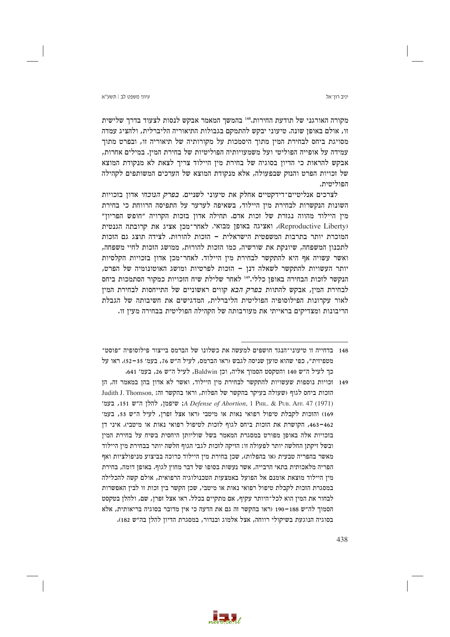יניב רוו־אל

### עיווי משפט לר∣ חשע״א

מקורה האורגני של תודעת החירות.148 בהמשך המאמר אבקש לנסות לצעוד בדרך שלישית זו, אולם באופז שונה. טיעוני יבקש להתמקם בגבולות התיאוריה הליברלית, ולהציג עמדה מסויגת ביחס לבחירת המין מתוך היסמכות על מקורותיה של תיאוריה זו, ובפרט מתוך עמידה על אופייה הפוליטי ועל משמעויותיה הפוליטיות של בחירת המין. במילים אחרות, אבקש להראות כי הדיון בסוגיה של בחירת מין היילוד צריך לצאת לא מנקודת המוצא של זכויות הפרט והנזק שבפעולה, אלא מנקודת המוצא של הערכים המשותפים לקהילה הפוליטית.

לצרכים אנליטיים־דידקטיים אחלק את טיעוני לשניים. *בפרק הנוכחי* אדון בזכויות השונות הנקשרות לבחירת מין היילוד, בשאיפה לערער על התפיסה הרווחת כי בחירת מין היילוד מהווה נגזרת של זכות אדם. תחילה אדון בזכות הקרויה ״חופש הפריון״ (Reproductive Liberty), ואציגה באופן מבואי. לאחר־מכן אציג את קרובתה הגנטית המוכרת יותר בתרבות המשפטית הישראלית – הזכות להורות. לצידה תוצג גם הזכות לתכנון המשפחה, שיונקת את שורשיה, כמו הזכות להורוּת, ממושג הזכות לחיי משפחה, ואשר עשויה אף היא להתקשר לבחירת מין היילוד. לאחר־מכן אדון בזכויות הקלסיות יותר העשויות להתקשר לשאלה דנן – הזכות לפרטיות ומושג האוטונומיה של הפרט, הנקשר לזכות הבחירה באופן כללי.149 לאחר שלילת שיח הזכויות כמקור הסתמכות ביחס לבחירת המין, אבקש להתוות *בפרק הבא* קווים ראשוניים של התייחסות לבחירת המין לאור עקרונות הפילוסופיה הפוליטית הליברלית, המדגישים את חשיבותה של הגבלת הריבונות ומצדיקים בראייתי את מעורבותה של הקהילה הפוליטית בבחירה מעין זו.

- 148 בדחייה זו טיעוני־הנגד חושפים למעשה את כשלונו של הברמס בייצור פילוסופיה ״פוסט־ מטפיזית", כפי שהוא טועז שניסה לגבש (ראו הברמס, לעיל ה"ש 76, בעמ' 35–52), ראו על כך לעיל ה״ש 140 והטקסט הסמוך אליה, וכן Baldwin, לעיל ה״ש 26, בעמ׳ 641.
- 149 וכויות נוספות שעשויות להתקשר לבחירת מין היילוד, ואשר לא אדון בהן במאמר זה, הן הזכות ביחס לגוף (שעולה בעיקר בהקשר של הפלות, וראו בהקשר זה: .Judith J. Thomson A Defense of Abortion, 1 PHIL, & PUB, AFF, 47 (1971) א שיפמו, להלו ה"ש 151, בעמ' 169) והזכות לקבלת טיפול רפואי נאות או מיטבי (ראו אצל זפרן, לעיל ה"ש 53, בעמ' 463-462, הקושרת את הזכות ביחס לגוף לזכות לטיפול רפואי נאות או מיטבי). איני דן .<br>בזכויות אלה באופן מפורט במסגרת המאמר בשל שוליותן היחסית בשיח על בחירת המין ובשל זיקתן החלשה יותר לפעולה זו: הזיקה לזכות לגבי הגוף חלשה יותר בבחירת מין היילוד מאשר בהפריה טבעית (או בהפלות), שכן בחירת מין היילוד כרוכה בביצוע מניפולציות ואף הפריה מלאכותית בתאי הרבייה, אשר נעשות בסופו של דבר מחוץ לגוף. באופן דומה, בחירת מין היילוד מוצאת אומנם אל הפועל באמצעות הטכנולוגיה הרפואית, אולם קשה להכלילה במסגרת הזכות לקבלת טיפול רפואי נאות או מיטבי, שכן הקשר בין זכות זו לבין האפשרות לבחור את המין הוא לכל־היותר עקיף, אם מתקיים בכלל. ראו אצל זפרן, שם, ולהלן בטקסט הסמוך לה״ש 188-190 (ראו בהקשר זה גם את הדעה כי אין מדובר בסוגיה בריאותית, אלא בסוגיה הנוגעת בשיקולי רווחה, אצל אלמוג ובנדור, במסגרת הדיון להלן בה"ש 182).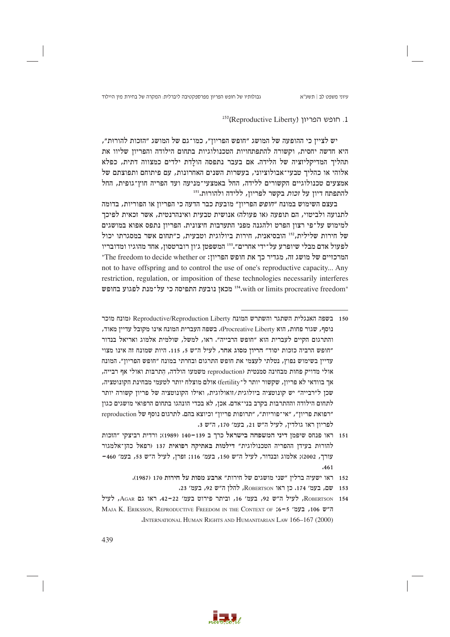# 1. חופש הפריון (Reproductive Liberty)

יש לצייז כי ההופעה של המושג ״חופש הפריוז״, כמו־גם של המושג ״הזכות להורות״, היא חדשה יחסית, וקשורה להתפתחויות הטכנולוגיות בתחום הילודה והפריון שליוו את תהליך המדיקליזציה של הלידה. אם בעבר נתפסה הולדת ילדים כמצווה דתית, כפלא אלוהי או כהליך טבעי־אבולוציוני, בעשרות השנים האחרונות, עם פיתוחם ותפוצתם של אמצעים טכנולוגיים הקשורים ללידה, החל באמצעי־מניעה ועד הפריה חוץ־גופית, החל להתפתח דיון על *זכות* בקשר לפריון, ללידה ולהורוּת.<sup>151</sup>

בעצם השימוש במונח "*חופש* הפריון" מובעת כבר הדעה כי הפריון או הפוריות, בדומה לתנועה ולביטוי, הם תופעה (או פעולה) אנושית טבעית ואינהרנטית, אשר זכאית לפיכך למימוש על־פי רצון הפרט ולהגנה מפני התערבות חיצונית. הפריון נתפס אפוא במושגים של חירות שלילית, <sup>152</sup> הובסיאנית, חירות ביולוגית וטבעית, כ"תחום אשר במסגרתו יכול לפעול אדם מבלי שיופרע על־ידי אחרים".<sup>153</sup> המשפטן ג'ון רוברטסון, אחד מהוגיו ומדובריו המרכזיים של מושג זה, מגדיר כך את חופש הפריון: The freedom to decide whether or" not to have offspring and to control the use of one's reproductive capacity... Any restriction, regulation, or imposition of these technologies necessarily interferes "st, with or limits procreative freedom" מכאן נובעת התפיסה כי על־מנת לפגוע בחופש

- 150 בשפה האנגלית השתגר והשתרש המונח Reproductive/Reproduction Liberty (מונח מוכר נוסף, שגור פחות, הוא Procreative Liberty). בשפה העברית המונח אינו מקובל עדיין מאוד, והתרגום הקיים לעברית הוא "חופש הרבייה". ראו, למשל, שולמית אלמוג ואריאל בנדור "חופש הרביה כזכות יסוד" הריון מסוג אחר, לעיל ה"ש 5, 115. היות שמונח זה אינו מצוי עדייו בשימוש נפוץ, נטלתי לעצמי את חופש התרגום ובחרתי במונח ״חופש הפריוז״. המונח אולי מדויק פחות מבחינה סמנטית (reproduction משמעו הולדה, התרבות ואולי אף רבייה, אך בוודאי לא פריוז, שקשור יותר ל־fertility) אולם מוצלח יותר לטעמי מבחינת הקונוטציה, שכן ל"רבייה" יש קונוטציה ביולוגית/זואולוגית, ואילו הקונוטציה של פריון קשורה יותר לתחום הילודה וההתרבות בקרב בני־אדם. אכז, לא בכדי הונהגו בתחום הרפואי מושגים כגוז "רפואת פריון", "אי־פוריות", "תרופות פריון" וכיוצא בהם. לתרגום נוסף של reproduction לפריון ראו גולדין, לעיל ה"ש 21, בעמ׳ 170, ה"ש 3.
- 151 ראו פנחס שיפמן דיני המשפחה בישראל כרך ב 139−140 (1989); ורדית רביצקי "הזכות להורות בעידן ההפריה הטכנולוגית" דילמות באתיקה רפואית 137 (רפאל כהן־אלמגור שורך, 2002); אלמוג ובנדור, לעיל ה"ש 150, בעמ׳ 116; זפרן, לעיל ה"ש 53, בעמ׳ 460- $.461$ 
	- 152 ראו ישעיה ברלין "שני מושגים של חירות" ארבע מסות על חירות 170 (1987).
		- 153 שם, בעמ' 174. כן ראו ROBERTSON, להלן ה"ש 92, בעמ' 23.
- ROBERTSON 154, לעיל ה"ש 92, בעמ' 16, וביתר פירוט בעמ' 22-22, ראו גם AGAR, לעיל MAJA K. ERIKSSON, REPRODUCTIVE FREEDOM IN THE CONTEXT OF ;6-5 'ת"ש 106, בעמ' 5-JNTERNATIONAL HUMAN RIGHTS AND HUMANITARIAN LAW 166-167 (2000)

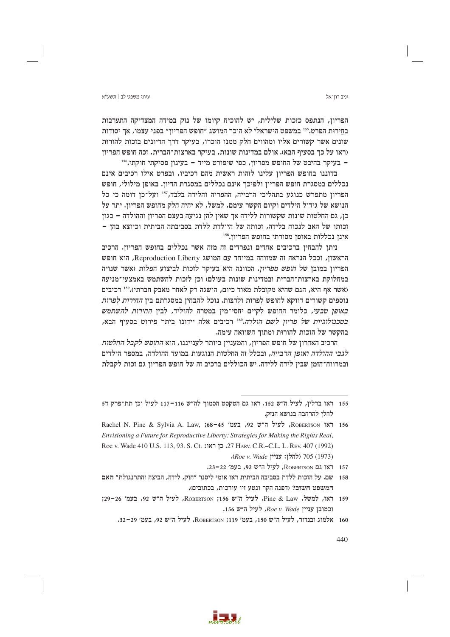יניב רוו־אל

הפריון, הנתפס כזכות שלילית, יש להוכיח קיומו של נזק במידה המצדיקה התערבות בחירות הפרט.<sup>155</sup> במשפט הישראלי לא הוכר המושג ״חופש הפריוז״ בפני עצמו, אר יסודות שונים אשר קשורים אליו ומהווים חלק ממנו הוכרו, בעיקר דרך הדיונים בזכות להורות (ראו על כך בסעיף הבא). אולם במדינות שונות, בעיקר בארצות־הברית, זכה חופש הפריון – בעיקר בהיבט של החופש מפריוז, כפי שיפורט מייד – בעיגוז פסיקתי חוקתי.156

בדוננו בחופש הפריון עלינו לזהות ראשית מהם רכיביו, ובפרט אילו רכיבים אינם נכללים במסגרת חופש הפריון ולפיכך אינם נכללים במסגרת הדיון. באופן מילולי, חופש הפריון מתפרש כנוגע בתהליכי הרבייה, ההפריה והלידה בלבד,<sup>157</sup> ועל־כן דומה כי כל הנושא של גידול הילדים וקיום הקשר עימם, למשל, לא יהיה חלק מחופש הפריון. יתר על כן, גם החלטות שונות שקשורות ללידה אך שאין להן נגיעה בעצם הפריון וההולדה – כגון וכותו של האב לנכוח בלידה, וכותה של היולדת ללדת בסביבתה הביתית וכיוצא בהן – אינן נכללות באופן מסורתי בחופש הפריון.158

ניתן להבחין ברכיבים אחדים ונפרדים זה מזה אשר נכללים בחופש הפריון. הרכיב הראשון, וככל הנראה זה שמזוהה במיוחד עם המושג Reproduction Liberty, הוא חופש הפריון במובן של חופש מפריון. הכוונה היא בעיקר לזכות לביצוע הפלות (אשר שנויה במחלוקת בארצות־הברית ובמדינות שונות בעולם) וכן לזכות להשתמש באמצעי־מניעה (אשר אף היא, הגם שהיא מקובלת מאוד כיום, הושגה רק לאחר מאבק חברתי).159 רכיבים נוספים קשורים דווקא לחופש לפרות ולרבות. נוכל להבחין במסגרתם בין *החירות לפרות* באופן טבעי, כלומר החופש לקיים יחסי־מין במטרה להוליד, לבין החירות להשתמש בטכנולוגיות של פריון לשם הולדה.160 רכיבים אלה יידונו ביתר פירוט בסעיף הבא, בהקשר של הזכות להורוּת ומתוך השוואה עימה.

הרכיב האחרון של חופש הפריון, והמעניין ביותר לענייננו, הוא *החופש לקבל החלטות* לגבי ההולדה ואופן הרבייה, ובכלל זה החלטות הנוגעות במועד ההולדה, במספר הילדים ובמרווח־הזמן שבין לידה ללידה. יש הכוללים ברכיב זה של חופש הפריון גם זכות לקבלת



<sup>155 -</sup> ראו ברליז, לעיל ה״ש 152. ראו גם הטקסט הסמור לה״ש 116–117 לעיל וכז תת־פרק ד5 להלן להרחבה בנושא הנזק.

Roberrson ראו Roberrson, לעיל ה״ש 92, בעמ׳ 156–68, געט ואו Envisioning a Future for Reproductive Liberty: Strategies for Making the Rights Real, Roe v. Wade 410 U.S. 113, 93. S. Ct. ואגו: 27 HARV. C.R.-C.L. L. REV. 407 (1992) (1973) 705 (להלן: עניין Koe v. Wade).

<sup>157</sup> ראו גם ROBERTSON, לעיל ה"ש 92, בעמ' 22-32.

<sup>158 –</sup> שם. על הזכות ללדת בסביבה הביתית ראו אומי ליסנר ״חוק, לידה, הביצה והתרנגולת״ האם המשפט חשוב? ודפנה הקר ונטע זיו עורכות, בכתובים).

<sup>159</sup> ראו, למשל, Pine & Law, לעיל ה"ש 156; ROBERTSON, לעיל ה"ש 92, בעמ' 26-39; יכמובן עניין Roe v. Wade וכמובן עניין

<sup>160</sup> אלמוג ובנדור, לעיל ה"ש 150, בעמ' 119; ROBERTSON, לעיל ה"ש 92, בעמ' 29-32.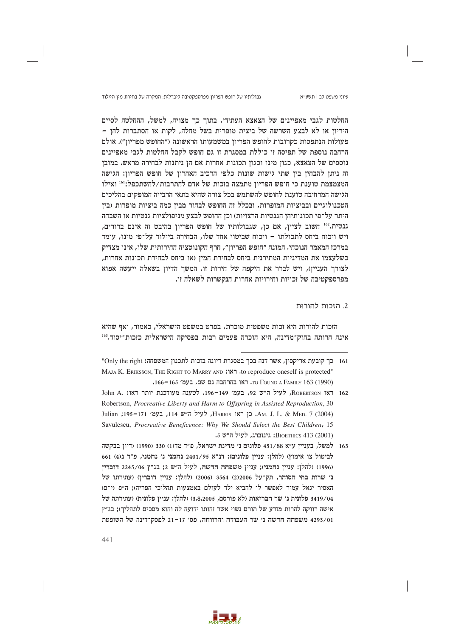גבולותיו של חופש הפריון מפרספקטיבה ליברלית: המקרה של בחירת מין היילוד

עיוני משפט לב | תשע"א

החלטות לגבי מאפיינים של הצאצא העתידי. בתוך כך מצויה, למשל, ההחלטה לסיים היריוז או לא לבצע השרשה של ביצית מופרית בשל מחלה, לקות או הסתברות להז – פעולות הנתפסות כקרובות לחופש הפריון במשמעותו הראשונה ("החופש מפריון"). אולם הרחבה נוספת של תפיסה זו כוללת במסגרת זו גם חופש לקבל החלטות לגבי מאפיינים נוספים של הצאצא, כגון מינו וכגון תכונות אחרות אם הן ניתנות לבחירה מראש. במובן זה ניתן להבחין בין שתי גישות שונות כלפי הרכיב האחרון של חופש הפריון: הגישה המצמצמת טוענת כי חופש הפריון מתמצה בזכות של אדם להתרבות/להשתכפל;<sup>161</sup> ואילו הגישה המרחיבה טוענת לחופש להשתמש בכל צורה שהיא בתאי הרבייה המופקים בהליכים הטכנולוגיים ובביציות המופרות, ובכלל זה החופש לבחור מבין כמה ביציות מופרות (בין היתר על־פי תכונותיהן הגנטיות הרצויות) וכן החופש לבצע מניפולציות גנטיות או השבחה גנטית.162 חשוב לציין, אם כן, שגבולותיו של חופש הפריון בהיבט זה אינם ברורים, ויש ויכוח ביחס לתכולתו – ויכוח שביטוי אחד שלו, הבחירה ביילוד על־פי מינו, עומד במרכז המאמר הנוכחי. המונח ״חופש הפריון״, חרף הקונוטציה החירותית שלו, אינו מצדיק כשלעצמו את המדיניות המתירנית ביחס לבחירת המין (או ביחס לבחירת תכונות אחרות, לצורך העניין), ויש לברר את היקפה של חירות זו. המשך הדיון בשאלה ייעשה אפוא מפרספקטיבה של וכויות וחירויות אחרות הנקשרות לשאלה זו.

## 2. הזכות להורוּת

הזכות להורות היא זכות משפטית מוכרת, בפרט במשפט הישראלי, כאמור, ואף שהיא אינה חרותה בחוק־מדינה, היא הוכרה פעמים רבות בפסיקה הישראלית כזכות־יסוד.163



<sup>161</sup> כך קובעת אריקסון, אשר דנה בכך במסגרת דיונה בזכות לתכנון המשפחה: Only the right" MAJA K. ERIKSSON, THE RIGHT TO MARRY AND :187 ,to reproduce oneself is protected" TO FOUND A FAMILY 163 (1990). ראו בהרחבה גם שם, בעמ׳ 165–166.

<sup>162</sup> ראו Robertson, לעיל ה"ש 92, בעמ' 149-149. לטענה מעודכנת יותר ראו: John A. Robertson, Procreative Liberty and Harm to Offspring in Assisted Reproduction, 30 Julian ;195-171 (2004, כן ראו HARRIS ו-JHARRIS ו-Julian ;195-171 (2004) Savulescu, Procreative Beneficence: Why We Should Select the Best Children, 15 BIOETHICS 413 (2001); גינוברג, לעיל ה"ש 5.

<sup>163</sup> למשל, בעניין ע״א 451/88 פלונים נ׳ מדינת ישראל, פ״ד מד(1) 330 (1990) (דיון בבקשה לביטול צו אימוץ) (להלן: עניין פלונים); דנ״א 2401/95 נחמני נ׳ נחמני, פ״ד נ(4) 661 (1996) (להלן: עניין נחמני); עניין משפחה חדשה, לעיל ה"ש 2; בג"ץ 2245/06 דוברין נ׳ שרות בתי הסוהר, תק־על 2006/ 3564 (2006) (להלן: עניין דוברין) (עתירתו של האסיר יגאל עמיר לאפשר לו להביא ילד לעולם באמצעות תהליכי הפריה); ה"פ (י־ם) 3419/04 פלונית נ׳ שר הבריאות (לא פורסם, 3.8.2005) (להלן: עניין פלונית) (עתירתה של אישה רווקה להרות מזרע של תורם נשוי אשר זהותו ידועה לה והוא מסכים לתהליך); בג"ץ 4293/01 משפחה חדשה נ' שר העבודה והרווחה, פס' 17-21 לפסק־דינה של השופטת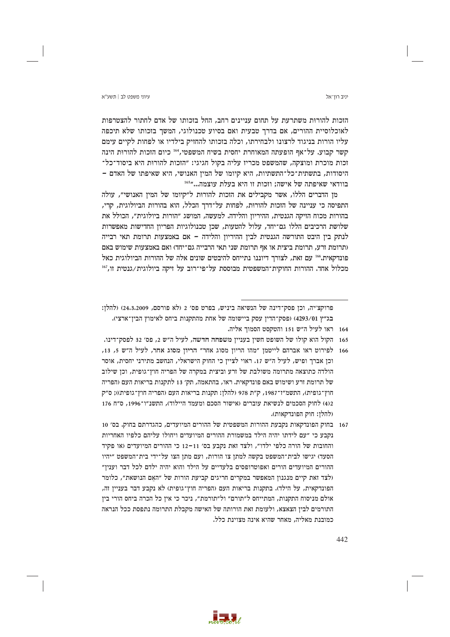הזכות להורות משתרעת על תחום עניינים רחב, החל בזכותו של אדם לחתור להצטרפות לאוכלוסיית ההורים, אם בדרך טבעית ואם בסיוע טכנולוגי, המשר בזכותו שלא תיכפה עליו הורות בניגוד לרצונו ולבחירתו, וכלה בזכותו להחזיק בילדיו או לפחות לקיים עימם קשר קבוע. על־אף הופעתה המאוחרת יחסית בשיח המשפטי,164 כיום הזכות להורות הינה זכות מוכרת ומוצקה, שהמשפט מכריז עליה בקול חגיגי: ״הזכות להורות היא ביסוד־כל־ היסודות, בתשתית־כל־התשתיות, היא קיומו של המין האנושי, היא שאיפתו של האדם -בוודאי שאיפתה של אישה; וזכות זו היא בעלת עוצמה..."<sup>165</sup>

מן הדברים הללו, אשר מקבילים את הזכות להורות ל״קיומו של המין האנושי״, עולה התפיסה כי עניינה של הזכות להורות, לפחות על־דרך הכלל, הוא בהורות הביולוגית, קרי, בהורות מכוח הזיקה הגנטית, ההיריון והלידה. למעשה, המושג ״הורות ביולוגית״, הכולל את שלושת הרכיבים הללו גם־יחד, עלול להטעות, שכן טכנולוגיות הפריון החדישות מאפשרות לנתק בין היבט התורשה הגנטית לבין ההיריון והלידה – אם באמצעות תרומת תאי רבייה (תרומת זרע, תרומת ביצית או אף תרומת שני תאי הרבייה גם־יחד) ואם באמצעות שימוש באם פונדקאית. 166 עם זאת, לצורך דיוננו נתייחס להיבטים שונים אלה של ההורות הביולוגית כאל מכלול אחד. ההורות החוקית־המשפטית מבוססת על־פי־רוב על זיקה ביולוגית∕גנטית זו,<sup>167</sup>

- 164 ראו לעיל ה״ש 151 והטקסט הסמור אליה.
- 165 הקול הוא קולו של השופט חשין בעניין משפחה חדשה, לעיל ה״ש 2, פס׳ 32 לפסק־דינו.
- 166 לפירוט ראו אברהם לייטמן "מהו הריון מסוג אחר" הריון מסוג אחר, לעיל ה"ש 5, 13, וכז אברר ופיש, לעיל ה״ש 17. ראוי לצייז כי החוק הישראלי, הנחשב מתירני יחסית, אוסר הולדה כתוצאה מתרומה משולבת של זרע וביצית במקרה של הפריה חוז־גופית, וכז שילוב של תרומת זרע ושימוש באם פונדקאית. ראו, בהתאמה, תק׳ 13 לתקנות בריאות העם (הפריה חוץ־גופית), התשמ״ז־1987, ק״ת 978 (להלן: תקנות בריאות העם (הפריה חוץ־גופית)); ס״ק 4)2 לחוק הסכמים לנשיאת עוברים (אישור הסכם ומעמד היילוד). התשנ״ו־1996, ס״ח 176 (להלז: חוק הפונדקאות).
- 167 בחוק הפונדקאות נקבעת ההורות המשפטית של ההורים המיועדים, כהגדרתם בחוק. בס׳ 10 נקבע כי ״עם לידתו יהיה הילד במשמורת ההורים המיועדים ויחולו עליהם כלפיו האחריות והחובות של הורה כלפי ילדו״, ולצד זאת נקבע בס׳ 11–12 כי ההורים המיועדים (או פקיד הסעד) יגישו לבית־המשפט בקשה למתן צו הורות, ועם מתן הצו על־ידי בית־המשפט ״יהיו ההורים המיועדים הורים ואפוטרופסים בלעדיים על הילד והוא יהיה ילדם לכל דבר ועניז״ (לצד זאת קיים מנגנון המאפשר במקרים חריגים קביעת הורות של ״האם הנושאת״, כלומר הפונדקאית, על הילד). בתקנות בריאות העם (הפריה חוץ־גופית) לא נקבע דבר בעניין זה, אולם מניסוח התקנות, המתייחס ל״תורם״ ול״תורמת״, ניכר כי אין כל הכרה ביחס הורי בין התורמים לבין הצאצא, ולעומת זאת הורותה של האישה מקבלת התרומה נתפסת ככל הנראה כמובנת מאליה. מאחר שהיא אינה מצוינת כלל.



### יניב רוו־אל

פרוקצ׳יה, וכן פסק־דינה של הנשיאה ביניש, בפרט פס׳ 2 (לא פורסם, 24,3,2009) (להלן: בג״ץ 4293/01) (פסק־הדין עסק ביישומה של אחת מהתקנות ביחס לאימוץ הבין־ארצי).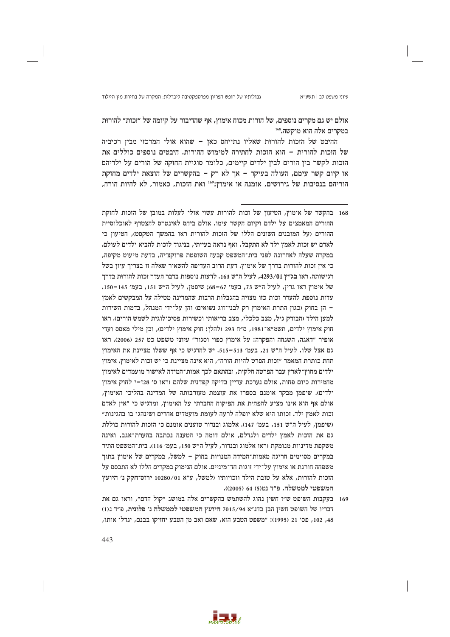אולם יש גם מקרים נוספים, של הורות מכוח אימוץ, אף שהדיבור על קיומה של ״זכות״ להורות במקרים אלה הוא מוקשה.<sup>168</sup>

ההיבט של הזכות להורות שאליו נתייחס כאן – שהוא אולי המרכזי מבין רכיביה של הזכות להורות – הוא הזכות לחתירה למימוש ההורות. היבטים נוספים כוללים את הזכות לקשר בין הורים לבין ילדים קיימים, כלומר סוגיית החזקה של הורים על ילדיהם או קיום קשר עימם, העולה בעיקר - אך לא רק - בהקשרים של הוצאת ילדים מחזקת הוריהם בנסיבות של גירושים, אומנה או אימוץ;169 ואת הזכות, כאמור, לא להיות הורה,

- 168 בהקשר של אימוץ, הטיעון של זכות להורות עשוי אולי לעלות במובז של הזכות לחזקת ההורים המאמצים על ילדם וקיום הקשר עימו. אולם ביחס לאינטרס להצטרף לאוכלוסיית ההורים (על המובנים השונים הללו של הזכות להורות ראו בהמשך הטקסט), הטיעון כי לאדם יש זכות לאמץ ילד לא התקבל, ואף נראה בעייתי, בניגוד לזכות להביא ילדים לעולם. במקרה שעלה לאחרונה לפני בית־המשפט קבעה השופטת פרוקצ׳יה, בדעת מיעוט מקיפה, כי אין זכות להורות בדרך של אימוץ. דעת הרוב העדיפה להשאיר שאלה זו בצריך עיון בשל רגישותה, ראו בג״ץ 4293/01, לעיל ה״ש 163. לדעות נוספות בדבר העדר זכות להורות בדרך של אימוץ ראו גריו, לעיל ה״ש 73, בעמ׳ 67–68: שיפמו, לעיל ה״ש 151, בעמ׳ 145–150. עדות נוספת להעדר זכות כזו מצויה בהגבלות הרבות שהמדינה מטילה על המבקשים לאמץ – הז בחוק (כגוז התרת האימוץ רק לבני־זוג נשואים) והז על־ידי המנהל, בדמות השירות למען הילד (הבודק גיל, מצב כלכלי, מצב בריאותי וכשירות פסיכולוגית לשמש הורים). ראו חוק אימוץ ילדים, תשמ״א־1981, ס״ח 293 (להלן: חוק אימוץ ילדים), וכן מילי מאסס ועדי אופיר "דאגה, השגחה והפקרה: על אימוץ כפוי וסגור" עיוני משפט כט 257 (2006). ראו גם אצל שלו, לעיל ה"ש 21, בעמ' 513–515. יש להדגיש כי אף ששלו מציינת את האימוץ תחת כותרת המאמר ״זכות הפרט להיות הורה״, היא אינה מציינת כי יש זכות לאימוץ. אימוץ ילדים מחוץ־לארץ עבר הפרטה חלקית, ובהתאם לכר אמות־המידה לאישור מועמדים לאימוץ מחמירות כיום פחות, אולם נערכת עדיין בדיקה קפדנית שלהם (ראו ס׳ 128–י לחוק אימוץ ילדים). שיפמן מבקר אומנם בספרו את עוצמת מעורבותה של המדינה בהליכי האימוץ, אולם אף הוא אינו מציע להפחית את הפיקוח החברתי על האימוץ, ומדגיש כי ״איז לאדם זכות לאמץ ילד. זכותו היא שלא יופלה לרעה לעומת מועמדים אחרים ושינהגו בו בהגינות״ (שיפמן, לעיל ה"ש 151, בעמ' 147). אלמוג ובנדור טוענים אומנם כי הזכות להורות כוללת גם את הזכות לאמץ ילדים ולגדלם, אולם דומה כי הטענה נכתבה בהערת־אגב, ואינה משקפת מדיניות מנומקת (ראו אלמוג ובנדור, לעיל ה״ש 150, בעמ׳ 116). בית־המשפט התיר במקרים מסוימים חריגה מאמות־המידה המנויות בחוק – למשל, במקרים של אימוץ בתוך משפחה חורגת או אימוץ על־ידי זוגות חד־מיניים. אולם הנימוק במקרים הללו לא התבסס על הזכות להורות, אלא על טובת הילד וזכויותיו (למשל, ע"א 10280/01 ירוס־חקק נ' היועץ המשפטי לממשלה, פ"ד נט(5) 64 (2005)).
- 169 בעקבות השופט ש"ז חשין נהוג להשתמש בהקשרים אלה במושג "קול הדם", וראו גם את דבריו של השופט חשין הבן בדנ"א 7015/94 היועץ המשפטי לממשלה נ' פלונית, פ"ד נ<1) 48, 102, פס׳ 21 (1995): "משפט הטבע הוא, שאם ואב מן הטבע יחזיקו בבנם, יגדלו אותו,

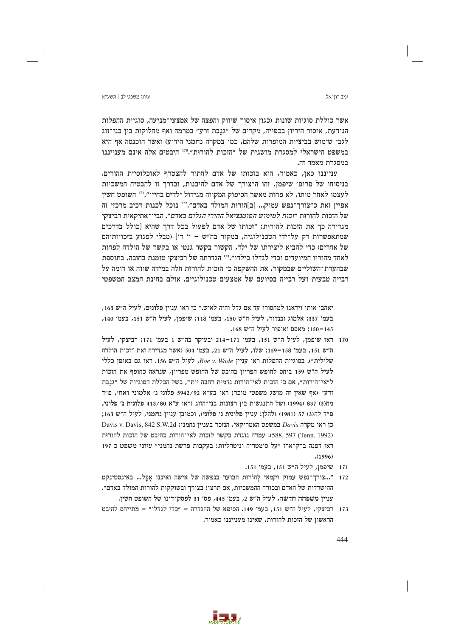יניב רוו־אל

אשר כוללת סוגיות שונות (כגון איסור שיווק והפצה של אמצעי־מניעה, סוגיית ההפלות הנודעת, איסור היריוז בכפייה, מקרים של ״גנבת זרע״ במרמה ואף מחלוקות ביז בני־זוג לגבי שימוש בביציות המופרות שלהם, כמו במקרה נחמני הידוע) ואשר הוכנסה אף היא במשפט הישראלי למסגרת מושגית של ״הזכות להורות״.110 היבטים אלה אינם מענייננו במסגרת מאמר זה.

ענייננו כאן, כאמור, הוא בזכותו של אדם לחתור להצטרף לאוכלוסיית ההורים. בניסוחו של פרופ׳ שיפמן, זהו ה"צורך של אדם להיבנות, ובדרך זו להבטיח המשכיות לעצמו לאחר מותו, לא פחות מאשר הסיפוק המקווה מגידול ילדים בחייו".<sup>111</sup> השופט חשין אפיין זאת כ"צורך־נפש עמוק... [ב]הורות המולד באדם".172 נוכל לכנות רכיב מרכזי זה של הזכות להורות ״זכות למימוש הפוטנציאל ההורי הגלום באדם״. הביו־אתיקאית רביצקי מגדירה כך את הזכות להורות: ״זכותו של אדם לפעול בכל דרך שהיא [כולל בדרכים שמתאפשרות רק על־ידי הטכנולוגיה, במקור בה"ש – י' ר'] (מבלי לפגוע בזכויותיהם של אחרים) כדי להביא ליצירתו של ילד, הקשור בקשר גנטי או בקשר של הולדה לפחות לאחד מהוריו המיועדים וכדי לגדלו כילדו".<sup>173</sup> הגדרתה של רביצקי טומנת בחובה, בתוספת שבהערת־השוליים שבמקור, את ההשקפה כי הזכות להורות חלה במידה שווה או דומה על רבייה טבעית ועל רבייה בסיועם של אמצעים טכנולוגיים. אולם בחינת המצב המשפטי

171 **שיפמו, לעיל ה"ש 151, בעמ'** 151.



יאהבו אותו וידאגו למחסורו עד אם גדל והיה לאיש.״ כן ראו עניין פלונים, לעיל ה״ש 163, בעמ׳ 337; אלמוג ובנדור, לעיל ה״ש 150, בעמ׳ 118; שיפמן, לעיל ה״ש 151, בעמ׳ 140, 150-145: מאסס ואופיר לעיל ה״ש 168.

<sup>170</sup> ראו שיפמן, לעיל ה"ש 151, בעמ' 171–214 ובעיקר בה"ש 1 בעמ' 171; רביצקי, לעיל ה"ש 151, בעמ' 158–159; שלו, לעיל ה"ש 21, בעמ' 504 (אשר מגדירה זאת "זכות הולדה כללי בטוגיית ההפלות ראו ענייז Roe v. Wade, לעיל ה"ש 156. ראו גם באופז כללי לעיל ה״ש 159 ביחס לחופש הפריוז בהיבט של החופש מפריוז, שנראה כחופף את הזכות ל״אי־הורות״, אם כי הזכות לאי־הורות נדמית רחבה יותר, בשל הכללת הסוגיות של ״גנבת זרע" (אף שאין זה מושג משפטי מוכר; ראו בע"א 5942/92 פלוני נ' אלמוני ואח׳, פ"ד מח(3) 837 (1994) ושל התנגשות בין רצונות בני־הזוג (ראו ע״א 413/80 פלונית נ׳ פלוני, פ״ד לה(3) 57 (1981) (להלן: עניין פלונית נ׳ פלוני), וכמובן עניין נחמני, לעיל ה״ש 163; Davis v. Davis, 842 S.W.2d מקרה האמריקאי, הנזכר בעניין נחמני: Davis v. Davis, 842 S.W.2d (Tenn. 1992) 588, 597). עמדה נוגדת בקשר לזכות לאי־הורות כהיבט של הזכות להורות ראו דפנה ברק־ארז "על סימטריה וניטרליות: בעקבות פרשת נחמני" עיוני משפט כ 197  $(1996)$ 

<sup>172 &</sup>quot;...צורך־נפש עמוק וקמאי להוֹרוּת הבוער בנפשה של אישה ואיננו אכל... באינסטינקט ההישרדות של האדם ובכורח ההמשכיות, אם תרצו: בצורך ובשוקקות להורות המולד באדם". עניין משפחה חדשה, לעיל ה״ש 2, בעמ׳ 445, פס׳ 31 לפסק־דינו של השופט חשין.

<sup>173</sup> רביצקי, לעיל ה"ש 151, בעמ' 149. הסיפא של ההגדרה - "כדי לגדלו" - מתייחס להיבט הראשוז של הזכות להורות, שאינו מענייננו כאמור.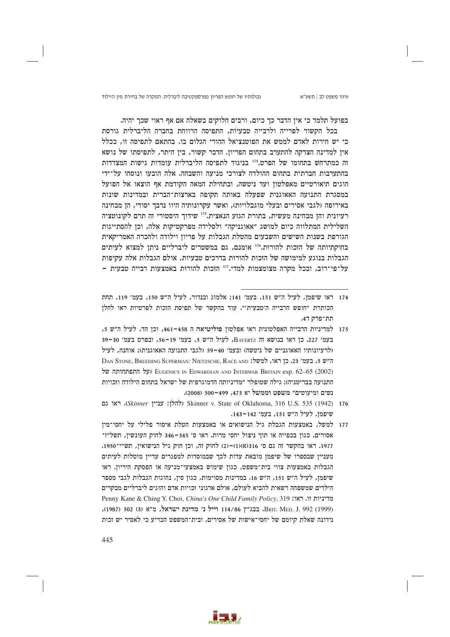גבולותיו של חופש הפריון מפרספקטיבה ליברלית: המקרה של בחירת מין היילוד

בפועל תלמד כי אין הדבר כך כיום, ורבים חלוקים בשאלה אם אף ראוי שכך יהיה.

בכל הקשור לפרייה ולרבייה טבעיות, התפיסה הרווחת בחברה הליברלית גורסת כי יש חירות לאדם לממש את הפוטנציאל ההורי הגלום בו. בהתאם לתפיסה זו, ככלל אין למדינה הצדקה להתערב בתחום הפריון. הדבר קשור, בין היתר, לתפיסתו של נושא זה כמתרחש בתחומו של הפרט.<sup>174</sup> בניגוד לתפיסה הליברלית עומדות גישות המצדדות בהתערבות חברתית בתחום ההולדה לצורכי מניעה והשבחה. אלה הובעו ונוסחו על־ידי הוגים תיאורטיים מאפלטון ועד ניטשה, ובתחילת המאה הקודמת אף הוצאו אל הפועל במסגרת התנועה האאוגנית שפעלה באותה תקופה בארצות־הברית ובמדינות שונות באירופה (לגבי אסירים ובעלי מוגבלויות), ואשר עקרונותיה היוו נדבך יסודי, הן מבחינה רעיונית והן מבחינה מעשית, בתורת הגזע הנאצית.175 שידוך היסטורי זה תרם לקונוטציה השלילית המתלווה כיום למושג "אאוגניקה" ולסלידה מפרקטיקות אלה, וכן להסתייגות הגורפת בשנות השישים והשבעים מהטלת הגבלות על פריון וילודה ולהכרה האמריקאית בחוקתיותה של הזכות להורות. 176 אומנם, גם במשטרים ליברליים ניתן למצוא לעיתים הגבלות בנוגע למימושה של הזכות להורות בדרכים טבעיות, אולם הגבלות אלה עקיפות על־פי־רוב, ובכל מקרה מצומצמות למדי.<sup>117</sup> הזכות להורות באמצעות רבייה טבעית -

- 174 ראו שיפמן, לעיל ה"ש 151, בעמ' 141; אלמוג ובנדור, לעיל ה"ש 150, בעמ' 119, תחת הכותרת ״חופש הרבייה ה׳טבעית׳״. עוד בהקשר של תפיסת הזכות לפרטיות ראו להלן תת־פרק ד4.
- 175 למדיניות הרבייה האפלטונית ראו אפלטוז פוליטיאה ה 458–461, וכז הד, לעיל ה״ש 5, בעמ׳ 227. כן ראו בנושא זה BAYERTZ, לעיל ה"ש 5, בעמ׳ 19-56, ובפרט בעמ׳ 30-30 (לרעיונותיו האאוגניים של ניטשה) ובעמ׳ 40–59 (לגבי התנועה האאוגנית); אותנה, לעיל DAN STONE, BREEDING SUPERMAN: NIETZSCHE, RACE AND : ה"ש 5, בעמ׳ 23, כן ראו, למשל: (על התפתחותה של EUGENICS IN EDWARDIAN AND INTERWAR BRITAIN esp. 62-65 (2002) התנועה בבריטניה): גילה שטופלר ״מדיניותה הדמוגרפית של ישראל בתחום הילודה וזכויות נשים ומיעוטים" משפט וממשל יא 473, 499–500 (2008).
- 576 (Skinner v. State of Oklahoma, 316 U.S. 535 (1942) ו-Skinner (להלו: עניין Skinner). ראו גם שיפמן, לעיל ה״ש 151, בעמ׳ 142–143.
- 177 למשל, באמצעות הגבלת גיל הנישואים או באמצעות הטלת איסור פלילי על יחסי־מין אסורים, כגון בכפייה או תוך ניצול יחסי מרות. ראו ס׳ 345–346 לחוק העונשין, תשל״ז־ 1977. ראו בהקשר זה גם ס' 316(א)(1)-(2) לחוק זה, וכן חוק גיל הנישואין, תש"י־1950. מעניין שבספרו של שיפמן מובאת עדות לכך שבמוסדות למפגרים עדיין מוטלות לעיתים הגבלות באמצעות צווי בית־משפט, כגון שימוש באמצעי־מניעה או הפסקת היריון. ראו שיפמן, לעיל ה״ש 151, ה״ש 16. במדינות מסוימות, כגון סין, נהוגות הגבלות לגבי מספר הילדים שמשפחה רשאית להביא לעולם, אולם ארגוני זכויות אדם והוגים ליברליים מבקרים Penny Kane & Ching Y. Choi, China's One Child Family Policy, 319 בהיניות זו. ראו: ,1992 (1999) BRIT. MED. J. 992 וייל נ' מדינת ישראל, מ"א (3) 502 (1987), נידונה שאלת קיומם של יחסי־אישות של אסירים, ובית־המשפט הכריע כי לאסיר יש זכות

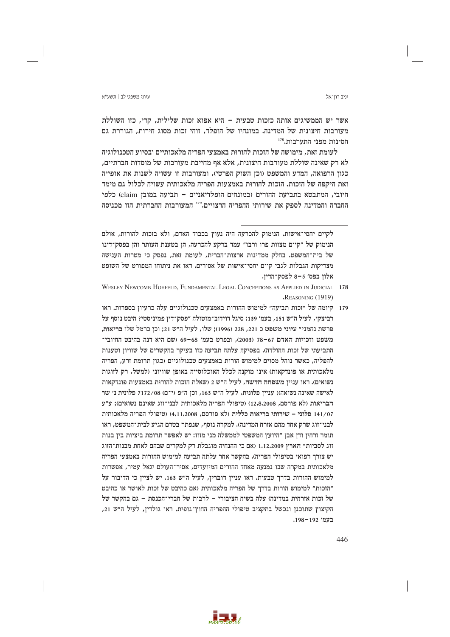יניב רוו־אל

אשר יש הממשיגים אותה כזכות טבעית - היא אפוא זכות שלילית, קרי, כזו השוללת מעורבות חיצונית של המדינה. במונחיו של הופלד, זוהי זכות מסוג חירות, הגוררת גם חסינות מפני התערבות.178

לעומת זאת, מימושה של הזכות להורות באמצעי הפריה מלאכותיים ובסיוע הטכנולוגיה לא רק שאינה שוללת מעורבות חיצונית, אלא אף מחייבת מעורבות של מוסדות חברתיים, כגון הרפואה, המדע והמשפט (וכן השוק הפרטי), ומעורבות זו עשויה לשנות את אופייה ואת היקפה של הזכות. הזכות להורות באמצעות הפריה מלאכותית עשויה לכלול גם מימד חיובי, המתבטא בתביעת ההורים (במונחים הופלדיאניים – תביעה במובן claim) כלפי החברה והמדינה לספק את שירותי ההפריה הרצויים.179 המעורבות החברתית הזו מכניסה

179 - קיומה של "זכות תביעה" למימוש ההורות באמצעים טכנולוגיים עלה כרעיון בספרות. ראו רביצקי, לעיל ה״ש 151, בעמ׳ 139; סיגל דוידוב־מוטולה ״פסק־דין פמיניסטי? היבט נוסף על פרשת נחמני״ עיוני משפט כ 221, 228 (1996): שלו, לעיל ה״ש 21: וכז כרמל שלו בריאות. משפט וזכויות האדם 67–78 (2003), ובפרט בעמ׳ 68–69 (שם היא דנה בהיבט החיובי־ התביעתי של זכות ההולדה). בפסיקה עלתה תביעה כזו בעיקר בהקשרים של שוויון וטענות להפליה, כאשר נוהל מסוים למימוש הורות באמצעים טכנולוגיים (כגוז תרומת זרע, הפריה מלאכותית או פונדקאות) אינו מוקנה לכלל האוכלוסייה באופז שוויוני (למשל, רק לזוגות נשואים). ראו עניין משפחה חדשה, לעיל ה״ש 2 (שאלת הזכות להורות באמצעות פונדקאות לאישה שאינה נשואה); עניין פלונית, לעיל ה"ש 163, וכן ה"פ (י־ם) 7172/08 פלונית נ' שר הבריאות (לא פורסם, 12.8.2008) (טיפולי הפריה מלאכותית לבני־זוג שאינם נשואים): ע״ע 141/07 פלוני – שירותי בריאות כללית (לא פורסם, 4.11.2008) (טיפולי הפריה מלאכותית לבני־זוג שרק אחד מהם אזרח המדינה). למקרה נוסף, שנפתר בטרם הגיע לבית־המשפט, ראו .<br>תומר זרחין ודן אבן ״היועץ המשפטי לממשלה מני מזוז: יש לאפשר תרומת ביציות בין בנות זוג לסביות״ הארץ 1.12.2009 (אם כי ההנחיה מוגבלת רק למקרים שבהם לאחת מבנות־הזוג יש צורך רפואי בטיפולי הפריה). בהקשר אחר עלתה תביעה למימוש ההורות באמצעי הפריה מלאכותית במקרה שבו נמנעה מאחד ההורים המיועדים, אסיר־העולם יגאל עמיר, אפשרות למימוש ההורות בדרך טבעית. ראו עניין דוברין, לעיל ה"ש 163. יש לציין כי הדיבור על "הזכות" למימוש הורות בדרך של הפריה מלאכותית (אם כהיבט של זכות לאושר או כהיבט של זכות אזרחית במדינה) עלה בשיח הציבורי – לרבות של חברי־הכנסת – גם בהקשר של הקיצוץ שתוכנן ונכשל בתקציב טיפולי ההפריה החוץ־גופית. ראו גולדין, לעיל ה"ש 21, בעמ' 192-198.

לקיים יחסי־אישות. הנימוק להכרעה היה נעוץ בכבוד האדם, ולא בזכות להורות, אולם הנימוק של ״קיום מצוות פרו ורבו״ עמד ברקע להכרעה, הן בטענת העותר והן בפסק־דינו של בית־המשפט. בחלק ממדינות ארצות־הברית, לעומת זאת, נפסק כי מטרות הענישה מצדיקות הגבלות לגבי קיום יחסי־אישות של אסירים. ראו את ניתוחו המפורט של השופט אלון בפס׳ 5-8 לפסק־הדין.

WESLEY NEWCOMB HOHEELD, FUNDAMENTAL LEGAL CONCEPTIONS AS APPLIED IN JUDICIAL 178 REASONING (1919)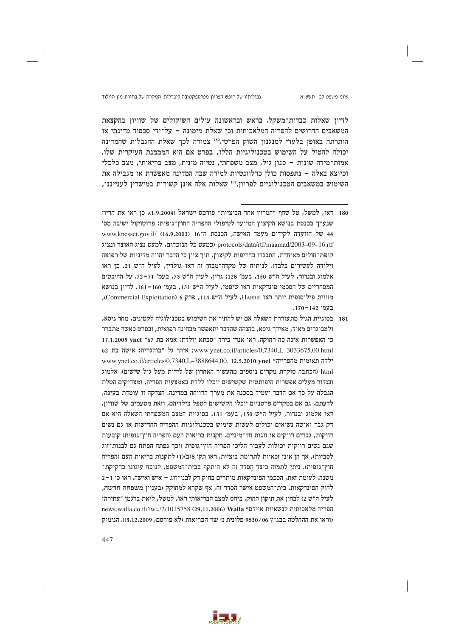### גבולותיו של חופש הפריון מפרספקטיבה ליברלית: המקרה של בחירת מין היילוד

לדיון שאלות כבדות־משקל. בראש ובראשונה עולים השיקולים של שוויון בהקצאת המשאבים הדרושים להפריה המלאכותית וכז שאלת מימונה – על־ידי סבסוד מדינתי או הותרתה באופן בלעדי למנגנון השוק הפרטי.180 צמודה לכך שאלת ההגבלות שהמדינה יכולה להטיל על השימוש בטכנולוגיות הללו, בפרט אם היא המממנת העיקרית שלו. אמות־מידה שונות - כגון גיל, מצב משפחתי, נטייה מינית, מצב בריאותי, מצב כלכלי וכיוצא באלה – נתפסות כולן כרלוונטיות למידה שבה המדינה מאפשרת או מגבילה את השימוש במשאבים הטכנולוגיים לפריון.<sup>181</sup> שאלות אלה אינן קשורות במישרין לענייננו,

181 – בסוגיית הגיל מתעוררת השאלה אם יש להתיר את השימוש בטכנולוגיה לקטינים, מחד גיסא, ולמבוגרים מאוד, מאידר גיסא, בהנחה שהדבר יתאפשר מבחינה רפואית, ובפרט כאשר מתברר כי האפשרות אינה כה רחוקה. ראו אנדי בירד "סבתא יולדת: אמא בת 67" 17.1.2005 vnet 17.1.2005 62 www.ynet.co.il/articles/0,7340,L-3033675,00.html; אישה בת 62 www.vnet.co.il/articles/0.7340.L-3888644.00. 12.5.2010 vnet "ילדה תאומות מהפרייה" html (הכתבה סוקרת מקרים נוספים מהעשור האחרוז של לידות מעל גיל שישים). אלמוג ובנדור מעלים אפשרות היפותטית שקשישים יוכלו ללדת באמצעות הפריה, ומצדיקים הטלת הגבלה על כך אם הדבר יעמיד בסכנה את מערך הרווחה במדינה. הצדקה זו עומדת בעינה, לדעתם, גם אם במקרים פרטניים יוכלו הקשישים לטפל בילדיהם, וזאת מטעמים של שוויוז. ראו אלמוג ובנדור, לעיל ה"ש 150, בעמ׳ 131. בסוגיית המצב המשפחתי השאלה היא אם רק גבר ואישה נשואים יכולים לעשות שימוש בטכנולוגיות ההפריה החדישות או גם נשים רווקות, גברים רווקים או זוגות חד־מיניים. תקנות בריאות העם (הפריה חוץ־גופית) קובעות שגם נשים רווקות יכולות לעבור הליכי הפריה חוץ־גופית (וכך נפתח הפתח גם לבנות־זוג לסביות), אך הן אינן זכאיות לתרומת ביציות. ראו תק׳ 1(ב)(1) לתקנות בריאות העם (הפריה חוץ־גופית). ניתן לתמוה כיצד הסדר זה לא הותקף בבית־המשפט, לנוכח עיגונו בחקיקת־ משנה. לעומת זאת, הסכמי הפונדקאות מותרים בחוק רק לבני־זוג – איש ואישה. ראו ס׳ 1–2 לחוק הפונדקאות. בית־המשפט אישר הסדר זה, אף שקרא למחוקק (בעניין משפחה חדשה, לעיל ה״ש 2) לבחון את תיקון החוק. ביחס למצב הבריאותי ראו, למשל, ליאת ברגמן ״עתירה: news.walla.co.il/?w=/2/1015758 (29.11.2006) Walla "הפריה מלאכותית לנשאיות איידס" (וראו את ההחלטה בבג"ץ 9830/06 פלונית נ' שר הבריאות (לא פורסם, 3.12.2009)). הנימוק

447



<sup>180 -</sup> ראו, למשל, טל שחף ״המרוץ אחר הביציות״ פורבס ישראל (1.9.2004). כז ראו את הדיוז שנערך בכנסת בנושא הקיצוץ המיועד לטיפולי ההפריה החוץ־גופית: פרוטוקול ישיבה מס׳ 44 של הוועדה לקידום מעמד האישה, הכנסת ה־16 (16.9.2003) www.knesset.gov.il/ protocols/data/rtf/maamad/2003-09-16.rtf (כמעט כל הנוכחים, למעט נציג האוצר ונציג קופת־חולים מאוחדת. התנגדו בחריפות לקיצוץ, תור ציוז כי הדבר יהווה מדיניות של רפואה וילודה לעשירים בלבד). לניתוח של מקרה־מבחן זה ראו גולדין, לעיל ה״ש 21. כן ראו אלמוג ובנדור, לעיל ה״ש 150, בעמ׳ 128; גרין, לעיל ה״ש 73, בעמ׳ 71–72. על ההיבטים המסחריים של הסכמי פונדקאות ראו שיפמן, לעיל ה"ש 151, בעמ' 160–161. לדיוז בנושא מזווית פילוסופית יותר ראו HARRIS, לעיל ה"ש 114, פרק 6 (Commercial Exploitation), בעמ' 170-142.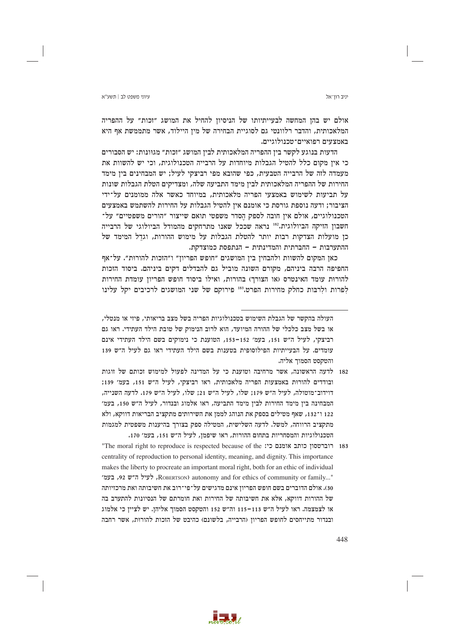יניב רוו־אל

אולם יש בהן המחשה לבעייתיותו של הניסיון להחיל את המושג "זכות" על ההפריה המלאכותית, והדבר רלוונטי גם לסוגיית הבחירה של מיז היילוד, אשר מתממשת אף היא באמצעים רפואיים־טכנולוגיים.

הדעות בנוגע לקשר בין ההפריה המלאכותית לבין המושג ״זכות״ מגוּונות: יש הסבורים כי איז מקום כלל להטיל הגבלות מיוחדות על הרבייה הטכנולוגית, וכי יש להשוות את מעמדה לזה של הרבייה הטבעית, כפי שהובא מפי רביצקי לעיל; יש המבחינים בין מימד החירות של ההפריה המלאכותית לבין מימד התביעה שלה, ומצדיקים הטלת הגבלות שונות על תביעות לשימוש באמצעי הפריה מלאכותית, במיוחד כאשר אלה ממומנים על־ידי הציבור; ודעה נוספת גורסת כי אומנם אין להטיל הגבלות על החירות להשתמש באמצעים הטכנולוגיים, אולם אין חובה לספק הסדר משפטי תואם שייצור "הורים משפטיים" על־ חשבון הזיקה הביולוגית.182 נראה שככל שאנו מתרחקים מהמודל הביולוגי של הרבייה כן מועלות הצדקות רבות יותר להטלת הגבלות על מימוש ההורות, וגדל המימד של ההתערבות - החברתית והמדינתית - הנתפסת כמוצדקת.

כאן המקום להשוות ולהבחין בין המושגים "חופש הפריון" ו"הזכות להורוּת". על־אף החפיפה הרבה ביניהם, מקורם השונה מוביל גם להבדלים דקים ביניהם. ביסוד הזכות להורות עומד האינטרס (או הצורך) בהורות, ואילו ביסוד חופש הפריון עומדת החירות לְפרות ולְרבּות כחלק מחירות הפרט.<sup>183</sup> פירוקם של שני המושגים לרכיבים יקל עלינו

182 לדעה הראשונה, אשר מרחיבה וטוענת כי על המדינה לפעול למימוש זכותם של זוגות ובודדים להורות באמצעות הפריה מלאכותית, ראו רביצקי, לעיל ה"ש 151, בעמ' 139; דוידוב־מוטולה, לעיל ה"ש 179; שלו, לעיל ה"ש 21; שלו, לעיל ה"ש 179. לדעה השנייה, המבחינה ביז מימד החירות לביז מימד התביעה, ראו אלמוג ובנדור, לעיל ה״ש 150, בעמ׳ 122 ו־132, שאף מטילים בספק את הנוהג לממן את השירותים מתקציב הבריאות דווקא, ולא מתקציב הרווחה, למשל. לדעה השלישית, המטילה ספק בצורך בהיענות משפטית למגמות הטכנולוגיות והמסחריות בתחום ההורות, ראו שיפמן, לעיל ה"ש 151, בעמ' 170.

183 רוברטסון כותב אומנם כי: The moral right to reproduce is respected because of the centrality of reproduction to personal identity, meaning, and dignity. This importance makes the liberty to procreate an important moral right, both for an ethic of individual י בעמ׳, ROBERTSON) autonomy and for ethics of community or family..." 30). אולם הדוברים בשם חופש הפריון אינם מדגישים על־פי־רוב את חשיבותה ואת מרכזיותה של ההורות דווקא, אלא את חשיבותה של החירות ואת חומרתם של הנסיונות להתערב בה או לצמצמה. ראו לעיל ה״ש 113–115 וה״ש 152 והטקסט הסמוך אליהן. יש לציין כי אלמוג ובנדור מתייחסים לחופש הפריון והרבייה, בלשונם) כהיבט של הזכות להורות, אשר רחבה



העולה בהקשר של הגבלת השימוש בטכנולוגיות הפריה בשל מצב בריאותי, פיזי או מנטלי, או בשל מצב כלכלי של ההורה המיועד, הוא לרוב הנימוק של טובת הילד העתידי. ראו גם רביצקי, לעיל ה"ש 151, בעמ' 152–153, הטוענת כי נימוקים בשם הילד העתידי אינם עומדים. על הבעייתיות הפילוסופית בטענות בשם הילד העתידי ראו גם לעיל ה״ש 139 והטקסט הסמור אליה.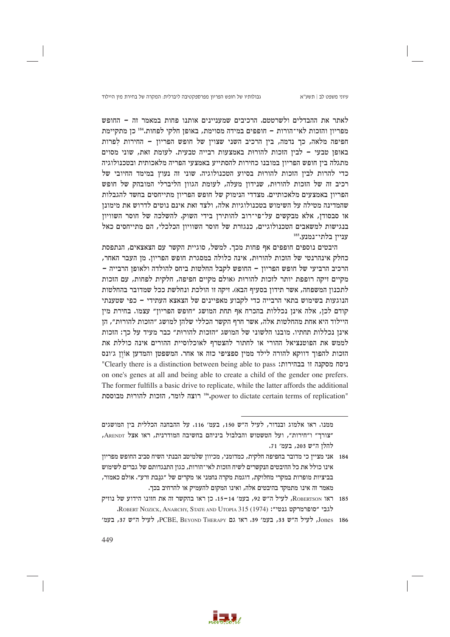גבולותיו של חופש הפריון מפרספקטיבה ליברלית: המקרה של בחירת מין היילוד

עיוני משפט לב | תשע"א

לאתר את ההבדלים ולשרטטם. הרכיבים שמעניינים אותנו פחות במאמר זה – החופש מפריוז והזכות לאי־הורות – חופפים במידה מסוימת, באופז חלקי לפחות.184 כז מתקיימת חפיפה מלאה, כך נדמה, בין הרכיב השני שצוין של חופש הפריון – החירות לפרות באופן טבעי – לבין הזכות להורות באמצעות רבייה טבעית. לעומת זאת, שוני מסוים מתגלה ביו חופש הפריוז במובנו כחירות להסתייע באמצעי הפריה מלאכותית ובטכנולוגיה כדי להרות לבין הזכות להורות בסיוע הטכנולוגיה. שוני זה נעוץ במימד החיובי של רכיב זה של הזכות להורות, שנידון מעלה, לעומת הגוון הליברלי המובהק של חופש הפריון באמצעים מלאכותיים. מצדדי הנימוק של חופש הפריון מתייחסים בחשד להגבלות שהמדינה מטילה על השימוש בטכנולוגיות אלה, ולצד זאת אינם נוטים לדרוש את מימונן או סבסודן, אלא מבקשים על־פי־רוב להותירן בידי השוק. להשלכה של חוסר השוויון בנגישות למשאבים הטכנולוגיים, כנגזרת של חוסר השוויון הכלכלי, הם מתייחסים כאל ענייו בלתי־נמנע.185

היבטים נוספים חופפים אף פחות מכך. למשל, סוגיית הקשר עם הצאצאים, הנתפסת כחלק אינהרנטי של הזכות להורוּת, אינה כלולה במסגרת חופש הפריון. מן העבר האחר, הרכיב הרביעי של חופש הפריון - החופש לקבל החלטות ביחס להולדה ולאופן הרבייה -מקיים זיקה רופפת יותר לזכות להורות (אולם מקיים חפיפה, חלקית לפחות, עם הזכות לתכנון המשפחה, אשר תידון בסעיף הבא). זיקה זו הולכת ונחלשת ככל שמדובר בהחלטות הנוגעות בשימוש בתאי הרבייה כדי לקבוע מאפיינים של הצאצא העתידי – כפי שטענתי קודם לכן, אלה אינן נכללות בהכרח אף תחת המושג ״חופש הפריון״ עצמו. בחירת מין היילוד היא אחת מהחלטות אלה, אשר חרף הקשר הכללי שלהן למושג ״הזכות להורוּת״, הן אינז נכללות תחתיו. מובנו הלשוני של המושג ״הזכות להורות״ כבר מעיד על כד: הזכות לממש את הפוטנציאל ההורי או לחתור להצטרף לאוכלוסיית ההורים אינה כוללת את הזכות להפוך דווקא להורה לילד ממין ספציפי כזה או אחר. המשפטן והמדען אוֹון ג׳ונס "Clearly there is a distinction between being able to pass :בהירות: "Clearly there is a distinction between being able to pass on one's genes at all and being able to create a child of the gender one prefers. The former fulfills a basic drive to replicate, while the latter affords the additional "power to dictate certain terms of replication" רוצה לומר, הזכות להורות מבוססת



ממנו. ראו אלמוג ובנדור, לעיל ה״ש 150, בעמ׳ 116. על ההבחנה הכללית בין המושגים "צורך" ו"חירות", ועל הטשטוש והבלבול ביניהם בחשיבה המודרנית, ראו אצל ARENDT, להלן ה״ש 203, בעמ׳ 71.

<sup>184 –</sup> אני מציין כי מדובר בחפיפה חלקית, כמדומני, מכיוון שלמיטב הבנתי השיח סביב החופש מפריון אינו כולל את כל ההיבטים הנקשרים לשיח הזכות לאי־הורות, כגון התנגדותם של גברים לשימוש בביציות מופרות במקרי מחלוקת, דוגמת מקרה נחמני או מקרים של ״גנבת זרע״. אולם כאמור, מאמר זה אינו מתמקד בהיבטים אלה, ואינו המקום להעמיק או להרחיב בכך.

<sup>185</sup> ראו ROBERTSON, לעיל ה״ש 92, בעמ׳ 14-15. כן ראו בהקשר זה את חזונו הידוע של נוזיק לגבי "סופרמרקט גנטי": ROBERT NOZICK, ANARCHY, STATE AND UTOPIA 315 (1974).

Jones 186, לעיל ה"ש 33, בעמ' 39, ראו גם PCBE. BEYOND THERAPY, לעיל ה"ש 37, בעמ'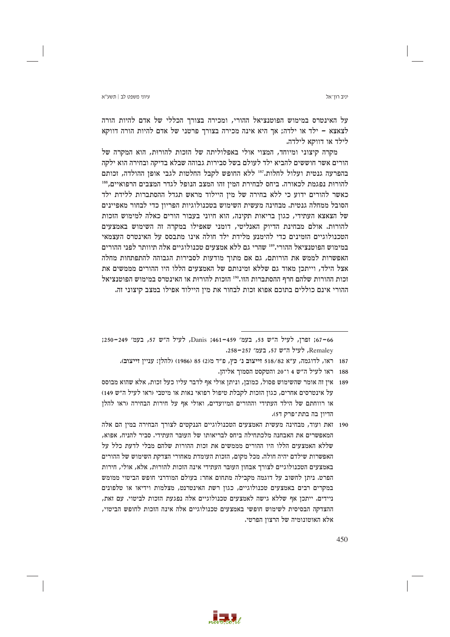יניב רוו־אל

על האינטרס במימוש הפוטנציאל ההורי, ומכירה בצורך הכללי של אדם להיות הורה לצאצא – ילד או ילדה: אך היא אינה מכירה בצורר פרטני של אדם להיות הורה דווקא לילד או דווקא לילדה.

מקרה קיצוני ומיוחד, המצוי אולי באפלוליתה של הזכות להורות, הוא המקרה של הורים אשר חוששים להביא ילד לעולם בשל סבירות גבוהה שבלא בדיקה ובחירה הוא ילקה בהפרעה גנטית ועלול לחלות.<sup>187</sup> ללא החופש לקבל החלטות לגבי אופן ההולדה, זכותם להורות נפגמת לכאורה. ביחס לבחירת המין זהו המצב הנופל לגדר המצבים הרפואיים,88 כאשר להורים ידוע כי ללא בחירה של מין היילוד מראש תגדל ההסתברות ללידת ילד הסובל ממחלה גנטית. מבחינה מעשית השימוש בטכנולוגיות הפריון כדי לבחור מאפיינים של הצאצא העתידי, כגון בריאות תקינה, הוא חיוני בעבור הורים כאלה למימוש הזכות להורות. אולם מבחינת הדיוק האנליטי, דומני שאפילו במקרה זה השימוש באמצעים הטכנולוגיים הזמינים כדי להימנע מלידת ילד חולה אינו מתבסס על האינטרס העצמאי במימוש הפוטנציאל ההורי.<sup>189</sup> שהרי גם ללא אמצעים טכנולוגיים אלה תיוותר לפני ההורים האפשרות לממש את הורותם, גם אם מתוך מודעות לסבירות הגבוהה להתפתחות מחלה אצל הילד, וייתכן מאוד גם שללא זמינותם של האמצעים הללו היו ההורים מממשים את זכות ההורות שלהם חרף ההסתברות הזו.100 הזכות להורות או האינטרס במימוש הפוטנציאל ההורי אינם כוללים בתוכם אפוא זכות לבחור את מין היילוד אפילו במצב קיצוני זה.

66–67; ופרן, לעיל ה"ש 53, בעמ' 459–461; Janis; לעיל ה"ש 57, בעמ' 249–250; Remaley, לעיל ה"ש 57, בעמ' 257-258.

187 ראו, לדוגמה, ע״א 518/82 זייצוב נ׳ כץ, פ״ד מ(2) 85 (1986) (להלן: עניין זייצוב).

- 188 ראו לעיל ה״ש 4 ו־20 והטקסט הסמור אליהו.
- 189 אין זה אומר שהשימוש פסול, כמובן, וניתן אולי אף לדבר עליו כעל זכות, אלא שהוא מבוסס על אינטרסים אחרים, כגון הזכות לקבלת טיפול רפואי נאות או מיטבי (ראו לעיל ה״ש 149) או רווחתם של הילד העתידי וההורים המיועדים, ואולי אף על חירות הבחירה (ראו להלז הדיון בה בתת־פרק ד5).
- 190 זאת ועוד, מבחינה מעשית האמצעים הטכנולוגיים הננקטים לצורך הבחירה במין הם אלה המאפשרים את האבחנה מלכתחילה ביחס לבריאותו של העובר העתידי. סביר להניח, אפוא, שללא האמצעים הללו היו ההורים מממשים את זכות ההורות שלהם מבלי לדעת כלל על האפשרות שילדם יהיה חולה. מכל מקום, הזכות העומדת מאחורי הצדקת השימוש של ההורים באמצעים הטכנולוגיים לצורך אבחון העובר העתידי אינה הזכות להורוּת, אלא, אולי, חירות הפרט. ניתן לחשוב על דוגמה מקבילה מתחום אחר: בעולם המודרני חופש הביטוי ממומש במקרים רבים באמצעים טכנולוגיים, כגון רשת האינטרנט, מצלמות וידיאו או טלפונים ניידים. ייתכן אף שללא גישה לאמצעים טכנולוגיים אלה נפגעת הזכות לביטוי. עם זאת, ההצדקה הבסיסית לשימוש חופשי באמצעים טכנולוגיים אלה אינה הזכות לחופש הביטוי, אלא האוטונומיה של הרצוז הפרטי.

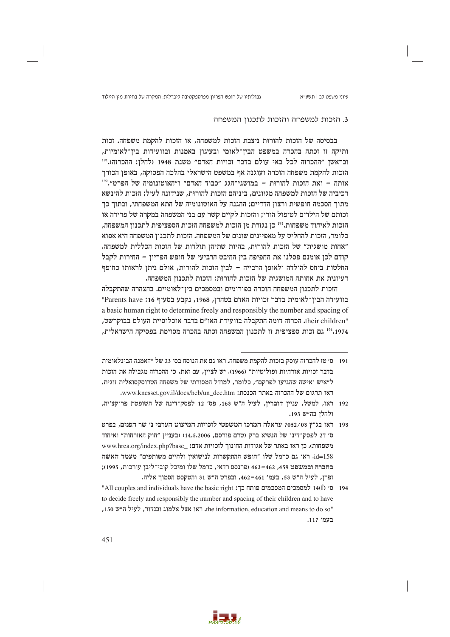גבולותיו של חופש הפריון מפרספקטיבה ליברלית: המקרה של בחירת מין היילוד

## 3. הזכות למשפחה והזכות לתכנון המשפחה

בבסיסה של הזכות להורות ניצבת הזכות למשפחה, או הזכות להקמת משפחה. זכות ותיקה זו זכתה בהכרה במשפט הבין־לאומי ובעיגון באמנות ובוועידות בין־לאומיות, ובראשן ״ההכרזה לכל באי עולם בדבר זכויות האדם״ משנת 1948 (להלן: ההכרזה).''' הזכות להקמת משפחה הוכרה ועוגנה אף במשפט הישראלי בהלכה הפסוקה, באופן הכורך אותה – ואת הזכות להורות – במושגי־הגג ״כבוד האדם״ ו״האוטונומיה של הפרט״.192 רכיביה של הזכות למשפחה מגוונים, ביניהם הזכות להורות, שנידונה לעיל: הזכות להינשא מתוך הסכמה חופשית ורצון הדדיים; ההגנה על האוטונומיה של התא המשפחתי, ובתוך כך זכותם של הילדים לטיפול הורי; והזכות לקיים קשר עם בני המשפחה במקרה של פרידה או הזכות לאיחוד משפחות.<sup>193</sup> כן נגזרת מן הזכות למשפחה הזכות הספציפית לתכנון המשפחה, כלומר, הזכות להחליט על מאפיינים שונים של המשפחה. הזכות לתכנון המשפחה היא אפוא "אחות מושגית" של הזכות להורות, בהיות שתיהן תולדות של הזכות הכללית למשפחה. קודם לכן אומנם פסלנו את החפיפה בין ההיבט הרביעי של חופש הפריון – החירות לקבל החלטות ביחס להולדה ולאופן הרבייה - לבין הזכות להורות, אולם ניתן לראותו כחופף רעיונית את אחותה המושגית של הזכות להורוּת: הזכות לתכנוז המשפחה.

הזכות לתכנון המשפחה הוכרה בפורומים ובמסמכים בין־לאומיים. בהצהרה שהתקבלה בוועידה הבין־לאומית בדבר זכויות האדם בטהרן, 1968, נקבע בסעיף 16: Parents have" a basic human right to determine freely and responsibly the number and spacing of "their children. הכרזה דומה התקבלה בוועידת האו״ם בדבר אוכלוסיית העולם בבוקרשט, 1974. 24 גם זכות ספציפית זו לתכנון המשפחה זכתה בהכרה מסוימת בפסיקה הישראלית,



<sup>191 –</sup> ס׳ טז להכרזה עוסק בזכות להקמת משפחה. ראו גם את הנוסח בס׳ 23 של ״האמנה הבינלאומית בדבר זכויות אזרחיות ופוליטיות״ (1966). יש לצייז, עם זאת, כי ההכרזה מגבילה את הזכות ל״איש ואישה שהגיעו לפרקם״, כלומר, למודל המסורתי של משפחה הטרוסקסואלית זוגית. ראו תרגום של ההכרזה באתר הכנסת: www.knesset.gov.il/docs/heb/un\_dec.htm.

<sup>192</sup> ראו, למשל, ענייז דובריו, לעיל ה"ש 163, פס' 12 לפסק־דינה של השופטת פרוקצ׳יה, ולהלן בה״ש 193.

<sup>193 -</sup> ראו בג״ץ 7052/03 עדאלה המרכז המשפטי לזכויות המיעוט הערבי נ׳ שר הפנים, בפרט ס׳ ד2 לפסק־דינו של הנשיא ברק (טרם פורסם, 14,5,2006) (בעניין "חוק האזרחות" ואיחוד משפחות). כן ראו באתר של אגודות החינוך לזכויות אדם: www.hrea.org/index.php?base id=158. ראו גם כרמל שלו "חופש ההתקשרות לנישואין ולחיים משותפים" מעמד האשה בחברה ובמשפט 459, 462–463 (פרנסס רדאי, כרמל שלו ומיכל קובי־ליבן עורכות, 1995); זפרן, לעיל ה״ש 53, בעמ׳ 461-462, ובפרט ה״ש 31 והטקסט הסמוך אליה.

<sup>194</sup> ס׳ (14tf) ו-194 מסמכים המסכמים פותח כך: All couples and individuals have the basic right to decide freely and responsibly the number and spacing of their children and to have ,150 the information, education and means to do so" בעמ׳ 117.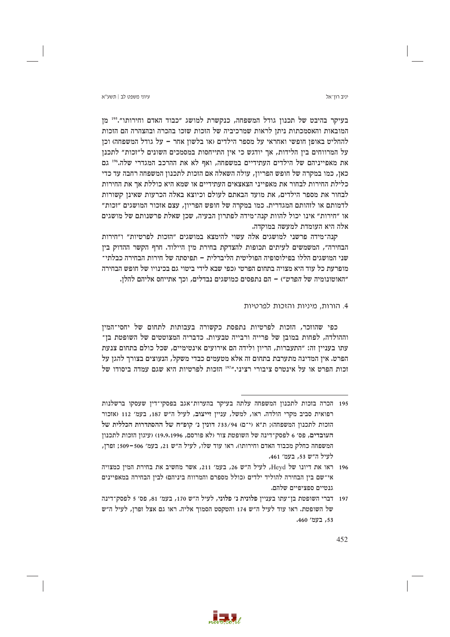יניב רוו־אל

עיווי משפט לר∣ חשע״א

בעיקר בהיבט של תכנון גודל המשפחה, כנקשרת למושג "כבוד האדם וחירותו".<sup>195</sup> מן המובאות והאסמכתות ניתז לראות שמרכיביה של הזכות שזכו בהכרה ובהצהרה הם הזכות להחליט באופן חופשי ואחראי על מספר הילדים (או בלשון אחר – על גודל המשפחה) וכן על המרווחים בין הלידות, אך יודגש כי אין התייחסות במסמכים השונים ל״זכות״ לתכנן את מאפייניהם של הילדים העתידיים במשפחה, ואף לא את ההרכב המגדרי שלה.196 גם כאן, כמו במקרה של חופש הפריון, עולה השאלה אם הזכות לתכנון המשפחה רחבה עד כדי כלילת החירות לבחור את מאפייני הצאצאים העתידיים או שמא היא כוללת אך את החירות לבחור את מספר הילדים, את מועד הבאתם לעולם וכיוצא באלה הכרעות שאינן קשורות לדמותם או לזהותם המגדרית. כמו במקרה של חופש הפריון, עצם אזכור המושגים ״זכות״ או ״חירות״ אינו יכול להוות קנה־מידה לפתרון הבעיה, שכן שאלת פרשנותם של מושגים אלה היא העומדת למעשה במוקדה.

קנה־מידה פרשני למושגים אלה עשוי להימצא במושגים ״הזכות לפרטיות״ ו״חירות הבחירה", המשמשים לעיתים תכופות להצדקת בחירת מין היילוד. חרף הקשר ההדוק בין שני המושגים הללו בפילוסופיה הפוליטית הליברלית – תפיסתה של חירות הבחירה כבלתי־ מופרעת כל עוד היא מצויה בתחום הפרטי (כפי שבא לידי ביטוי גם בכינויו של חופש הבחירה ״האוטונומיה של *הפרט״*) – הם נתפסים כמושגים נבדלים. וכר אתייחס אליהם להלז.

# 4. הורות. מיניות והזכות לפרטיות

כפי שהוזכר, הזכות לפרטיות נתפסת כקשורה בעבותות לתחום של יחסי־המין וההולדה, לפחות במובז של פרייה ורבייה טבעיות. כדבריה המצוטטים של השופטת בז־ עתו בענייז זה: ״התעברות, הריוז ולידה הם אירועים אינטימיים, שכל כולם בתחום צנעת הפרט. אין המדינה מתערבת בתחום זה אלא מטעמים כבדי משקל, הנעוצים בצורך להגן על זכות הפרט או על אינטרס ציבורי רציני."<sup>197</sup> הזכות לפרטיות היא שגם עמדה ביסודו של



<sup>195</sup> הכרה בזכות לתכנוז המשפחה עלתה בעיקר בהערות־אגב בפסקי־דיז שעסקו ברשלנות רפואית סביב מקרי הולדה. ראו, למשל, עניין זייצוב, לעיל ה"ש 187, בעמ׳ 112 (אזכור הזכות לתכנון המשפחה); ת"א (י־ם) 733/94 דונין נ' קופ"ח של ההסתדרות הכללית של העובדים, פס׳ 6 לפסק־דינה של השופטת צור (לא פורסם, 19,9,1996) (עיגון הזכות לתכנון המשפחה כחלק מכבוד האדם וחירותו). ראו עוד שלו, לעיל ה״ש 21, בעמ׳ 506–509; זפרן, לעיל ה״ש 53, בעמ׳ 461.

<sup>196</sup> ראו את דיונו של Heyd, לעיל ה"ש 26, בעמ' 211, אשר מחשיב את בחירת המין כמצויה אי־שם בין הבחירה להוליד ילדים (כולל מספרם והמרווח ביניהם) לבין הבחירה במאפיינים גנטיים ספציפיים שלהם.

<sup>197 -</sup> דברי השופטת בן־עתו בעניין פלונית נ׳ פלוני, לעיל ה״ש 170, בעמ׳ 81, פס׳ 5 לפסק־דינה של השופטת. ראו עוד לעיל ה"ש 174 והטקסט הסמוך אליה. ראו גם אצל זפרן, לעיל ה"ש 53, בעמ' 460.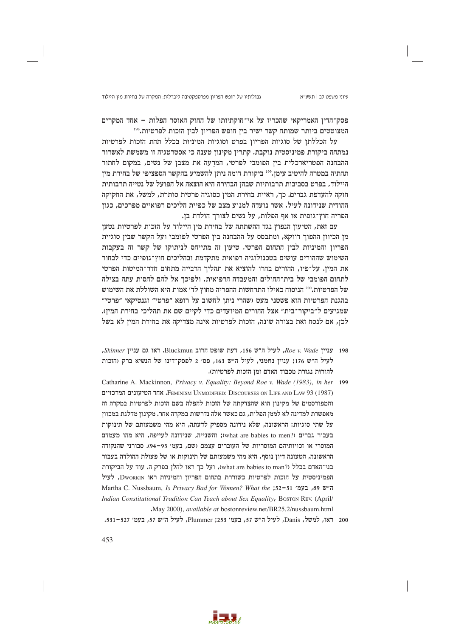גבולותיו של חופש הפריון מפרספקטיבה ליברלית: המקרה של בחירת מין היילוד

∨יווי משפט לר∣ חשע״א

פסק־הדין האמריקאי שהכריז על אי־חוקתיותו של החוק האוסר הפלות - אחד המקרים המצוטטים ביותר שמותח קשר ישיר ביז חופש הפריוז לביז הזכות לפרטיות.198

על הכללתן של סוגיות הפריון בפרט וסוגיות המיניות בכלל תחת הזכות לפרטיות נמתחה ביקורת פמיניסטית נוקבת. קתרין מקינון טענה כי אסטרטגיה זו משמשת לאשרור ההבחנה הפטריארכלית בין הפומבי לפרטי, המרעה את מצבן של נשים, במקום לחתור תחתיה במטרה להיטיב עימן."ª ביקורת דומה ניתן להשמיע בהקשר הספציפי של בחירת מין היילוד, בפרט בסביבות תרבותיות שבהן הבחירה היא הוצאה אל הפועל של נטייה תרבותית חזקה להעדפת גברים. כך, ראיית בחירת המין כסוגיה פרטית סותרת, למשל, את החקיקה ההודית שנידונה לעיל, אשר נועדה למנוע מצב של כפיית הליכים רפואיים מפרכים, כגון הפריה חוץ־גופית או אף הפלות, על נשים לצורך הולדת בן.

עם זאת, הטיעון הנפוץ נגד ההשתתה של בחירת מין היילוד על הזכות לפרטיות נטען מן הכיוון ההפוך דווקא, ומתבסס על ההבחנה בין הפרטי לפומבי ועל הקשר שבין סוגיית הפריון והמיניות לבין התחום הפרטי. טיעון זה מתייחס לניתוקו של קשר זה בעקבות השימוש שההורים עושים בטכנולוגיה רפואית מתקדמת ובהליכים חוץ־גופיים כדי לבחור את המין. על־פיו, ההורים בחרו להוציא את תהליך הרבייה מתחום חדר־המיטות הפרטי לתחום הפומבי של בית־החולים והמעבדה הרפואית, ולפיכך אל להם לחסות עתה בצילה של הפרטיות."20 הניסוח כאילו התרחשות ההפריה מחוץ לד׳ אמות היא השוללת את השימוש בהגנת הפרטיות הוא פשטני מעט (שהרי ניתן לחשוב על רופא "פרטי" וגנטיקאי "פרטי" שמגיעים ל״ביקור־בית״ אצל ההורים המיועדים כדי לקיים שם את תהליכי בחירת המין). לכן, אם לנסח זאת בצורה שונה, הזכות לפרטיות אינה מצדיקה את בחירת המין לא בשל



Skinner עניין Bluckmun ו-156 האו האס 156, או האס הרוב הוא Eluckmun ו-Skinner ו-Skinner לעיל ה״ש 176: ענייז נחמני, לעיל ה״ש 163, פס׳ 2 לפסק־דינו של הנשיא ברק (הזכות להורות נגזרת מכבוד האדם ומז הזכות לפרטיות).

Catharine A. Mackinnon, Privacy v. Equality: Beyond Roe v. Wade (1983), in her 199 FEMINISM UNMODIFIED: DISCOURSES ON LIFE AND LAW 93 (1987) וFEMINISM UNMODIFIED: אחד הטיעונים המרכזיים והמפורסמים של מקינוז הוא שהצדקתה של הזכות להפלה בשם הזכות לפרטיות במקרה זה מאפשרת למדינה לא לממן הפלות, גם כאשר אלה נדרשות במקרה אחר. מקינון מדלגת במכוון על שתי סוגיות: הראשונה, שלא נידונה מספיק לדעתה, היא מהי משמעותם של תינוקות נעבור גברים (?what are babies to men); והשנייה, שנידונה לעייפה, היא מהו מעמדם המוסרי או זכויותיהם המוסריות של העוברים עצמם (שם, בעמ׳ 93–94). סבורני שהנקודה הראשונה, הטעונה דיון נוסף, היא מהי משמעותם של תינוקות או של פעולת ההולדה בעבור בני־האדם בכלל (?what are babies to man), ועל כך ראו להלן בפרק ה. עוד על הביקורת הפמיניסטית על הזכות לפרטיות כשוררת בתחום הפריון והמיניות ראו Dworkin, לעיל Martha C. Nussbaum, Is Privacy Bad for Women? What the ;52-51 ,89 "ה"ש 89, בעמ' Indian Constitutional Tradition Can Teach about Sex Equality, Boston REV. (April/ May 2000), available at bostonreview.net/BR25.2/nussbaum.html

<sup>200</sup> ראו, למשל, Danis, לעיל ה"ש 57, בעמ' 253; Plummer, לעיל ה"ש 57, בעמ' 527-531.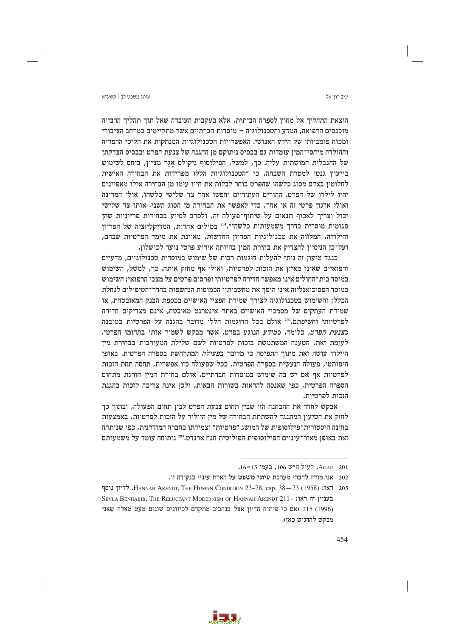יניב רוו־אל

הוצאת התהליך אל מחוץ לספרה הביתית, אלא בעקבות העובדה שאל תוך תהליך הרבייה מוכנסים הרפואה, המדע והטכנולוגיה – מוסדות חברתיים אשר מתקיימים במרחב הציבורי ומכות פומביותו של הידע האנושי. האפשרויות הטכנולוגיות המנתקות את הליכי ההפריה וההולדה מיחסי־המין עומדות גם בבסיס ניתוקם מן ההגנה של צנעת הפרט ובבסיס הצדקתן של ההגבלות המושתות עליה. כך, למשל, הפילוסוף ניקולס אגר מציין, ביחס לשימוש בייעוץ גנטי למטרת השבחה, כי "הטכנולוגיות הללו מפרידות את הבחירה האישית לחלוטין באדם מסוג כלשהו שהפרט בוחר לבלות את חייו עימו מן הבחירה אילו מאפיינים יהיו לילדו של הפרט. ההורים העתידיים יחפשו אחר צד שלישי כלשהו, אולי המדינה ואולי ארגון פרטי זה או אחר, כדי לאפשר את הבחירה מן הסוג השני. אותו צד שלישי יכול וצריך לאכוף תנאים על שיתוף־פעולה זה, ולסרב לסייע בבחירות פריוניות שהן פגומות מוסרית בדרך משמעותית כלשהי".<sup>201</sup> במילים אחרות, המדיקליזציה של הפריון והילודה, המלווה את טכנולוגיות הפריון החדשות, מאיינת את מימד הפרטיות שבהם, ועל־כן הניסיון להצדיק את בחירת המין בהיותה אירוע פרטי נועד לכישלון.

כנגד טיעון זה ניתן להעלות דוגמות רבות של שימוש במוסדות טכנולוגיים, מדעיים ורפואיים שאינו מאיין את הזכות לפרטיות, ואולי אף מחזק אותה. כך, למשל, השימוש במוסד בית־החולים אינו מאפשר חדירה לפרטיותי ופרסום פרטים על מצבי הרפואי: השימוש במוסד הפסיכואנליזה אינו הופך את מחשבותיי הכמוסות הנחשפות בחדר־הטיפולים לנחלת הכלל; והשימוש בטכנולוגיה לצורך שמירת חפציי האישיים בכספת הבנק המאובטחת, או שמירת העתקים של מסמכיי האישיים באתר אינטרנט מאובטח, אינם מצדיקים חדירה לפרטיותי וחשיפתם.202 אולם בכל הדוגמות הללו מדובר בהגנה על הפרטיות במובנה כ*צנעת הפרט.* כלומר, כמידע הנוגע בפרט, אשר מבקש לשמור אותו בתחומו הפרטי. לעומת זאת, הטענה המשתמשת בזכות לפרטיות לשם שלילת המעורבות בבחירת מין היילוד עושה זאת מתוך התפיסה כי מדובר ב*פעולה* המתרחשת בספרה הפרטית. באופן היפותטי, פעולה הנעשית בספרה הפרטית, ככל שפעולה כזו אפשרית, תחסה תחת הזכות לפרטיות אף אם יש בה שימוש במוסדות חברתיים. אולם בחירת המין חורגת מתחום הספרה הפרטית, כפי שאנסה להראות בשורות הבאות, ולכן אינה צריכה לזכות בהגנת הזכות לפרטיות.

אבקש לחדד את ההבחנה הזו שבין תחום צנעת הפרט לבין תחום הפעולה, ובתוך כך לחזק את הטיעון המתנגד להשתתת הבחירה של מין היילוד על הזכות לפרטיות, באמצעות בחינה היסטורית־פילוסופית של המושג ״פרטיות״ וצמיחתו בחברה המודרנית. כפי שניתחה זאת באופן מאיר־עיניים הפילוסופית הפוליטית חנה ארנדט.<sup>203</sup> ניתוחה עומד על משמעותם



AGAR 201, לעיל ה"ש 106, בעמ' 15-16.

<sup>202</sup> אני מודה לחברי מערכת עיוני משפט על הארת עיניי בנקודה זו.

<sup>203</sup> ראו: HANNAH ARENDT, THE HUMAN CONDITION 23-78, esp. 38-73 (1958). לדיון נוסף SEYLA BENHABIB, THE RELUCTANT MODERNISM OF HANNAH ARENDT 211- בעניין זה ראו: (1996) 215 (אם כי פיתוח הדיון אצל בנחביב מתקדם לכיוונים שונים מעט מאלה שאני מבקש להדגיש כאן).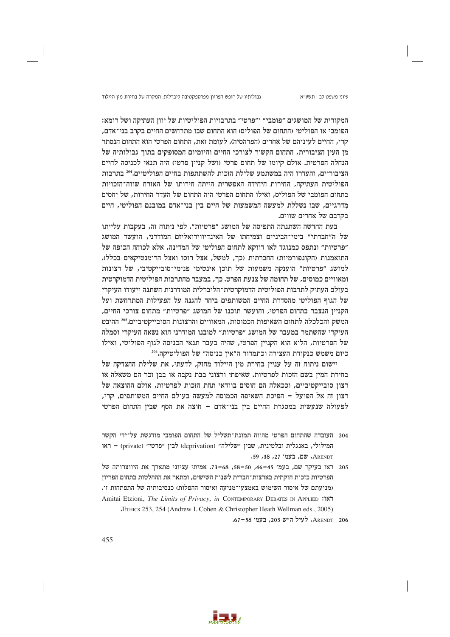גבולותיו של חופש הפריון מפרספקטיבה ליברלית: המקרה של בחירת מין היילוד

המקורית של המושגים "פומבי" ו"פרטי" בתרבויות הפוליטיות של יוון העתיקה ושל רומא: הפומבי או הפוליטי (התחום של הפוליס) הוא התחום שבו מתרחשים החיים בקרב בני־אדם, קרי, החיים לעיניהם של אחרים (הפרהסיה). לעומת זאת, התחום הפרטי הוא התחום הנסתר מן העין הציבורית, התחום הקשור לצורכי החיים והיומיום המסופקים בתוך גבולותיה של הנחלה הפרטית. אולם קיומו של תחום פרטי (ושל קניין פרטי) היה תנאי לכניסה לחיים הציבוריים, והעדרו היה במשתמע שלילת הזכות להשתתפות בחיים הפוליטיים.204 בתרבות הפוליטית העתיקה, החירות היחידה האפשרית הייתה חירותו של האזרח שווה־הזכויות בתחום הפומבי של הפוליס, ואילו התחום הפרטי היה התחום של העדר החירות, של יחסים מדרגיים, שבו נשללת למעשה המשמעות של חיים בין בני־אדם במובנם הפוליטי, חיים בקרבם של אחרים שווים.

בעת החדשה השתנתה התפיסה של המושג "פרטיות". לפי ניתוח זה, בעקבות עלייתו של ה״חברתי״ בימי־הביניים וצמיחתו של האינדיווידואליזם המודרני, הועשר המושג "פרטיות" ונתפס כמנוגד לאו דווקא לתחום הפוליטי של המדינה, אלא לכוחה הכופה של התואמנות (הקונפורמיות) החברתית (כך, למשל, אצל רוסו ואצל הרומנטיקאים בכלל). למושג "פרטיות" הוענקה משמעות של תוכן אינטימי פנימי־סובייקטיבי, של רצונות ומאוויים כמוסים, של תחומה של צנעת הפרט. כך, במעבר מהתרבות הפוליטית הדמוקרטית בעולם העתיק לתרבות הפוליטית הדמוקרטית־הליברלית המודרנית השתנה ייעודו העיקרי של הגוף הפוליטי מהסדרת החיים המשותפים ביחד להגנה על הפעילות המתרחשת ועל הקניין הנצבר בתחום הפרטי, והועשר תוכנו של המושג ״פרטיות״ מתחום צורכי החיים, המשק והכלכלה לתחום השאיפות הכמוסות, המאוויים והרצונות הסובייקטיביים.205 ההיבט העיקרי שהשתמר במעבר של המושג "פרטיות" למובנו המודרני הוא נשאה העיקרי וסמלה של הפרטיות, הלוא הוא הקניין הפרטי, שהיה בעבר תנאי הכניסה לגוף הפוליטי, ואילו כיום משמש כנקודת העצירה וכתמרור ה"אין כניסה" של הפוליטיקה.506

יישום ניתוח זה על עניין בחירת מין היילוד מחזק, לדעתי, את שלילת ההצדקה של בחירת המין בשם הזכות לפרטיות. שאיפתי ורצוני בבת נקבה או בבן זכר הם משאלה או רצון סובייקטיביים, וככאלה הם חוסים בוודאי תחת הזכות לפרטיות, אולם ההוצאה של רצוז זה אל הפועל – הפיכת השאיפה הכמוסה למעשה בעולם החיים המשותפים, קרי, לפעולה שנעשית במסגרת החיים בין בני־אדם – חוצה את הסף שבין התחום הפרטי



<sup>204 -</sup> העובדה שהתחום הפרטי מהווה תמונת־תשליל של התחום הפומבי מודגשת על־ידי הקשר המילולי, באנגלית ובלטינית, שבין "שלילה" (deprivation) לבין "פרטי" (private) – ראו ARENDT, שם, בעמ׳ 27, 38, 59.

 $58 - 50$ ראו בעיקר שם, בעמ' 45–46, 56–58, 66–73. אמיתי עציוני מתארך את היווצרותה של הפרטיות כזכות חוקתית בארצות־הברית לשנות השישים, ומתאר את ההחלטות בתחום הפריון (מניעתם של איסור השימוש באמצעי־מניעה ואיסור ההפלות) כנסיבותיה של התפתחות זו. Amitai Etzioni, The Limits of Privacy, in CONTEMPORARY DEBATES IN APPLIED :187 "ETHICS 253, 254 (Andrew I. Cohen & Christopher Heath Wellman eds., 2005)

ARENDT 206, לעיל ה"ש 203, בעמ' 58-67.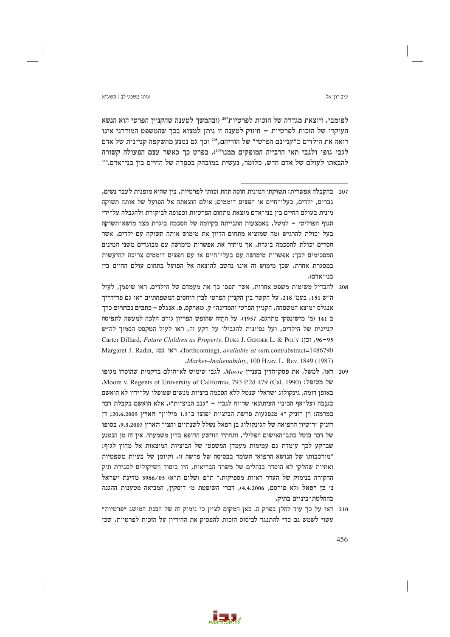לפומבי, ויוצאת מגדרה של הזכות לפרטיות"<sup>207</sup> (ובהמשך לטענה שהקניין הפרטי הוא הנשא העיקרי של הזכות לפרטיות – חיזוק לטענה זו ניתז למצוא בכר שהמשפט המודרני אינו רואה את הילדים כ״קניינם הפרטי״ של הוריהם,308 וכך גם נמנע מהשקפה קניינית של אדם לגבי גופו ולגבי תאי הרבייה המופקים ממנו<sup>209</sup>). בפרט כך כאשר עצם הפעולה קשורה להבאתו לעולם של אדם חדש, כלומר, נעשית במובהק בספרה של החיים ביז בני־אדם.110

- 207 בהקבלה אפשרית: תשוקתי המינית חוסה תחת זכותי לפרטיות, בין שהיא מופנית לעבר נשים, גברים, ילדים, בעלי־חיים או חפצים דוממים; אולם הוצאתה אל הפועל של אותה תשוקה מינית בעולם החיים ביו בני־אדם מוצאת מתחום הפרטיות וכפופה לביקורת ולהגבלה על־ידי הגוף הפוליטי – למשל. באמצעות התנייתה בקיומה של הסכמה בוגרת מצד מושא־תשוקה בעל יכולת להרגיש (מה שמוציא מתחום הדיון את מימוש אותה תשוקה עם ילדים, אשר חסרים יכולת להסכמה בוגרת, אך מותיר את אפשרות מימושה עם מבוגרים משני המינים המסכימים לכד: אפשרות מימושה עם בעלי־חיים או עם חפצים דוממים צריכה להיעשות במסגרת אחרת, שכן מימוש זה אינו נחשב להוצאה אל הפועל בתחום עולם החיים בין בני־אדם).
- 208 להבדיל משיטות משפט אחרות, אשר תפסו כד את מעמדם של הילדים. ראו שיפמו, לעיל ה"ש 151, בעמ' 218. על הקשר בין הקניין הפרטי לבין היחסים המשפחתיים ראו גם פרידריך אנגלס ״מוצא המשפחה, הקנייז הפרטי והמדינה״ ק. מארקס. פ. אנגלס – כתבים נבחרים כרד ב 141 (מ׳ מישינסקי מתרגם, 1957). על התזה שחופש הפריון גורם הלכה למעשה לתפיסה קניינית של הילדים, ועל נסיונות להגבילו על רקע זה, ראו לעיל הטקסט הסמור לה״ש Carter Dillard, Future Children as Property, DUKE J. GENDER L. & POL'Y :130-95 Margaret J. Radin, ואו גם: (forthcoming), available at ssrn.com/abstract=1486790 Market-Inalienability, 100 HARV, L. REV, 1849 (1987)
- יתו, למשל, את פסק־הדיז בענייז Moore. לגבי שימוש לא־הולם ברקמות שהוסרו מגופו C של מטופל: (Cal. 1990) Moore v. Regents of University of California, 793 P.2d 479 (Cal. 1990). באופן דומה, גינקולוג ישראלי שנטל ללא הסכמה ביציות מנשים שטופלו על־ידיו לא הואשם בגנבה (על־אף הכינוי העיתונאי שרוות לגביו – ״גנב הביציות״), אלא הואשם בקבלת דבר במרמה: רן רוניק "4 מנפגעות פרשת הביציות יפוצו ב־1.5 מיליון" הארץ 20.6.2005; רן רזניק ״רישיון הרפואה של הגינקולוג בן רפאל נשלל לשנתיים וחצי״ הארץ 9,3,2007. בסופו של דבר בוטל כתב־האישום הפלילי, ותחתיו הורשע הרופא בדין משמעתי. אין זה מן הנמנע שברקע לכך עומדת גם עמימות מעמדן המשפטי של הביציות המוצאות אל מחוץ לגוף: ״מורכבותו של הנושא הרפואי העומד בבסיסה של פרשה זו, וקיומן של בעיות משפטיות ואתיות שחלקן לא הוסדר בנהלים של משרד הבריאות, היו ביסוד השיקולים לסגירת תיק החקירה בנימוק של העדר ראיות מספיקות." ת"פ (שלום ת"א) 3986/05 מדינת ישראל נ׳ בן רפאל (לא פורסם, 4.4.2006), דברי השופטת מ׳ דיסקין, המביאה מטענות ההגנה בהחלטת־ביניים בתיק.
- 210 ראו על כך עוד להלן בפרק ה. כאן המקום לציין כי נימוק זה של הבנת המושג "פרטיות" עשוי לשמש גם כדי להתנגד לביסוס הזכות להפסיק את ההיריון על הזכות לפרטיות, שכן

456



#### יניב רוו־אל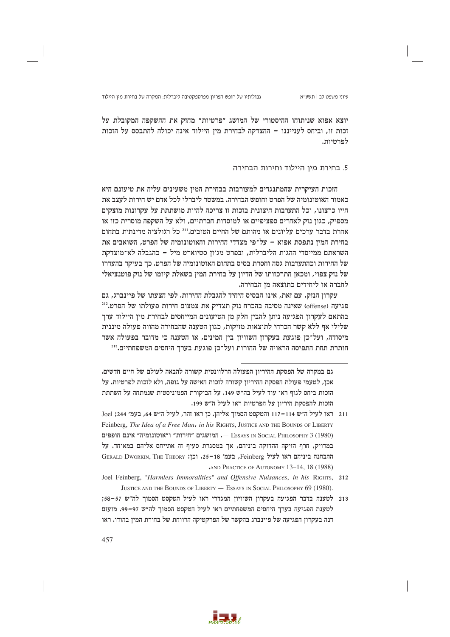יוצא אפוא שניתוחו ההיסטורי של המושג "פרטיות" מחזק את ההשקפה המקובלת על זכות זו, וביחס לעניינגו – ההצדקה לבחירת מיז היילוד אינה יכולה להתבסס על הזכות לפרטיות.

## 5. בחירת מין היילוד וחירות הבחירה

הזכות העיקרית שהמתנגדים למעורבות בבחירת המין משעינים עליה את טיעונם היא כאמור האוטונומיה של הפרט וחופש הבחירה. במשטר ליברלי לכל אדם יש חירות לעצב את חייו כרצונו, וכל התערבות חיצונית בזכות זו צריכה להיות מושתתת על עקרונות מוצקים מספיק, כגון נזק לאחרים ספציפיים או למוסדות חברתיים, ולא על השקפה מוסרית כזו או אחרת בדבר ערכים עליונים או מהותם של החיים הטובים.''<sup>211</sup> כל רגולציה מדינתית בתחום בחירת המיז נתפסת אפוא – על־פי מצדדי החירות והאוטונומיה של הפרט. השואבים את השראתם ממייסדי ההגות הליברלית, ובפרט מג׳ון סטיוארט מיל – כהגבלה לא־מוצדקת של החירות וכהתערבות גסה וחסרת בסיס בתחום האוטונומיה של הפרט. כך בעיקר בהעדרו של נזק צפוי, ומכאן התרכזותו של הדיון על בחירת המין בשאלת קיומו של נזק פוטנציאלי לחברה או ליחידים כתוצאה מז הבחירה.

עקרוז הנזק, עם זאת, אינו הבסיס היחיד להגבלת החירות. לפי הצעתו של פיינברג, גם פגיעה (offense) שאינה מסיבה בהכרח נזק תצדיק את צמצום חירות פעולתו של הפרט.<sup>212</sup> בהתאם לעקרון הפגיעה ניתן להבין חלק מן הטיעונים המייחסים לבחירת מין היילוד ערך שלילי אף ללא קשר הכרחי לתוצאות מזיקות, כגון הטענה שהבחירה מהווה פעולה מיננית מיסודה, ועל־כז פוגעת בעקרוז השוויוז ביז המינים, או הטענה כי מדובר בפעולה אשר חותרת תחת התפיסה הראויה של ההורות ועל־כז פוגעת בערר היחסים המשפחתיים.<sup>213</sup>



גם במקרה של הפסקת ההיריוז הפעולה הרלוונטית קשורה להבאה לעולם של חיים חדשים. אכן, לטעמי פעולת הפסקת ההיריון קשורה לזכות האישה על גופה, ולא לזכות לפרטיות. על הזכות ביחס לגוף ראו עוד לעיל בה״ש 149. על הביקורת הפמיניסטית שנמתחה על השתתת הזכות להפסקת היריון על הפרטיות ראו לעיל ה"ש 199.

<sup>211 –</sup> ראו לעיל ה״ש 114–117 והטקסט הסמוך אליהן. כן ראו זהר, לעיל ה״ש 64, בעמ׳ 244; Joel Feinberg, The Idea of a Free Man, in his RIGHTS, JUSTICE AND THE BOUNDS OF LIBERTY המושגים "חירות" ו"אוטונומיה" אינם חופפים — Essays <br/>ו $\,$  — Essays <br/>ו $\,$  Social Philosophy 3 (1980) במדויק, חרף הזיקה ההדוקה ביניהם, אך במסגרת סעיף זה אתייחס אליהם במאוחד. על GERALD DWORKIN, THE THEORY : בעמ' 18-35, וכן: GERALD DWORKIN, THE THEORY AND PRACTICE OF AUTONOMY 13-14, 18 (1988)

Joel Feinberg, "Harmless Immoralities" and Offensive Nuisances, in his RIGHTS, 212 JUSTICE AND THE BOUNDS OF LIBERTY - ESSAYS IN SOCIAL PHILOSOPHY 69 (1980).

<sup>213</sup> לטענה בדבר הפגיעה בעקרון השוויון המגדרי ראו לעיל הטקסט הסמוך לה"ש 57-58; לטענת הפגיעה בערך היחסים המשפחתיים ראו לעיל הטקסט הסמוך לה"ש 97-97. מועזם דנה בעקרון הפגיעה של פיינברג בהקשר של הפרקטיקה הרווחת של בחירת המין בהודו. ראו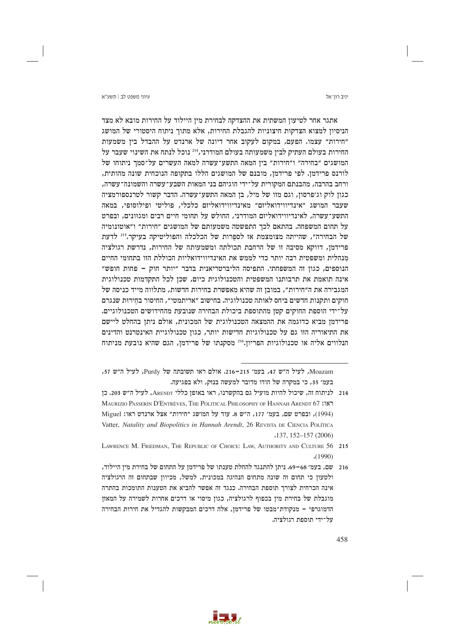יניב רוו־אל

אתגר אחר לטיעון המשתית את ההצדקה לבחירת מין היילוד על החירות מובא לא מצד הניסיוז למצוא הצדקות חיצוניות להגבלת החירות, אלא מתור ניתוח היסטורי של המושג ״חירות״ עצמו. הפעם, במקום לעקוב אחר דיונה של ארנדט על ההבדל בין משמעות החירות בעולם העתיק לבין משמעותה בעולם המודרני, 214 נוכל לנתח את השינוי שעבר על המושגים ״בחירה״ ו״חירות״ ביז המאה התשע־עשרה למאה העשרים על־סמר ניתוחו של לורנס פרידמן. לפי פרידמן, מובנם של המושגים הללו בתקופה הנוכחית שונה מהותית, ורחב בהרבה, מהבנתם המקורית על־ידי הוגיהם בני המאות השבע־עשרה והשמונה־עשרה, כגון לוק וג׳פרסון, וגם מזו של מיל, בן המאה התשע־עשרה. הדבר קשור לטרנספורמציה שעבר המושג "אינדיווידואליזם" מאינדיווידואליזם כלכלי, פוליטי ופילוסופי, במאה התשע־עשרה, לאינדיווידואליזם המודרני, החולש על תחומי חיים רבים ומגוונים, ובפרט על תחום המשפחה. בהתאם לכך התפשטה משמעותם של המושגים "חירות" ו"אוטונומיה של הבחירה", שהייתה מצומצמת אז לספרות של הכלכלה והפוליטיקה בעיקר.215 לדעת פרידמן, דווקא מסיבה זו של הרחבת תכולתה ומשמעותה של החירות, נדרשת רגולציה מנהלית ומשפטית רבה יותר כדי לממש את האינדיווידואליות הכוללת הזו בתחומי החיים הנוספים, כגון זה המשפחתי. התפיסה הליברטריאנית בדבר "יותר חוק - פחות חופש" אינה תואמת את תרבותנו המשפטית והטכנולוגית כיום, שכן לכל התקדמות טכנולוגית המגבירה את ה״חירות״, במובן זה שהיא מאפשרת בחירות חדשות, מתלווה מייד כניסה של חוקים ותקנות חדשים ביחס לאותה טכנולוגיה. בחישוב ״אריתמטי״, החיסור בחירות שנגרם על־ידי הוספת החוקים קטן מהתוספת ביכולת הבחירה שנובעת מהחידושים הטכנולוגיים. פרידמן מביא כדוגמה את ההמצאה הטכנולוגית של המכונית, אולם ניתן בהחלט ליישם את התיאוריה הזו גם על טכנולוגיות חדישות יותר, כגוז טכנולוגיית האינטרנט והדינים הנלווים אליה או טכנולוגיות הפריון.216 מסקנתו של פרידמן, הגם שהיא נובעת מניתוח



Moazam, לעיל ה"ש 47, בעמ' 215–216. אולם ראו תשובתה של Purdy, לעיל ה"ש 57, בעמ׳ 35, כי במקרה של הודו מדובר למעשה בנזק, ולא בפגיעה.

<sup>214</sup> לניתוח זה, שיכול להיות מועיל גם בהקשרנו, ראו באופן כללי ARENDT, לעיל ה"ש 203. כן MAURIZIO PASSERIN D'ENTRÈVES, THE POLITICAL PHILOSOPHY OF HANNAH ARENDT 67: (1994), ובפרט שם, בעמ׳ 177, ה״ש 8. עוד על המושג "חירות" אצל ארנדט ראו: Miguel Vatter, Natality and Biopolitics in Hannah Arendt, 26 REVISTA DE CIENCIA POLÍTICA  $.137, 152 - 157 (2006)$ 

LAWRENCE M. FRIEDMAN, THE REPUBLIC OF CHOICE: LAW, AUTHORITY AND CULTURE 56 215  $(1990)$ 

<sup>216 –</sup> שם, בעמ׳ 68–69. ניתן להתנגד להחלת טענתו של פרידמן על התחום של בחירת מין היילוד, ולטעון כי תחום זה שונה מתחום הנהיגה במכונית, למשל, מכיוון שבתחום זה הרגולציה אינה הכרחית לצורך תוספת הבחירה. כנגד זה אפשר להביא את הטענות התומכות בהתרה מוגבלת של בחירת מין בכפוף לרגולציה, כגון מיסוי או דרכים אחרות לשמירה על המאזן הדמוגרפי – מנקודת־מבטו של פרידמן, אלה דרכים המבקשות להגדיל את חירות הבחירה על־ידי תוספת רגולציה.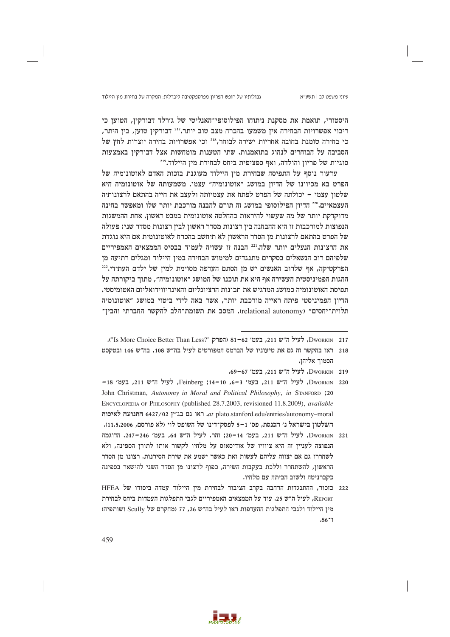גבולותיו של חופש הפריון מפרספקטיבה ליברלית: המקרה של בחירת מין היילוד

היסטורי, תואמת את מסקנת ניתוחו הפילוסופי־האנליטי של ג׳רלד דבורקין, הטוען כי ריבוי אפשרויות הבחירה איז משמעו בהכרח מצב טוב יותר.<sup>217</sup> דבורקיז טועז, ביז היתר, כי בחירה טומנת בחובה אחריות ישירה לבוחר, 218 וכי אפשרויות בחירה יוצרות לחץ של הסביבה על הבוחרים לנהוג בתואמנות. שתי הטענות מומחשות אצל דבורקין באמצעות סוגיות של פריוז והולדה, ואף ספציפית ביחס לבחירת מיז היילוד."

ערעור נוסף על התפיסה שבחירת מין היילוד מעוגנת בזכות האדם לאוטונומיה של הפרט בא מכיוונו של הדיון במושג "אוטונומיה" עצמו. משמעותה של אוטונומיה היא שלטון עצמי – יכולתה של הפרט לפתח את עצמיותה ולעצב את חייה בהתאם לרצונותיה העצמאיים.220 הדיון הפילוסופי במושג זה תורם להבנה מורכבת יותר שלו ומאפשר בחינה מדוקדקת יותר של מה שעשוי להיראות כהחלטה אוטונומית במבט ראשון. אחת ההמשגות הנפוצות למורכבות זו היא ההבחנה בין רצונות מסדר ראשון לבין רצונות מסדר שני: פעולה של הפרט בהתאם לרצונות מן הסדר הראשון לא תיחשב בהכרח לאוטונומית אם היא נוגדת את הרצונות הנעלים יותר שלה.<sup>221</sup> הבנה זו עשויה לעמוד בבסיס הממצאים האמפיריים שלפיהם רוב הנשאלים בסקרים מתנגדים למימוש הבחירה במין היילוד ומגלים רתיעה מן הפרקטיקה, אף שלרוב האנשים יש מן הסתם העדפה מסוימת למין של ילדם העתידי.222 ההגות הפמיניסטית העשירה אף היא את תוכנו של המושג ״אוטונומיה״, מתוך ביקורתה על תפיסת האוטונומיה כמושג המדגיש את תכונות הרציונליזם והאינדיווידואליזם האטומיסטי. הדיוז הפמיניסטי פיתח ראייה מורכבת יותר, אשר באה לידי ביטוי במושג ״אוטונומיה תלוית־יחסים" (relational autonomy), המסב את תשומת־הלב להקשר החברתי והבין־



DworkIN 217, לעיל ה״ש 211, בעמ׳ 62-81 (הפרק "S More Choice Better Than Less?" ה״ש 211,

<sup>218 -</sup> ראו בהקשר זה גם את טיעוניו של הברמס המפורטים לעיל בה״ש 108, בה״ש 146 ובטקסט הסמור אליהו.

Dworkin 219, לעיל ה"ש 211, בעמ' 67-69.

DworkIN 220, לעיל ה״ש 211, בעמ׳ 3–6, Feinberg ;14–10, לעיל ה״ש 211, בעמ׳ 18– John Christman, Autonomy in Moral and Political Philosophy, in STANFORD ;20 ENCYCLOPEDIA OF PHILOSOPHY (published 28.7.2003, revisioned 11.8.2009), *available* at plato.stanford.edu/entries/autonomy-moral. ראו גם בג"ץ 6427/02 התנועה לאיכות השלטון בישראל נ׳ הכנסת, פס׳ 1-5 לפסק־דינו של השופט לוי (לא פורסם, 11.5.2006).

Dworkin 221, לעיל ה״ש 211, בעמ׳ 14–20; זהר, לעיל ה״ש 64, בעמ׳ 246–247, הדוגמה הנפוצה לעניין זה היא ציוויו של אודיסאוס על מלחיו לקשור אותו לתורן הספינה, ולא לשחררו גם אם יצווה עליהם לעשות זאת כאשר ישמע את שירת הסירנות. רצונו מן הסדר הראשון, להשתחרר וללכת בעקבות השירה, כפוף לרצונו מן הסדר השני להישאר בספינה כקברניטה ולשוב הביתה עם מלחיו.

<sup>222</sup> כזכור, ההתנגדות הרחבה בקרב הציבור לבחירת מין היילוד עמדה ביסודו של HFEA REPORT, לעיל ה"ש 25. עוד על הממצאים האמפיריים לגבי התפלגות העמדות ביחס לבחירת מין היילוד ולגבי התפלגות ההעדפות ראו לעיל בה"ש 26, 77 (מחקרם של Scully ושותפיה)  $.86 - 1$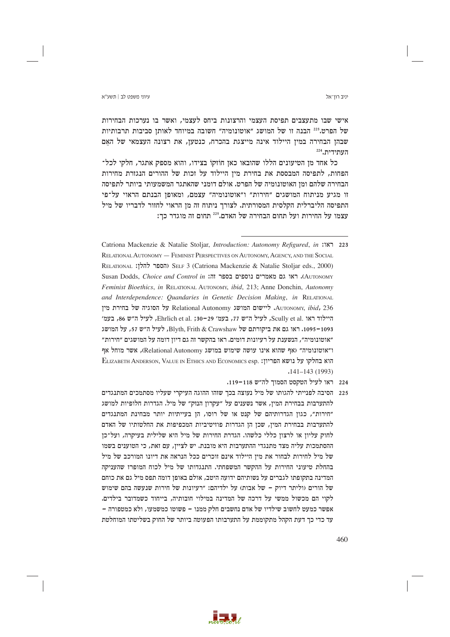יניב רוו־אל

אישי שבו מתעצבים תפיסת העצמי והרצונות ביחס לעצמי, ואשר בו נערכות הבחירות של הפרט.<sup>223</sup> הבנה זו של המושג ״אוטונומיה״ חשובה במיוחד לאותז סביבות תרבותיות שבהן הבחירה במין היילוד אינה מייצגת בהכרח, כנטען, את רצונה העצמאי של האם העתידית.224

כל אחד מן הטיעונים הללו שהובאו כאן חוזקו בצידו, והוא מספק אתגר, חלקי לכל־ הפחות, לתפיסה המבססת את בחירת מין היילוד על זכות של ההורים הנגזרת מחירות הבחירה שלהם ומן האוטונומיה של הפרט. אולם דומני שהאתגר המשמעותי ביותר לתפיסה זו מגיע מניתוח המושגים "חירות" ו"אוטונומיה" עצמם, ומאופן הבנתם הראוי על־פי התפיסה הליברלית הקלסית המסורתית. לצורך ניתוח זה מן הראוי לחזור לדבריו של מיל עצמו על החירות ועל תחום הבחירה של האדם.225 תחום זה מוגדר כך:

- Catriona Mackenzie & Natalie Stoljar, Introduction: Autonomy Refigured, in :187 223 RELATIONAL AUTONOMY — FEMINIST PERSPECTIVES ON AUTONOMY. AGENCY, AND THE SOCIAL RELATIONAL (הספר להלן: SELF 3 (Catriona Mackenzie & Natalie Stoljar eds., 2000) Susan Dodds, Choice and Control in :הו Susan Dodds, Choice and Control in . Feminist Bioethics, in RELATIONAL AUTONOMY, ibid. 213: Anne Donchin, Autonomy and Interdependence: Quandaries in Genetic Decision Making, in RELATIONAL AUTONOMY, ibid, 236 ליישום המושג Relational Autonomy על הסוגיה של בחירת מין היילוד ראו .Scully et al ,לעיל ה"ש 17, בעמ׳ 29–30; .Ehrlich et al ,לעיל ה"ש 86, בעמ׳ 1095–1095. ראו גם את ביקורתם של Blyth. Frith & Crawshaw, לעיל ה״ש 57, על המושג ״אוטונומיה״, הנשענת על רעיונות דומים. ראו בהקשר זה גם דיון דומה על המושגים ״חירות״ ו"אוטונומיה" (אף שהוא אינו עושה שימוש במושג Relational Autonomy), אשר מוחל אף ELIZABETH ANDERSON, VALUE IN ETHICS AND ECONOMICS esp. והוא בחלקו על נושא הפריוז:  $.141 - 143(1993)$ 
	- 224 ראו לעיל הטקסט הסמוך לה״ש 118–119.
- 225 הסיבה לפנייתי להגותו של מיל נעוצה בכך שזהו ההוגה העיקרי שעליו מסתמכים המתנגדים להתערבות בבחירת המיז, אשר נשענים על ״עקרוז הנזק״ של מיל. הגדרות חלופיות למושג "חירות", כגון הגדרותיהם של קנט או של רוסו, הן בעייתיות יותר מבחינת המתנגדים להתערבות בבחירת המין, שכן הן הגדרות פוזיטיביות המכפיפות את החלטותיו של האדם לחוק עליון או לרצון כללי כלשהו. הגדרת החירות של מיל היא שלילית בעיקרה, ועל־כן ההסתמכות עליה מצד מתנגדי ההתערבות היא מובנת. יש לציין, עם זאת, כי הטוענים בשמו של מיל לחירות לבחור את מין היילוד אינם זוכרים ככל הנראה את דיונו המורכב של מיל בהחלת טיעוני החירות על ההקשר המשפחתי. התנגדותו של מיל לכוח המופרז שהעניקה המדינה בתקופתו לגברים על נשותיהם ידועה היטב, אולם באופן דומה תפס מיל גם את כוחם של הורים (וליתר דיוק – של אבות) על ילדיהם: "רעיונות של חירות שנעשה בהם שימוש לקוי הם מכשול ממשי על דרכה של המדינה במילוי חובותיה, בייחוד כשמדובר בילדים. אפשר כמעט לחשוב שילדיו של אדם נחשבים חלק ממנו – פשוטו כמשמעו, ולא כמטפורה – עד כדי כך דעת הקהל מתקוממת על התערבותו הפעוטה ביותר של החוק בשליטתו המוחלטת

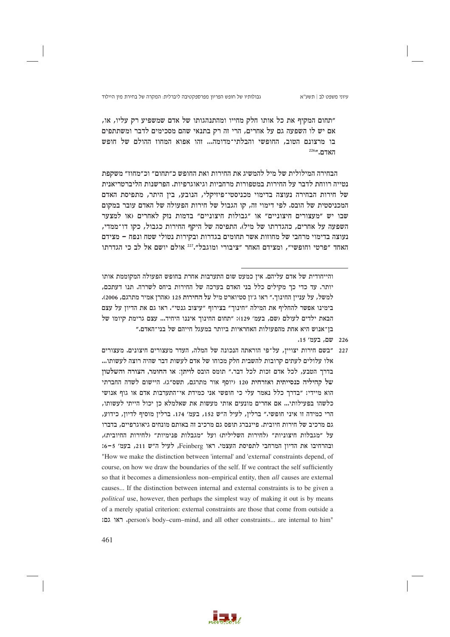״תחום המקיף את כל אותו חלק מחייו ומהתנהגותו של אדם שמשפיע רק עליו, או, אם יש לו השפעה גם על אחרים, הרי זה רק בתנאי שהם מסכימים לדבר ומשתתפים בו מרצונם הטוב, החופשי והבלתי־מדומה... זהו אפוא המחוז ההולם של חופש האדם."<sup>226</sup>

הבחירה המילולית של מיל להמשיג את החירות ואת החופש כ״תחום״ וכ״מחוז״ משקפת נטייה רווחת לדבר על החירות במטפורות מרחביות וגיאוגרפיות. הפרשנות הליברטריאנית של חירות הבחירה נעוצה בדימוי מכניסטי־פיזיקלי, הנובע, בין היתר, מתפיסת האדם המכניסטית של הובס. לפי דימוי זה, קו הגבול של חירות הפעולה של האדם עובר במקום שבו יש "מעצורים חיצוניים" או "גבולות חיצוניים" בדמות נזק לאחרים (או למצער השפעה על אחרים, כהגדרתו של מיל). התפיסה של היקף החירות כגבול, כקו דו־ממדי, נעוצה בדימוי מרחבי של מחוזות אשר תחומים בגדרות ובקירות נטולי שטח ונפח – מצידם האחד "פרטי וחופשי", ומצידם האחר "ציבורי ומוגבל".<sup>227</sup> אולם יושם אל לב כי הגדרתו

- .<br>226 שם, בעמ' 15.
- 227 ״בשם חירות יצויין, על־פי הוראתה הנכונה של המלה, העדר מעצורים חיצונים. מעצורים אלו עלולים לעתים קרובות להשבית חלק מכוחו של אדם לעשות דבר שהיה רוצה לעשותו... בדרר הטבע, לכל אדם זכות לכל דבר.״ תומס הובס לויתז: או החומר, הצורה והשלטוז של קהיליה כנסייתית ואזרחית 120 (יוסף אור מתרגם, תשס״ג). היישום לשדה החברתי הוא מיידי: "בדרך כלל נאמר עלי כי חופשי אני כמידת אי־התערבות אדם או גוף אנושי כלשהו בפעילותי... אם אחרים מונעים אותי מעשות את שאלמלא כז יכול הייתי לעשותו. הרי כמידה זו איני חופשי." ברלין, לעיל ה"ש 152, בעמ' 174. ברלין מוסיף לדיון, כידוע, גם מרכיב של חירות חיובית. פיינברג תופס גם מרכיב זה באותם מונחים גיאוגרפיים, בדברו על ״מגבלות חיצוניות״ (לחירות השלילית) ועל ״מגבלות פנימיות״ (לחירות החיובית), ובהרחיבו את הדיון המרחבי לתפיסת העצמי. ראו Feinberg, לעיל ה"ש 211, בעמ' 5-6: "How we make the distinction between 'internal' and 'external' constraints depend, of course, on how we draw the boundaries of the self. If we contract the self sufficiently so that it becomes a dimensionless non-empirical entity, then all causes are external causes... If the distinction between internal and external constraints is to be given a *political* use, however, then perhaps the simplest way of making it out is by means of a merely spatial criterion: external constraints are those that come from outside a person's body-cum-mind, and all other constraints... are internal to him"



והייחודית של אדם עליהם. אין כמעט שום התערבות אחרת בחופש הפעולה המקוממת אותו יותר. עד כדי כר מקילים כלל בני האדם בערכה של החירות ביחס לשררה. תנו דעתכם, למשל, על עניין החינוך." ראו ג'ון סטיוארט מיל על החירות 125 (אהרן אמיר מתרגם, 2006). בימינו אפשר להחליף את המילה "חינוך" בצירוף "עיצוב גנטי". ראו גם את הדיון על עצם הבאת ילדים לעולם (שם, בעמ׳ 129): "תחום החינוך איננו היחיד... עצם גרימת קיומו של בז־אנוש היא אחת מהפעולות האחראיות ביותר במעגל חייהם של בני־האדם.״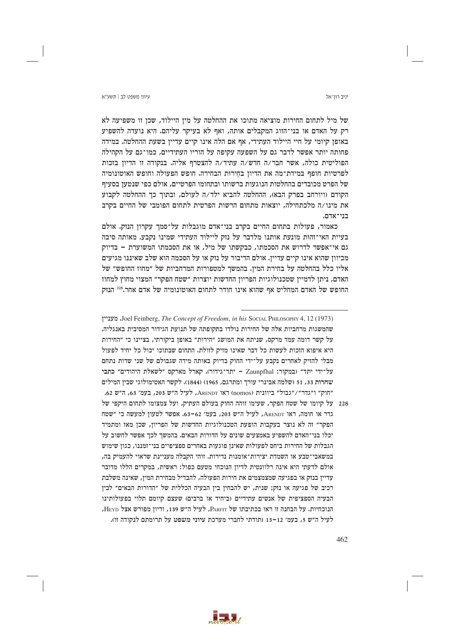יניב רוו־אל

עיווי משפט לר∣ חשע״א

של מיל לתחום החירות מוציאה מתוכו את ההחלטה על מין היילוד, שכן זו משפיעה לא רק על האדם או בני־הזוג המקבלים אותה, ואף לא בעיקר עליהם. היא נועדה להשפיע באופן קיומי על חיי היילוד העתידי, אף אם הלה אינו קיים עדיין בשעת ההחלטה. במידה פחותה יותר אפשר לדבר גם על השפעה עקיפה על הוריו העתידיים, כמו־גם על הקהילה הפוליטית כולה, אשר חבר/ה חדש/ה עתיד/ה להצטרף אליה. בנקודה זו הדיון בזכות לפרטיות חופף במידת־מה את הדיון בחירות הבחירה. חופש הפעולה וחופש האוטונומיה של הפרט מכובדים בהחלטות הנוגעות ברשותו ובתחומו הפרטיים, אולם כפי שנטען בסעיף הקודם (ויורחב בפרק הבא), ההחלטה להביא ילד/ה לעולם, ובתוך כך ההחלטה לקבוע את מינו/ה מלכתחילה, יוצאות מתחום הרשות הפרטית לתחום הפומבי של החיים בקרב רוי־אדה.

כאמור, פעולות בתחום החיים בקרב בני־אדם מוגבלות על־סמך עקרון הנזק. אולם בעיית האי־זהות מונעת אותנו מלדבר על נזק ליילוד העתידי שמינו נקבע. מאותה סיבה גם אי־אפשר לדרוש את הסכמתו, כבקשתו של מיל, או את הסכמתו המשוערת - בדיוק מכיוון שהוא אינו קיים עדיין. אולם הדיבור על נזק או על הסכמה הוא שלב שאיננו מגיעים אליו כלל בהחלטה על בחירת המין. בהמשך למטפורות המרחביות של "מחוז החופש" של האדם, ניתן לדמיין שטכנולוגיות הפריון החדשות יוצרות ״שטח הפקר״ המצוי מחוץ למחוז החופש של האדם המחליט אף שהוא אינו חודר לתחום האוטונומיה של אדם אחר.228 הנזק

Doel Feinberg, The Concept of Freedom, in his Social PHILOSOPHY 4, 12 (1973) שהמשגות מרחביות אלה של החירות נולדו בתקופתה של תנועת הגידור המסיבית באנגליה. על קשר דומה עמד מרקס, שניתח את המושג "חירות" באופן ביקורתי, בציינו כי "החירות היא איפוא הזכות לעשות כל דבר שאינו מזיק לזולת. התחום שבתוכו יכול כל יחיד לפעול מבלי להזיק לאחרים נקבע על־ידי החוק בדיוק באותה מידה שגבולם של שני שדות נתחם על־ידי יתד״ (במקור: Zaunpfhal – יתד־גידור). קארל מארקס ״לשאלת היהודים״ כתבי שחרות 33, 51 (שלמה אבינרי עורך ומתרגם, 1965) (1844). לקשר האטימולוגי שבין המילים "חוק" ו"גדר"/"גבול" ביוונית (nomos) ראו ARENDT, לעיל ה"ש 203, בעמ' 63, ה"ש 62.

228 - על קיומו של שטח הפקר, שעימו זוהה החוק בעולם העתיק, ועל צמצומו לתחום היקפי של גדר או חומה, ראו ARENDT, לעיל ה"ש 203, בעמ' 62–63. אפשר לטעון למעשה כי "שטח הפקר" זה לא נוצר בעקבות הופעת הטכנולוגיות החדשות של הפריון, שכן מאז ומתמיד יכלו בני־האדם להשפיע באמצעים שונים על הדורות הבאים. בהמשך לכך אפשר לחשוב על הגבלות של החירות ביחס לפעולות שאינן פוגעות באחרים ספציפיים בני־זמננו, כגון שימוש במשאבי־טבע או השמדת יצירות־אומנות נדירות. זוהי הקבלה מעניינת שראוי להעמיק בה, אולם לדעתי היא אינה רלוונטית לדיון הנוכחי מטעם כפול: ראשית, במקרים הללו מדובר עדייז בנזק או בפגיעה שמצמצמים את חירות הפעולה, להבדיל מבחירת המיז, שאינה משלבת רכיב של פגיעה או נזק; שנית, יש להבחין בין הבעיה הכללית של "הדורות הבאים" לבין הבעיה הספציפית של אנשים עתידיים (ביחיד או ברבים) שעצם קיומם תלוי בפעולותינו הנוכחיות. על הבחנה זו ראו בכתיבתו של PARFIT, לעיל ה"ש 139, ודיון מפורש אצל HEYD, לעיל ה"ש 5, בעמ' 12-13 (תודתי לחברי מערכת עיוני משפט על תרומתם לנקודה זו).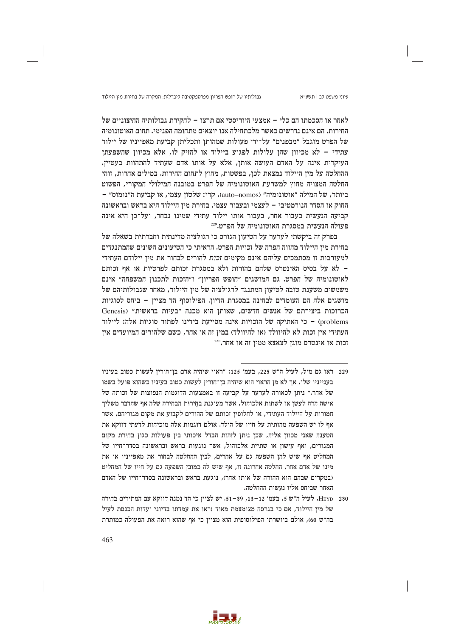עיוני משפט לב | תשע"א

לאחר או הסכמתו הם כלי – אמצעי היוריסטי אם תרצו – לחקירת גבולותיה החיצוניים של החירות. הם אינם נדרשים כאשר מלכתחילה אנו יוצאים מתחומה הפנימי. תחום האוטונומיה של הפרט מוגבל ״מבפנים״ על־ידי פעולות שמהותן ותכליתן קביעת מאפייניו של יילוד עתידי – לא מכיוון שהן עלולות לפגוע ביילוד או להזיק לו, אלא מכיוון שהשפעתן העיקרית אינה על האדם העושה אותן, אלא על אותו אדם שעתיד להתהוות בעטיין. ההחלטה על מין היילוד נמצאת לכן, בפשטות, מחוץ לתחום החירות. במילים אחרות, זוהי החלטה המצויה מחוץ למשרעת האוטונומיה של הפרט במובנה המילולי המקורי, הפשוט ביותר, של המילה "אוטונומיה" (auto–nomos), קרי: שלטון עצמי, או קביעת ה"נומוס" -החוק או הסדר הנורמטיבי – לעצמי ובעבור עצמי. בחירת מין היילוד היא בראש ובראשונה קביעה הנעשית בעבור אחר, בעבור אותו יילוד עתידי שמינו נבחר, ועל־כן היא אינה פעולה הנעשית במסגרת האוטונומיה של הפרט.229

בפרק זה ביקשתי לערער על הטיעון הגורס כי רגולציה מדינתית וחברתית בשאלה של בחירת מין היילוד מהווה הפרה של זכויות הפרט. הראיתי כי הטיעונים השונים שהמתנגדים למעורבות זו מסתמכים עליהם אינם מקימים *זכות* להורים לבחור את מין יילודם העתידי - לא על בסיס האינטרס שלהם בהורות ולא במסגרת זכותם לפרטיות או אף זכותם לאוטונומיה של הפרט. גם המושגים "חופש הפריון" ו"הזכות לתכנון המשפחה" אינם משמשים משענת טובה לטיעון המתנגד לרגולציה של מין היילוד, מאחר שגבולותיהם של מושגים אלה הם העומדים לבחינה במסגרת הדיון. הפילוסוף הד מציין - ביחס לסוגיות הכרוכות ביצירתם של אנשים חדשים, שאותן הוא מכנה "בעיות בראשית" (Genesis problems) - כי האתיקה של הזכויות אינה מסייעת בידינו לפתור סוגיות אלה: ליילוד העתידי אין זכות לא להיוולד (או להיוולד) במין זה או אחר, כשם שלהורים המיועדים אין  $^{230}\!$ וכות או אינטרס מוגן לצאצא ממין זה או אחר

- 229 ראו גם מיל, לעיל ה"ש 225, בעמ' 125: "ראוי שיהיה אדם בן־חורין לעשות כטוב בעיניו בענייניו שלו, אך לא מן הראוי הוא שיהיה בן־חורין לעשות כטוב בעיניו כשהוא פועל בשמו של אחר." ניתן לכאורה לערער על קביעה זו באמצעות הדוגמות הנפוצות של זכותה של .<br>אישה הרה לעשו או לשתות אלכוהול, אשר מעוגנת בחירות הבחירה שלה אף שהדבר משליד חמורות על היילוד העתידי, או לחלופין זכותם של ההורים לקבוע את מקום מגוריהם, אשר אף לו יש השפעה מהותית על חייו של הילד. אולם דוגמות אלה מוכיחות לדעתי דווקא את הטענה שאני מכוון אליה, שכן ניתן לזהות הבדל איכותי בין פעולות כגון בחירת מקום המגורים, ואף עישון או שתיית אלכוהול, אשר נוגעות בראש ובראשונה בסדר־חייו של המחליט אף שיש להן השפעה גם על אחרים, לבין ההחלטה לבחור את מאפייניו או את מינו של אדם אחר. החלטה אחרונה זו, אף שיש לה כמובז השפעה גם על חייו של המחליט (נמקרים שבהם הוא ההורה של אותו אחר), נוגעת בראש ובראשונה בסדר־חייו של האדם האחר שביחס אליו נעשית ההחלטה.
- 230 HEYD, לעיל ה"ש 5, בעמ' 12–13, 39–51. יש לציין כי הד נמנה דווקא עם המתירים בחירה של מין היילוד, אם כי בגרסה מצומצמת מאוד (ראו את עמדתו בדיוני ועדות הכנסת לעיל בה"ש 60), אולם ביושרתו הפילוסופית הוא מציין כי אף שהוא רואה את הפעולה כמותרת

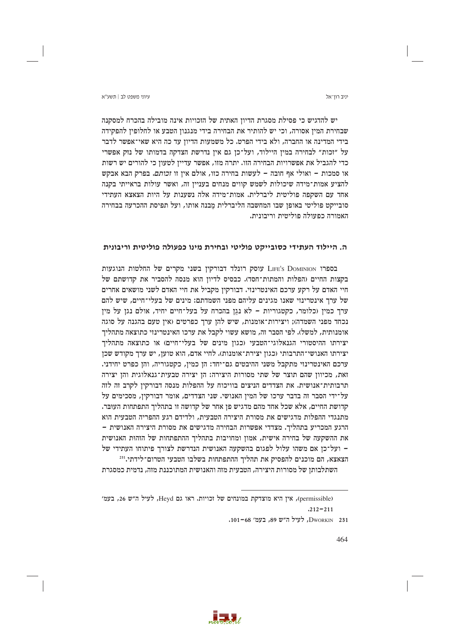יניב רוו־אל

יש להדגיש כי פסילת מסגרת הדיון האתית של הזכויות אינה מובילה בהכרח למסקנה שבחירת המיז אסורה, וכי יש להותיר את הבחירה בידי מנגנוז הטבע או לחלופיז להפקידה בידי המדינה או החברה, ולא בידי הפרט. כל משמעות הדיון עד כה היא שאי־אפשר לדבר על "זכות" לבחירה במין היילוד, ועל־כן גם אין נדרשת הצדקה בדמותו של נזק אפשרי כדי להגביל את אפשרויות הבחירה הזו. יתרה מזו, אפשר עדיין לטעון כי להורים יש רשות או סמכות - ואולי אף חובה - לעשות בחירה כזו, אולם אין זו זכותם. בפרק הבא אבקש להציע אמות־מידה שיכולות לשמש קווים מנחים בעניין זה, ואשר עולות בראייתי בקנה אחד עם השקפה פוליטית ליברלית. אמות־מידה אלה נשענות על היות הצאצא העתידי סובייקט פוליטי באופן שבו המחשבה הליברלית מבנה אותו, ועל תפיסת ההכרעה בבחירה האמורה כפעולה פוליטית וריבונית.

# ה. היילוד העתידי כסובייקט פוליטי ובחירת מינו כפעולה פוליטית וריבונית

בספרו LIFE's DOMINION עוסק רונלד דבורקין בשני מקרים של החלטות הנוגעות בקצות החיים (הפלות והמתות־חסד). כבסיס לדיון הוא מנסה להסביר את קדושתם של חיי האדם על רקע ערכם האינטרינזי. דבורקין מקביל את חיי האדם לשני מושאים אחרים של ערך אינטרינזי שאנו מגינים עליהם מפני השמדתם: מינים של בעלי־חיים, שיש להם ערך כמין (כלומר, כקטגוריות – לא נגן בהכרח על בעל־חיים יחיד, אולם נגן על מין נכחד מפני השמדה); ויצירות־אומנות, שיש להן ערך כפרטים (אין טעם בהגנה על סוגה אומנותית, למשל). לפי הסבר זה, מושא עשוי לקבל את ערכו האינטרינזי כתוצאה מתהליך יצירתו ההיסטורי הגנאלוגי־הטבעי (כגון מינים של בעלי־חיים) או כתוצאה מתהליך יצירתו האנושי־התרבותי (כגון יצירת־אומנות). לחיי אדם, הוא טוען, יש ערך מקודש שכן ערכם האינטרינזי מתקבל משני ההיבטים גם־יחד: הן כמין, כקטגוריה, והן כפרט יחידני. זאת, מכיוון שהם תוצר של שתי מסורות היצירה: הן יצירה טבעית־גנאלוגית והן יצירה תרבותית־אנושית. את הצדדים הניצים בוויכוח על ההפלות מנסה דבורקין לקרב זה לזה על־ידי הסבר זה בדבר ערכו של המין האנושי. שני הצדדים, אומר דבורקין, מסכימים על קדושת החיים, אלא שכל אחד מהם מדגיש פן אחר של קדושה זו בתהליך התפתחות העובר. מתנגדי ההפלות מדגישים את מסורת היצירה הטבעית, ולדידם רגע ההפריה הטבעית הוא הרגע המכריע בתהליר. מצדדי אפשרות הבחירה מדגישים את מסורת היצירה האנושית – את ההשקעה של בחירה אישית, אמון ומחויבות בתהליך ההתפתחות של הזהות האנושית – ועל־כן אם משהו עלול לפגום בהשקעה האנושית הנדרשת לצורך פיתוחו העתידי של הצאצא, הם מוכנים להפסיק את תהליך ההתפתחות בשלבו הטבעי הטרום־לידתי.<sup>231</sup>

השתלבותז של מסורות היצירה. הטבעית מזה והאנושית המתוכננת מזה. נדמית כמסגרת



<sup>(</sup>permissible), אין היא מוצדקת במונחים של זכויות. ראו גם Heyd, לעיל ה"ש 26, בעמ'  $.212 - 211$ 

DWORKIN 231, לעיל ה"ש 89, בעמ' 68-101.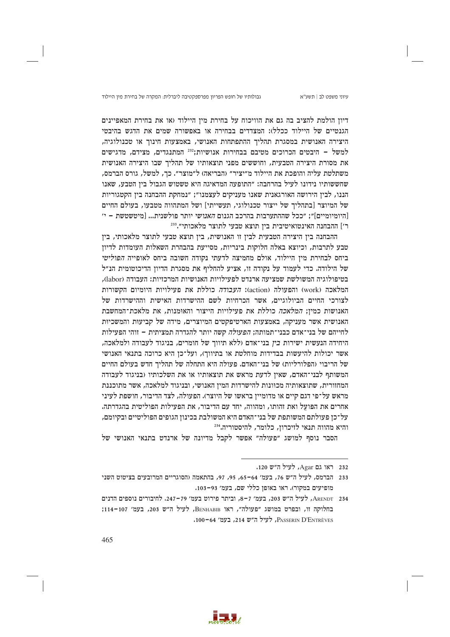עיוני משפט לב | תשע"א

דיוז הולמת להציב בה גם את הוויכוח על בחירת מין היילוד (או את בחירת המאפיינים הגנטיים של היילוד ככלל): המצדדים בבחירה או באפשורה שמים את הדגש בהיבטי היצירה האנושית במסגרת תהליך ההתפתחות האנושי, באמצעות חינוך או טכנולוגיה, למשל – היבטים הכרוכים מטיבם בבחירות אנושיות;<sup>232</sup> המתנגדים, מצידם, מדגישים את מסורת היצירה הטבעית, וחוששים מפני תוצאותיו של תהליר שבו היצירה האנושית משתלטת עליה והופכת את היילוד מ״יציר״ (הבריאה) ל״מוצר״. כך, למשל, גורס הברמס, שחששותיו נידונו לעיל בהרחבה: "התופעה המדאיגה היא טשטוש הגבול בין הטבע, שאנו הננו, לבין הירושה האורגאנית שאנו מעניקים לעצמנו״; ״נמחקת ההבחנה בין הקטגוריות של המיוצר [בתהליך של ייצור טכנולוגי, תעשייתי] ושל המתהווה מטבעו, בעולם החיים [היומיומיים]"; "ככל שההתערבות בהרכב הגנום *האנושי* יותר פולשנית... [מיטשטשת - י' ר׳] ההבחנה האינטואיטיבית בין תוצא טבעי לתוצר מלאכותי״. "

ההבחנה בין היצירה הטבעית לבין זו האנושית, בין תוצא טבעי לתוצר מלאכותי, בין טבע לתרבות, וכיוצא באלה חלוקות בינריות, מסייעת בהבהרת השאלות העומדות לדיון ביחס לבחירת מין היילוד, אולם מחמיצה לדעתי נקודה חשובה ביחס לאופייה הפוליטי של הילודה. כדי לעמוד על נקודה זו, אציע להחליף את מסגרת הדיון הדיכוטומית הנ"ל בטיפולוגיה המשולשת שמציעה ארנדט לפעילויות האנושיות המרכזיות: העבודה (labor), המלאכה (work) והפעולה (action): *העבודה* כוללת את פעילויות היומיום הקשורות לצורכי החיים הביולוגיים, אשר הכרחיות לשם ההישרדות האישית וההישרדות של האנושות כמין; *המלאכה* כוללת את פעילויות הייצור והאומנות, את מלאכת־המחשבת האנושית אשר מעניקה, באמצעות הארטיפקטים המיוצרים, מידה של קביעות והמשכיות לחייהם של בני־אדם כבני־תמותה; *הפעולה* קשה יותר להגדרה תמציתית – זוהי הפעילות היחידה הנעשית ישירות בין בני־אדם (ללא תיווך של חומרים, בניגוד לעבודה ולמלאכה, אשר יכולות להיעשות בבדידות מוחלטת או בתיווך), ועל־כן היא כרוכה בתנאי האנושי של הריבוי (הפלורליות) של בני־האדם. פעולה היא התחלה של תהליך חדש בעולם החיים המשותף לבני־האדם, שאין לדעת מראש את תוצאותיו או את השלכותיו (בניגוד לעבודה המחזורית, שתוצאותיה מכוונות להישרדות המין האנושי, ובניגוד למלאכה, אשר מתוכננת מראש על־פי דגם קיים או מדומייז בראשו של היוצר). הפעולה, לצד הדיבור, חושפת לעיני אחרים את הפועל ואת זהותו, ומהווה, יחד עם הדיבור, את הפעילות הפוליטית בהגדרתה. על־כן פעולתם המשותפת של בני־האדם היא המשולבת בכינון הגופים הפוליטיים ובקיומם, והיא מהווה תנאי לזיכרוז. כלומר. להיסטוריה.<sup>234</sup>

הסבר נוסף למושג "פעולה" אפשר לקבל מדיונה של ארנדט בתנאי האנושי של



<sup>232</sup> ראו גם Agar, לעיל ה"ש 120.

<sup>233 –</sup> הברמס, לעיל ה"ש 76, בעמ' 64–65, 95, 97, בהתאמה (הסוגריים המרובעים בציטוט השני מופיעים במקור). ראו באופן כללי שם, בעמ׳ 93-103.

ARENDT 234, לעיל ה"ש 203, בעמ' 7-8, וביתר פירוט בעמ' 79–247. לחיבורים נוספים הדנים בחלוקה זו, ובפרט במושג "פעולה", ראו BENHABIB, לעיל ה"ש 203, בעמ' 107-114; PASSERIN D'ENTRÈVES, לעיל ה"ש 214, בעמ' 64–100.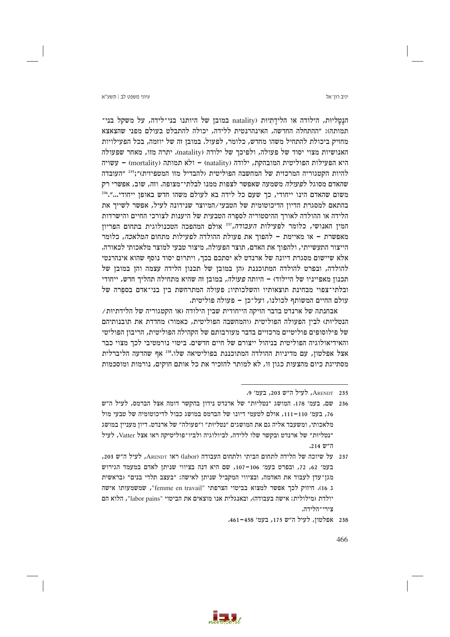יניב רוו־אל

עיווי משפט לר∣ חשע״א

הנַטֲלִיוּת, הילודה או הלידַתְיוּת (natality במובן של היותנו בני־לידה, על משקל בני־ תמותה): ״ההתחלה החדשה. האינהרגטית ללידה, יכולה להתבלט בעולם מפני שהצאצא מחזיק ביכולת להתחיל משהו מחדש, כלומר, לפעול. במובן זה של יוזמה, בכל הפעילויות האנושיות מצוי יסוד של פעולה, ולפיכך של ילודה (natality). יתרה מזו, מאחר שפעולה היא הפעילות הפוליטית המובהקת, ילודה (natality) – ולא תמותה (mortality) – עשויה להיות הקטגוריה המרכזית של המחשבה הפוליטית (להבדיל מזו המטפיזית)";<sup>235</sup> "העובדה שהאדם מסוגל לפעולה משמעה שאפשר לצפות ממנו לבלתי־מצופה. וזה, שוב, אפשרי רק משום שהאדם הינו ייחודי, כך שעם כל לידה בא לעולם משהו חדש באופן ייחודי...".236 בהתאם למסגרת הדיון הדיכוטומית של הטבעי/המיוצר שנידונה לעיל, אפשר לשייך את הלידה או ההולדה לאורך ההיסטוריה לספרה הטבעית של היענות לצורכי החיים והישרדות המין האנושי, כלומר לפעילות *העבודה*,<sup>237</sup> אולם המהפכה הטכנולוגית בתחום הפריון מאפשרת – או מאיימת – להפוך את פעולת ההולדה לפעילות מתחום *המלאכה,* כלומר הייצור התעשייתי, ולהפוך את האדם, תוצר הפעולה, מיצור טבעי למוצר מלאכותי לכאורה. אלא שיישום מסגרת דיונה של ארנדט לא יסתכם בכך, ויתרום יסוד נוסף שהוא אינהרנטי להולדה, ובפרט להולדה המתוכננת (הן במובן של תכנון הלידה עצמה והן במובן של תכנון מאפייניו של היילוד) – היותה *פעולה*, במובן זה שהיא מתחילה תהליך חדש, ייחודי ובלתי־צפוי מבחינת תוצאותיו והשלכותיו; פעולה המתרחשת בין בני־אדם בספרה של עולם החיים המשותף לכולנו, ועל־כן – פעולה פוליטית.

 $\gamma$ בחנתה של ארנדט בדבר הזיקה הייחודית שבין הילודה (או הקטגוריה של הלידתיות הנטליות) לבין הפעולה הפוליטית (והמחשבה הפוליטית, כאמור) מחדדת את תובנותיהם של פילוסופים פוליטיים מרכזיים בדבר מעורבותם של הקהילה הפוליטית, הריבון הפוליטי והאידיאולוגיה הפוליטית בניהול ייצורם של חיים חדשים. ביטוי נורמטיבי לכך מצוי כבר אצל אפלטון, עם מדיניות ההולדה המתוכננת בפוליטיאה שלו.<sup>238</sup> אף שהדעה הליברלית מסתייגת כיום מהצעות כגון זו, לא למותר להזכיר את כל אותם חוקים, נורמות ומוסכמות

237 על שיוכה של הלידה לתחום הביתי ולתחום העבודה (labor) ראו ARENDT, לעיל ה"ש 203, בעמ' 62, 72, ובפרט בעמ' 106–107, שם היא דנה בציווי שניתן לאדם במעמד הגירוש מגן־עדן לעבוד את האדמה, ובציווי המקביל שניתן לאישה: "בעצב תלדי בנים" (בראשית ג 16). חיזוק לכך אפשר למצוא בביטוי הצרפתי "femme en travail", שמשמעותו אישה יולדת (מילולית: אישה בעבודה), ובאנגלית אנו מוצאים את הביטוי "labor pains", הלוא הם צירי־הלידה.



ARENDT 235, לעיל ה"ש 203, בעמ' 9.

<sup>236 –</sup> שם, בעמ׳ 178. המושג ״נטליוּת״ של ארנדט נידוז בהקשר דומה אצל הברמס, לעיל ה״ש 76, בעמ׳ 110–111, אולם לטעמי דיונו של הברמס במושג כבול לדיכוטומיה של טבעי מול מלאכותי, ומשעבד אליה גם את המושגים ״נטליות״ ו״פעולה״ של ארנדט. דיון מעניין במושג "נטליות" של ארנדט ובקשר שלו ללידה, לביולוגיה ולביו־פוליטיקה ראו אצל Vatter, לעיל ה"ש 214.

<sup>238</sup> אפלטון, לעיל ה״ש 175, בעמ׳ 461-461.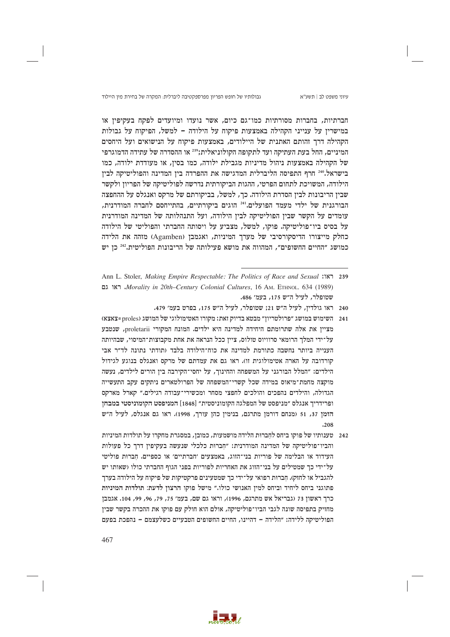גבולותיו של חופש הפריון מפרספקטיבה ליברלית: המקרה של בחירת מין היילוד

חברתיות, בחברות מסורתיות כמו־גם כיום, אשר נועדו ומיועדים לפקח בעקיפין או במישריז על ענייני הקהילה באמצעות פיקוח על הילודה – למשל, הפיקוח על גבולות הקהילה דרך זהותם האתנית של היילודים, באמצעות פיקוח על הנישואים ועל היחסים המיניים, החל בעת העתיקה ועד לתקופה הקולוניאלית;239 או ההסדרה של עתידה הדמוגרפי של הקהילה באמצעות ניהול מדיניות מגבילת ילודה, כמו בסין, או מעודדת ילודה, כמו בישראל.240 חרף התפיסה הליברלית המדגישה את ההפרדה בין המדינה והפוליטיקה לבין הילודה, המשויכת לתחום הפרטי, ההגות הביקורתית נדרשה לפוליטיקה של הפריון ולקשר שבין הריבונות לבין הסדרת הילודה. כך, למשל, בביקורתם של מרקס ואנגלס על ההחפצה הבורגנית של ילדי מעמד הפועלים.<sup>241</sup> הוגים ביקורתיים, בהתייחסם לחברה המודרנית, עומדים על הקשר שבין הפוליטיקה לבין הילודה, ועל התנהלותה של המדינה המודרנית על בסיס ביו־פוליטיקה. פוקו, למשל, מצביע על ויסותה החברתי והפוליטי של הילודה כחלק מייצורו הדיסקורסיבי של מערך המיניות, ואגמבן (Agamben) מזהה את הלידה כמושג "החיים החשופים", המהווה את מושא פעילותה של הריבונות הפוליטית.242 כן יש

- 240 ראו גולדין, לעיל ה"ש 21; שטופלר, לעיל ה"ש 175, בפרט בעמ' 479.
- 241 השימוש במושג "פרולטריון" מבטא בדיוק זאת: מקורו האטימולוגי של המושג (XXXX = proles) מצייו את אלה שתרומתם היחידה למדינה היא ילדים. המונח המקורי proletarii, שנטבע על־ידי המלך הרומאי סרוויוס טולוס, ציין ככל הנראה את אחת מקבוצות־המיסוי, שבהיותה הענייה ביותר נחשבה כתורמת למדינה את כוח־הילודה בלבד (תודתי נתונה לד״ר אבי קורדובה על הארה אטימולוגית זו). ראו גם את עמדתם של מרקס ואנגלס בנוגע לגידול הילדים: ״המלל הבורגני על המשפחה והחינור, על יחסי־הקירבה ביז הורים לילדים, נעשה מוקצה מחמת־מיאוס במידה שכל קשרי־המשפחה של הפרולטארים ניתקים עקב התעשייה הגדולה, והילדים נהפכים והולכים לחפצי מסחר ומכשירי־עבודה רגילים." קארל מארקס ופרידריר אנגלס ״מניפסט של המפלגה הקומוניסטית״ [1848] המניפסט הקומוניסטי במבחז הזמן 37, 51 (מנחם דורמן מתרגם, בנימין כהן עורך, 1998). ראו גם אנגלס, לעיל ה"ש  $.208$
- 242 טענותיו של פוקו ביחס לחברות הלידה מושמעות, כמובן, במסגרת מחקרו על תולדות המיניות והביו־פוליטיקה של המדינה המודרנית: "חברות כלכלי שנעשה בעקיפין דרך כל פעולות העידוד או הבלימה של פוריות בני־הזוג, באמצעים ׳חברתיים׳ או כספיים. חברות פוליטי על־ידי כד שמטילים על בני־הזוג את האחריות לפוריות בפני הגוף החברתי כולו (שאותו יש להגביל או לחזק). חברות רפואי על־ידי כך שמטעינים פרקטיקות של פיקוח על הילודה בערך פתוגני ביחס ליחיד וביחס למין האנושי כולו." מישל פוקו הרצון לדעת: תולדות המיניות כרך ראשון 73 (גבריאל אש מתרגם, 1996), וראו גם שם, בעמ׳ 75, 79, 96, 99, 104. אגמבן מחזיק בתפיסה שונה לגבי הביו־פוליטיקה, אולם הוא חולק עם פוקו את ההכרה בקשר שבין הפוליטיקה ללידה: "הלידה - דהיינו, החיים החשופים הטבעיים כשלעצמם - נהפכת בפעם



Ann L. Stoler, *Making Empire Respectable: The Politics of Race and Sexual* 1339 Morality in 20th–Century Colonial Cultures, 16 AM, ETHNOL, 634 (1989) שטופלר, לעיל ה״ש 175, בעמ׳ 486.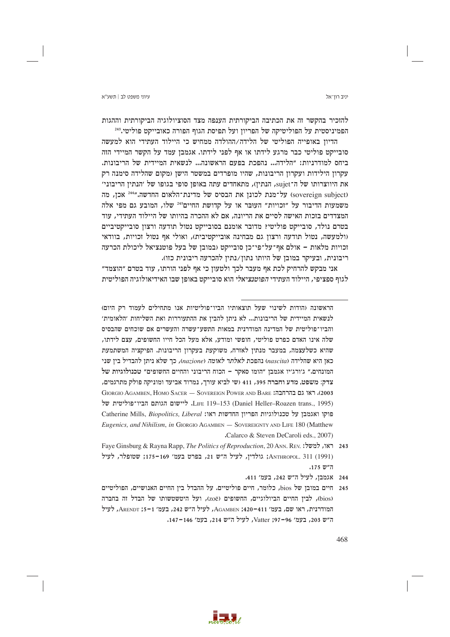יניב רוו־אל

### עיווי משפט לר∣ חשע״א

להזכיר בהקשר זה את הכתיבה הביקורתית הענפה מצד הסוציולוגיה הביקורתית וההגות הפמיניסטית על הפוליטיקה של הפריוז ועל תפיסת הגוף הפורה כאובייקט פוליטי.<sup>243</sup>

הדיון באופייה הפוליטי של הלידה/ההולדה ממחיש כי היילוד העתידי הוא למעשה סובייקט פוליטי כבר מרגע לידתו או אף לפני לידתו. אגמבן עמד על הקשר המיידי הזה ביחס למודרניות: "הלידה... נהפכת בפעם הראשונה... לנשאית המיידית של הריבונות. עקרון הילידות ועקרון הריבונות, שהיו מופרדים במשטר הישן (מקום שהלידה סימנה רק את היווצרותו של ה־sujet, הנתין), מתאחדים עתה באופן סופי בגופו של 'הנתין הריבוני' (sovereign subject) על־מנת לכונן את הבסיס של מדינת־הלאום החדשה."<sup>244</sup> אכן, מה משמעות הדיבור על "זכויות" העובר או על קדושת החיים<sup>245</sup> שלו, המובע גם מפי אלה המצדדים בזכות האישה לסיים את הריונה, אם לא ההכרה בהיותו של היילוד העתידי, עוד בטרם נולד, סובייקט פוליטי? מדובר אומנם בסובייקט נטול תודעה ורצון סובייקטיביים (ולמעשה, נטול תודעה ורצון גם מבחינה אובייקטיבית), ואולי אף נטול זכויות, בוודאי זכויות מלאות – אולם אף־על־פי־כן סובייקט (במובן של בעל פוטנציאל ליכולת הכרעה ריבונית, ובעיקר במובן של היותו נתון/נתין להכרעה ריבונית כזו).

אני מבקש להרחיק לכת אף מעבר לכך ולטעון כי אף לפני הורתו, עוד בטרם "הוצמד" לגוף ספציפי, היילוד העתידי *הפוטנציאלי* הוא סובייקט באופן שבו האידיאולוגיה הפוליטית

הראשונה (הודות לשינוי שעל תוצאותיו הביו־פוליטיות אנו מתחילים לעמוד רק היום) לנשאית המיידית של הריבונות... לא ניתן להבין את ההתעוררות ואת השליחות ׳הלאומית׳ והביו־פוליטית של המדינה המודרנית במאות התשע־עשרה והעשרים אם שוכחים שהבסיס שלה אינו האדם כפרט פוליטי, חופשי ומודע, אלא מעל הכל חייו החשופים, עצם לידתו, שהיא כשלעצמה, במעבר מנתין לאזרח, משוקעת בעקרון הריבונות. הפיקציה המשתמעת כאז היא שהלידה (nascita) נהפכת לאלתר לאומה (nazione), כר שלא ניתז להבדיל ביז שני המונחים." ג׳ורג׳יו אגמבז "הומו סאקר – הכוח הריבוני והחיים החשופים" טכנולוגיות של צדק: משפט, מדע וחברה 395, 411 (שי לביא עורך, נמרוד אביעד ומוניקה פולק מתרגמים, OO33). ראו גם בהרחבה: GIORGIO AGAMBEN, HOMO SACER — SOVEREIGN POWER AND BARE LIFE 119-153 (Daniel Heller-Roazen trans., 1995). ליישום הגותם הביו־פוליטית של Catherine Mills, Biopolitics, Liberal כּוּקו המדשות ראו: Catherine Mills, Biopolitics, Liberal Eugenics, and Nihilism, in GIORGIO AGAMBEN - SOVEREIGNTY AND LIFE 180 (Matthew Calarco & Steven DeCaroli eds., 2007)

- Faye Ginsburg & Rayna Rapp, *The Politics of Reproduction*, 20 Ann. Rev. למשל: 243 (1991) ANTHROPOL. 311; גולדין, לעיל ה"ש 21, בפרט בעמ׳ 169–175; שטופלר, לעיל ה"ש 175.
	- 244 אגמבן, לעיל ה"ש 242, בעמ' 411.



<sup>245</sup> חיים במובן של bios, כלומר, חיים פוליטיים. על ההבדל בין החיים האנושיים, הפוליטיים (bios), לבין החיים הביולוגיים, החשופים (zoē), ועל היטשטשותו של הבדל זה בחברה המודרנית, ראו שם, בעמ׳ 411–420; AGAMBEN, לעיל ה״ש 242, בעמ׳ 1–5; ARENDT, לעיל ה"ש 203, בעמ' 96–97; Vatter, לעיל ה"ש 214, בעמ' 146–147.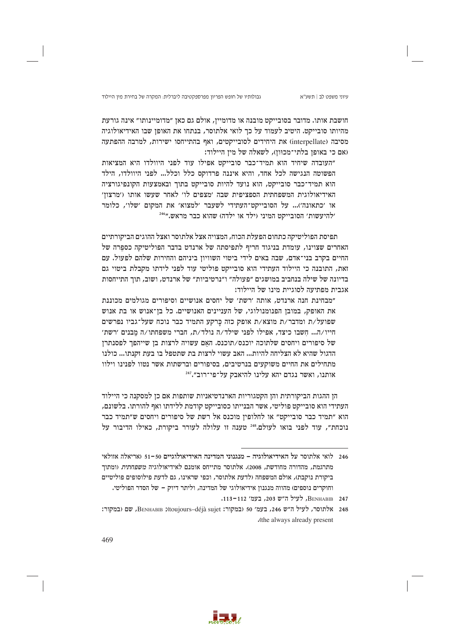גבולותיו של חופש הפריון מפרספקטיבה ליברלית: המקרה של בחירת מין היילוד

חושבת אותו. מדובר בסובייקט מובנה או מדומיין, אולם גם כאן ״מדומיינותו״ אינה גורעת מהיותו סובייקט. היטיב לעמוד על כך לואי אלתוסר, בנתחו את האופז שבו האידיאולוגיה מסיבה (interpellate) את היחידים לסובייקטים, ואף בהתייחסו ישירות, למרבה ההפתעה ואם כי באופן בלתי־מכוּוז), לשאלה של מין היילוד:

"העובדה שיחיד הוא תמיד־כבר סובייקט אפילו עוד לפני היוולדו היא המציאות הפשוטה הנגישה לכל אחד, והיא איננה פרדוקס כלל וכלל... לפני היוולדו, הילד הוא תמיד־כבר סובייקט, הוא נועד להיות סובייקט בתוך ובאמצעות הקונפיגורציה האידיאולוגית המשפחתית הספציפית שבה 'מצפים לו' לאחר שעשו אותו ('מרצון' או ׳כתאונה׳)... על הסובייקט־העתידי לשעבר ׳למצוא׳ את המקום ׳שלו׳, כלומר "להיעשות' הסובייקט המיני (ילד או ילדה) שהוא כבר מראש."464

תפיסת הפוליטיקה כתחום הפעלת הכוח, המצויה אצל אלתוסר ואצל ההוגים הביקורתיים האחרים שצוינו, עומדת בניגוד חריף לתפיסתה של ארנדט בדבר הפוליטיקה כספרה של החיים בקרב בני־אדם, שבה באים לידי ביטוי השוויון ביניהם והחירות שלהם לפעול. עם זאת, התובנה כי היילוד העתידי הוא סובייקט פוליטי עוד לפני לידתו מקבלת ביטוי גם בדיונה של שילה בנחביב במושגים ״פעולה״ ו״נרטיביות״ של ארנדט. ושוב. תור התייחסות אגבית מפתיעה לסוגיית מינו של היילוד:

״מבחינת חנה ארנדט. אותה ׳רשת׳ של יחסים אנושיים וסיפורים מגולמים מכוננת את האופק, במובן הפנומנולוגי, של העניינים האנושיים. כל בן־אנוש או בת אנוש שפועל/ת ומדבר/ת מוצא/ת אופק כזה כרקע התמיד כבר נוכח שעל־גביו נפרשים חייו/ה... חשבו כיצד, אפילו לפני שילד/ה נולד/ת, חברי משפחתו/ה מבנים ׳רשת׳ של סיפורים ויחסים שלתוכה יוכנס/תוכנס. האם עשויה לרצות בן שייהפך לפסנתרן הדגול שהיא לא הצליחה להיות... האב עשוי לרצות בת שתטפל בו בעת זקנתו... כולנו מתחילים את החיים משוקעים בנרטיבים, בסיפורים וברשתות אשר נטוו לפנינו וילוו אותנו, ואשר נגדם יהא עלינו להיאבק על־פי־רוב״."

הז ההגות הביקורתית והז הקטגוריות הארנדטיאניות שותפות אם כז למסקנה כי היילוד העתידי הוא סובייקט פוליטי, אשר הבנייתו כסובייקט קודמת ללידתו ואף להורתו. בלשונם, הוא "תמיד כבר סובייקט" או לחלופין מוכנס אל רשת של סיפורים ויחסים ש"תמיד כבר נוכחת", עוד לפני בואו לעולם.<sup>248</sup> טענה זו עלולה לעורר ביקורת, כאילו הדיבור על



לואי אלתוסר על האידיאולוגיה – מנגנוני המדינה האידיאולוגיים 50–51 (אריאלה אזולאי  $246\,$ מתרגמת, מהדורה מחודשת, 2008). אלתוסר מתייחס אומנם לאידיאולוגיה *משפחתית* (ומתוד ביקורת נוקבת), אולם המשפחה (לדעת אלתוסר, וכפי שראינו, גם לדעת פילוסופים פוליטיים וחוקרים נוספים) מהווה מנגנון אידיאולוגי של המדינה, וליתר דיוק – של הסדר הפוליטי.

BENHABIB 247, לעיל ה"ש 203, בעמ' 112-113.

<sup>248</sup> אלתוסר, לעיל ה"ש 246, בעמ' 50 (במקור: BENHABIB ;(toujours-déjà sujet, שם (במקור: .(the always already present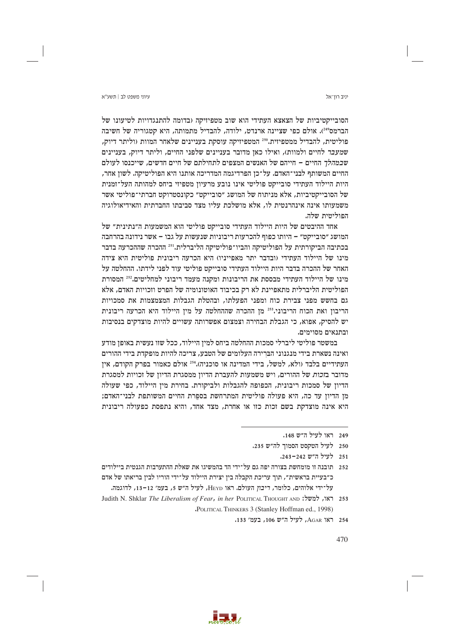יניב רוו־אל

## עיווי משפט לר∣ חשע״א

הסובייקטיביות של הצאצא העתידי הוא שוב מטפיזיקה (בדומה להתנגדויות לטיעונו של הברמס"44). אולם כפי שציינה ארנדט, ילודה, להבדיל מתמותה, היא קטגוריה של חשיבה פוליטית, להבדיל ממטפיזית.250 המטפיזיקה עוסקת בעניינים שלאחר המוות (וליתר דיוק, שמעבר לחיים ולמוות), ואילו כאן מדובר בעניינים שלפני החיים, וליתר דיוק, בעניינים ש*במהלד* החיים – חייהם של האנשים המצפים לתחילתם של חיים חדשים, שייכנסו לעולם החיים המשותף לבני־האדם. על־כן הפרדיגמה המדריכה אותנו היא הפוליטיקה. לשון אחר, היות היילוד העתידי סובייקט פוליטי אינו נובע מרעיון מטפיזי ביחס למהותה העל־זמנית של הסובייקטיביות, אלא מניתוח של המושג ״סובייקט״ כקונסטרוקט חברתי־פוליטי אשר משמעותו אינה אינהרנטית לו, אלא מושלכת עליו מצד סביבתו החברתית והאידיאולוגיה הפוליטית שלה.

אחד ההיבטים של היות היילוד העתידי סובייקט פוליטי הוא המשמעות ה״נתינית״ של המושג ״סובייקט״ – היותו כפוף להכרעות ריבוניות שנעשות על גבו – אשר נידונה בהרחבה בכתיבה הביקורתית על הפוליטיקה והביו־פוליטיקה הליברלית.'<sup>251</sup> ההכרה שההכרעה בדבר מינו של היילוד העתידי (ובדבר יתר מאפייניו) היא הכרעה ריבונית פוליטית היא צידה האחר של ההכרה בדבר היות היילוד העתידי סובייקט פוליטי עוד לפני לידתו. ההחלטה על מינו של היילוד העתידי מבססת את הריבונות ומקנה מעמד ריבוני למחליטים.252 המסורת הפוליטית הליברלית מתאפיינת לא רק בכיבוד האוטונומיה של הפרט וזכויות האדם, אלא גם בחשש מפני צבירת כוח ומפני הפעלתו, ובהטלת הגבלות המצמצמות את סמכויות הריבון ואת הכוח הריבוני.<sup>253</sup> מן ההכרה שההחלטה על מין היילוד היא הכרעה ריבונית יש להסיק, אפוא, כי הגבלת הבחירה וצמצום אפשרותה עשויים להיות מוצדקים בנסיבות ובתנאים מסוימים.

במשטר פוליטי ליברלי סמכות ההחלטה ביחס למין היילוד, ככל שזו נעשית באופן מודע ואינה נשארת בידי מנגנוני הברירה העלומים של הטבע, צריכה להיות מופקדת בידי ההורים העתידיים בלבד (ולא, למשל, בידי המדינה או סוכניה).254 אולם כאמור בפרק הקודם, אין מדובר בזכות של ההורים, ויש משמעות להעברת הדיון ממסגרת הדיון של זכויות למסגרת הדיון של סמכות ריבונית, הכפופה להגבלות ולביקורת. בחירת מין היילוד, כפי שעולה מו הדיוז עד כה, היא פעולה פוליטית המתרחשת בספרת החיים המשותפת לבני־האדם: היא אינה מוצדקת בשם זכות כזו או אחרת, מצד אחד, והיא נתפסת כפעולה ריבונית

254 - ראו AGAR, לעיל ה"ש 106, בעמ' 133.



<sup>249</sup> ראו לעיל ה"ש 148.

<sup>250</sup> לעיל הטקסט הסמוך לה"ש 235.

<sup>251</sup> לעיל ה״ש 243–243.

<sup>252 –</sup> תובנה זו מומחשת בצורה יפה גם על־ידי הד בהמשיגו את שאלת ההתערבות הגנטית ביילודים כ״בעיית בראשית״, תוך עריכת הקבלה בין יצירת היילוד על־ידי הוריו לבין בריאתו של אדם על־ידי אלוהים, כלומר, ריבון העולם. ראו HEYD, לעיל ה"ש 5, בעמ׳ 12-13, לדוגמה.

Judith N. Shklar The Liberalism of Fear, in her POLITICAL THOUGHT AND : 253 "POLITICAL THINKERS 3 (Stanley Hoffman ed., 1998)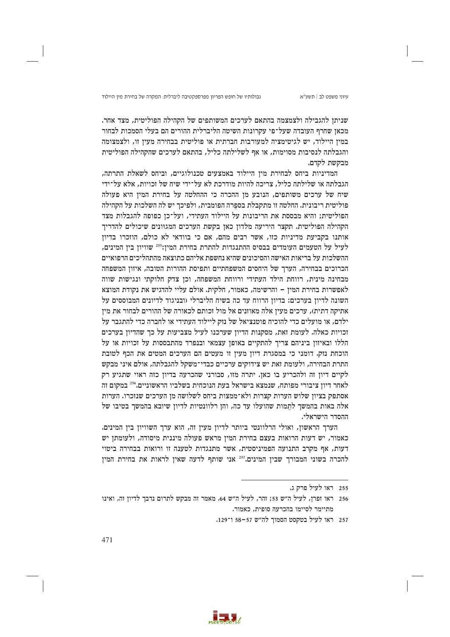גבולותיו של חופש הפריון מפרספקטיבה ליברלית: המקרה של בחירת מין היילוד

שניתן להגבילה ולצמצמה בהתאם לערכים המשותפים של הקהילה הפוליטית, מצד אחר. מכאז שחרף העובדה שעל־פי עקרונות השיטה הליברלית ההורים הם בעלי הסמכות לבחור במין היילוד, יש לגיטימציה למעורבות חברתית או פוליטית בבחירה מעין זו, ולצמצומה והגבלתה לנסיבות מסוימות, או אף לשלילתה כליל, בהתאם לערכים שהקהילה הפוליטית מבקשת לקדם.

המדיניות ביחס לבחירת מין היילוד באמצעים טכנולוגיים, וביחס לשאלת התרתה, הגבלתה או שלילתה כליל, צריכה להיות מודרכת לא על־ידי שיח של זכויות, אלא על־ידי שיח של ערכים משותפים, הנובע מן ההכרה כי ההחלטה על בחירת המין היא פעולה פוליטית ריבונית. החלטה זו מתקבלת בספרה הפומבית, ולפיכך יש לה השלכות על הקהילה הפוליטית; והיא מבססת את הריבונות על היילוד העתידי, ועל־כן כפופה להגבלות מצד הקהילה הפוליטית. תקצר היריעה מלדון כאן בקשת הערכים המגוונים שיכולים להדריך אותנו בקביעת מדיניות כזו, אשר רבים מהם, אם כי בוודאי לא כולם, הוזכרו בדיוז לעיל על הטעמים העומדים בבסיס ההתנגדות להתרת בחירת המין:255 שוויון בין המינים, ההשלכות על בריאות האישה והסיכונים שהיא נחשפת אליהם כתוצאה מהתהליכים הרפואיים הכרוכים בבחירה, הערך של היחסים המשפחתיים ותפיסת ההורות הטובה, איזון המשפחה מבחינה מינית, רווחת הילד העתידי ורווחת המשפחה, וכן צדק חלוקתי ונגישות שווה לאפשרות בחירת המין – והרשימה, כאמור, חלקית. אולם עליי להדגיש את נקודת המוצא השונה לדיון בערכים: בדיון הרווח עד כה בשיח הליברלי (ובניגוד לדיונים המבוססים על אתיקה דתית), ערכים מעין אלה מאוזנים אל מול זכותם לכאורה של ההורים לבחור את מין ילדם, או מועלים כדי להוכיח פוטנציאל של נזק ליילוד העתידי או לחברה כדי להתגבר על זכויות כאלה. לעומת זאת, מסקנות הדיון שערכנו לעיל מצביעות על כך שהדיון בערכים הללו ובאיזון ביניהם צריך להתקיים באופן עצמאי ובנפרד מהתבססות על זכויות או על הוכחת נזק. דומני כי במסגרת דיון מעין זו מעטים הם הערכים המטים את הכף לטובת התרת הבחירה, ולעומת זאת יש צידוקים ערכיים כבדי־משקל להגבלתה, אולם איני מבקש לקיים דיון זה ולהכריע בו כאן. יתרה מזו, סבורני שהכרעה בדיון כזה ראוי שתגיע רק לאחר דיון ציבורי מפותח, שנמצא בישראל בעת הנוכחית בשלביו הראשוניים.256 במקום זה אסתפק בציון שלוש הערות קצרות ולא־ממצות ביחס לשלושה מן הערכים שנזכרו. הערות אלה באות בהמשך לתמות שהועלו עד כה, והן רלוונטיות לדיון שיובא בהמשך בטיבו של ההסדר הישראלי.

הערך הראשון, ואולי הרלוונטי ביותר לדיון מעין זה, הוא ערך השוויון בין המינים. כאמור, יש דעות הרואות בעצם בחירת המין מראש פעולה מיננית מיסודה, ולעומתן יש דעות, אף מקרב התנועה הפמיניסטית, אשר מתנגדות לטענה זו ורואות בבחירה ביטוי להכרה בשוני המבורך שבין המינים.<sup>257</sup> אני שותף לדעה שאין לראות את בחירת המין

257 ראו לעיל בטקסט הסמוך לה"ש 57-58 ו־129.



<sup>255</sup> ראו לעיל פרק ג.

<sup>256 -</sup> ראו זפרן, לעיל ה״ש 53; זהר, לעיל ה״ש 64. מאמר זה מבקש לתרום נדבך לדיון זה, ואינו מתיימר לסיימו בהכרעה סופית, כאמור.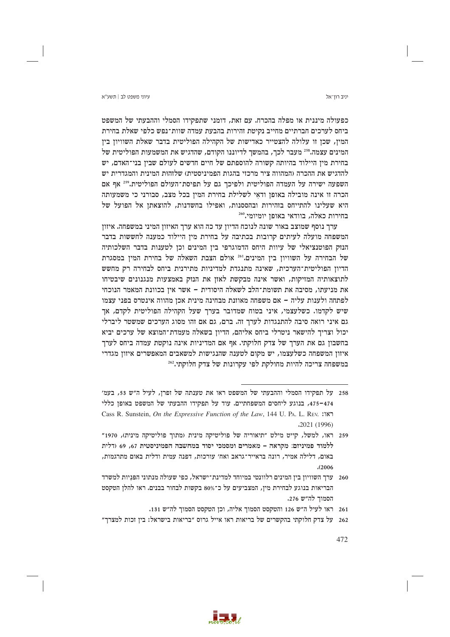יניב רוו־אל

כפעולה מיננית או מפלה בהכרח. עם זאת, דומני שתפקידו הסמלי וההבעתי של המשפט ביחס לערכים חברתיים מחייב נקיטת זהירות בהבעת עמדה שוות־נפש כלפי שאלת בחירת המין, שכן זו עלולה להצטייר כאדישות של הקהילה הפוליטית בדבר שאלת השוויון בין המינים עצמה.<sup>258</sup> מעבר לכך, בהמשך לדיוננו הקודם, שהדגיש את המשמעות הפוליטית של בחירת מין היילוד בהיותה קשורה להוספתם של חיים חדשים לעולם שביו בני־האדם. יש להדגיש את ההכרה (המהווה ציר מרכזי בהגות הפמיניסטית) שלזהות המינית והמגדרית יש השפעה ישירה על העמדה הפוליטית ולפיכך גם על תפיסת־העולם הפוליטית.259 אף אם הכרה זו אינה מובילה באופן ודאי לשלילת בחירת המין בכל מצב, סבורני כי משמעותה היא שעלינו להתייחס בזהירות ובהססנות, ואפילו בחשדנות, להוצאתן אל הפועל של בחירות כאלה, בוודאי באופן יומיומי.260

ערך נוסף שמוצב באור שונה לנוכח הדיון עד כה הוא ערך האיזון המיני במשפחה. איזון המשפחה מועלה לעיתים קרובות בכתיבה על בחירת מין היילוד כמענה לחששות בדבר הנזק הפוטנציאלי של עיוות היחס הדמוגרפי בין המינים וכן לטענות בדבר השלכותיה של הבחירה על השוויון בין המינים.<sup>261</sup> אולם הצבת השאלה של בחירת המין במסגרת הדיון הפוליטית־הערכית, שאינה מתנגדת למדיניות מתירנית ביחס לבחירה רק מחשש לתוצאותיה המזיקות, ואשר אינה מבקשת לאזן את הנזק באמצעות מנגנונים שיבטיחו את מניעתו, מסיבה את תשומת־הלב לשאלה היסודית - אשר אין בכוונת המאמר הנוכחי לפתחה ולענות עליה – אם משפחה מאוזנת מבחינה מינית אכן מהווה אינטרס בפני עצמו שיש לקדמו. כשלעצמי, איני בטוח שמדובר בערך שעל הקהילה הפוליטית לקדם, אך גם איני רואה סיבה להתנגדות לערך זה. ברם, גם אם זהו מסוג הערכים שמשטר ליברלי יכול וצריך להישאר ניטרלי ביחס אליהם, הדיון בשאלה מעמדת־המוצא של ערכים יביא בחשבון גם את הערך של צדק חלוקתי. אף אם המדיניות אינה נוקטת עמדה ביחס לערך איזון המשפחה כשלעצמו, יש מקום לטענה שהנגישות למשאבים המאפשרים איזון מגדרי במשפחה צריכה להיות מחולקת לפי עקרונות של צדק חלוקתי.262

- 258 על תפקידו הסמלי וההבעתי של המשפט ראו את טענתה של זפרן, לעיל ה״ש 53, בעמ׳ 474–475, בנוגע ליחסים המשפחתיים. עוד על תפקידו ההבעתי של המשפט באופז כללי Cass R. Sunstein, On the Expressive Function of the Law, 144 U. PA. L. REV. (777)  $.2021(1996)$
- 259 ראו, למשל, קייט מילט ״תיאוריה של פוליטיקה מינית (מתוך פוליטיקה מינית), 1970״ ללמוד פמיניזם: מקראה – מאמרים ומסמכי יסוד במחשבה הפמיניסטית 67, 69 ודלית באום, דלילה אמיר, רונה בראייר־גראב ואח׳ עורכות, דפנה עמית ודלית באום מתרגמות,  $(2006)$
- 260 ערך השוויון בין המינים רלוונטי במיוחד למדינת־ישראל, כפי שעולה מנתוני הפניות למשרד הבריאות בנוגע לבחירת מין, המצביעים על כ־80% בקשות לבחור בבנים. ראו להלן הטקסט הסמוך לה״ש 276.
	- 261 ראו לעיל ה"ש 126 והטקסט הסמוך אליה, וכן הטקסט הסמוך לה"ש 131.
- 262 על צדק חלוקתי בהקשרים של בריאות ראו אייל גרוס "בריאות בישראל: בין זכות למצרך"

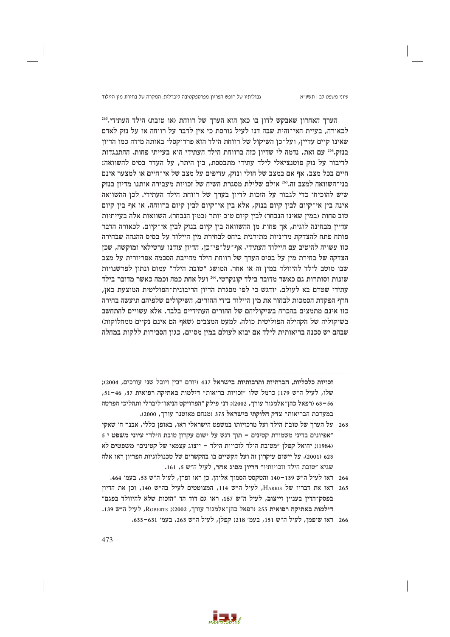עיוני משפט לב | תשע"א

הערך האחרון שאבקש לדון בו כאן הוא הערך של רווחת (או טובת) הילד העתידי.<sup>263</sup> לכאורה, בעיית האי־זהות שבה דנו לעיל גורסת כי איז לדבר על רווחה או על נזק לאדם שאינו קיים עדיין, ועל־כן השיקול של רווחת הילד הוא פרדוקסלי באותה מידה כמו הדיון בנזק,264 עם זאת, נדמה לי שדיון כזה ברווחת הילד העתידי הוא בעייתי פחות. ההתנגדות לדיבור על נזק פוטנציאלי לילד עתידי מתבססת, ביז היתר, על העדר בסיס להשוואה: חיים בכל מצב, אף אם במצב של חולי ונזק, עדיפים על מצב של אי־חיים או למצער אינם בני־השוואה למצב זה.265 אולם שלילת מסגרת השיח של זכויות מעבירה אותנו מדיון בנזק שיש להוכיחו כדי לגבור על הזכות לדיון בערך של רווחת הילד העתידי. לכן ההשוואה אינה בין אי־קיום לבין קיום בנזק, אלא בין אי־קיום לבין קיום ברווחה, או אף בין קיום טוב פחות (במין שאינו הנבחר) לבין קיום טוב יותר (במין הנבחר). השוואות אלה בעייתיות עדיין מבחינה לוגית, אך פחות מן ההשוואה בין קיום בנזק לבין אי־קיום. לכאורה הדבר פותח פתח להצדקת מדיניות מתירנית ביחס לבחירת מין היילוד על בסיס ההנחה שבחירה כזו עשויה להיטיב עם היילוד העתידי. אף־על־פי־כן, הדיון עודנו ערטילאי ומוקשה, שכן הצדקה של בחירת מין על בסיס הערך של רווחת הילד מחייבת הסכמה אפריורית על מצב שבו מוטב לילד להיוולד במין זה או אחר. המושג "טובת הילד" עמום ונתון לפרשנויות שונות וסותרות גם כאשר מדובר בילד קונקרטי,266 ועל אחת כמה וכמה כאשר מדובר בילד עתידי שטרם בא לעולם. יודגש כי לפי מסגרת הדיון הריבונית־הפוליטית המוצעת כאן, חרף הפקדת הסמכות לבחור את מין היילוד בידי ההורים, השיקולים שלפיהם תיעשה בחירה כזו אינם מתמצים בהכרח בשיקוליהם של ההורים העתידיים בלבד, אלא עשויים להתחשב בשיקוליה של הקהילה הפוליטית כולה. למעט המצבים (שאף הם אינם נקיים ממחלוקות) שבהם יש סכנה בריאותית לילד אם יבוא לעולם במין מסוים, כגון הסבירות ללקות במחלה

זכויות כלכליות, חברתיות ותרבותיות בישראל 437 (יורם רבין ויובל שני עורכים, 2004); שלו, לעיל ה"ש 179; כרמל שלו "זכויות בריאות" דילמות באתיקה רפואית 37, 46-51, 63–63 (רפאל כהז־אלמגור עורד, 2002): דני פילק ״הפרויקט הניאו־ליברלי ותהליכי הפרטה במערכת הבריאות" צדק חלוקתי בישראל 375 (מנחם מאוטנר עורך, 2000).

- 263 על הערך של טובת הילד ועל מרכזיותו במשפט הישראלי ראו, באופן כללי, אבנר ח׳ שאקי יאפיונים בדיני משמורת קטינים – תוך דגש על ישום עקרון טובת הילד" עיוני משפט י (1984); יחיאל קפלן "מטובת הילד לזכויות הילד – ייצוג עצמאי של קטינים" משפטים לא 623 (2001). על יישום עיקרון זה ועל הקשיים בו בהקשרים של טכנולוגיות הפריון ראו אלה שגיא "טובת הילד וזכויותיו" הריון מסוג אחר, לעיל ה"ש 5, 161.
	- 264 ראו לעיל ה״ש 139–140 והטקסט הסמוך אליהן. כן ראו זפרן, לעיל ה״ש 53, בעמ׳ 464.
- 265 ראו את דבריו של HARRIS, לעיל ה"ש 114, המצוטטים לעיל בה"ש 140, וכן את הדיון בפסק־הדין בעניין זייצוב, לעיל ה״ש 187. ראו גם דוד הד ״הזכות שלא להיוולד בפגם״ דילמות באתיקה רפואית 255 (רפאל כהן־אלמגור עורך, 2002); ROBERTS, לעיל ה"ש 139.
	- 266 ראו שיפמן, לעיל ה"ש 151, בעמ' 218; קפלן, לעיל ה"ש 263, בעמ' 631-633.

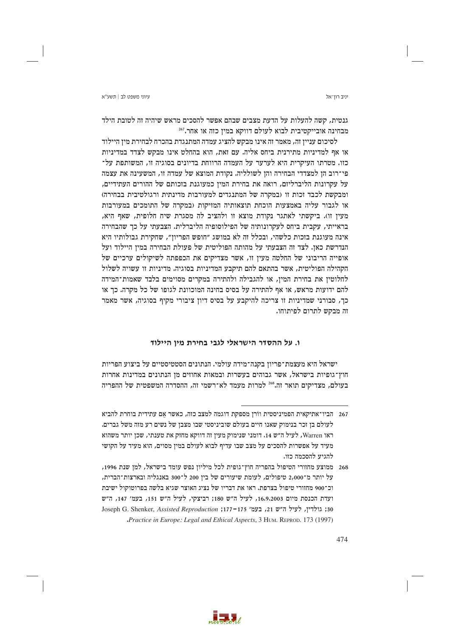יניב רוו־אל

גנטית, קשה להעלות על הדעת מצבים שבהם אפשר להסכים מראש שיהיה זה לטובת הילד מבחינה אובייקטיבית לבוא לעולם דווקא במיז כזה או אחר. $^{\text{267}}$ 

לסיכום עניין זה, מאמר זה אינו מבקש להציג עמדה המתנגדת בהכרח לבחירת מין היילוד או אף למדיניות מתירנית ביחס אליה. עם זאת, הוא בהחלט אינו מבקש לצדד במדיניות כזו. מטרתו העיקרית היא לערער על העמדה הרווחת בדיונים בסוגיה זו, המשותפת על־ פי־רוב הן למצדדי הבחירה והן לשולליה. נקודת המוצא של עמדה זו, המשעינה את עצמה על עקרונות הליברליזם, רואה את בחירת המין כמעוגנת בזכותם של ההורים העתידיים, ומבקשת לכבד זכות זו (במקרה של המתנגדים למעורבות מדינתית ורגולטיבית בבחירה) או לגבור עליה באמצעות הוכחת תוצאותיה המזיקות (במקרה של התומכים במעורבות מעין זו). ביקשתי לאתגר נקודת מוצא זו ולהציב לה מסגרת שיח חלופית, שאף היא, בראייתי, עקבית ביחס לעקרונותיה של הפילוסופיה הליברלית. הצבעתי על כך שהבחירה אינה מעוגנת בזכות כלשהי, ובכלל זה לא במושג ״חופש הפריוז״, שחקירת גבולותיו היא הנדרשת כאן. לצד זה הצבעתי על מהותה הפוליטית של פעולת הבחירה במין היילוד ועל אופייה הריבוני של החלטה מעין זו, אשר מצדיקים את הכפפתה לשיקולים ערכיים של הקהילה הפוליטית, אשר בהתאם להם תיקבע המדיניות בסוגיה. מדיניות זו עשויה לשלול לחלוטין את בחירת המין, או להגבילה ולהתירה במקרים מסוימים בלבד שאמות־המידה להם ידועות מראש, או אף להתירה על בסיס בחינה המוכוונת לגופו של כל מקרה. כך או כך, סבורני שמדיניות זו צריכה להיקבע על בסיס דיון ציבורי מקיף בסוגיה, אשר מאמר זה מבקש לתרום לפיתוחו.

# ו. על ההסדר הישראלי לגבי בחירת מין היילוד

ישראל היא מעצמת־פריון בקנה־מידה עולמי. הנתונים הסטטיסטיים על ביצוע הפריות חוץ־גופיות בישראל, אשר גבוהים בעשרות ובמאות אחוזים מן הנתונים במדינות אחרות בעולם, מצדיקים תואר זה.<sup>268</sup> למרות מעמד לא־רשמי זה, ההסדרה המשפטית של ההפריה



<sup>267 -</sup> הביו־אתיקאית הפמיניסטית ווֹרן מספקת דוגמה למצב כזה, כאשר אם עתידית בוחרת להביא לעולם בן זכר בנימוק שאנו חיים בעולם שוביניסטי שבו מצבן של נשים רע מזה משל גברים. ראו Warren, לעיל ה״ש 14. דומני שנימוק מעין זה דווקא מחזק את טענתי, שכן יותר משהוא מעיד על אפשרות להסכים על מצב שבו עדיף לבוא לעולם במין מסוים, הוא מעיד על הקושי להגיע להסכמה כזו.

<sup>268 –</sup> ממוצע מחזורי הטיפול בהפריה חוץ־גופית לכל מיליון נפש עומד בישראל, למן שנת 1996, על יותר מ־2,000 טיפולים, לעומת שיעורים של בין 200 ל־300 באנגליה ובארצות־הברית. וכ־900 מחזורי טיפול בצרפת. ראו את דבריו של נציג האוצר שגיא בלשה בפרוטוקול ישיבת ועדת הכנסת מיום 16.9.2003, לעיל ה"ש 180; רביצקי, לעיל ה"ש 151, בעמ' 147, ה"ש 30; גולדין, לעיל ה״ש 21, בעמ׳ 175–177; Joseph G. Shenker, Assisted Reproduction "Practice in Europe: Legal and Ethical Aspects, 3 HUM. REPROD. 173 (1997)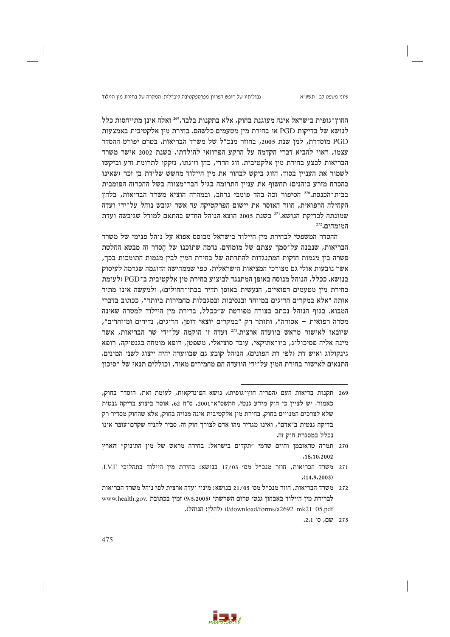גבולותיו של חופש הפריון מפרספקטיבה ליברלית: המקרה של בחירת מין היילוד

החוץ־גופית בישראל אינה מעוגנת בחוק, אלא בתקנות בלבד, 269 ואלה אינו מתייחסות כלל לנושא של בדיקות PGD או בחירת מיז מטעמים כלשהם. בחירת מיז אלקטיבית באמצעות PGD מוסדרת, למן שנת 2005, בחוזר מנכ״ל של משרד הבריאות. בטרם יפורט ההסדר עצמו, ראוי להביא דברי הקדמה על הרקע הפרוזאי להולדתו. בשנת 2002 אישר משרד הבריאות לבצע בחירת מיו אלקטיבית. זוג חרדי, כהז וזוגתו, נזקקו לתרומת זרע וביקשו לשמור את העניין בסוד. הזוג ביקש לבחור את מין היילוד מחשש שלידת בן זכר (שאינו בהכרח מזרע כוהנים) תחשוף את עניין התרומה בגיל הבר־מצווה בשל ההכרזה הפומבית בבית־הכנסת.270 הסיפור זכה בהד פומבי נרחב, ובמהרה הוציא משרד הבריאות, בלחץ הקהילה הרפואית, חוזר האוסר את יישום הפרקטיקה עד אשר יגובש נוהל על־ידי ועדה שמונתה לבדיקת הנושא.<sup>271</sup> בשנת 2005 הוצא הנוהל החדש בהתאם למודל שגיבשה ועדת המומחים.272

ההסדר המשפטי לבחירת מין היילוד בישראל מבוסס אפוא על נוהל פנימי של משרד הבריאות, שנבנה על־סמך עצתם של מומחים. נדמה שתוכנו של הסדר זה מבטא החלטת פשרה בין מגמות חזקות המתנגדות להתרתה של בחירת המין לבין מגמות התומכות בכך, אשר נובעות אולי גם מצורכי המציאות הישראלית, כפי שממחישה הדוגמה שגרמה לעיסוק בנושא. ככלל, הנוהל מנוסח באופן המתנגד לביצוע בחירת מין אלקטיבית ב־PGD ולעומת בחירת מין מטעמים רפואיים, הנעשית באופן תדיר בבתי־החולים), ולמעשה אינו מתיר אותה ״אלא במקרים חריגים במיוחד ובנסיבות ובמגבלות מחמירות ביותר״, ככתוב בדברי המבוא. בגוף הנוהל נכתב בצורה מפורטת ש״ככלל, ברירת מין היילוד למטרה שאינה מטרה רפואית - אסורה", ותותר רק "במקרים יוצאי דופן, חריגים, נדירים ומיוחדים", שיובאו לאישור מראש בוועדה ארצית.<sup>273</sup> ועדה זו הוקמה על־ידי שר הבריאות, אשר מינה אליה פסיכולוג, ביו־אתיקאי, עובד סוציאלי, משפטן, רופא מומחה בגנטיקה, רופא גינקולוג ואיש דת (לפי דת הפונים). הנוהל קובע גם שבוועדה יהיה ייצוג לשני המינים. התנאים לאישור בחירת המין על־ידי הוועדה הם מחמירים מאוד, וכוללים תנאי של ״סיכון

273 שם, ס' 2.1.



<sup>269</sup> תקנות בריאות העם (הפריה חוץ־גופית). נושא הפונדקאות, לעומת זאת, הוסדר בחוק, כאמור. יש לצייז כי חוק מידע גנטי, התשס״א־2001, ס״ח 62, אוסר ביצוע בדיקה גנטית שלא לצרכים המנויים בחוק. בחירת מין אלקטיבית אינה מנויה בחוק, אלא שהחוק מסדיר רק בדיקה גנטית ב"אדם", ואינו מגדיר מהו אדם לצורך חוק זה. סביר להניח שקדם־עוּבּר אינו נכלל במסגרת חוק זה.

<sup>270</sup> תמרה טראובמן וחיים שדמי "תקדים בישראל: בחירה מראש של מין התינוק" הארץ .18.10.2002

<sup>271</sup> משרד הבריאות, חוזר מנכ״ל מס׳ 17/03 בנושא: בחירת מיז היילוד בתהליכי L.V.F.  $(14.9.2003)$ 

<sup>272 –</sup> משרד הבריאות, חוזר מנכ״ל מס׳ 21/05 בנושא: מינוי ועדה ארצית לפי נוהל משרד הבריאות לברירת מין היילוד באבחון גנטי טרום השרשתי (9,5,2005) זמין בכתובת .www.health.gov il/download/forms/a2692\_mk21\_05.pdf (להלן: הנוהל).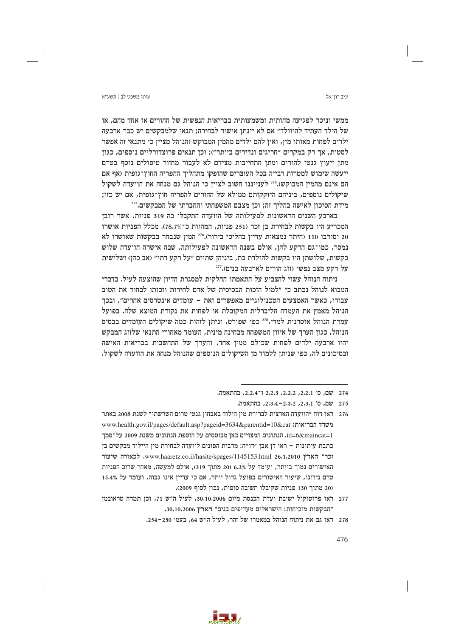יניב רוו־אל

ממשי וניכר לפגיעה מהותית ומשמעותית בבריאות הנפשית של ההורים או אחד מהם. או של הילד העתיד להיוולד״ אם לא יינתו אישור לבחירה: תנאי שלמבקשים יש כבר ארבעה ילדים לפחות מאותו מין, ואין להם ילדים מהמין המבוקש (הנוהל מציין כי מתנאי זה אפשר לסטות, אך רק במקרים ״חריגים ונדירים ביותר״); וכן תנאים פרוצדורליים נוספים, כגון מתז ייעוץ גנטי להורים ומתז התחייבות מצידם לא לעבור מחזור טיפולים נוסף בטרם ייעשה שימוש למטרות רבייה בכל העוברים שהופקו מתהליך ההפריה החוץ־גופית (אף אם הם אינם מהמין המבוקש).274 לענייננו חשוב לציין כי הנוהל גם מנחה את הוועדה לשקול שיקולים נוספים, ביניהם היזקקותם ממילא של ההורים להפריה חוץ־גופית, אם יש כזו; מידת הסיכון לאישה בהליך זה; וכן מצבם המשפחתי והחברתי של המבקשים.275

בארבע השנים הראשונות לפעילותה של הוועדה התקבלו בה 319 פניות, אשר רובן המכריע היו בקשות לבחירת בן זכר (251 פניות, המהוות כ־78.7%). מכלל הפניות אושרו 20 וסורבו 110 (היתר נמצאות עדיין בהליכי בירור).276 המין שנבחר בבקשות שאושרו לא נמסר, כמו־גם הרקע להן, אולם בשנה הראשונה לפעילותה, שבה אישרה הוועדה שלוש בקשות, שלושתן היו בקשות להולדת בת, ביניהן שתיים "על רקע דתי" (אב כהן) ושלישית על רקע מצב נפשי (זוג הורים לארבעה בנים).277

ניתוח הנוהל עשוי להצביע על התאמתו החלקית למסגרת הדיון שהוצעה לעיל. בדברי המבוא לנוהל נכתב כי ״למול הזכות הבסיסית של אדם לחירות וזכותו לבחור את הטוב עבורו, כאשר האמצעים הטכנולוגיים מאפשרים זאת - עומדים אינטרסים אחרים", ובכך הנוהל מאמץ את העמדה הליברלית המקובלת או לפחות את נקודת המוצא שלה. בפועל עמדת הנוהל אוסרנית למדי, 278 כפי שפורט, וניתן לזהות כמה שיקולים העומדים בבסיס הנוהל, כגון הערך של איזון המשפחה מבחינה מינית, העומד מאחורי התנאי שלזוג המבקש יהיו ארבעה ילדים לפחות שכולם ממין אחד, והערך של התחשבות בבריאות האישה ובסיכונים לה, כפי שניתן ללמוד מן השיקולים הנוספים שהנוהל מנחה את הוועדה לשקול.



<sup>274</sup> שם, ס' 2,2,1, 2,2,2, 2,2,3 ו־2,2,4, בהתאמה.

<sup>275</sup> שם, ס' 2.3.1, 2.3.2–2.3.4, בהתאמה.

<sup>276 –</sup> ראו דוח ״הוועדה הארצית לברירת מין הילוד באבחון גנטי טרום השרשתי״ לשנת 2008 באתר www.health.gov.il/pages/default.asp?pageid=3634&parentid=10&cat :בריאות ו הנתונים משנת 2009-id=6&maincat=1. הנתונים המצויים כאן משנת 2009 על־סמך כתבת עיתונות – ראו דן אבן ״דו״ח: מרבית הפונים לוועדה לבחירת מין היילוד מבקשים בן וכר" הארץ www.haaretz.co.il/hasite/spages/1145153.html 26.1.2010. לכאורה שיעור האישורים נמוך ביותר, ועומד על 6.3% (20 מתוך 319), אולם למעשה, מאחר שרוב הפניות טרם נידונו, שיעור האישורים בפועל גדול יותר, אם כי עדייז אינו גבוה, ועומד על 15.4% (20 מתוך 130 פניות שקיבלו תשובה סופית, נכון לסוף 2009).

<sup>277</sup> ראו פרוטוקול ישיבת ועדת הכנסת מיום 30.10.2006, לעיל ה"ש 71, וכן תמרה טראובמן "הבקשות מוכיחות: הישראלים מעדיפים בנים" הארץ 30.10.2006.

<sup>278 –</sup> ראו גם את ניתוח הנוהל במאמרו של זהר, לעיל ה״ש 64, בעמ׳ 250–254.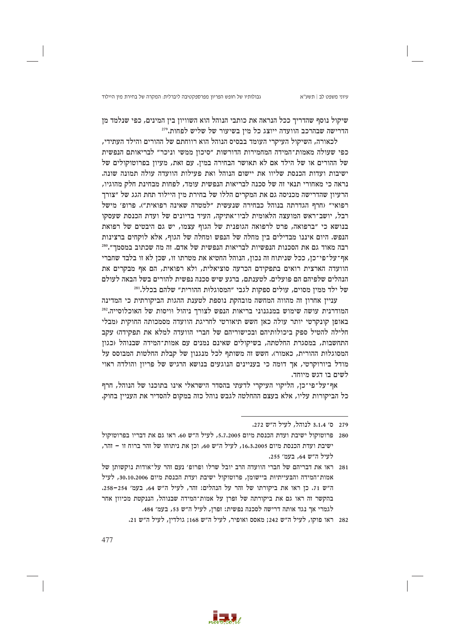עיוני משפט לב | תשע"א

שיקול נוסף שהדריך ככל הנראה את כותבי הנוהל הוא השוויון בין המינים, כפי שנלמד מן הדרישה שבהרכב הוועדה ייוצג כל מין בשיעור של שליש לפחות. 279

לכאורה, השיקול העיקרי העומד בבסיס הנוהל הוא רווחתם של ההורים והילד העתידי, כפי שעולה מאמות־המידה המחמירות הדורשות "סיכון ממשי וניכר" לבריאותם הנפשית של ההורים או של הילד אם לא תאושר הבחירה במין. עם זאת, מעיון בפרוטוקולים של ישיבות ועדות הכנסת שליוו את יישום הנוהל ואת פעילות הוועדה עולה תמונה שונה. נראה כי מאחורי תנאי זה של סכנה לבריאות הנפשית עומד, לפחות מבחינת חלק מהוגיו, הרעיון שהדרישה מכניסה גם את המקרים הללו של בחירת מין היילוד תחת הגג של "צורך רפואי" (חרף הגדרתה בנוהל כבחירה שנעשית "למטרה שאינה רפואית"). פרופ׳ מישל רבל, יושב־ראש המועצה הלאומית לביו־אתיקה, העיד בדיונים של ועדת הכנסת שעסקו בנושא כי "ברפואה, פרט לרפואה הגופנית של הגוף עצמו, יש גם היבטים של רפואת הנפש. היום איננו מבדילים ביז מחלה של הנפש ומחלה של הגוף, אלא לוקחים ברצינות רבה מאוד גם את הסכנות הנפשיות לבריאות הנפשית של אדם. זה מה שכתוב במסמך".280 אף־על־פי־כן, ככל שניתוח זה נכון, הנוהל החטיא את מטרתו זו, שכן לא זו בלבד שחברי הוועדה הארצית רואים בתפקידם הכרעה סוציאלית, ולא רפואית, הם אף מבקרים את הנהלים שלפיהם הם פועלים. לטענתם, ברגע שיש סכנה נפשית להורים בשל הבאה לעולם של ילד ממין מסוים, עולים ספקות לגבי "המסוגלות ההורית" שלהם בכלל.<sup>281</sup>

עניין אחרון זה מהווה המחשה מובהקת נוספת לטענת ההגות הביקורתית כי המדינה המודרנית עושה שימוש במנגנוני בריאות הנפש לצורך ניהול וויסות של האוכלוסייה.282 באופן קונקרטי יותר עולה כאן חשש תיאורטי לחריגת הוועדה מסמכותה החוקית (מבלי חלילה להטיל ספק ביכולותיהם ובכישוריהם של חברי הוועדה למלא את תפקידה) עקב התחשבות, במסגרת החלטתה, בשיקולים שאינם נמנים עם אמות־המידה שבנוהל (כגון המסוגלות ההורית, כאמור). חשש זה משותף לכל מנגנון של קבלת החלטות המבוסס על מודל ביורוקרטי, אך דומה כי בעניינים הנוגעים בנושא הרגיש של פריון והולדה ראוי לשים בו דגש מיוחד.

אף־על־פי־כן, הליקוי העיקרי לדעתי בהסדר הישראלי אינו בתוכנו של הנוהל, חרף כל הביקורות עליו, אלא בעצם ההחלטה לגבש נוהל כזה במקום להסדיר את הענייז בחוק.



<sup>279 –</sup> ס׳ 3.1.4 לנוהל, לעיל ה״ש 272.

<sup>280</sup> פרוטוקול ישיבת ועדת הכנסת מיום 5.7.2005, לעיל ה"ש 60. ראו גם את דבריו בפרוטוקול ישיבת ועדת הכנסת מיום 16,3,2005, לעיל ה״ש 60, וכן את ניתוחו של זהר ברוח זו – זהר, לעיל ה״ש 64, בעמ׳ 255.

<sup>281 –</sup> ראו את דבריהם של חברי הוועדה הרב יובל שרלו ופרופ׳ נעם זהר על־אודות נוקשותז של אמות־המידה והבעייתיות ביישומן, פרוטוקול ישיבת ועדת הכנסת מיום 30.10.2006, לעיל ה"ש 71. כן ראו את ביקורתו של זהר על הנהלים: זהר, לעיל ה"ש 64, בעמ' 254-258. בהקשר זה ראו גם את ביקורתה של זפרן על אמות־המידה שבנוהל, הננקטת מכיוון אחר לגמרי אך נגד אותה דרישה לסכנה נפשית: זפרן, לעיל ה״ש 53, בעמ׳ 484.

<sup>282</sup> ראו פוקו, לעיל ה״ש 242; מאסס ואופיר, לעיל ה״ש 168; גולדין, לעיל ה״ש 21.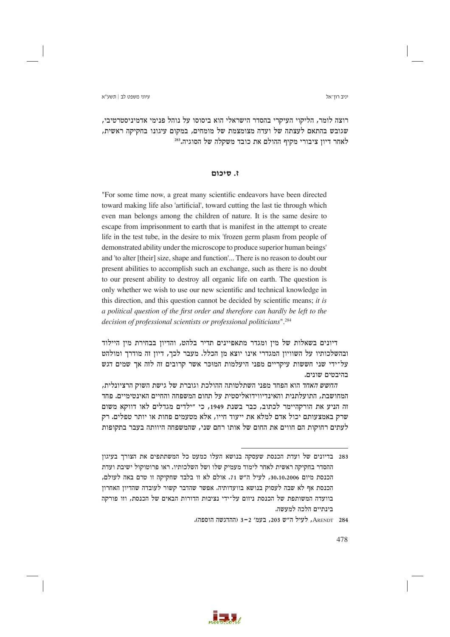יניב רוו־אל

רוצה לומר, הליקוי העיקרי בהסדר הישראלי הוא ביסוסו על נוהל פנימי אדמיניסטרטיבי, שגובש בהתאם לעצתה של ועדה מצומצמת של מומחים. במקום עיגונו בחקיקה ראשית. לאחר דיון ציבורי מקיף ההולם את כובד משקלה של הסוגיה.<sup>283</sup>

## ז. סיכום

"For some time now, a great many scientific endeavors have been directed toward making life also 'artificial', toward cutting the last tie through which even man belongs among the children of nature. It is the same desire to escape from imprisonment to earth that is manifest in the attempt to create life in the test tube, in the desire to mix 'frozen germ plasm from people of demonstrated ability under the microscope to produce superior human beings' and 'to alter [their] size, shape and function'... There is no reason to doubt our present abilities to accomplish such an exchange, such as there is no doubt to our present ability to destroy all organic life on earth. The question is only whether we wish to use our new scientific and technical knowledge in this direction, and this question cannot be decided by scientific means; it is a political question of the first order and therefore can hardly be left to the decision of professional scientists or professional politicians".<sup>284</sup>

דיונים בשאלות של מין ומגדר מתאפיינים תדיר בלהט, והדיון בבחירת מין היילוד ובהשלכותיו על השוויון המגדרי אינו יוצא מן הכלל. מעבר לכך, דיון זה מודרך ומולהט על־ידי שני חששות עיקריים מפני היעלמות המוכר אשר קרובים זה לזה אך שמים דגש בהיבטים שונים.

החשש האחד הוא הפחד מפני השתלטותה ההולכת וגוברת של גישת השוק הרציונלית, המחושבת. התועלתנית והאינדיווידואליסטית על תחום המשפחה והחיים האינטימיים. פחד זה הניע את הורקהיימר לכתוב, כבר בשנת 1949, כי "ילדים מגדלים לאו דווקא משום שרק באמצעותם יכול אדם למלא את ייעוד חייו, אלא מטעמים פחות או יותר טפלים. רק לעתים רחוקות הם חווים את החום של אותו רחם שני, שהמשפחה היוותה בעבר בתקופות



<sup>283</sup> \_ בדיונים של ועדת הכנסת שעסקה בנושא העלו כמעט כל המשתתפים את הצורך בעיגון ההסדר בחקיקה ראשית לאחר לימוד מעמיק שלו ושל השלכותיו. ראו פרוטוקול ישיבת ועדת הכנסת מיום 30.10.2006, לעיל ה"ש 71. אולם לא זו בלבד שחקיקה זו טרם באה לעולם, הכנסת אף לא שבה לעסוק בנושא בוועדותיה. אפשר שהדבר קשור לעובדה שהדיון האחרון בוועדה המשותפת של הכנסת ניזום על־ידי נציבות הדורות הבאים של הכנסת, וזו פורקה בינתיים הלכה למעשה.

ARENDT 284, לעיל ה"ש 203, בעמ' 2-3 (ההדגשה הוספה).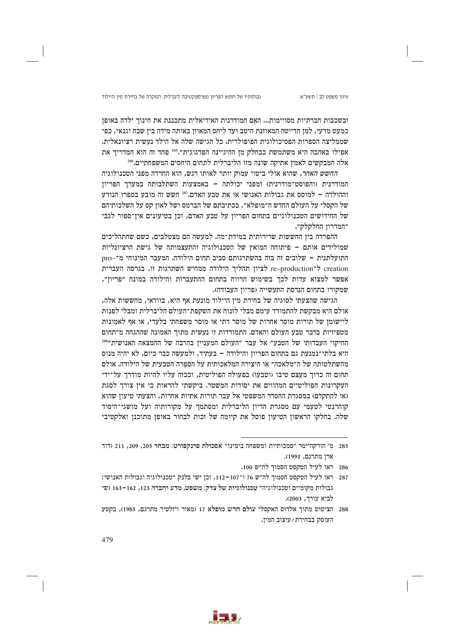גבולותיו של חופש הפריון מפרספקטיבה ליברלית: המקרה של בחירת מין היילוד

ובשכבות חברתיות מסויימות... האם המודרנית האידיאלית מתכננת את חינוך ילדה באופן כמעט מדעי, למו הדייטה המאוזנת היטב ועד ליחס המאוזו באותה מידה ביו שבח וגנאי, כפי שממליצה הספרות הפסיכולוגית הפופולרית. כל הגישה שלה אל הילד נעשית רציונאלית. אפילו באהבה היא משתמשת כבחלק מן ההיגיינה הפדגוגית".255 פחד זה הוא המדריך את אלה המבקשים לאמץ אתיקה שונה מזו הליברלית לתחום היחסים המשפחתיים.<sup>286</sup>

החשש האחר, שהוא אולי ביטוי עמוק יותר לאותו רגש, הוא החרדה מפני הטכנולוגיה המודרנית (והפוסט־מודרנית) ומפני יכולתה – באמצעות השתלבותה במערך הפריון וההולדה - למוסס את גבולות האנושי או את טבע האדם.<sup>287</sup> חשש זה מובע בספרו הנודע של הקסלי על העולם החדש ה״מופלא״, בכתיבתם של הברמס ושל לאון קס על השלכותיהם של החידושים הטכנולוגיים בתחום הפריון על טבע האדם, וכן בטיעונים אין־ספור לגבי ״המדרון החלקלק״.

ההפרדה בין החששות שרירותית במידת־מה. למעשה הם מצטלבים, כשם שהתהליכים שמולידים אותם – פיתוחה המואץ של הטכנולוגיה והתעצמותה של גישת הרציונליות התועלתנית - שלובים זה בזה בהשתרגותם סביב תחום הילודה. המעבר המינוחי מ־-pro re-production לציון תהליך הילודה ממחיש השתרגות זו. בגרסה העברית אפשר למצוא עדות לכך בשימוש הרווח בתחום ההתעברות והילודה במונח ״פריון״, שמקורו בתחום הנדסת התעשייה (פריון העבודה).

הגישה שהצעתי לסוגיה של בחירת מין היילוד מונעת אף היא, בוודאי, מחששות אלה, אולם היא מבקשת להתמודד עימם מבלי לזנוח את השקפת־העולם הליברלית ומבלי לפנות ליישומן של תורות מוסר אחרות של מוסר דתי או מוסר משפחתי בלעדי, או אף לאמונות מטפיזיות בדבר טבע העולם והאדם. התמודדות זו נעשית מתוך האמונה שההגחה מ״תחום החיקוי העבדותי של הטבע" אל עבר "העולם המעניין בהרבה של ההמצאה האנושית"<sup>288</sup> היא בלתי־נמנעת גם בתחום הפריון והילודה – בעתיד, ולמעשה כבר כיום, לא יהיה מנוס מהשתלטותה של ה״מלאכה״ או היצירה המלאכותית על הספרה הטבעית של הילודה. אולם תחום זה כרוך מעצם טיבו (וטבעו) בפעולה הפוליטית, וככזה עליו להיות מודרך על־ידי העקרונות הפוליטיים המהווים את יסודות המשטר. ביקשתי להראות כי אין צורך לסגת (או להתקדם) במסגרת ההסדר המשפטי אל עבר תורות אתיות אחרות, והצעתי טיעון שהוא קוהרנטי לטעמי עם מסגרת הדיון הליברלית ומסתמך על מקורותיה ועל מושגי־היסוד שלה. בחלקו הראשון הטיעון פוסל את קיומה של זכות לבחור באופן מתוכנן ואלקטיבי



<sup>285</sup> מ' הורקהיימר "סמכותיות ומשפחה בימינו" אסכולת פרנקפורט: מבחר 205, 209, 211 (דוד ארן מתרגם, 1993).

<sup>286</sup> ראו לעיל הטקסט הסמוך לה״ש 100.

<sup>287</sup> ראו לעיל הטקסט הסמוך לה"ש 76 ו־107–112, וכן ישי בלנק "טכנולוגיה וגבולות האנושי: גבולות מקומיים וטכנולוגיה" טכנולוגיות של צדק: משפט, מדע וחברה 123, 162–163 (שי לביא עורך, 2003).

<sup>288</sup> הציטוט מתוך אלדוס האקסלי עולם חדש מופלא 17 (מאיר ויזלטיר מתרגם, 1985), בקטע העוסק בבחירת/עיצוב המין.